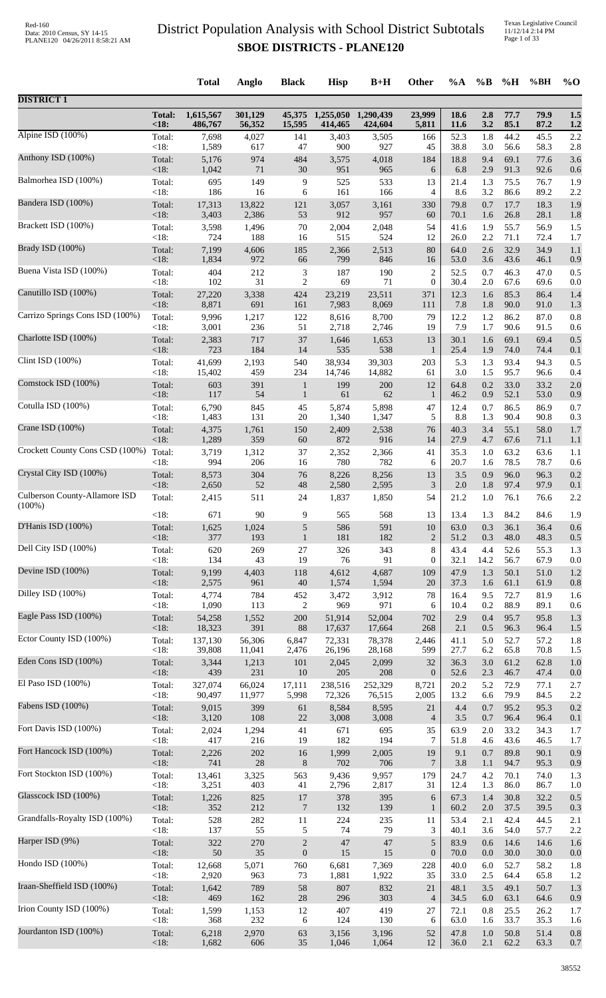| 1,615,567<br>1,255,050<br>23,999<br>2.8<br>77.7<br>79.9<br>1.5<br><b>Total:</b><br>301,129<br>45,375<br>1,290,439<br>18.6<br><18<br>56,352<br>15,595<br>424,604<br>3.2<br>85.1<br>87.2<br>486,767<br>414,465<br>5,811<br><b>11.6</b><br>1.2<br>3,505<br>52.3<br>1.8<br>44.2<br>45.5<br>2.2<br>Total:<br>7,698<br>4,027<br>141<br>3,403<br>166<br>< 18:<br>1,589<br>617<br>47<br>927<br>38.8<br>3.0<br>56.6<br>58.3<br>2.8<br>900<br>45<br>Total:<br>5,176<br>974<br>484<br>4,018<br>9.4<br>69.1<br>77.6<br>3,575<br>184<br>18.8<br>3.6<br><18:<br>71<br>30<br>91.3<br>1,042<br>951<br>965<br>6.8<br>2.9<br>92.6<br>6<br>0.6<br>Total:<br>695<br>149<br>9<br>525<br>533<br>13<br>1.3<br>75.5<br>76.7<br>1.9<br>21.4<br>< 18:<br>186<br>16<br>161<br>166<br>8.6<br>3.2<br>86.6<br>89.2<br>2.2<br>6<br>4<br>0.7<br>17.7<br>18.3<br>Total:<br>17,313<br>13,822<br>121<br>3,057<br>3,161<br>330<br>79.8<br>1.9<br>$<18$ :<br>2,386<br>53<br>912<br>3,403<br>957<br>60<br>70.1<br>26.8<br>28.1<br>1.6<br>1.8<br>Total:<br>3,598<br>1,496<br>70<br>2,004<br>2,048<br>54<br>41.6<br>1.9<br>55.7<br>56.9<br>1.5<br><18:<br>724<br>188<br>515<br>524<br>2.2<br>71.1<br>16<br>12<br>26.0<br>72.4<br>1.7<br>Total:<br>7,199<br>4,606<br>185<br>2,513<br>32.9<br>34.9<br>2,366<br>80<br>64.0<br>2.6<br>1.1<br><18:<br>1,834<br>972<br>846<br>43.6<br>66<br>799<br>53.0<br>3.6<br>46.1<br>0.9<br>16<br>Total:<br>404<br>212<br>3<br>187<br>190<br>$\overline{c}$<br>46.3<br>52.5<br>0.7<br>47.0<br>0.5<br><18:<br>102<br>31<br>2<br>69<br>71<br>$\overline{0}$<br>67.6<br>30.4<br>2.0<br>69.6<br>0.0<br>85.3<br>Total:<br>27,220<br>3,338<br>424<br>23,219<br>23,511<br>371<br>12.3<br>86.4<br>1.4<br>1.6<br><18:<br>8,871<br>90.0<br>691<br>161<br>7,983<br>8,069<br>7.8<br>1.8<br>91.0<br>1.3<br>111<br>Total:<br>9,996<br>1,217<br>8,700<br>12.2<br>86.2<br>87.0<br>0.8<br>122<br>8,616<br>79<br>1.2<br><18:<br>7.9<br>1.7<br>90.6<br>3,001<br>236<br>51<br>2,718<br>2,746<br>19<br>91.5<br>0.6<br>Charlotte ISD (100%)<br>717<br>37<br>30.1<br>1.6<br>69.1<br>69.4<br>0.5<br>Total:<br>2,383<br>1,646<br>1,653<br>13<br>$<18$ :<br>723<br>184<br>538<br>74.0<br>14<br>535<br>25.4<br>1.9<br>74.4<br>0.1<br>1<br>Clint ISD (100%)<br>93.4<br>41,699<br>2,193<br>540<br>38,934<br>39,303<br>5.3<br>1.3<br>94.3<br>Total:<br>203<br>0.5<br><18:<br>15,402<br>459<br>234<br>14,882<br>3.0<br>1.5<br>95.7<br>96.6<br>14,746<br>61<br>0.4<br>Total:<br>603<br>391<br>$200\,$<br>12<br>64.8<br>0.2<br>33.0<br>33.2<br>$2.0\,$<br>199<br>$\mathbf{1}$<br><18:<br>117<br>54<br>61<br>52.1<br>$\mathbf{1}$<br>62<br>46.2<br>0.9<br>53.0<br>0.9<br>$\mathbf{1}$<br>86.5<br>Total:<br>6,790<br>845<br>45<br>5,874<br>5,898<br>47<br>12.4<br>0.7<br>86.9<br>0.7<br><18:<br>1,483<br>131<br>$20\,$<br>5<br>90.4<br>1,340<br>1,347<br>8.8<br>1.3<br>90.8<br>0.3<br>3.4<br>55.1<br>Total:<br>4,375<br>1,761<br>150<br>2,409<br>2,538<br>76<br>40.3<br>58.0<br>1.7<br><18:<br>1,289<br>359<br>60<br>872<br>67.6<br>916<br>27.9<br>4.7<br>71.1<br>14<br>1.1<br>63.2<br>Total:<br>3,719<br>1,312<br>37<br>2,352<br>2,366<br>41<br>35.3<br>1.0<br>63.6<br>1.1<br>< 18:<br>994<br>206<br>780<br>782<br>78.5<br>78.7<br>20.7<br>16<br>6<br>1.6<br>0.6<br>Total:<br>96.0<br>304<br>8,256<br>3.5<br>0.9<br>0.2<br>8,573<br>76<br>8,226<br>13<br>96.3<br><18:<br>2,650<br>52<br>48<br>2,580<br>2,595<br>2.0<br>1.8<br>97.4<br>97.9<br>3<br>0.1<br>2.2<br>Total:<br>2,415<br>511<br>24<br>1,837<br>1,850<br>54<br>21.2<br>1.0<br>76.1<br>76.6<br>$<18$ :<br>90<br>9<br>568<br>13<br>84.2<br>1.9<br>671<br>565<br>13.4<br>1.3<br>84.6<br>1,625<br>1,024<br>5<br>586<br>591<br>10<br>63.0<br>0.3<br>36.1<br>36.4<br>0.6<br>Total:<br>$<18$ :<br>377<br>193<br>181<br>182<br>$\overline{c}$<br>51.2<br>0.3<br>48.0<br>48.3<br>0.5<br>$\mathbf{1}$<br>$\,$ 8 $\,$<br>269<br>326<br>343<br>43.4<br>4.4<br>52.6<br>55.3<br>Total:<br>620<br>27<br>1.3<br>< 18:<br>134<br>43<br>19<br>76<br>91<br>32.1<br>14.2<br>56.7<br>$\boldsymbol{0}$<br>67.9<br>0.0<br>1.3<br>Total:<br>9,199<br>4,403<br>118<br>4,612<br>4,687<br>47.9<br>50.1<br>51.0<br>1.2<br>109<br>$<18$ :<br>40<br>1,574<br>1,594<br>37.3<br>2,575<br>961<br>20<br>1.6<br>61.1<br>61.9<br>0.8<br>Total:<br>4,774<br>784<br>452<br>3,912<br>78<br>9.5<br>72.7<br>81.9<br>3,472<br>16.4<br>1.6<br>< 18:<br>1,090<br>113<br>2<br>971<br>0.2<br>88.9<br>969<br>10.4<br>89.1<br>6<br>0.6<br>Eagle Pass ISD (100%)<br>Total:<br>52,004<br>2.9<br>0.4<br>54,258<br>1,552<br>200<br>51,914<br>702<br>95.7<br>95.8<br>1.3<br>$<18$ :<br>18,323<br>391<br>88<br>17,637<br>17,664<br>268<br>2.1<br>0.5<br>96.3<br>96.4<br>1.5<br>Ector County ISD (100%)<br>Total:<br>137,130<br>56,306<br>78,378<br>5.0<br>52.7<br>6,847<br>72,331<br>2,446<br>41.1<br>57.2<br>1.8<br><18:<br>39,808<br>65.8<br>70.8<br>11,041<br>2,476<br>26,196<br>28,168<br>599<br>27.7<br>6.2<br>1.5<br>Eden Cons ISD (100%)<br>Total:<br>3,344<br>1,213<br>2,099<br>32<br>36.3<br>3.0<br>61.2<br>101<br>2,045<br>62.8<br>1.0<br>439<br><18:<br>231<br>$10\,$<br>$205\,$<br>$208\,$<br>$\boldsymbol{0}$<br>52.6<br>2.3<br>46.7<br>47.4<br>0.0<br>66,024<br>252,329<br>20.2<br>5.2<br>72.9<br>Total:<br>327,074<br>17,111<br>238,516<br>8,721<br>77.1<br>2.7<br><18:<br>11,977<br>76,515<br>79.9<br>90,497<br>5,998<br>72,326<br>2,005<br>13.2<br>6.6<br>84.5<br>2.2<br>9,015<br>399<br>4.4<br>0.7<br>95.2<br>0.2<br>Total:<br>8,584<br>8,595<br>21<br>95.3<br>61<br><18:<br>108<br>$22\,$<br>3.5<br>3,120<br>3,008<br>3,008<br>$\overline{4}$<br>0.7<br>96.4<br>96.4<br>0.1<br>1,294<br>33.2<br>Total:<br>2,024<br>41<br>671<br>695<br>35<br>63.9<br>2.0<br>34.3<br>1.7<br><18:<br>417<br>216<br>19<br>182<br>194<br>7<br>51.8<br>4.6<br>43.6<br>46.5<br>1.7<br>Total:<br>2,226<br>$202\,$<br>1,999<br>2,005<br>19<br>9.1<br>0.7<br>89.8<br>0.9<br>16<br>90.1<br><18:<br>741<br>$28\,$<br>$8\,$<br>702<br>3.8<br>94.7<br>706<br>7<br>1.1<br>95.3<br>0.9<br>Total:<br>13,461<br>3,325<br>9,436<br>9,957<br>24.7<br>4.2<br>70.1<br>74.0<br>563<br>179<br>1.3<br><18:<br>3,251<br>403<br>1.3<br>41<br>2,796<br>2,817<br>31<br>12.4<br>86.0<br>86.7<br>1.0<br>1.4<br>Total:<br>825<br>378<br>395<br>6<br>67.3<br>30.8<br>32.2<br>0.5<br>1,226<br>17<br><18:<br>352<br>212<br>$\boldsymbol{7}$<br>132<br>2.0<br>37.5<br>39.5<br>139<br>60.2<br>0.3<br>$\mathbf{1}$<br>224<br>53.4<br>42.4<br>44.5<br>Total:<br>528<br>282<br>235<br>2.1<br>2.1<br>11<br>11<br>< 18:<br>137<br>55<br>74<br>79<br>3<br>54.0<br>5<br>40.1<br>3.6<br>57.7<br>2.2<br>Harper ISD (9%)<br>47<br>Total:<br>322<br>$\sqrt{2}$<br>47<br>5<br>83.9<br>270<br>0.6<br>14.6<br>14.6<br>1.6<br><18:<br>50<br>35<br>$\boldsymbol{0}$<br>15<br>15<br>$\boldsymbol{0}$<br>70.0<br>30.0<br>30.0<br>0.0<br>0.0<br>Hondo ISD (100%) |                                 |        | <b>Total</b> | <b>Anglo</b> | <b>Black</b> | <b>Hisp</b> | $B+H$ | Other | $\%A$ | $\%$ B | %H   | %BH  | $\%$ O |
|-----------------------------------------------------------------------------------------------------------------------------------------------------------------------------------------------------------------------------------------------------------------------------------------------------------------------------------------------------------------------------------------------------------------------------------------------------------------------------------------------------------------------------------------------------------------------------------------------------------------------------------------------------------------------------------------------------------------------------------------------------------------------------------------------------------------------------------------------------------------------------------------------------------------------------------------------------------------------------------------------------------------------------------------------------------------------------------------------------------------------------------------------------------------------------------------------------------------------------------------------------------------------------------------------------------------------------------------------------------------------------------------------------------------------------------------------------------------------------------------------------------------------------------------------------------------------------------------------------------------------------------------------------------------------------------------------------------------------------------------------------------------------------------------------------------------------------------------------------------------------------------------------------------------------------------------------------------------------------------------------------------------------------------------------------------------------------------------------------------------------------------------------------------------------------------------------------------------------------------------------------------------------------------------------------------------------------------------------------------------------------------------------------------------------------------------------------------------------------------------------------------------------------------------------------------------------------------------------------------------------------------------------------------------------------------------------------------------------------------------------------------------------------------------------------------------------------------------------------------------------------------------------------------------------------------------------------------------------------------------------------------------------------------------------------------------------------------------------------------------------------------------------------------------------------------------------------------------------------------------------------------------------------------------------------------------------------------------------------------------------------------------------------------------------------------------------------------------------------------------------------------------------------------------------------------------------------------------------------------------------------------------------------------------------------------------------------------------------------------------------------------------------------------------------------------------------------------------------------------------------------------------------------------------------------------------------------------------------------------------------------------------------------------------------------------------------------------------------------------------------------------------------------------------------------------------------------------------------------------------------------------------------------------------------------------------------------------------------------------------------------------------------------------------------------------------------------------------------------------------------------------------------------------------------------------------------------------------------------------------------------------------------------------------------------------------------------------------------------------------------------------------------------------------------------------------------------------------------------------------------------------------------------------------------------------------------------------------------------------------------------------------------------------------------------------------------------------------------------------------------------------------------------------------------------------------------------------------------------------------------------------------------------------------------------------------------------------------------------------------------------------------------------------------------------------------------------------------------------------------------------------------------------------------------------------------------------------------------------------------------------------------------------------------------------------------------------------------------------------------------------------------------------------------------------------------------------------------------------------------------------------------------------------------------------------------------------------------------------------------------------------------------------------------------------------------------------------------------------------------------------------------------------------------------------------------------------------------------------------------------------------------------------------------------------------------------------------------------------------------------------------------------------------------------------------------------------------------------------------------------------------------------------------------------------------------------------------------------------------------------------------------------------------------------------------------------------------------------------------------------------------------------|---------------------------------|--------|--------------|--------------|--------------|-------------|-------|-------|-------|--------|------|------|--------|
|                                                                                                                                                                                                                                                                                                                                                                                                                                                                                                                                                                                                                                                                                                                                                                                                                                                                                                                                                                                                                                                                                                                                                                                                                                                                                                                                                                                                                                                                                                                                                                                                                                                                                                                                                                                                                                                                                                                                                                                                                                                                                                                                                                                                                                                                                                                                                                                                                                                                                                                                                                                                                                                                                                                                                                                                                                                                                                                                                                                                                                                                                                                                                                                                                                                                                                                                                                                                                                                                                                                                                                                                                                                                                                                                                                                                                                                                                                                                                                                                                                                                                                                                                                                                                                                                                                                                                                                                                                                                                                                                                                                                                                                                                                                                                                                                                                                                                                                                                                                                                                                                                                                                                                                                                                                                                                                                                                                                                                                                                                                                                                                                                                                                                                                                                                                                                                                                                                                                                                                                                                                                                                                                                                                                                                                                                                                                                                                                                                                                                                                                                                                                                                                                                                                                                                       | <b>DISTRICT 1</b>               |        |              |              |              |             |       |       |       |        |      |      |        |
|                                                                                                                                                                                                                                                                                                                                                                                                                                                                                                                                                                                                                                                                                                                                                                                                                                                                                                                                                                                                                                                                                                                                                                                                                                                                                                                                                                                                                                                                                                                                                                                                                                                                                                                                                                                                                                                                                                                                                                                                                                                                                                                                                                                                                                                                                                                                                                                                                                                                                                                                                                                                                                                                                                                                                                                                                                                                                                                                                                                                                                                                                                                                                                                                                                                                                                                                                                                                                                                                                                                                                                                                                                                                                                                                                                                                                                                                                                                                                                                                                                                                                                                                                                                                                                                                                                                                                                                                                                                                                                                                                                                                                                                                                                                                                                                                                                                                                                                                                                                                                                                                                                                                                                                                                                                                                                                                                                                                                                                                                                                                                                                                                                                                                                                                                                                                                                                                                                                                                                                                                                                                                                                                                                                                                                                                                                                                                                                                                                                                                                                                                                                                                                                                                                                                                                       |                                 |        |              |              |              |             |       |       |       |        |      |      |        |
|                                                                                                                                                                                                                                                                                                                                                                                                                                                                                                                                                                                                                                                                                                                                                                                                                                                                                                                                                                                                                                                                                                                                                                                                                                                                                                                                                                                                                                                                                                                                                                                                                                                                                                                                                                                                                                                                                                                                                                                                                                                                                                                                                                                                                                                                                                                                                                                                                                                                                                                                                                                                                                                                                                                                                                                                                                                                                                                                                                                                                                                                                                                                                                                                                                                                                                                                                                                                                                                                                                                                                                                                                                                                                                                                                                                                                                                                                                                                                                                                                                                                                                                                                                                                                                                                                                                                                                                                                                                                                                                                                                                                                                                                                                                                                                                                                                                                                                                                                                                                                                                                                                                                                                                                                                                                                                                                                                                                                                                                                                                                                                                                                                                                                                                                                                                                                                                                                                                                                                                                                                                                                                                                                                                                                                                                                                                                                                                                                                                                                                                                                                                                                                                                                                                                                                       | Alpine ISD $(100\%)$            |        |              |              |              |             |       |       |       |        |      |      |        |
|                                                                                                                                                                                                                                                                                                                                                                                                                                                                                                                                                                                                                                                                                                                                                                                                                                                                                                                                                                                                                                                                                                                                                                                                                                                                                                                                                                                                                                                                                                                                                                                                                                                                                                                                                                                                                                                                                                                                                                                                                                                                                                                                                                                                                                                                                                                                                                                                                                                                                                                                                                                                                                                                                                                                                                                                                                                                                                                                                                                                                                                                                                                                                                                                                                                                                                                                                                                                                                                                                                                                                                                                                                                                                                                                                                                                                                                                                                                                                                                                                                                                                                                                                                                                                                                                                                                                                                                                                                                                                                                                                                                                                                                                                                                                                                                                                                                                                                                                                                                                                                                                                                                                                                                                                                                                                                                                                                                                                                                                                                                                                                                                                                                                                                                                                                                                                                                                                                                                                                                                                                                                                                                                                                                                                                                                                                                                                                                                                                                                                                                                                                                                                                                                                                                                                                       | Anthony ISD (100%)              |        |              |              |              |             |       |       |       |        |      |      |        |
|                                                                                                                                                                                                                                                                                                                                                                                                                                                                                                                                                                                                                                                                                                                                                                                                                                                                                                                                                                                                                                                                                                                                                                                                                                                                                                                                                                                                                                                                                                                                                                                                                                                                                                                                                                                                                                                                                                                                                                                                                                                                                                                                                                                                                                                                                                                                                                                                                                                                                                                                                                                                                                                                                                                                                                                                                                                                                                                                                                                                                                                                                                                                                                                                                                                                                                                                                                                                                                                                                                                                                                                                                                                                                                                                                                                                                                                                                                                                                                                                                                                                                                                                                                                                                                                                                                                                                                                                                                                                                                                                                                                                                                                                                                                                                                                                                                                                                                                                                                                                                                                                                                                                                                                                                                                                                                                                                                                                                                                                                                                                                                                                                                                                                                                                                                                                                                                                                                                                                                                                                                                                                                                                                                                                                                                                                                                                                                                                                                                                                                                                                                                                                                                                                                                                                                       | Balmorhea ISD (100%)            |        |              |              |              |             |       |       |       |        |      |      |        |
|                                                                                                                                                                                                                                                                                                                                                                                                                                                                                                                                                                                                                                                                                                                                                                                                                                                                                                                                                                                                                                                                                                                                                                                                                                                                                                                                                                                                                                                                                                                                                                                                                                                                                                                                                                                                                                                                                                                                                                                                                                                                                                                                                                                                                                                                                                                                                                                                                                                                                                                                                                                                                                                                                                                                                                                                                                                                                                                                                                                                                                                                                                                                                                                                                                                                                                                                                                                                                                                                                                                                                                                                                                                                                                                                                                                                                                                                                                                                                                                                                                                                                                                                                                                                                                                                                                                                                                                                                                                                                                                                                                                                                                                                                                                                                                                                                                                                                                                                                                                                                                                                                                                                                                                                                                                                                                                                                                                                                                                                                                                                                                                                                                                                                                                                                                                                                                                                                                                                                                                                                                                                                                                                                                                                                                                                                                                                                                                                                                                                                                                                                                                                                                                                                                                                                                       | Bandera ISD (100%)              |        |              |              |              |             |       |       |       |        |      |      |        |
|                                                                                                                                                                                                                                                                                                                                                                                                                                                                                                                                                                                                                                                                                                                                                                                                                                                                                                                                                                                                                                                                                                                                                                                                                                                                                                                                                                                                                                                                                                                                                                                                                                                                                                                                                                                                                                                                                                                                                                                                                                                                                                                                                                                                                                                                                                                                                                                                                                                                                                                                                                                                                                                                                                                                                                                                                                                                                                                                                                                                                                                                                                                                                                                                                                                                                                                                                                                                                                                                                                                                                                                                                                                                                                                                                                                                                                                                                                                                                                                                                                                                                                                                                                                                                                                                                                                                                                                                                                                                                                                                                                                                                                                                                                                                                                                                                                                                                                                                                                                                                                                                                                                                                                                                                                                                                                                                                                                                                                                                                                                                                                                                                                                                                                                                                                                                                                                                                                                                                                                                                                                                                                                                                                                                                                                                                                                                                                                                                                                                                                                                                                                                                                                                                                                                                                       | Brackett ISD (100%)             |        |              |              |              |             |       |       |       |        |      |      |        |
|                                                                                                                                                                                                                                                                                                                                                                                                                                                                                                                                                                                                                                                                                                                                                                                                                                                                                                                                                                                                                                                                                                                                                                                                                                                                                                                                                                                                                                                                                                                                                                                                                                                                                                                                                                                                                                                                                                                                                                                                                                                                                                                                                                                                                                                                                                                                                                                                                                                                                                                                                                                                                                                                                                                                                                                                                                                                                                                                                                                                                                                                                                                                                                                                                                                                                                                                                                                                                                                                                                                                                                                                                                                                                                                                                                                                                                                                                                                                                                                                                                                                                                                                                                                                                                                                                                                                                                                                                                                                                                                                                                                                                                                                                                                                                                                                                                                                                                                                                                                                                                                                                                                                                                                                                                                                                                                                                                                                                                                                                                                                                                                                                                                                                                                                                                                                                                                                                                                                                                                                                                                                                                                                                                                                                                                                                                                                                                                                                                                                                                                                                                                                                                                                                                                                                                       | Brady ISD (100%)                |        |              |              |              |             |       |       |       |        |      |      |        |
|                                                                                                                                                                                                                                                                                                                                                                                                                                                                                                                                                                                                                                                                                                                                                                                                                                                                                                                                                                                                                                                                                                                                                                                                                                                                                                                                                                                                                                                                                                                                                                                                                                                                                                                                                                                                                                                                                                                                                                                                                                                                                                                                                                                                                                                                                                                                                                                                                                                                                                                                                                                                                                                                                                                                                                                                                                                                                                                                                                                                                                                                                                                                                                                                                                                                                                                                                                                                                                                                                                                                                                                                                                                                                                                                                                                                                                                                                                                                                                                                                                                                                                                                                                                                                                                                                                                                                                                                                                                                                                                                                                                                                                                                                                                                                                                                                                                                                                                                                                                                                                                                                                                                                                                                                                                                                                                                                                                                                                                                                                                                                                                                                                                                                                                                                                                                                                                                                                                                                                                                                                                                                                                                                                                                                                                                                                                                                                                                                                                                                                                                                                                                                                                                                                                                                                       | Buena Vista ISD (100%)          |        |              |              |              |             |       |       |       |        |      |      |        |
|                                                                                                                                                                                                                                                                                                                                                                                                                                                                                                                                                                                                                                                                                                                                                                                                                                                                                                                                                                                                                                                                                                                                                                                                                                                                                                                                                                                                                                                                                                                                                                                                                                                                                                                                                                                                                                                                                                                                                                                                                                                                                                                                                                                                                                                                                                                                                                                                                                                                                                                                                                                                                                                                                                                                                                                                                                                                                                                                                                                                                                                                                                                                                                                                                                                                                                                                                                                                                                                                                                                                                                                                                                                                                                                                                                                                                                                                                                                                                                                                                                                                                                                                                                                                                                                                                                                                                                                                                                                                                                                                                                                                                                                                                                                                                                                                                                                                                                                                                                                                                                                                                                                                                                                                                                                                                                                                                                                                                                                                                                                                                                                                                                                                                                                                                                                                                                                                                                                                                                                                                                                                                                                                                                                                                                                                                                                                                                                                                                                                                                                                                                                                                                                                                                                                                                       | Canutillo ISD (100%)            |        |              |              |              |             |       |       |       |        |      |      |        |
|                                                                                                                                                                                                                                                                                                                                                                                                                                                                                                                                                                                                                                                                                                                                                                                                                                                                                                                                                                                                                                                                                                                                                                                                                                                                                                                                                                                                                                                                                                                                                                                                                                                                                                                                                                                                                                                                                                                                                                                                                                                                                                                                                                                                                                                                                                                                                                                                                                                                                                                                                                                                                                                                                                                                                                                                                                                                                                                                                                                                                                                                                                                                                                                                                                                                                                                                                                                                                                                                                                                                                                                                                                                                                                                                                                                                                                                                                                                                                                                                                                                                                                                                                                                                                                                                                                                                                                                                                                                                                                                                                                                                                                                                                                                                                                                                                                                                                                                                                                                                                                                                                                                                                                                                                                                                                                                                                                                                                                                                                                                                                                                                                                                                                                                                                                                                                                                                                                                                                                                                                                                                                                                                                                                                                                                                                                                                                                                                                                                                                                                                                                                                                                                                                                                                                                       | Carrizo Springs Cons ISD (100%) |        |              |              |              |             |       |       |       |        |      |      |        |
|                                                                                                                                                                                                                                                                                                                                                                                                                                                                                                                                                                                                                                                                                                                                                                                                                                                                                                                                                                                                                                                                                                                                                                                                                                                                                                                                                                                                                                                                                                                                                                                                                                                                                                                                                                                                                                                                                                                                                                                                                                                                                                                                                                                                                                                                                                                                                                                                                                                                                                                                                                                                                                                                                                                                                                                                                                                                                                                                                                                                                                                                                                                                                                                                                                                                                                                                                                                                                                                                                                                                                                                                                                                                                                                                                                                                                                                                                                                                                                                                                                                                                                                                                                                                                                                                                                                                                                                                                                                                                                                                                                                                                                                                                                                                                                                                                                                                                                                                                                                                                                                                                                                                                                                                                                                                                                                                                                                                                                                                                                                                                                                                                                                                                                                                                                                                                                                                                                                                                                                                                                                                                                                                                                                                                                                                                                                                                                                                                                                                                                                                                                                                                                                                                                                                                                       |                                 |        |              |              |              |             |       |       |       |        |      |      |        |
|                                                                                                                                                                                                                                                                                                                                                                                                                                                                                                                                                                                                                                                                                                                                                                                                                                                                                                                                                                                                                                                                                                                                                                                                                                                                                                                                                                                                                                                                                                                                                                                                                                                                                                                                                                                                                                                                                                                                                                                                                                                                                                                                                                                                                                                                                                                                                                                                                                                                                                                                                                                                                                                                                                                                                                                                                                                                                                                                                                                                                                                                                                                                                                                                                                                                                                                                                                                                                                                                                                                                                                                                                                                                                                                                                                                                                                                                                                                                                                                                                                                                                                                                                                                                                                                                                                                                                                                                                                                                                                                                                                                                                                                                                                                                                                                                                                                                                                                                                                                                                                                                                                                                                                                                                                                                                                                                                                                                                                                                                                                                                                                                                                                                                                                                                                                                                                                                                                                                                                                                                                                                                                                                                                                                                                                                                                                                                                                                                                                                                                                                                                                                                                                                                                                                                                       |                                 |        |              |              |              |             |       |       |       |        |      |      |        |
|                                                                                                                                                                                                                                                                                                                                                                                                                                                                                                                                                                                                                                                                                                                                                                                                                                                                                                                                                                                                                                                                                                                                                                                                                                                                                                                                                                                                                                                                                                                                                                                                                                                                                                                                                                                                                                                                                                                                                                                                                                                                                                                                                                                                                                                                                                                                                                                                                                                                                                                                                                                                                                                                                                                                                                                                                                                                                                                                                                                                                                                                                                                                                                                                                                                                                                                                                                                                                                                                                                                                                                                                                                                                                                                                                                                                                                                                                                                                                                                                                                                                                                                                                                                                                                                                                                                                                                                                                                                                                                                                                                                                                                                                                                                                                                                                                                                                                                                                                                                                                                                                                                                                                                                                                                                                                                                                                                                                                                                                                                                                                                                                                                                                                                                                                                                                                                                                                                                                                                                                                                                                                                                                                                                                                                                                                                                                                                                                                                                                                                                                                                                                                                                                                                                                                                       |                                 |        |              |              |              |             |       |       |       |        |      |      |        |
|                                                                                                                                                                                                                                                                                                                                                                                                                                                                                                                                                                                                                                                                                                                                                                                                                                                                                                                                                                                                                                                                                                                                                                                                                                                                                                                                                                                                                                                                                                                                                                                                                                                                                                                                                                                                                                                                                                                                                                                                                                                                                                                                                                                                                                                                                                                                                                                                                                                                                                                                                                                                                                                                                                                                                                                                                                                                                                                                                                                                                                                                                                                                                                                                                                                                                                                                                                                                                                                                                                                                                                                                                                                                                                                                                                                                                                                                                                                                                                                                                                                                                                                                                                                                                                                                                                                                                                                                                                                                                                                                                                                                                                                                                                                                                                                                                                                                                                                                                                                                                                                                                                                                                                                                                                                                                                                                                                                                                                                                                                                                                                                                                                                                                                                                                                                                                                                                                                                                                                                                                                                                                                                                                                                                                                                                                                                                                                                                                                                                                                                                                                                                                                                                                                                                                                       | Comstock ISD (100%)             |        |              |              |              |             |       |       |       |        |      |      |        |
|                                                                                                                                                                                                                                                                                                                                                                                                                                                                                                                                                                                                                                                                                                                                                                                                                                                                                                                                                                                                                                                                                                                                                                                                                                                                                                                                                                                                                                                                                                                                                                                                                                                                                                                                                                                                                                                                                                                                                                                                                                                                                                                                                                                                                                                                                                                                                                                                                                                                                                                                                                                                                                                                                                                                                                                                                                                                                                                                                                                                                                                                                                                                                                                                                                                                                                                                                                                                                                                                                                                                                                                                                                                                                                                                                                                                                                                                                                                                                                                                                                                                                                                                                                                                                                                                                                                                                                                                                                                                                                                                                                                                                                                                                                                                                                                                                                                                                                                                                                                                                                                                                                                                                                                                                                                                                                                                                                                                                                                                                                                                                                                                                                                                                                                                                                                                                                                                                                                                                                                                                                                                                                                                                                                                                                                                                                                                                                                                                                                                                                                                                                                                                                                                                                                                                                       | Cotulla ISD (100%)              |        |              |              |              |             |       |       |       |        |      |      |        |
|                                                                                                                                                                                                                                                                                                                                                                                                                                                                                                                                                                                                                                                                                                                                                                                                                                                                                                                                                                                                                                                                                                                                                                                                                                                                                                                                                                                                                                                                                                                                                                                                                                                                                                                                                                                                                                                                                                                                                                                                                                                                                                                                                                                                                                                                                                                                                                                                                                                                                                                                                                                                                                                                                                                                                                                                                                                                                                                                                                                                                                                                                                                                                                                                                                                                                                                                                                                                                                                                                                                                                                                                                                                                                                                                                                                                                                                                                                                                                                                                                                                                                                                                                                                                                                                                                                                                                                                                                                                                                                                                                                                                                                                                                                                                                                                                                                                                                                                                                                                                                                                                                                                                                                                                                                                                                                                                                                                                                                                                                                                                                                                                                                                                                                                                                                                                                                                                                                                                                                                                                                                                                                                                                                                                                                                                                                                                                                                                                                                                                                                                                                                                                                                                                                                                                                       | Crane ISD (100%)                |        |              |              |              |             |       |       |       |        |      |      |        |
|                                                                                                                                                                                                                                                                                                                                                                                                                                                                                                                                                                                                                                                                                                                                                                                                                                                                                                                                                                                                                                                                                                                                                                                                                                                                                                                                                                                                                                                                                                                                                                                                                                                                                                                                                                                                                                                                                                                                                                                                                                                                                                                                                                                                                                                                                                                                                                                                                                                                                                                                                                                                                                                                                                                                                                                                                                                                                                                                                                                                                                                                                                                                                                                                                                                                                                                                                                                                                                                                                                                                                                                                                                                                                                                                                                                                                                                                                                                                                                                                                                                                                                                                                                                                                                                                                                                                                                                                                                                                                                                                                                                                                                                                                                                                                                                                                                                                                                                                                                                                                                                                                                                                                                                                                                                                                                                                                                                                                                                                                                                                                                                                                                                                                                                                                                                                                                                                                                                                                                                                                                                                                                                                                                                                                                                                                                                                                                                                                                                                                                                                                                                                                                                                                                                                                                       | Crockett County Cons CSD (100%) |        |              |              |              |             |       |       |       |        |      |      |        |
|                                                                                                                                                                                                                                                                                                                                                                                                                                                                                                                                                                                                                                                                                                                                                                                                                                                                                                                                                                                                                                                                                                                                                                                                                                                                                                                                                                                                                                                                                                                                                                                                                                                                                                                                                                                                                                                                                                                                                                                                                                                                                                                                                                                                                                                                                                                                                                                                                                                                                                                                                                                                                                                                                                                                                                                                                                                                                                                                                                                                                                                                                                                                                                                                                                                                                                                                                                                                                                                                                                                                                                                                                                                                                                                                                                                                                                                                                                                                                                                                                                                                                                                                                                                                                                                                                                                                                                                                                                                                                                                                                                                                                                                                                                                                                                                                                                                                                                                                                                                                                                                                                                                                                                                                                                                                                                                                                                                                                                                                                                                                                                                                                                                                                                                                                                                                                                                                                                                                                                                                                                                                                                                                                                                                                                                                                                                                                                                                                                                                                                                                                                                                                                                                                                                                                                       | Crystal City ISD (100%)         |        |              |              |              |             |       |       |       |        |      |      |        |
|                                                                                                                                                                                                                                                                                                                                                                                                                                                                                                                                                                                                                                                                                                                                                                                                                                                                                                                                                                                                                                                                                                                                                                                                                                                                                                                                                                                                                                                                                                                                                                                                                                                                                                                                                                                                                                                                                                                                                                                                                                                                                                                                                                                                                                                                                                                                                                                                                                                                                                                                                                                                                                                                                                                                                                                                                                                                                                                                                                                                                                                                                                                                                                                                                                                                                                                                                                                                                                                                                                                                                                                                                                                                                                                                                                                                                                                                                                                                                                                                                                                                                                                                                                                                                                                                                                                                                                                                                                                                                                                                                                                                                                                                                                                                                                                                                                                                                                                                                                                                                                                                                                                                                                                                                                                                                                                                                                                                                                                                                                                                                                                                                                                                                                                                                                                                                                                                                                                                                                                                                                                                                                                                                                                                                                                                                                                                                                                                                                                                                                                                                                                                                                                                                                                                                                       | Culberson County-Allamore ISD   |        |              |              |              |             |       |       |       |        |      |      |        |
|                                                                                                                                                                                                                                                                                                                                                                                                                                                                                                                                                                                                                                                                                                                                                                                                                                                                                                                                                                                                                                                                                                                                                                                                                                                                                                                                                                                                                                                                                                                                                                                                                                                                                                                                                                                                                                                                                                                                                                                                                                                                                                                                                                                                                                                                                                                                                                                                                                                                                                                                                                                                                                                                                                                                                                                                                                                                                                                                                                                                                                                                                                                                                                                                                                                                                                                                                                                                                                                                                                                                                                                                                                                                                                                                                                                                                                                                                                                                                                                                                                                                                                                                                                                                                                                                                                                                                                                                                                                                                                                                                                                                                                                                                                                                                                                                                                                                                                                                                                                                                                                                                                                                                                                                                                                                                                                                                                                                                                                                                                                                                                                                                                                                                                                                                                                                                                                                                                                                                                                                                                                                                                                                                                                                                                                                                                                                                                                                                                                                                                                                                                                                                                                                                                                                                                       | $(100\%)$                       |        |              |              |              |             |       |       |       |        |      |      |        |
|                                                                                                                                                                                                                                                                                                                                                                                                                                                                                                                                                                                                                                                                                                                                                                                                                                                                                                                                                                                                                                                                                                                                                                                                                                                                                                                                                                                                                                                                                                                                                                                                                                                                                                                                                                                                                                                                                                                                                                                                                                                                                                                                                                                                                                                                                                                                                                                                                                                                                                                                                                                                                                                                                                                                                                                                                                                                                                                                                                                                                                                                                                                                                                                                                                                                                                                                                                                                                                                                                                                                                                                                                                                                                                                                                                                                                                                                                                                                                                                                                                                                                                                                                                                                                                                                                                                                                                                                                                                                                                                                                                                                                                                                                                                                                                                                                                                                                                                                                                                                                                                                                                                                                                                                                                                                                                                                                                                                                                                                                                                                                                                                                                                                                                                                                                                                                                                                                                                                                                                                                                                                                                                                                                                                                                                                                                                                                                                                                                                                                                                                                                                                                                                                                                                                                                       | D'Hanis ISD (100%)              |        |              |              |              |             |       |       |       |        |      |      |        |
|                                                                                                                                                                                                                                                                                                                                                                                                                                                                                                                                                                                                                                                                                                                                                                                                                                                                                                                                                                                                                                                                                                                                                                                                                                                                                                                                                                                                                                                                                                                                                                                                                                                                                                                                                                                                                                                                                                                                                                                                                                                                                                                                                                                                                                                                                                                                                                                                                                                                                                                                                                                                                                                                                                                                                                                                                                                                                                                                                                                                                                                                                                                                                                                                                                                                                                                                                                                                                                                                                                                                                                                                                                                                                                                                                                                                                                                                                                                                                                                                                                                                                                                                                                                                                                                                                                                                                                                                                                                                                                                                                                                                                                                                                                                                                                                                                                                                                                                                                                                                                                                                                                                                                                                                                                                                                                                                                                                                                                                                                                                                                                                                                                                                                                                                                                                                                                                                                                                                                                                                                                                                                                                                                                                                                                                                                                                                                                                                                                                                                                                                                                                                                                                                                                                                                                       | Dell City ISD (100%)            |        |              |              |              |             |       |       |       |        |      |      |        |
|                                                                                                                                                                                                                                                                                                                                                                                                                                                                                                                                                                                                                                                                                                                                                                                                                                                                                                                                                                                                                                                                                                                                                                                                                                                                                                                                                                                                                                                                                                                                                                                                                                                                                                                                                                                                                                                                                                                                                                                                                                                                                                                                                                                                                                                                                                                                                                                                                                                                                                                                                                                                                                                                                                                                                                                                                                                                                                                                                                                                                                                                                                                                                                                                                                                                                                                                                                                                                                                                                                                                                                                                                                                                                                                                                                                                                                                                                                                                                                                                                                                                                                                                                                                                                                                                                                                                                                                                                                                                                                                                                                                                                                                                                                                                                                                                                                                                                                                                                                                                                                                                                                                                                                                                                                                                                                                                                                                                                                                                                                                                                                                                                                                                                                                                                                                                                                                                                                                                                                                                                                                                                                                                                                                                                                                                                                                                                                                                                                                                                                                                                                                                                                                                                                                                                                       | Devine ISD (100%)               |        |              |              |              |             |       |       |       |        |      |      |        |
|                                                                                                                                                                                                                                                                                                                                                                                                                                                                                                                                                                                                                                                                                                                                                                                                                                                                                                                                                                                                                                                                                                                                                                                                                                                                                                                                                                                                                                                                                                                                                                                                                                                                                                                                                                                                                                                                                                                                                                                                                                                                                                                                                                                                                                                                                                                                                                                                                                                                                                                                                                                                                                                                                                                                                                                                                                                                                                                                                                                                                                                                                                                                                                                                                                                                                                                                                                                                                                                                                                                                                                                                                                                                                                                                                                                                                                                                                                                                                                                                                                                                                                                                                                                                                                                                                                                                                                                                                                                                                                                                                                                                                                                                                                                                                                                                                                                                                                                                                                                                                                                                                                                                                                                                                                                                                                                                                                                                                                                                                                                                                                                                                                                                                                                                                                                                                                                                                                                                                                                                                                                                                                                                                                                                                                                                                                                                                                                                                                                                                                                                                                                                                                                                                                                                                                       | Dilley ISD (100%)               |        |              |              |              |             |       |       |       |        |      |      |        |
|                                                                                                                                                                                                                                                                                                                                                                                                                                                                                                                                                                                                                                                                                                                                                                                                                                                                                                                                                                                                                                                                                                                                                                                                                                                                                                                                                                                                                                                                                                                                                                                                                                                                                                                                                                                                                                                                                                                                                                                                                                                                                                                                                                                                                                                                                                                                                                                                                                                                                                                                                                                                                                                                                                                                                                                                                                                                                                                                                                                                                                                                                                                                                                                                                                                                                                                                                                                                                                                                                                                                                                                                                                                                                                                                                                                                                                                                                                                                                                                                                                                                                                                                                                                                                                                                                                                                                                                                                                                                                                                                                                                                                                                                                                                                                                                                                                                                                                                                                                                                                                                                                                                                                                                                                                                                                                                                                                                                                                                                                                                                                                                                                                                                                                                                                                                                                                                                                                                                                                                                                                                                                                                                                                                                                                                                                                                                                                                                                                                                                                                                                                                                                                                                                                                                                                       |                                 |        |              |              |              |             |       |       |       |        |      |      |        |
|                                                                                                                                                                                                                                                                                                                                                                                                                                                                                                                                                                                                                                                                                                                                                                                                                                                                                                                                                                                                                                                                                                                                                                                                                                                                                                                                                                                                                                                                                                                                                                                                                                                                                                                                                                                                                                                                                                                                                                                                                                                                                                                                                                                                                                                                                                                                                                                                                                                                                                                                                                                                                                                                                                                                                                                                                                                                                                                                                                                                                                                                                                                                                                                                                                                                                                                                                                                                                                                                                                                                                                                                                                                                                                                                                                                                                                                                                                                                                                                                                                                                                                                                                                                                                                                                                                                                                                                                                                                                                                                                                                                                                                                                                                                                                                                                                                                                                                                                                                                                                                                                                                                                                                                                                                                                                                                                                                                                                                                                                                                                                                                                                                                                                                                                                                                                                                                                                                                                                                                                                                                                                                                                                                                                                                                                                                                                                                                                                                                                                                                                                                                                                                                                                                                                                                       |                                 |        |              |              |              |             |       |       |       |        |      |      |        |
|                                                                                                                                                                                                                                                                                                                                                                                                                                                                                                                                                                                                                                                                                                                                                                                                                                                                                                                                                                                                                                                                                                                                                                                                                                                                                                                                                                                                                                                                                                                                                                                                                                                                                                                                                                                                                                                                                                                                                                                                                                                                                                                                                                                                                                                                                                                                                                                                                                                                                                                                                                                                                                                                                                                                                                                                                                                                                                                                                                                                                                                                                                                                                                                                                                                                                                                                                                                                                                                                                                                                                                                                                                                                                                                                                                                                                                                                                                                                                                                                                                                                                                                                                                                                                                                                                                                                                                                                                                                                                                                                                                                                                                                                                                                                                                                                                                                                                                                                                                                                                                                                                                                                                                                                                                                                                                                                                                                                                                                                                                                                                                                                                                                                                                                                                                                                                                                                                                                                                                                                                                                                                                                                                                                                                                                                                                                                                                                                                                                                                                                                                                                                                                                                                                                                                                       |                                 |        |              |              |              |             |       |       |       |        |      |      |        |
|                                                                                                                                                                                                                                                                                                                                                                                                                                                                                                                                                                                                                                                                                                                                                                                                                                                                                                                                                                                                                                                                                                                                                                                                                                                                                                                                                                                                                                                                                                                                                                                                                                                                                                                                                                                                                                                                                                                                                                                                                                                                                                                                                                                                                                                                                                                                                                                                                                                                                                                                                                                                                                                                                                                                                                                                                                                                                                                                                                                                                                                                                                                                                                                                                                                                                                                                                                                                                                                                                                                                                                                                                                                                                                                                                                                                                                                                                                                                                                                                                                                                                                                                                                                                                                                                                                                                                                                                                                                                                                                                                                                                                                                                                                                                                                                                                                                                                                                                                                                                                                                                                                                                                                                                                                                                                                                                                                                                                                                                                                                                                                                                                                                                                                                                                                                                                                                                                                                                                                                                                                                                                                                                                                                                                                                                                                                                                                                                                                                                                                                                                                                                                                                                                                                                                                       |                                 |        |              |              |              |             |       |       |       |        |      |      |        |
|                                                                                                                                                                                                                                                                                                                                                                                                                                                                                                                                                                                                                                                                                                                                                                                                                                                                                                                                                                                                                                                                                                                                                                                                                                                                                                                                                                                                                                                                                                                                                                                                                                                                                                                                                                                                                                                                                                                                                                                                                                                                                                                                                                                                                                                                                                                                                                                                                                                                                                                                                                                                                                                                                                                                                                                                                                                                                                                                                                                                                                                                                                                                                                                                                                                                                                                                                                                                                                                                                                                                                                                                                                                                                                                                                                                                                                                                                                                                                                                                                                                                                                                                                                                                                                                                                                                                                                                                                                                                                                                                                                                                                                                                                                                                                                                                                                                                                                                                                                                                                                                                                                                                                                                                                                                                                                                                                                                                                                                                                                                                                                                                                                                                                                                                                                                                                                                                                                                                                                                                                                                                                                                                                                                                                                                                                                                                                                                                                                                                                                                                                                                                                                                                                                                                                                       | El Paso ISD (100%)              |        |              |              |              |             |       |       |       |        |      |      |        |
|                                                                                                                                                                                                                                                                                                                                                                                                                                                                                                                                                                                                                                                                                                                                                                                                                                                                                                                                                                                                                                                                                                                                                                                                                                                                                                                                                                                                                                                                                                                                                                                                                                                                                                                                                                                                                                                                                                                                                                                                                                                                                                                                                                                                                                                                                                                                                                                                                                                                                                                                                                                                                                                                                                                                                                                                                                                                                                                                                                                                                                                                                                                                                                                                                                                                                                                                                                                                                                                                                                                                                                                                                                                                                                                                                                                                                                                                                                                                                                                                                                                                                                                                                                                                                                                                                                                                                                                                                                                                                                                                                                                                                                                                                                                                                                                                                                                                                                                                                                                                                                                                                                                                                                                                                                                                                                                                                                                                                                                                                                                                                                                                                                                                                                                                                                                                                                                                                                                                                                                                                                                                                                                                                                                                                                                                                                                                                                                                                                                                                                                                                                                                                                                                                                                                                                       | Fabens ISD (100%)               |        |              |              |              |             |       |       |       |        |      |      |        |
|                                                                                                                                                                                                                                                                                                                                                                                                                                                                                                                                                                                                                                                                                                                                                                                                                                                                                                                                                                                                                                                                                                                                                                                                                                                                                                                                                                                                                                                                                                                                                                                                                                                                                                                                                                                                                                                                                                                                                                                                                                                                                                                                                                                                                                                                                                                                                                                                                                                                                                                                                                                                                                                                                                                                                                                                                                                                                                                                                                                                                                                                                                                                                                                                                                                                                                                                                                                                                                                                                                                                                                                                                                                                                                                                                                                                                                                                                                                                                                                                                                                                                                                                                                                                                                                                                                                                                                                                                                                                                                                                                                                                                                                                                                                                                                                                                                                                                                                                                                                                                                                                                                                                                                                                                                                                                                                                                                                                                                                                                                                                                                                                                                                                                                                                                                                                                                                                                                                                                                                                                                                                                                                                                                                                                                                                                                                                                                                                                                                                                                                                                                                                                                                                                                                                                                       | Fort Davis ISD (100%)           |        |              |              |              |             |       |       |       |        |      |      |        |
|                                                                                                                                                                                                                                                                                                                                                                                                                                                                                                                                                                                                                                                                                                                                                                                                                                                                                                                                                                                                                                                                                                                                                                                                                                                                                                                                                                                                                                                                                                                                                                                                                                                                                                                                                                                                                                                                                                                                                                                                                                                                                                                                                                                                                                                                                                                                                                                                                                                                                                                                                                                                                                                                                                                                                                                                                                                                                                                                                                                                                                                                                                                                                                                                                                                                                                                                                                                                                                                                                                                                                                                                                                                                                                                                                                                                                                                                                                                                                                                                                                                                                                                                                                                                                                                                                                                                                                                                                                                                                                                                                                                                                                                                                                                                                                                                                                                                                                                                                                                                                                                                                                                                                                                                                                                                                                                                                                                                                                                                                                                                                                                                                                                                                                                                                                                                                                                                                                                                                                                                                                                                                                                                                                                                                                                                                                                                                                                                                                                                                                                                                                                                                                                                                                                                                                       | Fort Hancock ISD (100%)         |        |              |              |              |             |       |       |       |        |      |      |        |
|                                                                                                                                                                                                                                                                                                                                                                                                                                                                                                                                                                                                                                                                                                                                                                                                                                                                                                                                                                                                                                                                                                                                                                                                                                                                                                                                                                                                                                                                                                                                                                                                                                                                                                                                                                                                                                                                                                                                                                                                                                                                                                                                                                                                                                                                                                                                                                                                                                                                                                                                                                                                                                                                                                                                                                                                                                                                                                                                                                                                                                                                                                                                                                                                                                                                                                                                                                                                                                                                                                                                                                                                                                                                                                                                                                                                                                                                                                                                                                                                                                                                                                                                                                                                                                                                                                                                                                                                                                                                                                                                                                                                                                                                                                                                                                                                                                                                                                                                                                                                                                                                                                                                                                                                                                                                                                                                                                                                                                                                                                                                                                                                                                                                                                                                                                                                                                                                                                                                                                                                                                                                                                                                                                                                                                                                                                                                                                                                                                                                                                                                                                                                                                                                                                                                                                       | Fort Stockton ISD (100%)        |        |              |              |              |             |       |       |       |        |      |      |        |
|                                                                                                                                                                                                                                                                                                                                                                                                                                                                                                                                                                                                                                                                                                                                                                                                                                                                                                                                                                                                                                                                                                                                                                                                                                                                                                                                                                                                                                                                                                                                                                                                                                                                                                                                                                                                                                                                                                                                                                                                                                                                                                                                                                                                                                                                                                                                                                                                                                                                                                                                                                                                                                                                                                                                                                                                                                                                                                                                                                                                                                                                                                                                                                                                                                                                                                                                                                                                                                                                                                                                                                                                                                                                                                                                                                                                                                                                                                                                                                                                                                                                                                                                                                                                                                                                                                                                                                                                                                                                                                                                                                                                                                                                                                                                                                                                                                                                                                                                                                                                                                                                                                                                                                                                                                                                                                                                                                                                                                                                                                                                                                                                                                                                                                                                                                                                                                                                                                                                                                                                                                                                                                                                                                                                                                                                                                                                                                                                                                                                                                                                                                                                                                                                                                                                                                       | Glasscock ISD (100%)            |        |              |              |              |             |       |       |       |        |      |      |        |
|                                                                                                                                                                                                                                                                                                                                                                                                                                                                                                                                                                                                                                                                                                                                                                                                                                                                                                                                                                                                                                                                                                                                                                                                                                                                                                                                                                                                                                                                                                                                                                                                                                                                                                                                                                                                                                                                                                                                                                                                                                                                                                                                                                                                                                                                                                                                                                                                                                                                                                                                                                                                                                                                                                                                                                                                                                                                                                                                                                                                                                                                                                                                                                                                                                                                                                                                                                                                                                                                                                                                                                                                                                                                                                                                                                                                                                                                                                                                                                                                                                                                                                                                                                                                                                                                                                                                                                                                                                                                                                                                                                                                                                                                                                                                                                                                                                                                                                                                                                                                                                                                                                                                                                                                                                                                                                                                                                                                                                                                                                                                                                                                                                                                                                                                                                                                                                                                                                                                                                                                                                                                                                                                                                                                                                                                                                                                                                                                                                                                                                                                                                                                                                                                                                                                                                       | Grandfalls-Royalty ISD (100%)   |        |              |              |              |             |       |       |       |        |      |      |        |
|                                                                                                                                                                                                                                                                                                                                                                                                                                                                                                                                                                                                                                                                                                                                                                                                                                                                                                                                                                                                                                                                                                                                                                                                                                                                                                                                                                                                                                                                                                                                                                                                                                                                                                                                                                                                                                                                                                                                                                                                                                                                                                                                                                                                                                                                                                                                                                                                                                                                                                                                                                                                                                                                                                                                                                                                                                                                                                                                                                                                                                                                                                                                                                                                                                                                                                                                                                                                                                                                                                                                                                                                                                                                                                                                                                                                                                                                                                                                                                                                                                                                                                                                                                                                                                                                                                                                                                                                                                                                                                                                                                                                                                                                                                                                                                                                                                                                                                                                                                                                                                                                                                                                                                                                                                                                                                                                                                                                                                                                                                                                                                                                                                                                                                                                                                                                                                                                                                                                                                                                                                                                                                                                                                                                                                                                                                                                                                                                                                                                                                                                                                                                                                                                                                                                                                       |                                 |        |              |              |              |             |       |       |       |        |      |      |        |
|                                                                                                                                                                                                                                                                                                                                                                                                                                                                                                                                                                                                                                                                                                                                                                                                                                                                                                                                                                                                                                                                                                                                                                                                                                                                                                                                                                                                                                                                                                                                                                                                                                                                                                                                                                                                                                                                                                                                                                                                                                                                                                                                                                                                                                                                                                                                                                                                                                                                                                                                                                                                                                                                                                                                                                                                                                                                                                                                                                                                                                                                                                                                                                                                                                                                                                                                                                                                                                                                                                                                                                                                                                                                                                                                                                                                                                                                                                                                                                                                                                                                                                                                                                                                                                                                                                                                                                                                                                                                                                                                                                                                                                                                                                                                                                                                                                                                                                                                                                                                                                                                                                                                                                                                                                                                                                                                                                                                                                                                                                                                                                                                                                                                                                                                                                                                                                                                                                                                                                                                                                                                                                                                                                                                                                                                                                                                                                                                                                                                                                                                                                                                                                                                                                                                                                       |                                 |        |              |              |              |             |       |       |       |        |      |      |        |
| < 18:<br>64.4<br>2,920<br>963<br>73<br>1,881<br>1,922<br>35<br>33.0<br>2.5<br>65.8<br>1.2                                                                                                                                                                                                                                                                                                                                                                                                                                                                                                                                                                                                                                                                                                                                                                                                                                                                                                                                                                                                                                                                                                                                                                                                                                                                                                                                                                                                                                                                                                                                                                                                                                                                                                                                                                                                                                                                                                                                                                                                                                                                                                                                                                                                                                                                                                                                                                                                                                                                                                                                                                                                                                                                                                                                                                                                                                                                                                                                                                                                                                                                                                                                                                                                                                                                                                                                                                                                                                                                                                                                                                                                                                                                                                                                                                                                                                                                                                                                                                                                                                                                                                                                                                                                                                                                                                                                                                                                                                                                                                                                                                                                                                                                                                                                                                                                                                                                                                                                                                                                                                                                                                                                                                                                                                                                                                                                                                                                                                                                                                                                                                                                                                                                                                                                                                                                                                                                                                                                                                                                                                                                                                                                                                                                                                                                                                                                                                                                                                                                                                                                                                                                                                                                             |                                 | Total: | 12,668       | 5,071        | 760          | 6,681       | 7,369 | 228   | 40.0  | 6.0    | 52.7 | 58.2 | 1.8    |
| 789<br>58<br>807<br>832<br>21<br>48.1<br>3.5<br>49.1<br>Total:<br>1,642<br>50.7<br>1.3<br>469<br>162<br><18:<br>$28\,$<br>296<br>303<br>$\overline{4}$<br>34.5<br>6.0<br>63.1<br>64.6<br>0.9                                                                                                                                                                                                                                                                                                                                                                                                                                                                                                                                                                                                                                                                                                                                                                                                                                                                                                                                                                                                                                                                                                                                                                                                                                                                                                                                                                                                                                                                                                                                                                                                                                                                                                                                                                                                                                                                                                                                                                                                                                                                                                                                                                                                                                                                                                                                                                                                                                                                                                                                                                                                                                                                                                                                                                                                                                                                                                                                                                                                                                                                                                                                                                                                                                                                                                                                                                                                                                                                                                                                                                                                                                                                                                                                                                                                                                                                                                                                                                                                                                                                                                                                                                                                                                                                                                                                                                                                                                                                                                                                                                                                                                                                                                                                                                                                                                                                                                                                                                                                                                                                                                                                                                                                                                                                                                                                                                                                                                                                                                                                                                                                                                                                                                                                                                                                                                                                                                                                                                                                                                                                                                                                                                                                                                                                                                                                                                                                                                                                                                                                                                          | Iraan-Sheffield ISD (100%)      |        |              |              |              |             |       |       |       |        |      |      |        |
| 407<br>419<br>0.8<br>Total:<br>1,599<br>1,153<br>12<br>27<br>72.1<br>25.5<br>26.2<br>1.7<br><18:<br>368<br>232<br>124<br>130<br>33.7<br>6<br>6<br>63.0<br>1.6<br>35.3<br>1.6                                                                                                                                                                                                                                                                                                                                                                                                                                                                                                                                                                                                                                                                                                                                                                                                                                                                                                                                                                                                                                                                                                                                                                                                                                                                                                                                                                                                                                                                                                                                                                                                                                                                                                                                                                                                                                                                                                                                                                                                                                                                                                                                                                                                                                                                                                                                                                                                                                                                                                                                                                                                                                                                                                                                                                                                                                                                                                                                                                                                                                                                                                                                                                                                                                                                                                                                                                                                                                                                                                                                                                                                                                                                                                                                                                                                                                                                                                                                                                                                                                                                                                                                                                                                                                                                                                                                                                                                                                                                                                                                                                                                                                                                                                                                                                                                                                                                                                                                                                                                                                                                                                                                                                                                                                                                                                                                                                                                                                                                                                                                                                                                                                                                                                                                                                                                                                                                                                                                                                                                                                                                                                                                                                                                                                                                                                                                                                                                                                                                                                                                                                                          | Irion County ISD (100%)         |        |              |              |              |             |       |       |       |        |      |      |        |
| 50.8<br>Total:<br>6,218<br>2,970<br>63<br>47.8<br>1.0<br>51.4<br>3,156<br>3,196<br>52<br>0.8<br><18:<br>1,682<br>606<br>35<br>12<br>2.1<br>62.2<br>63.3<br>1,046<br>1,064<br>36.0<br>0.7                                                                                                                                                                                                                                                                                                                                                                                                                                                                                                                                                                                                                                                                                                                                                                                                                                                                                                                                                                                                                                                                                                                                                                                                                                                                                                                                                                                                                                                                                                                                                                                                                                                                                                                                                                                                                                                                                                                                                                                                                                                                                                                                                                                                                                                                                                                                                                                                                                                                                                                                                                                                                                                                                                                                                                                                                                                                                                                                                                                                                                                                                                                                                                                                                                                                                                                                                                                                                                                                                                                                                                                                                                                                                                                                                                                                                                                                                                                                                                                                                                                                                                                                                                                                                                                                                                                                                                                                                                                                                                                                                                                                                                                                                                                                                                                                                                                                                                                                                                                                                                                                                                                                                                                                                                                                                                                                                                                                                                                                                                                                                                                                                                                                                                                                                                                                                                                                                                                                                                                                                                                                                                                                                                                                                                                                                                                                                                                                                                                                                                                                                                              | Jourdanton ISD (100%)           |        |              |              |              |             |       |       |       |        |      |      |        |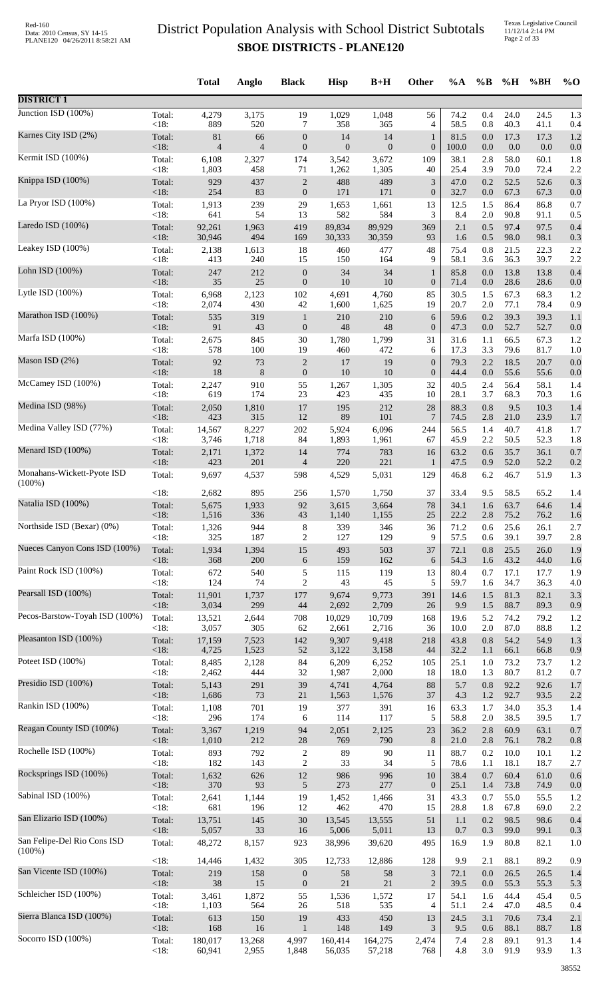|                                          |                 | <b>Total</b>            | Anglo                   | <b>Black</b>            | <b>Hisp</b>               | $B+H$              | Other                       | %A            | $\%B$      | %H              | %BH          | $\%$ O     |
|------------------------------------------|-----------------|-------------------------|-------------------------|-------------------------|---------------------------|--------------------|-----------------------------|---------------|------------|-----------------|--------------|------------|
| <b>DISTRICT 1</b>                        |                 |                         |                         |                         |                           |                    |                             |               |            |                 |              |            |
| Junction ISD (100%)                      | Total:          | 4,279                   | 3,175                   | 19                      | 1,029                     | 1,048              | 56                          | 74.2          | 0.4        | 24.0            | 24.5         | 1.3        |
|                                          | <18:            | 889                     | 520                     | 7                       | 358                       | 365                | 4                           | 58.5          | 0.8        | 40.3            | 41.1         | 0.4        |
| Karnes City ISD (2%)                     | Total:<br>< 18: | 81                      | 66                      | $\boldsymbol{0}$        | 14                        | 14<br>$\mathbf{0}$ | $\mathbf{1}$                | 81.5          | 0.0        | 17.3<br>$0.0\,$ | 17.3<br>0.0  | 1.2        |
| Kermit ISD (100%)                        | Total:          | $\overline{4}$<br>6,108 | $\overline{4}$<br>2,327 | $\boldsymbol{0}$<br>174 | $\boldsymbol{0}$<br>3,542 | 3,672              | $\boldsymbol{0}$<br>109     | 100.0<br>38.1 | 0.0<br>2.8 | 58.0            | 60.1         | 0.0<br>1.8 |
| Knippa ISD (100%)                        | < 18:           | 1,803                   | 458                     | 71                      | 1,262                     | 1,305              | 40                          | 25.4          | 3.9        | 70.0            | 72.4         | 2.2        |
|                                          | Total:          | 929                     | 437                     | $\sqrt{2}$              | 488                       | 489                | 3                           | 47.0          | 0.2        | 52.5            | 52.6         | 0.3        |
| La Pryor ISD (100%)                      | < 18:           | 254                     | 83                      | $\boldsymbol{0}$        | 171                       | 171                | $\boldsymbol{0}$            | 32.7          | $0.0\,$    | 67.3            | 67.3         | 0.0        |
|                                          | Total:          | 1,913                   | 239                     | 29                      | 1,653                     | 1,661              | 13                          | 12.5          | 1.5        | 86.4            | 86.8         | 0.7        |
| Laredo ISD (100%)                        | <18:            | 641                     | 54                      | 13                      | 582                       | 584                | 3                           | 8.4           | 2.0        | 90.8            | 91.1         | 0.5        |
|                                          | Total:          | 92,261                  | 1,963                   | 419                     | 89,834                    | 89,929             | 369                         | 2.1           | 0.5        | 97.4            | 97.5         | 0.4        |
| Leakey ISD (100%)                        | <18:            | 30,946                  | 494                     | 169                     | 30,333                    | 30,359             | 93                          | 1.6           | 0.5        | 98.0            | 98.1         | 0.3        |
|                                          | Total:          | 2,138                   | 1,613                   | 18                      | 460                       | 477                | 48                          | 75.4          | 0.8        | 21.5            | 22.3         | 2.2        |
| Lohn ISD (100%)                          | <18:            | 413                     | 240                     | 15                      | 150                       | 164                | 9                           | 58.1          | 3.6        | 36.3            | 39.7         | 2.2        |
|                                          | Total:          | 247                     | 212                     | $\mathbf{0}$            | 34                        | 34                 | $\mathbf{1}$                | 85.8          | 0.0        | 13.8            | 13.8         | 0.4        |
| Lytle ISD (100%)                         | <18:            | 35                      | 25                      | $\boldsymbol{0}$        | 10                        | 10                 | $\mathbf{0}$                | 71.4          | $0.0\,$    | 28.6            | 28.6         | 0.0        |
|                                          | Total:          | 6,968                   | 2,123                   | 102                     | 4,691                     | 4,760              | 85                          | 30.5          | 1.5        | 67.3            | 68.3         | 1.2        |
| Marathon ISD (100%)                      | < 18:           | 2,074                   | 430                     | 42                      | 1,600                     | 1,625              | 19                          | 20.7          | $2.0\,$    | 77.1            | 78.4         | 0.9        |
|                                          | Total:          | 535                     | 319                     | $\mathbf{1}$            | 210                       | 210                | 6                           | 59.6          | 0.2        | 39.3            | 39.3         | 1.1        |
|                                          | <18:            | 91                      | 43                      | $\mathbf{0}$            | 48                        | 48                 | $\boldsymbol{0}$            | 47.3          | 0.0        | 52.7            | 52.7         | 0.0        |
| Marfa ISD (100%)                         | Total:          | 2,675                   | 845                     | $30\,$                  | 1,780                     | 1,799              | 31                          | 31.6          | 1.1        | 66.5            | 67.3         | 1.2        |
|                                          | < 18:           | 578                     | 100                     | 19                      | 460                       | 472                | 6                           | 17.3          | 3.3        | 79.6            | 81.7         | 1.0        |
| Mason ISD (2%)                           | Total:          | 92                      | 73                      | $\boldsymbol{2}$        | 17                        | 19                 | $\boldsymbol{0}$            | 79.3          | 2.2        | 18.5            | 20.7         | 0.0        |
|                                          | < 18:           | 18                      | $8\phantom{1}$          | $\boldsymbol{0}$        | $10\,$                    | 10                 | $\boldsymbol{0}$            | 44.4          | 0.0        | 55.6            | 55.6         | 0.0        |
| McCamey ISD (100%)                       | Total:          | 2,247                   | 910                     | 55                      | 1,267                     | 1,305              | 32                          | 40.5          | 2.4        | 56.4            | 58.1         | 1.4        |
|                                          | < 18:           | 619                     | 174                     | 23                      | 423                       | 435                | 10                          | 28.1          | 3.7        | 68.3            | 70.3         | 1.6        |
| Medina ISD (98%)                         | Total:<br>< 18: | 2,050<br>423            | 1,810<br>315            | 17<br>12                | 195<br>89                 | 212<br>101         | 28<br>7                     | 88.3<br>74.5  | 0.8<br>2.8 | 9.5<br>21.0     | 10.3<br>23.9 | 1.4        |
| Medina Valley ISD (77%)                  | Total:          | 14,567                  | 8,227                   | $202\,$                 | 5,924                     | 6,096              | 244                         | 56.5          | 1.4        | 40.7            | 41.8         | 1.7<br>1.7 |
| Menard ISD (100%)                        | <18:            | 3,746                   | 1,718                   | 84                      | 1,893                     | 1,961              | 67                          | 45.9          | 2.2        | 50.5            | 52.3         | 1.8        |
|                                          | Total:          | 2,171                   | 1,372                   | 14                      | 774                       | 783                | 16                          | 63.2          | 0.6        | 35.7            | 36.1         | 0.7        |
| Monahans-Wickett-Pyote ISD               | < 18:           | 423                     | 201                     | $\overline{4}$          | 220                       | 221                | $\mathbf{1}$                | 47.5          | 0.9        | 52.0            | 52.2         | 0.2        |
| $(100\%)$                                | Total:          | 9,697                   | 4,537                   | 598                     | 4,529                     | 5,031              | 129                         | 46.8          | 6.2        | 46.7            | 51.9         | 1.3        |
| Natalia ISD (100%)                       | < 18:           | 2,682                   | 895                     | 256                     | 1,570                     | 1,750              | 37                          | 33.4          | 9.5        | 58.5            | 65.2         | 1.4        |
|                                          | Total:          | 5,675                   | 1,933                   | 92                      | 3,615                     | 3,664              | $78\,$                      | 34.1          | 1.6        | 63.7            | 64.6         | 1.4        |
|                                          | < 18:           | 1,516                   | 336                     | 43                      | 1,140                     | 1,155              | 25                          | 22.2          | 2.8        | 75.2            | 76.2         | 1.6        |
| Northside ISD (Bexar) (0%)               | Total:          | 1,326                   | 944                     | $\,8\,$                 | 339                       | 346                | 36                          | 71.2          | 0.6        | 25.6            | 26.1         | 2.7        |
|                                          | < 18:           | 325                     | 187                     | $\mathbf{2}$            | 127                       | 129                | 9                           | 57.5          | 0.6        | 39.1            | 39.7         | 2.8        |
| Nueces Canyon Cons ISD (100%)            | Total:          | 1,934                   | 1,394                   | 15                      | 493                       | 503                | 37                          | 72.1          | 0.8        | 25.5            | 26.0         | 1.9        |
|                                          | < 18:           | 368                     | 200                     | 6                       | 159                       | 162                | 6                           | 54.3          | 1.6        | 43.2            | 44.0         | 1.6        |
| Paint Rock ISD (100%)                    | Total:          | 672                     | 540                     | 5                       | 115                       | 119                | 13                          | 80.4          | 0.7        | 17.1            | 17.7         | 1.9        |
|                                          | <18:            | 124                     | 74                      | $\mathfrak{2}$          | 43                        | 45                 | 5                           | 59.7          | 1.6        | 34.7            | 36.3         | 4.0        |
| Pearsall ISD (100%)                      | Total:          | 11,901                  | 1,737                   | 177                     | 9,674                     | 9,773              | 391                         | 14.6          | 1.5        | 81.3            | 82.1         | 3.3        |
|                                          | <18:            | 3,034                   | 299                     | $44\,$                  | 2,692                     | 2,709              | 26                          | 9.9           | 1.5        | 88.7            | 89.3         | 0.9        |
| Pecos-Barstow-Toyah ISD (100%)           | Total:          | 13,521                  | 2,644                   | 708                     | 10,029                    | 10,709             | 168                         | 19.6          | 5.2        | 74.2            | 79.2         | 1.2        |
| Pleasanton ISD (100%)                    | < 18:           | 3,057                   | 305                     | 62                      | 2,661                     | 2,716              | 36                          | 10.0          | 2.0        | 87.0            | 88.8         | 1.2        |
|                                          | Total:          | 17,159                  | 7,523                   | 142                     | 9,307                     | 9,418              | 218                         | 43.8          | 0.8        | 54.2            | 54.9         | 1.3        |
| Poteet ISD (100%)                        | < 18:           | 4,725                   | 1,523                   | 52                      | 3,122                     | 3,158              | 44                          | 32.2          | 1.1        | 66.1            | 66.8         | 0.9        |
|                                          | Total:          | 8,485                   | 2,128                   | 84                      | 6,209                     | 6,252              | 105                         | 25.1          | 1.0        | 73.2            | 73.7         | 1.2        |
| Presidio ISD (100%)                      | < 18:           | 2,462                   | 444                     | 32                      | 1,987                     | 2,000              | 18                          | 18.0          | 1.3        | 80.7            | 81.2         | 0.7        |
|                                          | Total:          | 5,143                   | 291                     | 39                      | 4,741                     | 4,764              | 88                          | 5.7           | 0.8        | 92.2            | 92.6         | 1.7        |
| Rankin ISD (100%)                        | < 18:           | 1,686                   | 73                      | $21\,$                  | 1,563                     | 1,576              | 37                          | 4.3           | 1.2        | 92.7            | 93.5         | 2.2        |
|                                          | Total:          | 1,108                   | 701                     | 19                      | 377                       | 391                | 16                          | 63.3          | 1.7        | 34.0            | 35.3         | 1.4        |
| Reagan County ISD (100%)                 | < 18:           | 296                     | 174                     | 6                       | 114                       | 117                | 5                           | 58.8          | 2.0        | 38.5            | 39.5         | 1.7        |
| Rochelle ISD (100%)                      | Total:          | 3,367                   | 1,219                   | 94                      | 2,051                     | 2,125              | 23                          | 36.2          | 2.8        | 60.9            | 63.1         | 0.7        |
|                                          | < 18:           | 1,010                   | 212                     | 28                      | 769                       | 790                | $\,8\,$                     | 21.0          | 2.8        | 76.1            | 78.2         | 0.8        |
|                                          | Total:          | 893                     | 792                     | $\sqrt{2}$              | 89                        | $90\,$             | 11                          | 88.7          | 0.2        | 10.0            | 10.1         | 1.2        |
|                                          | < 18:           | 182                     | 143                     | $\sqrt{2}$              | 33                        | 34                 | 5                           | 78.6          | 1.1        | 18.1            | 18.7         | 2.7        |
| Rocksprings ISD (100%)                   | Total:          | 1,632                   | 626                     | $12\,$                  | 986                       | 996                | 10                          | 38.4          | 0.7        | 60.4            | 61.0         | 0.6        |
|                                          | < 18:           | 370                     | 93                      | 5                       | 273                       | 277                | $\mathbf{0}$                | 25.1          | 1.4        | 73.8            | 74.9         | 0.0        |
| Sabinal ISD (100%)                       | Total:          | 2,641                   | 1,144                   | 19                      | 1,452                     | 1,466              | 31                          | 43.3          | 0.7        | 55.0            | 55.5         | 1.2        |
|                                          | <18:            | 681                     | 196                     | 12                      | 462                       | 470                | 15                          | 28.8          | 1.8        | 67.8            | 69.0         | 2.2        |
| San Elizario ISD (100%)                  | Total:          | 13,751                  | 145                     | 30                      | 13,545                    | 13,555             | 51                          | 1.1           | 0.2        | 98.5            | 98.6         | 0.4        |
|                                          | <18:            | 5,057                   | 33                      | 16                      | 5,006                     | 5,011              | 13                          | 0.7           | 0.3        | 99.0            | 99.1         | 0.3        |
| San Felipe-Del Rio Cons ISD<br>$(100\%)$ | Total:          | 48,272                  | 8,157                   | 923                     | 38,996                    | 39,620             | 495                         | 16.9          | 1.9        | 80.8            | 82.1         | 1.0        |
| San Vicente ISD (100%)                   | < 18:           | 14,446                  | 1,432                   | 305                     | 12,733                    | 12,886             | 128                         | 9.9           | 2.1        | 88.1            | 89.2         | 0.9        |
|                                          | Total:          | 219                     | 158                     | $\boldsymbol{0}$        | 58                        | 58                 | $\ensuremath{\mathfrak{Z}}$ | 72.1          | 0.0        | 26.5            | 26.5         | 1.4        |
| Schleicher ISD (100%)                    | < 18:           | 38                      | 15                      | $\boldsymbol{0}$        | $21\,$                    | 21                 | $\sqrt{2}$                  | 39.5          | 0.0        | 55.3            | 55.3         | 5.3        |
|                                          | Total:          | 3,461                   | 1,872                   | 55                      | 1,536                     | 1,572              | 17                          | 54.1          | 1.6        | 44.4            | 45.4         | 0.5        |
| Sierra Blanca ISD (100%)                 | < 18:           | 1,103                   | 564                     | 26                      | 518                       | 535                | 4                           | 51.1          | 2.4        | 47.0            | 48.5         | 0.4        |
|                                          | Total:          | 613                     | 150                     | 19                      | 433                       | 450                | 13                          | 24.5          | 3.1        | 70.6            | 73.4         | 2.1        |
|                                          | < 18:           | 168                     | 16                      | $\mathbf{1}$            | 148                       | 149                | 3                           | 9.5           | 0.6        | 88.1            | 88.7         | 1.8        |
| Socorro ISD (100%)                       | Total:          | 180,017                 | 13,268                  | 4,997                   | 160,414                   | 164,275            | 2,474                       | 7.4           | 2.8        | 89.1            | 91.3         | 1.4        |
|                                          | $<18$ :         | 60,941                  | 2,955                   | 1,848                   | 56,035                    | 57,218             | 768                         | 4.8           | 3.0        | 91.9            | 93.9         | 1.3        |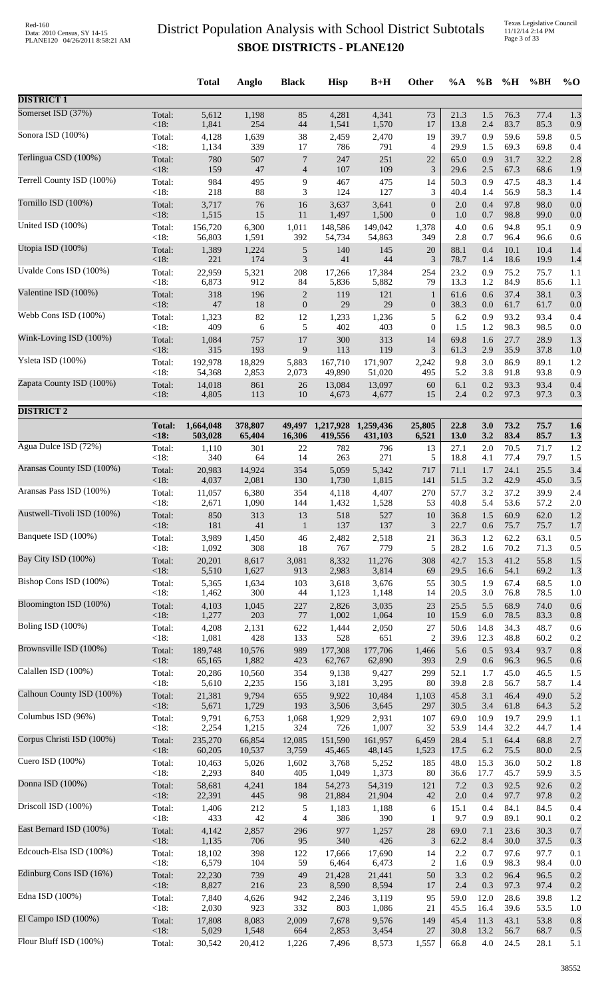Texas Legislative Council 11/12/14 2:14 PM Page 3 of 33

|                            |                 | <b>Total</b>    | Anglo          | <b>Black</b>     | <b>Hisp</b>    | $B+H$          | Other            | %A           | $\%B$      | %H           | %BH          | $\%$ O     |
|----------------------------|-----------------|-----------------|----------------|------------------|----------------|----------------|------------------|--------------|------------|--------------|--------------|------------|
| <b>DISTRICT 1</b>          |                 |                 |                |                  |                |                |                  |              |            |              |              |            |
| Somerset ISD (37%)         | Total:          | 5,612           | 1,198          | 85               | 4,281          | 4,341          | 73               | 21.3         | 1.5        | 76.3         | 77.4         | 1.3        |
| Sonora ISD (100%)          | < 18:           | 1,841           | 254            | 44               | 1,541          | 1,570          | 17               | 13.8         | 2.4        | 83.7         | 85.3         | 0.9        |
|                            | Total:          | 4,128           | 1,639          | 38               | 2,459          | 2,470          | 19               | 39.7         | 0.9        | 59.6         | 59.8         | 0.5        |
| Terlingua CSD (100%)       | < 18:           | 1,134           | 339            | 17               | 786            | 791            | $\overline{4}$   | 29.9         | 1.5        | 69.3         | 69.8         | 0.4        |
|                            | Total:          | 780             | 507            | $\overline{7}$   | 247            | 251            | 22               | 65.0         | 0.9        | 31.7         | 32.2         | 2.8        |
|                            | $<18$ :         | 159             | 47             | $\overline{4}$   | 107            | 109            | 3                | 29.6         | 2.5        | 67.3         | 68.6         | 1.9        |
| Terrell County ISD (100%)  | Total:          | 984             | 495            | 9                | 467            | 475            | 14               | 50.3         | 0.9        | 47.5         | 48.3         | 1.4        |
|                            | < 18:           | 218             | 88             | 3                | 124            | 127            | 3                | 40.4         | 1.4        | 56.9         | 58.3         | 1.4        |
| Tornillo ISD (100%)        | Total:          | 3,717           | 76             | 16               | 3,637          | 3,641          | $\boldsymbol{0}$ | 2.0          | 0.4        | 97.8         | 98.0         | 0.0        |
| United ISD (100%)          | < 18:           | 1,515           | 15             | 11               | 1,497          | 1,500          | $\boldsymbol{0}$ | 1.0          | 0.7        | 98.8         | 99.0         | 0.0        |
|                            | Total:          | 156,720         | 6,300          | 1,011            | 148,586        | 149,042        | 1,378            | 4.0          | 0.6        | 94.8         | 95.1         | 0.9        |
| Utopia ISD (100%)          | < 18:           | 56,803          | 1,591          | 392              | 54,734         | 54,863         | 349              | 2.8          | 0.7        | 96.4         | 96.6         | 0.6        |
|                            | Total:          | 1,389           | 1,224          | 5                | 140            | 145            | 20               | 88.1         | 0.4        | 10.1         | 10.4         | 1.4        |
| Uvalde Cons ISD (100%)     | <18:            | 221             | 174            | 3                | 41             | 44             | 3                | 78.7         | 1.4        | 18.6         | 19.9         | 1.4        |
|                            | Total:          | 22,959          | 5,321          | 208              | 17,266         | 17,384         | 254              | 23.2         | 0.9        | 75.2         | 75.7         | 1.1        |
|                            | <18:            | 6,873           | 912            | 84               | 5,836          | 5,882          | 79               | 13.3         | 1.2        | 84.9         | 85.6         | 1.1        |
| Valentine ISD (100%)       | Total:          | 318             | 196            | $\overline{c}$   | 119            | 121            | $\mathbf{1}$     | 61.6         | 0.6        | 37.4         | 38.1         | 0.3        |
|                            | <18:            | $47\,$          | 18             | $\boldsymbol{0}$ | 29             | 29             | $\mathbf{0}$     | 38.3         | 0.0        | 61.7         | 61.7         | 0.0        |
| Webb Cons ISD (100%)       | Total:          | 1,323           | 82             | 12               | 1,233          | 1,236          | 5                | 6.2          | 0.9        | 93.2         | 93.4         | 0.4        |
| Wink-Loving ISD (100%)     | < 18:           | 409             | 6              | 5                | 402            | 403            | $\boldsymbol{0}$ | 1.5          | $1.2\,$    | 98.3         | 98.5         | 0.0        |
|                            | Total:          | 1,084           | 757            | 17               | 300            | 313            | 14               | 69.8         | 1.6        | 27.7         | 28.9         | 1.3        |
| Ysleta ISD (100%)          | < 18:           | 315             | 193            | 9                | 113            | 119            | 3                | 61.3         | 2.9        | 35.9         | 37.8         | 1.0        |
|                            | Total:          | 192,978         | 18,829         | 5,883            | 167,710        | 171,907        | 2,242            | 9.8          | 3.0        | 86.9         | 89.1         | 1.2        |
|                            | < 18:           | 54,368          | 2,853          | 2,073            | 49,890         | 51,020         | 495              | 5.2          | 3.8        | 91.8         | 93.8         | 0.9        |
| Zapata County ISD (100%)   | Total:          | 14,018          | 861            | 26               | 13,084         | 13,097         | 60               | 6.1          | 0.2        | 93.3         | 93.4         | 0.4        |
|                            | $<18$ :         | 4,805           | 113            | 10               | 4,673          | 4,677          | 15               | 2.4          | 0.2        | 97.3         | 97.3         | 0.3        |
| <b>DISTRICT 2</b>          |                 |                 |                |                  |                |                |                  |              |            |              |              |            |
|                            | <b>Total:</b>   | 1,664,048       | 378,807        | 49,497           | 1,217,928      | 1,259,436      | 25,805           | 22.8         | 3.0        | 73.2         | 75.7         | 1.6        |
|                            | <18             | 503,028         | 65,404         | 16,306           | 419,556        | 431,103        | 6,521            | 13.0         | 3.2        | 83.4         | 85.7         | 1.3        |
| Agua Dulce ISD (72%)       | Total:          | 1,110           | 301            | 22               | 782            | 796            | 13               | 27.1         | 2.0        | 70.5         | 71.7         | 1.2        |
|                            | < 18:           | 340             | 64             | 14               | 263            | 271            | 5                | 18.8         | 4.1        | 77.4         | 79.7         | 1.5        |
| Aransas County ISD (100%)  | Total:<br>< 18: | 20,983          | 14,924         | 354              | 5,059          | 5,342          | 717              | 71.1<br>51.5 | 1.7<br>3.2 | 24.1<br>42.9 | 25.5         | 3.4        |
| Aransas Pass ISD (100%)    | Total:          | 4,037<br>11,057 | 2,081<br>6,380 | 130<br>354       | 1,730<br>4,118 | 1,815<br>4,407 | 141<br>270       | 57.7         | 3.2        | 37.2         | 45.0<br>39.9 | 3.5<br>2.4 |
| Austwell-Tivoli ISD (100%) | < 18:           | 2,671           | 1,090          | 144              | 1,432          | 1,528          | 53               | 40.8         | 5.4        | 53.6         | 57.2         | 2.0        |
|                            | Total:          | 850             | 313            | 13               | 518            | 527            | $10\,$           | 36.8         | 1.5        | 60.9         | 62.0         | 1.2        |
| Banquete ISD (100%)        | $<18$ :         | 181             | 41             | $\mathbf{1}$     | 137            | 137            | 3                | 22.7         | 0.6        | 75.7         | 75.7         | 1.7        |
|                            | Total:          | 3,989           | 1,450          | 46               | 2,482          | 2,518          | 21               | 36.3         | 1.2        | 62.2         | 63.1         | 0.5        |
|                            | < 18:           | 1,092           | 308            | 18               | 767            | 779            | 5                | 28.2         | 1.6        | 70.2         | 71.3         | 0.5        |
| Bay City ISD (100%)        | Total:          | 20,201          | 8,617          | 3,081            | 8,332          | 11,276         | 308              | 42.7         | 15.3       | 41.2         | 55.8         | 1.5        |
|                            | <18:            | 5,510           | 1,627          | 913              | 2,983          | 3,814          | 69               | 29.5         | 16.6       | 54.1         | 69.2         | 1.3        |
| Bishop Cons ISD (100%)     | Total:          | 5,365           | 1,634          | 103              | 3,618          | 3,676          | 55               | 30.5         | 1.9        | 67.4         | 68.5         | 1.0        |
|                            | < 18:           | 1,462           | 300            | 44               | 1,123          | 1,148          | 14               | 20.5         | 3.0        | 76.8         | 78.5         | 1.0        |
| Bloomington ISD (100%)     | Total:          | 4,103           | 1,045          | 227              | 2,826          | 3,035          | 23               | 25.5         | 5.5        | 68.9         | 74.0         | 0.6        |
|                            | < 18:           | 1,277           | 203            | 77               | 1,002          | 1,064          | 10               | 15.9         | 6.0        | 78.5         | 83.3         | 0.8        |
| Boling ISD (100%)          | Total:          | 4,208           | 2,131          | 622              | 1,444          | 2,050          | $27\,$           | 50.6         | 14.8       | 34.3         | 48.7         | 0.6        |
| Brownsville ISD (100%)     | < 18:           | 1,081           | 428            | 133              | 528            | 651            | $\overline{2}$   | 39.6         | 12.3       | 48.8         | 60.2         | 0.2        |
|                            | Total:          | 189,748         | 10,576         | 989              | 177,308        | 177,706        | 1,466            | 5.6          | 0.5        | 93.4         | 93.7         | 0.8        |
| Calallen ISD (100%)        | <18:            | 65,165          | 1,882          | 423              | 62,767         | 62,890         | 393              | 2.9          | 0.6        | 96.3         | 96.5         | 0.6        |
|                            | Total:          | 20,286          | 10,560         | 354              | 9,138          | 9,427          | 299              | 52.1         | 1.7        | 45.0         | 46.5         | 1.5        |
|                            | < 18:           | 5,610           | 2,235          | 156              | 3,181          | 3,295          | 80               | 39.8         | 2.8        | 56.7         | 58.7         | 1.4        |
| Calhoun County ISD (100%)  | Total:          | 21,381          | 9,794          | 655              | 9,922          | 10,484         | 1,103            | 45.8         | 3.1        | 46.4         | 49.0         | 5.2        |
|                            | <18:            | 5,671           | 1,729          | 193              | 3,506          | 3,645          | 297              | 30.5         | 3.4        | 61.8         | 64.3         | 5.2        |
| Columbus ISD (96%)         | Total:          | 9,791           | 6,753          | 1,068            | 1,929          | 2,931          | 107              | 69.0         | 10.9       | 19.7         | 29.9         | 1.1        |
|                            | < 18:           | 2,254           | 1,215          | 324              | 726            | 1,007          | 32               | 53.9         | 14.4       | 32.2         | 44.7         | 1.4        |
| Corpus Christi ISD (100%)  | Total:          | 235,270         | 66,854         | 12,085           | 151,590        | 161,957        | 6,459            | 28.4         | 5.1        | 64.4         | 68.8         | 2.7        |
| Cuero ISD $(100\%)$        | < 18:           | 60,205          | 10,537         | 3,759            | 45,465         | 48,145         | 1,523            | 17.5         | 6.2        | 75.5         | 80.0         | 2.5        |
|                            | Total:          | 10,463          | 5,026          | 1,602            | 3,768          | 5,252          | 185              | 48.0         | 15.3       | 36.0         | 50.2         | 1.8        |
| Donna ISD (100%)           | < 18:           | 2,293           | 840            | 405              | 1,049          | 1,373          | 80               | 36.6         | 17.7       | 45.7         | 59.9         | 3.5        |
|                            | Total:          | 58,681          | 4,241          | 184              | 54,273         | 54,319         | 121              | 7.2          | 0.3        | 92.5         | 92.6         | 0.2        |
| Driscoll ISD (100%)        | < 18:           | 22,391          | 445            | 98               | 21,884         | 21,904         | 42               | $2.0\,$      | 0.4        | 97.7         | 97.8         | 0.2        |
|                            | Total:          | 1,406           | 212            | 5                | 1,183          | 1,188          | 6                | 15.1         | 0.4        | 84.1         | 84.5         | 0.4        |
| East Bernard ISD (100%)    | < 18:           | 433             | 42             | $\overline{4}$   | 386            | 390            | 1                | 9.7          | 0.9        | 89.1         | 90.1         | 0.2        |
|                            | Total:          | 4,142           | 2,857          | 296              | 977            | 1,257          | 28               | 69.0         | 7.1        | 23.6         | 30.3         | 0.7        |
|                            | <18:            | 1,135           | 706            | 95               | 340            | 426            | $\mathfrak{Z}$   | 62.2         | 8.4        | 30.0         | 37.5         | 0.3        |
| Edcouch-Elsa ISD (100%)    | Total:          | 18,102          | 398            | 122              | 17,666         | 17,690         | 14               | 2.2          | 0.7        | 97.6         | 97.7         | 0.1        |
|                            | < 18:           | 6,579           | 104            | 59               | 6,464          | 6,473          | $\overline{2}$   | 1.6          | 0.9        | 98.3         | 98.4         | 0.0        |
| Edinburg Cons ISD (16%)    | Total:          | 22,230          | 739            | 49               | 21,428         | 21,441         | 50               | 3.3          | 0.2        | 96.4         | 96.5         | 0.2        |
|                            | <18:            | 8,827           | 216            | 23               | 8,590          | 8,594          | 17               | 2.4          | 0.3        | 97.3         | 97.4         | 0.2        |
| Edna ISD (100%)            | Total:          | 7,840           | 4,626          | 942              | 2,246          | 3,119          | 95               | 59.0         | 12.0       | 28.6         | 39.8         | 1.2        |
|                            | <18:            | 2,030           | 923            | 332              | 803            | 1,086          | 21               | 45.5         | 16.4       | 39.6         | 53.5         | 1.0        |
| El Campo ISD (100%)        | Total:          | 17,808          | 8,083          | 2,009            | 7,678          | 9,576          | 149              | 45.4         | 11.3       | 43.1         | 53.8         | 0.8        |
| Flour Bluff ISD (100%)     | <18:            | 5,029           | 1,548          | 664              | 2,853          | 3,454          | 27               | 30.8         | 13.2       | 56.7         | 68.7         | 0.5        |
|                            | Total:          | 30,542          | 20,412         | 1,226            | 7,496          | 8,573          | 1,557            | 66.8         | 4.0        | 24.5         | 28.1         | 5.1        |
|                            |                 |                 |                |                  |                |                |                  |              |            |              |              |            |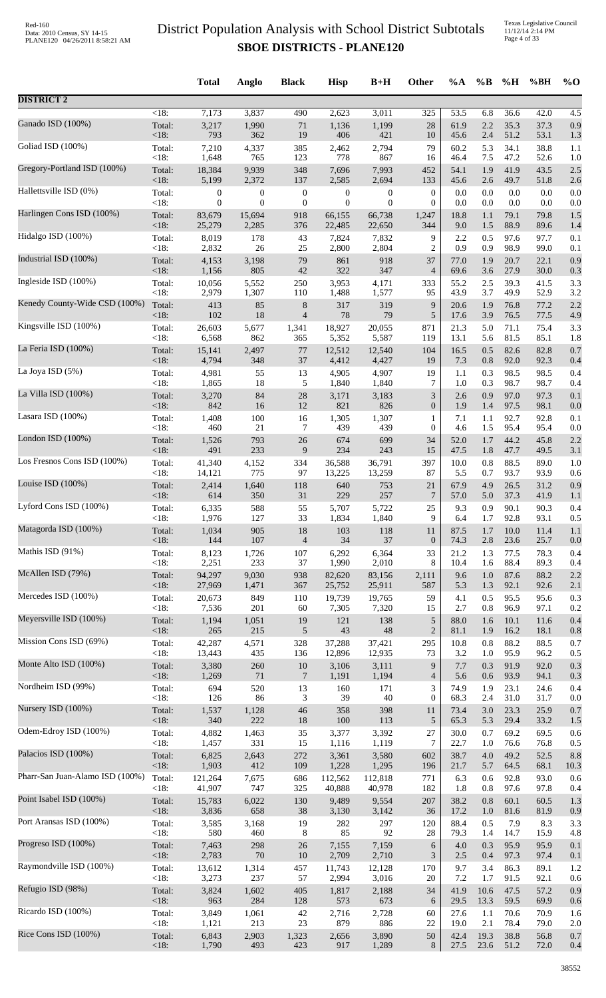Texas Legislative Council 11/12/14 2:14 PM Page 4 of 33

|                                 |                 | <b>Total</b>     | Anglo            | <b>Black</b>     | <b>Hisp</b>      | $B+H$            | <b>Other</b>                | $\%A$        | $\%$ B     | %H           | %BH          | $%$ <sup>O</sup> |
|---------------------------------|-----------------|------------------|------------------|------------------|------------------|------------------|-----------------------------|--------------|------------|--------------|--------------|------------------|
| <b>DISTRICT 2</b>               |                 |                  |                  |                  |                  |                  |                             |              |            |              |              |                  |
| Ganado ISD (100%)               | $<18$ :         | 7,173            | 3,837            | 490              | 2,623            | 3,011            | $\overline{325}$            | 53.5         | 6.8        | 36.6         | 42.0         | 4.5              |
|                                 | Total:          | 3,217            | 1,990            | 71               | 1,136            | 1,199            | 28                          | 61.9         | 2.2        | 35.3         | 37.3         | 0.9              |
| Goliad ISD (100%)               | <18:            | 793<br>7,210     | 362<br>4,337     | 19<br>385        | 406              | 421<br>2,794     | 10<br>79                    | 45.6<br>60.2 | 2.4<br>5.3 | 51.2<br>34.1 | 53.1<br>38.8 | 1.3              |
|                                 | Total:<br>< 18: | 1,648            | 765              | 123              | 2,462<br>778     | 867              | 16                          | 46.4         | 7.5        | 47.2         | 52.6         | 1.1<br>1.0       |
| Gregory-Portland ISD (100%)     | Total:          | 18,384           | 9,939            | 348              | 7,696            | 7,993            | 452                         | 54.1         | 1.9        | 41.9         | 43.5         | 2.5              |
|                                 | <18:            | 5,199            | 2,372            | 137              | 2,585            | 2,694            | 133                         | 45.6         | 2.6        | 49.7         | 51.8         | 2.6              |
| Hallettsville ISD (0%)          | Total:          | $\boldsymbol{0}$ | $\boldsymbol{0}$ | $\boldsymbol{0}$ | $\boldsymbol{0}$ | $\boldsymbol{0}$ | $\boldsymbol{0}$            | 0.0          | 0.0        | 0.0          | 0.0          | 0.0              |
|                                 | <18:            | $\boldsymbol{0}$ | $\mathbf{0}$     | $\boldsymbol{0}$ | $\boldsymbol{0}$ | $\boldsymbol{0}$ | $\boldsymbol{0}$            | 0.0          | 0.0        | 0.0          | 0.0          | 0.0              |
| Harlingen Cons ISD (100%)       | Total:<br><18:  | 83,679           | 15,694<br>2,285  | 918              | 66,155           | 66,738           | 1,247                       | 18.8<br>9.0  | 1.1        | 79.1<br>88.9 | 79.8         | 1.5              |
| Hidalgo ISD (100%)              | Total:          | 25,279<br>8,019  | 178              | 376<br>43        | 22,485<br>7,824  | 22,650<br>7,832  | 344<br>9                    | 2.2          | 1.5<br>0.5 | 97.6         | 89.6<br>97.7 | 1.4<br>0.1       |
| Industrial ISD (100%)           | <18:            | 2,832            | 26               | 25               | 2,800            | 2,804            | $\overline{c}$              | 0.9          | 0.9        | 98.9         | 99.0         | 0.1              |
|                                 | Total:          | 4,153            | 3,198            | 79               | 861              | 918              | 37                          | 77.0         | 1.9        | 20.7         | 22.1         | 0.9              |
| Ingleside ISD (100%)            | <18:            | 1,156            | 805              | 42               | 322              | 347              | $\overline{4}$              | 69.6         | 3.6        | 27.9         | 30.0         | 0.3              |
|                                 | Total:          | 10,056           | 5,552            | 250              | 3,953            | 4,171            | 333                         | 55.2         | 2.5        | 39.3         | 41.5         | 3.3              |
|                                 | <18:            | 2,979            | 1,307            | 110              | 1,488            | 1,577            | 95                          | 43.9         | 3.7        | 49.9         | 52.9         | 3.2              |
| Kenedy County-Wide CSD (100%)   | Total:          | 413              | 85               | 8                | 317              | 319              | 9                           | 20.6         | 1.9        | 76.8         | 77.2         | 2.2              |
|                                 | <18:            | 102              | 18               | $\overline{4}$   | 78               | 79               | 5                           | 17.6         | 3.9        | 76.5         | 77.5         | 4.9              |
| Kingsville ISD (100%)           | Total:          | 26,603           | 5,677            | 1,341            | 18,927           | 20,055           | 871                         | 21.3         | 5.0        | 71.1         | 75.4         | 3.3              |
|                                 | $<18$ :         | 6,568            | 862              | 365              | 5,352            | 5,587            | 119                         | 13.1         | 5.6        | 81.5         | 85.1         | 1.8              |
| La Feria ISD (100%)             | Total:          | 15,141           | 2,497            | 77               | 12,512           | 12,540           | 104                         | 16.5         | 0.5        | 82.6         | 82.8         | 0.7              |
|                                 | <18:            | 4,794            | 348              | 37               | 4,412            | 4,427            | 19                          | 7.3          | 0.8        | 92.0         | 92.3         | 0.4              |
| La Joya ISD (5%)                | Total:          | 4,981            | 55               | 13               | 4,905            | 4,907            | 19                          | 1.1          | 0.3        | 98.5         | 98.5         | 0.4              |
| La Villa ISD (100%)             | <18:            | 1,865            | 18               | 5                | 1,840            | 1,840            | 7                           | 1.0          | 0.3        | 98.7         | 98.7         | 0.4              |
|                                 | Total:          | 3,270            | 84               | 28               | 3,171            | 3,183            | $\ensuremath{\mathfrak{Z}}$ | 2.6          | 0.9        | 97.0         | 97.3         | 0.1              |
| Lasara ISD (100%)               | <18:            | 842              | $16\,$           | 12               | 821              | 826              | $\boldsymbol{0}$            | 1.9          | 1.4        | 97.5         | 98.1         | 0.0              |
|                                 | Total:          | 1,408            | 100              | 16               | 1,305            | 1,307            | $\mathbf{1}$                | 7.1          | 1.1        | 92.7         | 92.8         | 0.1              |
| London ISD $(100\%)$            | <18:            | 460              | 21               | 7                | 439              | 439              | 0                           | 4.6          | 1.5        | 95.4         | 95.4         | 0.0              |
|                                 | Total:          | 1,526            | 793              | 26               | 674              | 699              | 34                          | 52.0         | 1.7        | 44.2         | 45.8         | 2.2              |
|                                 | <18:            | 491              | 233              | 9                | 234              | 243              | 15                          | 47.5         | 1.8        | 47.7         | 49.5         | 3.1              |
| Los Fresnos Cons ISD (100%)     | Total:          | 41,340           | 4,152            | 334              | 36,588           | 36,791           | 397                         | 10.0         | 0.8        | 88.5         | 89.0         | 1.0              |
|                                 | <18:            | 14,121           | 775              | 97               | 13,225           | 13,259           | 87                          | 5.5          | 0.7        | 93.7         | 93.9         | 0.6              |
| Louise ISD (100%)               | Total:          | 2,414            | 1,640            | 118              | 640              | 753              | 21                          | 67.9         | 4.9        | 26.5         | 31.2         | 0.9              |
|                                 | <18:            | 614              | 350              | 31               | 229              | 257              | 7                           | 57.0         | 5.0        | 37.3         | 41.9         | 1.1              |
| Lyford Cons ISD (100%)          | Total:          | 6,335            | 588              | 55               | 5,707            | 5,722            | 25                          | 9.3          | 0.9        | 90.1         | 90.3         | 0.4              |
| Matagorda ISD (100%)            | < 18:           | 1,976            | 127              | 33               | 1,834            | 1,840            | 9                           | 6.4          | 1.7        | 92.8         | 93.1         | 0.5              |
|                                 | Total:          | 1,034            | 905              | 18               | 103              | 118              | 11                          | 87.5         | 1.7        | 10.0         | 11.4         | 1.1              |
| Mathis ISD (91%)                | <18:            | 144              | 107              | $\overline{4}$   | 34               | 37               | $\mathbf{0}$                | 74.3         | 2.8        | 23.6         | 25.7         | 0.0              |
|                                 | Total:          | 8,123            | 1,726            | 107              | 6,292            | 6,364            | 33                          | 21.2         | 1.3        | 77.5         | 78.3         | 0.4              |
| McAllen ISD (79%)               | < 18:           | 2,251            | 233              | 37               | 1,990            | 2,010            | 8                           | 10.4         | 1.6        | 88.4         | 89.3         | 0.4              |
|                                 | Total:          | 94,297           | 9,030            | 938              | 82,620           | 83,156           | 2,111                       | 9.6          | 1.0        | 87.6         | 88.2         | 2.2              |
| Mercedes ISD (100%)             | <18:            | 27,969           | 1,471            | 367              | 25,752           | 25,911           | 587                         | 5.3          | 1.3        | 92.1         | 92.6         | 2.1              |
|                                 | Total:          | 20,673           | 849              | 110              | 19,739           | 19,765           | 59                          | 4.1          | 0.5        | 95.5         | 95.6         | 0.3              |
|                                 | <18:            | 7,536            | 201              | 60               | 7,305            | 7,320            | 15                          | 2.7          | 0.8        | 96.9         | 97.1         | 0.2              |
| Meyersville ISD (100%)          | Total:          | 1,194            | 1,051            | 19               | 121              | 138              | $\sqrt{5}$                  | 88.0         | 1.6        | 10.1         | 11.6         | 0.4              |
|                                 | $<18$ :         | 265              | 215              | $\sqrt{5}$       | 43               | $\sqrt{48}$      | $\overline{2}$              | 81.1         | 1.9        | 16.2         | 18.1         | 0.8              |
| Mission Cons ISD (69%)          | Total:          | 42,287           | 4,571            | 328              | 37,288           | 37,421           | 295                         | 10.8         | 0.8        | 88.2         | 88.5         | 0.7              |
|                                 | $<18$ :         | 13,443           | 435              | 136              | 12,896           | 12,935           | 73                          | 3.2          | 1.0        | 95.9         | 96.2         | 0.5              |
| Monte Alto ISD (100%)           | Total:          | 3,380            | 260              | $10\,$           | 3,106            | 3,111            | 9                           | 7.7          | 0.3        | 91.9         | 92.0         | 0.3              |
| Nordheim ISD (99%)              | <18:            | 1,269            | 71               | $\overline{7}$   | 1,191            | 1,194            | $\overline{4}$              | 5.6          | 0.6        | 93.9         | 94.1         | 0.3              |
|                                 | Total:          | 694              | 520              | 13               | 160              | 171              | 3                           | 74.9         | 1.9        | 23.1         | 24.6         | 0.4              |
| Nursery ISD (100%)              | <18:            | 126              | 86               | 3                | 39               | 40               | $\mathbf{0}$                | 68.3         | 2.4        | 31.0         | 31.7         | 0.0              |
|                                 | Total:          | 1,537            | 1,128            | 46               | 358              | 398              | 11                          | 73.4         | 3.0        | 23.3         | 25.9         | 0.7              |
| Odem-Edroy ISD (100%)           | <18:            | 340              | 222              | 18               | 100              | 113              | 5                           | 65.3         | 5.3        | 29.4         | 33.2         | 1.5              |
|                                 | Total:          | 4,882            | 1,463            | 35               | 3,377            | 3,392            | $27\,$                      | 30.0         | 0.7        | 69.2         | 69.5         | 0.6              |
|                                 | < 18:           | 1,457            | 331              | 15               | 1,116            | 1,119            | 7                           | 22.7         | 1.0        | 76.6         | 76.8         | 0.5              |
| Palacios ISD (100%)             | Total:          | 6,825            | 2,643            | 272              | 3,361            | 3,580            | 602                         | 38.7         | 4.0        | 49.2         | 52.5         | 8.8              |
|                                 | <18:            | 1,903            | 412              | 109              | 1,228            | 1,295            | 196                         | 21.7         | 5.7        | 64.5         | 68.1         | 10.3             |
| Pharr-San Juan-Alamo ISD (100%) | Total:          | 121,264          | 7,675            | 686              | 112,562          | 112,818          | 771                         | 6.3          | 0.6        | 92.8         | 93.0         | 0.6              |
|                                 | $<18$ :         | 41,907           | 747              | 325              | 40,888           | 40,978           | 182                         | 1.8          | 0.8        | 97.6         | 97.8         | 0.4              |
| Point Isabel ISD (100%)         | Total:          | 15,783           | 6,022            | 130              | 9,489            | 9,554            | 207                         | 38.2         | 0.8        | 60.1         | 60.5         | 1.3              |
|                                 | <18:            | 3,836            | 658              | 38               | 3,130            | 3,142            | 36                          | 17.2         | 1.0        | 81.6         | 81.9         | 0.9              |
| Port Aransas ISD (100%)         | Total:          | 3,585            | 3,168            | 19               | 282              | 297              | 120                         | 88.4         | 0.5        | 7.9          | 8.3          | 3.3              |
| Progreso ISD (100%)             | $<18$ :         | 580              | 460              | 8                | 85               | 92               | 28                          | 79.3         | 1.4        | 14.7         | 15.9         | 4.8              |
|                                 | Total:          | 7,463            | 298              | 26               | 7,155            | 7,159            | 6                           | 4.0          | 0.3        | 95.9         | 95.9         | 0.1              |
| Raymondville ISD (100%)         | <18:            | 2,783            | $70\,$           | $10\,$           | 2,709            | 2,710            | 3                           | $2.5\,$      | 0.4        | 97.3         | 97.4         | 0.1              |
|                                 | Total:          | 13,612           | 1,314            | 457              | 11,743           | 12,128           | 170                         | 9.7          | 3.4        | 86.3         | 89.1         | 1.2              |
| Refugio ISD (98%)               | < 18:           | 3,273            | 237              | 57               | 2,994            | 3,016            | 20                          | 7.2          | 1.7        | 91.5         | 92.1         | 0.6              |
|                                 | Total:          | 3,824            | 1,602            | 405              | 1,817            | 2,188            | 34                          | 41.9         | 10.6       | 47.5         | 57.2         | 0.9              |
|                                 | <18:            | 963              | 284              | 128              | 573              | 673              | 6                           | 29.5         | 13.3       | 59.5         | 69.9         | 0.6              |
| Ricardo ISD (100%)              | Total:          | 3,849            | 1,061            | 42               | 2,716            | 2,728            | 60                          | 27.6         | 1.1        | 70.6         | 70.9         | 1.6              |
|                                 | <18:            | 1,121            | 213              | 23               | 879              | 886              | 22                          | 19.0         | 2.1        | 78.4         | 79.0         | 2.0              |
| Rice Cons ISD (100%)            | Total:          | 6,843            | 2,903            | 1,323            | 2,656            | 3,890            | 50                          | 42.4         | 19.3       | 38.8         | 56.8         | 0.7              |
|                                 | $<18$ :         | 1,790            | 493              | 423              | 917              | 1,289            | 8                           | 27.5         | 23.6       | 51.2         | 72.0         | 0.4              |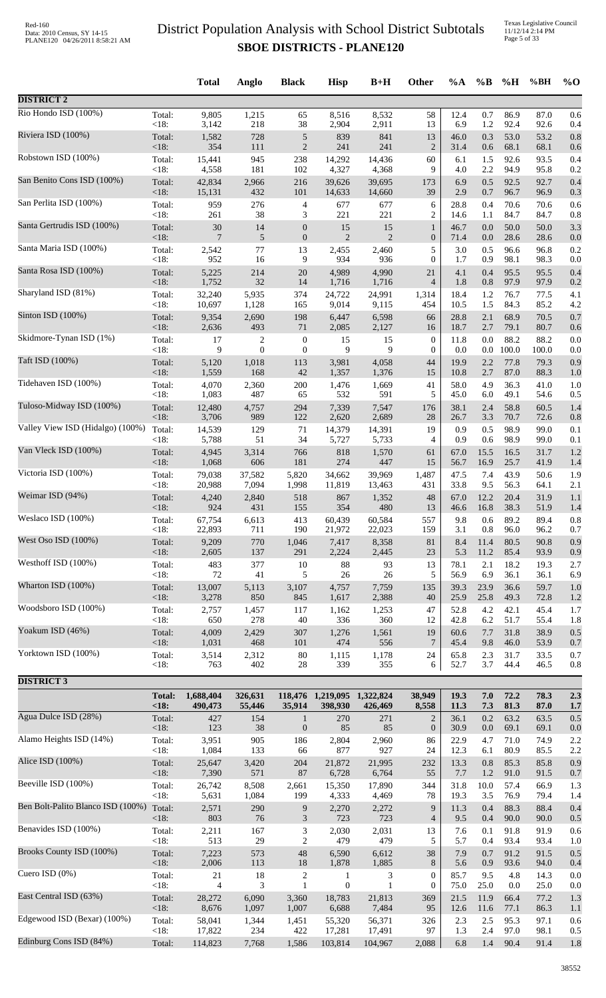Texas Legislative Council 11/12/14 2:14 PM Page 5 of 33

|                                          |                       | <b>Total</b>         | Anglo             | <b>Black</b>                | <b>Hisp</b>                            | $B+H$          | <b>Other</b>        | $\%A$        | $\%B$      | %H           | %BH          | $%$ <sup>O</sup> |
|------------------------------------------|-----------------------|----------------------|-------------------|-----------------------------|----------------------------------------|----------------|---------------------|--------------|------------|--------------|--------------|------------------|
| <b>DISTRICT 2</b>                        |                       |                      |                   |                             |                                        |                |                     |              |            |              |              |                  |
| Rio Hondo ISD (100%)                     | Total:<br><18:        | 9,805<br>3,142       | 1,215<br>218      | 65                          | 8,516                                  | 8,532          | 58<br>13            | 12.4<br>6.9  | 0.7<br>1.2 | 86.9<br>92.4 | 87.0         | 0.6              |
| Riviera ISD (100%)                       | Total:                | 1,582                | 728               | 38<br>$\sqrt{5}$            | 2,904<br>839                           | 2,911<br>841   | 13                  | 46.0         | 0.3        | 53.0         | 92.6<br>53.2 | 0.4<br>0.8       |
| Robstown ISD (100%)                      | <18:                  | 354                  | 111               | $\sqrt{2}$                  | 241                                    | 241            | $\overline{2}$      | 31.4         | 0.6        | 68.1         | 68.1         | 0.6              |
|                                          | Total:                | 15,441               | 945               | 238                         | 14,292                                 | 14,436         | 60                  | 6.1          | 1.5        | 92.6         | 93.5         | 0.4              |
| San Benito Cons ISD (100%)               | <18:                  | 4,558                | 181               | 102                         | 4,327                                  | 4,368          | 9                   | 4.0          | 2.2        | 94.9         | 95.8         | 0.2              |
|                                          | Total:                | 42,834               | 2,966             | 216                         | 39,626                                 | 39,695         | 173                 | 6.9          | 0.5        | 92.5         | 92.7         | 0.4              |
| San Perlita ISD (100%)                   | <18:                  | 15,131               | 432               | 101                         | 14,633                                 | 14,660         | 39                  | 2.9          | 0.7        | 96.7         | 96.9         | 0.3              |
|                                          | Total:                | 959                  | 276               | $\overline{4}$              | 677                                    | 677            | 6                   | 28.8         | 0.4        | 70.6         | 70.6         | 0.6              |
|                                          | $<18$ :               | 261                  | 38                | 3                           | 221                                    | 221            | $\overline{c}$      | 14.6         | 1.1        | 84.7         | 84.7         | 0.8              |
| Santa Gertrudis ISD (100%)               | Total:                | $30\,$               | 14                | $\boldsymbol{0}$            | 15                                     | 15             | $\mathbf{1}$        | 46.7         | 0.0        | 50.0         | 50.0         | 3.3              |
|                                          | <18:                  | 7                    | 5                 | $\boldsymbol{0}$            | $\overline{2}$                         | $\overline{2}$ | $\boldsymbol{0}$    | 71.4         | 0.0        | 28.6         | 28.6         | 0.0              |
| Santa Maria ISD (100%)                   | Total:                | 2,542                | 77                | 13                          | 2,455                                  | 2,460          | 5                   | 3.0          | 0.5        | 96.6         | 96.8         | 0.2              |
|                                          | <18:                  | 952                  | 16                | 9                           | 934                                    | 936            | $\mathbf{0}$        | 1.7          | 0.9        | 98.1         | 98.3         | 0.0              |
| Santa Rosa ISD (100%)                    | Total:                | 5,225                | 214               | 20                          | 4,989                                  | 4,990          | 21                  | 4.1          | 0.4        | 95.5         | 95.5         | 0.4              |
|                                          | <18:                  | 1,752                | 32                | 14                          | 1,716                                  | 1,716          | $\overline{4}$      | 1.8          | 0.8        | 97.9         | 97.9         | 0.2              |
| Sharyland ISD (81%)                      | Total:                | 32,240               | 5,935             | 374                         | 24,722                                 | 24,991         | 1,314               | 18.4         | 1.2        | 76.7         | 77.5         | 4.1              |
|                                          | $<18$ :               | 10,697               | 1,128             | 165                         | 9,014                                  | 9,115          | 454                 | 10.5         | 1.5        | 84.3         | 85.2         | 4.2              |
| Sinton ISD (100%)                        | Total:                | 9,354                | 2,690             | 198                         | 6,447                                  | 6,598          | 66                  | 28.8         | 2.1        | 68.9         | 70.5         | 0.7              |
|                                          | $<18$ :               | 2,636                | 493               | 71                          | 2,085                                  | 2,127          | 16                  | 18.7         | 2.7        | 79.1         | 80.7         | 0.6              |
| Skidmore-Tynan ISD (1%)                  | Total:                | 17                   | 2                 | $\boldsymbol{0}$            | 15                                     | 15             | $\boldsymbol{0}$    | 11.8         | 0.0        | 88.2         | 88.2         | 0.0              |
| Taft ISD (100%)                          | $<18$ :               | 9                    | $\theta$          | $\boldsymbol{0}$            | 9                                      | 9              | $\boldsymbol{0}$    | 0.0          | 0.0        | 100.0        | 100.0        | 0.0              |
|                                          | Total:                | 5,120                | 1,018             | 113                         | 3,981                                  | 4,058          | 44                  | 19.9         | 2.2        | 77.8         | 79.3         | 0.9              |
| Tidehaven ISD (100%)                     | <18:                  | 1,559                | 168               | $42\,$                      | 1,357                                  | 1,376          | 15                  | 10.8         | 2.7        | 87.0         | 88.3         | 1.0              |
|                                          | Total:                | 4,070                | 2,360             | 200                         | 1,476                                  | 1,669          | 41                  | 58.0         | 4.9        | 36.3         | 41.0         | 1.0              |
| Tuloso-Midway ISD (100%)                 | <18:                  | 1,083                | 487               | 65                          | 532                                    | 591            | 5                   | 45.0         | 6.0        | 49.1         | 54.6         | 0.5              |
|                                          | Total:                | 12,480               | 4,757             | 294                         | 7,339                                  | 7,547          | 176                 | 38.1         | 2.4        | 58.8         | 60.5         | 1.4              |
|                                          | $<18$ :               | 3,706                | 989               | 122                         | 2,620                                  | 2,689          | 28                  | 26.7         | 3.3        | 70.7         | 72.6         | 0.8              |
| Valley View ISD (Hidalgo) (100%)         | Total:                | 14,539               | 129               | 71                          | 14,379                                 | 14,391         | 19                  | 0.9          | 0.5        | 98.9         | 99.0         | 0.1              |
|                                          | <18:                  | 5,788                | 51                | 34                          | 5,727                                  | 5,733          | 4                   | 0.9          | 0.6        | 98.9         | 99.0         | 0.1              |
| Van Vleck ISD (100%)                     | Total:                | 4,945                | 3,314             | 766                         | 818                                    | 1,570          | 61                  | 67.0         | 15.5       | 16.5         | 31.7         | 1.2              |
|                                          | <18:                  | 1,068                | 606               | 181                         | 274                                    | 447            | 15                  | 56.7         | 16.9       | 25.7         | 41.9         | 1.4              |
| Victoria ISD (100%)                      | Total:                | 79,038               | 37,582            | 5,820                       | 34,662                                 | 39,969         | 1,487               | 47.5         | 7.4        | 43.9         | 50.6         | 1.9              |
|                                          | <18:                  | 20,988               | 7,094             | 1,998                       | 11,819                                 | 13,463         | 431                 | 33.8         | 9.5        | 56.3         | 64.1         | 2.1              |
| Weimar ISD (94%)                         | Total:                | 4,240                | 2,840             | 518                         | 867                                    | 1,352          | 48                  | 67.0         | 12.2       | 20.4         | 31.9         | 1.1              |
| Weslaco ISD $(100\%)$                    | $<18$ :               | 924                  | 431               | 155                         | 354                                    | 480            | 13                  | 46.6         | 16.8       | 38.3         | 51.9         | 1.4              |
|                                          | Total:                | 67,754               | 6,613             | 413                         | 60,439                                 | 60,584         | 557                 | 9.8          | 0.6        | 89.2         | 89.4         | 0.8              |
| West Oso ISD (100%)                      | $<18$ :               | 22,893               | 711               | 190                         | 21,972                                 | 22,023         | 159                 | 3.1          | 0.8        | 96.0         | 96.2         | 0.7              |
|                                          | Total:                | 9,209                | 770               | 1,046                       | 7,417                                  | 8,358          | 81                  | 8.4          | 11.4       | 80.5         | 90.8         | 0.9              |
| Westhoff ISD (100%)                      | <18:                  | 2,605                | 137               | 291                         | 2,224                                  | 2,445          | 23                  | 5.3          | 11.2       | 85.4         | 93.9         | 0.9              |
|                                          | Total:                | 483                  | 377               | 10                          | $88\,$                                 | 93             | 13                  | 78.1         | 2.1        | 18.2         | 19.3         | 2.7              |
| Wharton ISD (100%)                       | <18:                  | 72                   | 41                | 5                           | $26\,$                                 | 26             | 5                   | 56.9         | 6.9        | 36.1         | 36.1         | 6.9              |
|                                          | Total:                | 13,007               | 5,113             | 3,107                       | 4,757                                  | 7,759          | 135                 | 39.3         | 23.9       | 36.6         | 59.7         | 1.0              |
|                                          | $<18$ :               | 3,278                | 850               | 845                         | 1,617                                  | 2,388          | 40                  | 25.9         | 25.8       | 49.3         | 72.8         | 1.2              |
| Woodsboro ISD (100%)                     | Total:                | 2,757                | 1,457             | 117                         | 1,162                                  | 1,253          | 47                  | 52.8         | 4.2        | 42.1         | 45.4         | 1.7              |
|                                          | <18:                  | 650                  | 278               | 40                          | 336                                    | 360            | 12                  | 42.8         | 6.2        | 51.7         | 55.4         | 1.8              |
| Yoakum ISD (46%)                         | Total:                | 4,009                | 2,429             | 307                         | 1,276                                  | 1,561          | 19                  | 60.6         | 7.7        | 31.8         | 38.9         | 0.5              |
|                                          | $<18$ :               | 1,031                | 468               | 101                         | 474                                    | 556            | 7                   | 45.4         | 9.8        | 46.0         | 53.9         | 0.7              |
| Yorktown ISD (100%)                      | Total:                | 3,514                | 2,312             | $80\,$                      | 1,115                                  | 1,178          | 24                  | 65.8         | 2.3        | 31.7         | 33.5         | 0.7              |
|                                          | < 18:                 | 763                  | 402               | 28                          | 339                                    | 355            | 6                   | 52.7         | 3.7        | 44.4         | 46.5         | 0.8              |
| <b>DISTRICT 3</b>                        |                       |                      |                   |                             |                                        |                |                     |              |            |              |              |                  |
|                                          | <b>Total:</b><br><18: | 1,688,404<br>490,473 | 326,631<br>55,446 | 35,914                      | 118,476 1,219,095 1,322,824<br>398,930 | 426,469        | 38,949<br>8,558     | 19.3<br>11.3 | 7.0<br>7.3 | 72.2<br>81.3 | 78.3<br>87.0 | 2.3<br>1.7       |
| Agua Dulce ISD (28%)                     | Total:                | 427                  | 154               | $\mathbf{1}$                | 270                                    | 271            | $\overline{2}$      | 36.1         | 0.2        | 63.2         | 63.5         | 0.5              |
| Alamo Heights ISD (14%)                  | <18:                  | 123                  | 38                | $\boldsymbol{0}$            | 85                                     | 85             | $\boldsymbol{0}$    | 30.9         | $0.0\,$    | 69.1         | 69.1         | 0.0              |
|                                          | Total:                | 3,951                | 905               | 186                         | 2,804                                  | 2,960          | 86                  | 22.9         | 4.7        | 71.0         | 74.9         | 2.2              |
| Alice ISD (100%)                         | <18:                  | 1,084                | 133               | 66                          | 877                                    | 927            | 24                  | 12.3         | 6.1        | 80.9         | 85.5         | 2.2              |
|                                          | Total:                | 25,647               | 3,420             | 204                         | 21,872                                 | 21,995         | 232                 | 13.3         | 0.8        | 85.3         | 85.8         | 0.9              |
| Beeville ISD (100%)                      | $<18$ :               | 7,390                | 571               | 87                          | 6,728                                  | 6,764          | 55                  | 7.7          | 1.2        | 91.0         | 91.5         | 0.7              |
|                                          | Total:                | 26,742               | 8,508             | 2,661                       | 15,350                                 | 17,890         | 344                 | 31.8         | 10.0       | 57.4         | 66.9         | 1.3              |
| Ben Bolt-Palito Blanco ISD (100%) Total: | < 18:                 | 5,631                | 1,084             | 199                         | 4,333                                  | 4,469          | 78                  | 19.3         | 3.5        | 76.9         | 79.4         | 1.4              |
|                                          | $<18$ :               | 2,571<br>803         | 290<br>76         | 9<br>$\mathfrak{Z}$         | 2,270<br>723                           | 2,272<br>723   | 9<br>$\overline{4}$ | 11.3<br>9.5  | 0.4<br>0.4 | 88.3<br>90.0 | 88.4<br>90.0 | 0.4<br>0.5       |
| Benavides ISD (100%)                     | Total:                | 2,211                | 167               | $\ensuremath{\mathfrak{Z}}$ | 2,030                                  | 2,031          | 13                  | 7.6          | 0.1        | 91.8         | 91.9         | 0.6              |
|                                          | <18:                  | 513                  | 29                | $\overline{c}$              | 479                                    | 479            | 5                   | 5.7          | 0.4        | 93.4         | 93.4         | 1.0              |
| Brooks County ISD (100%)                 | Total:                | 7,223                | 573               | 48                          | 6,590                                  | 6,612          | 38                  | 7.9          | 0.7        | 91.2         | 91.5         | 0.5              |
|                                          | <18:                  | 2,006                | 113               | 18                          | 1,878                                  | 1,885          | 8                   | 5.6          | 0.9        | 93.6         | 94.0         | 0.4              |
| Cuero ISD (0%)                           | Total:                | $21\,$               | 18                | $\sqrt{2}$                  | 1                                      | 3              | $\boldsymbol{0}$    | 85.7         | 9.5        | 4.8          | 14.3         | 0.0              |
|                                          | <18:                  | 4                    | 3                 | $\mathbf{1}$                | $\boldsymbol{0}$                       | $\mathbf{1}$   | $\boldsymbol{0}$    | 75.0         | 25.0       | 0.0          | 25.0         | 0.0              |
| East Central ISD (63%)                   | Total:                | 28,272               | 6,090             | 3,360                       | 18,783                                 | 21,813         | 369                 | 21.5         | 11.9       | 66.4         | 77.2         | 1.3              |
| Edgewood ISD (Bexar) (100%)              | <18:                  | 8,676                | 1,097             | 1,007                       | 6,688                                  | 7,484          | 95                  | 12.6         | 11.6       | 77.1         | 86.3         | 1.1              |
|                                          | Total:                | 58,041               | 1,344             | 1,451                       | 55,320                                 | 56,371         | 326                 | 2.3          | 2.5        | 95.3         | 97.1         | 0.6              |
| Edinburg Cons ISD (84%)                  | $<18$ :               | 17,822               | 234               | 422                         | 17,281                                 | 17,491         | 97                  | 1.3          | 2.4        | 97.0         | 98.1         | 0.5              |
|                                          | Total:                | 114,823              | 7,768             | 1,586                       | 103,814                                | 104,967        | 2,088               | 6.8          | 1.4        | 90.4         | 91.4         | 1.8              |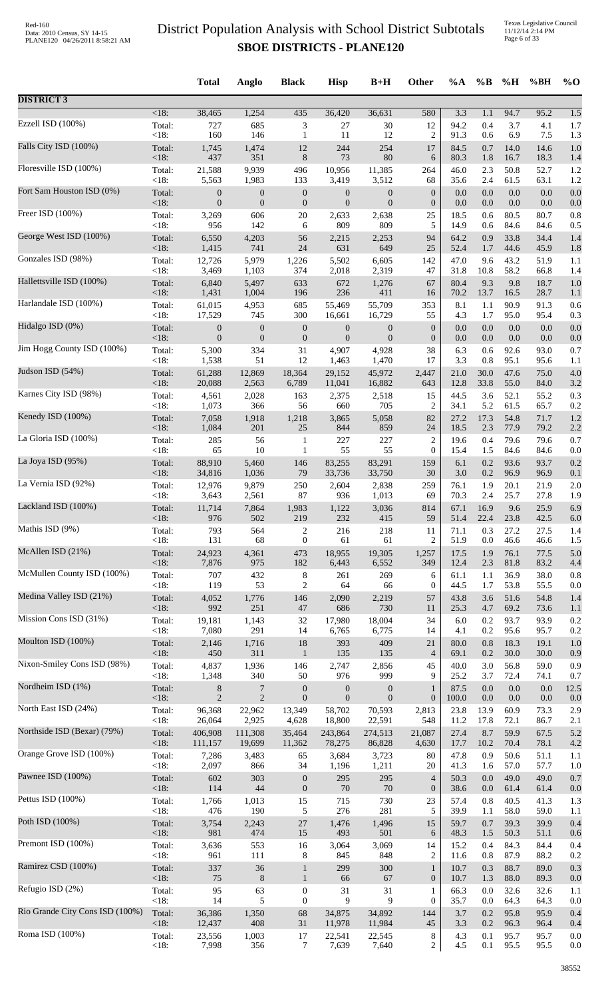|                                 |         | <b>Total</b>     | Anglo            | <b>Black</b>     | <b>Hisp</b>      | $B+H$            | Other            | $\%A$   | $\%B$   | %H      | %BH  | $\%$ O |
|---------------------------------|---------|------------------|------------------|------------------|------------------|------------------|------------------|---------|---------|---------|------|--------|
| <b>DISTRICT 3</b>               |         |                  |                  |                  |                  |                  |                  |         |         |         |      |        |
| Ezzell ISD (100%)               | $<18$ : | 38,465           | 1,254            | 435              | 36,420           | 36,631           | 580              | 3.3     | 1.1     | 94.7    | 95.2 | 1.5    |
|                                 | Total:  | 727              | 685              | 3                | 27               | $30\,$           | 12               | 94.2    | 0.4     | 3.7     | 4.1  | 1.7    |
|                                 | < 18:   | 160              | 146              | $\mathbf{1}$     | 11               | 12               | $\overline{2}$   | 91.3    | 0.6     | 6.9     | 7.5  | 1.3    |
| Falls City ISD (100%)           | Total:  | 1,745            | 1,474            | 12               | 244              | 254              | 17               | 84.5    | 0.7     | 14.0    | 14.6 | 1.0    |
|                                 | <18:    | 437              | 351              | $8\,$            | 73               | 80               | 6                | 80.3    | 1.8     | 16.7    | 18.3 | 1.4    |
| Floresville ISD (100%)          | Total:  | 21,588           | 9,939            | 496              | 10,956           | 11,385           | 264              | 46.0    | 2.3     | 50.8    | 52.7 | 1.2    |
|                                 | <18:    | 5,563            | 1,983            | 133              | 3,419            | 3,512            | 68               | 35.6    | 2.4     | 61.5    | 63.1 | 1.2    |
| Fort Sam Houston ISD (0%)       | Total:  | $\boldsymbol{0}$ | $\boldsymbol{0}$ | $\boldsymbol{0}$ | $\mathbf{0}$     | $\boldsymbol{0}$ | $\boldsymbol{0}$ | 0.0     | 0.0     | 0.0     | 0.0  | 0.0    |
| Freer ISD (100%)                | <18:    | $\mathbf{0}$     | $\boldsymbol{0}$ | $\boldsymbol{0}$ | $\overline{0}$   | $\boldsymbol{0}$ | $\boldsymbol{0}$ | 0.0     | 0.0     | 0.0     | 0.0  | 0.0    |
|                                 | Total:  | 3,269            | 606              | $20\,$           | 2,633            | 2,638            | 25               | 18.5    | 0.6     | 80.5    | 80.7 | 0.8    |
|                                 | < 18:   | 956              | 142              | 6                | 809              | 809              | 5                | 14.9    | 0.6     | 84.6    | 84.6 | 0.5    |
| George West ISD (100%)          | Total:  | 6,550            | 4,203            | 56               | 2,215            | 2,253            | 94               | 64.2    | 0.9     | 33.8    | 34.4 | 1.4    |
|                                 | <18:    | 1,415            | 741              | $24\,$           | 631              | 649              | 25               | 52.4    | 1.7     | 44.6    | 45.9 | 1.8    |
| Gonzales ISD (98%)              | Total:  | 12,726           | 5,979            | 1,226            | 5,502            | 6,605            | 142              | 47.0    | 9.6     | 43.2    | 51.9 | 1.1    |
|                                 | < 18:   | 3,469            | 1,103            | 374              | 2,018            | 2,319            | 47               | 31.8    | 10.8    | 58.2    | 66.8 | 1.4    |
| Hallettsville ISD (100%)        | Total:  | 6,840            | 5,497            | 633              | 672              | 1,276            | 67               | 80.4    | 9.3     | 9.8     | 18.7 | 1.0    |
| Harlandale ISD (100%)           | <18:    | 1,431            | 1,004            | 196              | 236              | 411              | 16               | 70.2    | 13.7    | 16.5    | 28.7 | 1.1    |
|                                 | Total:  | 61,015           | 4,953            | 685              | 55,469           | 55,709           | 353              | 8.1     | 1.1     | 90.9    | 91.3 | 0.6    |
| Hidalgo ISD (0%)                | < 18:   | 17,529           | 745              | 300              | 16,661           | 16,729           | 55               | 4.3     | 1.7     | 95.0    | 95.4 | 0.3    |
|                                 | Total:  | $\boldsymbol{0}$ | $\boldsymbol{0}$ | $\boldsymbol{0}$ | $\boldsymbol{0}$ | $\boldsymbol{0}$ | $\boldsymbol{0}$ | $0.0\,$ | $0.0\,$ | $0.0\,$ | 0.0  | 0.0    |
|                                 | <18:    | $\mathbf{0}$     | $\boldsymbol{0}$ | $\boldsymbol{0}$ | $\mathbf{0}$     | $\boldsymbol{0}$ | $\boldsymbol{0}$ | 0.0     | 0.0     | 0.0     | 0.0  | 0.0    |
| Jim Hogg County ISD (100%)      | Total:  | 5,300            | 334              | 31               | 4,907            | 4,928            | 38               | 6.3     | 0.6     | 92.6    | 93.0 | 0.7    |
|                                 | <18:    | 1,538            | 51               | 12               | 1,463            | 1,470            | 17               | 3.3     | 0.8     | 95.1    | 95.6 | 1.1    |
| Judson ISD (54%)                | Total:  | 61,288           | 12,869           | 18,364           | 29,152           | 45,972           | 2,447            | 21.0    | 30.0    | 47.6    | 75.0 | 4.0    |
|                                 | <18:    | 20,088           | 2,563            | 6,789            | 11,041           | 16,882           | 643              | 12.8    | 33.8    | 55.0    | 84.0 | 3.2    |
| Karnes City ISD (98%)           | Total:  | 4,561            | 2,028            | 163              | 2,375            | 2,518            | 15               | 44.5    | 3.6     | 52.1    | 55.2 | 0.3    |
| Kenedy ISD (100%)               | <18:    | 1,073            | 366              | 56               | 660              | 705              | $\overline{2}$   | 34.1    | 5.2     | 61.5    | 65.7 | 0.2    |
|                                 | Total:  | 7,058            | 1,918            | 1,218            | 3,865            | 5,058            | 82               | 27.2    | 17.3    | 54.8    | 71.7 | 1.2    |
| La Gloria ISD (100%)            | <18:    | 1,084            | 201              | $25\,$           | 844              | 859              | 24               | 18.5    | 2.3     | 77.9    | 79.2 | 2.2    |
|                                 | Total:  | 285              | 56               | 1                | 227              | 227              | $\overline{c}$   | 19.6    | 0.4     | 79.6    | 79.6 | 0.7    |
|                                 | <18:    | 65               | 10               | $\mathbf{1}$     | 55               | 55               | $\boldsymbol{0}$ | 15.4    | 1.5     | 84.6    | 84.6 | 0.0    |
| La Joya ISD (95%)               | Total:  | 88,910           | 5,460            | 146              | 83,255           | 83,291           | 159              | 6.1     | 0.2     | 93.6    | 93.7 | 0.2    |
|                                 | <18:    | 34,816           | 1,036            | 79               | 33,736           | 33,750           | 30               | 3.0     | $0.2\,$ | 96.9    | 96.9 | 0.1    |
| La Vernia ISD (92%)             | Total:  | 12,976           | 9,879            | 250              | 2,604            | 2,838            | 259              | 76.1    | 1.9     | 20.1    | 21.9 | 2.0    |
|                                 | <18:    | 3,643            | 2,561            | 87               | 936              | 1,013            | 69               | 70.3    | 2.4     | 25.7    | 27.8 | 1.9    |
| Lackland ISD (100%)             | Total:  | 11,714           | 7,864            | 1,983            | 1,122            | 3,036            | 814              | 67.1    | 16.9    | 9.6     | 25.9 | 6.9    |
| Mathis ISD (9%)                 | <18:    | 976              | 502              | 219              | 232              | 415              | 59               | 51.4    | 22.4    | 23.8    | 42.5 | 6.0    |
|                                 | Total:  | 793              | 564              | 2                | 216              | 218              | 11               | 71.1    | 0.3     | 27.2    | 27.5 | 1.4    |
| McAllen ISD (21%)               | <18:    | 131              | 68               | $\boldsymbol{0}$ | 61               | 61               | $\overline{2}$   | 51.9    | 0.0     | 46.6    | 46.6 | 1.5    |
|                                 | Total:  | 24,923           | 4,361            | 473              | 18,955           | 19,305           | 1,257            | 17.5    | 1.9     | 76.1    | 77.5 | 5.0    |
|                                 | <18:    | 7,876            | 975              | 182              | 6,443            | 6,552            | 349              | 12.4    | 2.3     | 81.8    | 83.2 | 4.4    |
| McMullen County ISD (100%)      | Total:  | 707              | 432              | $\,8\,$          | 261              | 269              | 6                | 61.1    | 1.1     | 36.9    | 38.0 | 0.8    |
|                                 | < 18:   | 119              | 53               | $\mathbf{2}$     | 64               | 66               | $\overline{0}$   | 44.5    | 1.7     | 53.8    | 55.5 | 0.0    |
| Medina Valley ISD (21%)         | Total:  | 4,052            | 1,776            | 146              | 2,090            | 2,219            | 57               | 43.8    | 3.6     | 51.6    | 54.8 | 1.4    |
|                                 | $<18$ : | 992              | 251              | 47               | 686              | 730              | 11               | 25.3    | 4.7     | 69.2    | 73.6 | 1.1    |
| Mission Cons ISD (31%)          | Total:  | 19,181           | 1,143            | 32               | 17,980           | 18,004           | 34               | 6.0     | 0.2     | 93.7    | 93.9 | 0.2    |
| Moulton ISD (100%)              | < 18:   | 7,080            | 291              | 14               | 6,765            | 6,775            | 14               | 4.1     | 0.2     | 95.6    | 95.7 | 0.2    |
|                                 | Total:  | 2,146            | 1,716            | 18               | 393              | 409              | 21               | 80.0    | 0.8     | 18.3    | 19.1 | 1.0    |
| Nixon-Smiley Cons ISD (98%)     | <18:    | 450              | 311              | $\mathbf{1}$     | 135              | 135              | $\overline{4}$   | 69.1    | 0.2     | 30.0    | 30.0 | 0.9    |
|                                 | Total:  | 4,837            | 1,936            | 146              | 2,747            | 2,856            | 45               | 40.0    | 3.0     | 56.8    | 59.0 | 0.9    |
|                                 | <18:    | 1,348            | 340              | 50               | 976              | 999              | 9                | 25.2    | 3.7     | 72.4    | 74.1 | 0.7    |
| Nordheim ISD (1%)               | Total:  | 8                | 7                | $\boldsymbol{0}$ | $\mathbf{0}$     | $\boldsymbol{0}$ | 1                | 87.5    | 0.0     | 0.0     | 0.0  | 12.5   |
|                                 | <18:    | $\overline{2}$   | $\sqrt{2}$       | $\boldsymbol{0}$ | $\mathbf{0}$     | $\boldsymbol{0}$ | $\boldsymbol{0}$ | 100.0   | $0.0\,$ | 0.0     | 0.0  | 0.0    |
| North East ISD (24%)            | Total:  | 96,368           | 22,962           | 13,349           | 58,702           | 70,593           | 2,813            | 23.8    | 13.9    | 60.9    | 73.3 | 2.9    |
|                                 | $<18$ : | 26,064           | 2,925            | 4,628            | 18,800           | 22,591           | 548              | 11.2    | 17.8    | 72.1    | 86.7 | 2.1    |
| Northside ISD (Bexar) (79%)     | Total:  | 406,908          | 111,308          | 35,464           | 243,864          | 274,513          | 21,087           | 27.4    | 8.7     | 59.9    | 67.5 | 5.2    |
| Orange Grove ISD (100%)         | $<18$ : | 111,157          | 19,699           | 11,362           | 78,275           | 86,828           | 4,630            | 17.7    | 10.2    | 70.4    | 78.1 | 4.2    |
|                                 | Total:  | 7,286            | 3,483            | 65               | 3,684            | 3,723            | 80               | 47.8    | 0.9     | 50.6    | 51.1 | 1.1    |
| Pawnee ISD (100%)               | $<18$ : | 2,097            | 866              | 34               | 1,196            | 1,211            | 20               | 41.3    | 1.6     | 57.0    | 57.7 | 1.0    |
|                                 | Total:  | 602              | 303              | $\boldsymbol{0}$ | 295              | 295              | $\overline{4}$   | 50.3    | 0.0     | 49.0    | 49.0 | 0.7    |
| Pettus ISD (100%)               | <18:    | 114              | 44               | $\boldsymbol{0}$ | 70               | $70\,$           | $\boldsymbol{0}$ | 38.6    | 0.0     | 61.4    | 61.4 | 0.0    |
|                                 | Total:  | 1,766            | 1,013            | 15               | 715              | 730              | 23               | 57.4    | 0.8     | 40.5    | 41.3 | 1.3    |
|                                 | <18:    | 476              | 190              | 5                | 276              | 281              | 5                | 39.9    | 1.1     | 58.0    | 59.0 | 1.1    |
| Poth ISD (100%)                 | Total:  | 3,754            | 2,243            | $27\,$           | 1,476            | 1,496            | 15               | 59.7    | 0.7     | 39.3    | 39.9 | 0.4    |
|                                 | <18:    | 981              | 474              | 15               | 493              | 501              | 6                | 48.3    | 1.5     | 50.3    | 51.1 | 0.6    |
| Premont ISD (100%)              | Total:  | 3,636            | 553              | 16               | 3,064            | 3,069            | 14               | 15.2    | 0.4     | 84.3    | 84.4 | 0.4    |
|                                 | < 18:   | 961              | 111              | 8                | 845              | 848              | $\overline{2}$   | 11.6    | 0.8     | 87.9    | 88.2 | 0.2    |
| Ramirez CSD (100%)              | Total:  | 337              | 36               | $\mathbf{1}$     | 299              | 300              | $\mathbf{1}$     | 10.7    | 0.3     | 88.7    | 89.0 | 0.3    |
| Refugio ISD (2%)                | <18:    | 75               | $\,8\,$          | $\mathbf{1}$     | 66               | 67               | $\boldsymbol{0}$ | 10.7    | 1.3     | 88.0    | 89.3 | 0.0    |
|                                 | Total:  | 95               | 63               | $\boldsymbol{0}$ | 31               | 31               | 1                | 66.3    | 0.0     | 32.6    | 32.6 | 1.1    |
| Rio Grande City Cons ISD (100%) | <18:    | 14               | 5                | $\boldsymbol{0}$ | 9                | 9                | 0                | 35.7    | 0.0     | 64.3    | 64.3 | 0.0    |
|                                 | Total:  | 36,386           | 1,350            | 68               | 34,875           | 34,892           | 144              | 3.7     | 0.2     | 95.8    | 95.9 | 0.4    |
|                                 | <18:    | 12,437           | 408              | 31               | 11,978           | 11,984           | 45               | 3.3     | 0.2     | 96.3    | 96.4 | 0.4    |
| Roma ISD (100%)                 | Total:  | 23,556           | 1,003            | 17               | 22,541           | 22,545           | 8                | 4.3     | 0.1     | 95.7    | 95.7 | 0.0    |
|                                 | <18:    | 7,998            | 356              | 7                | 7,639            | 7,640            | 2                | 4.5     | 0.1     | 95.5    | 95.5 | 0.0    |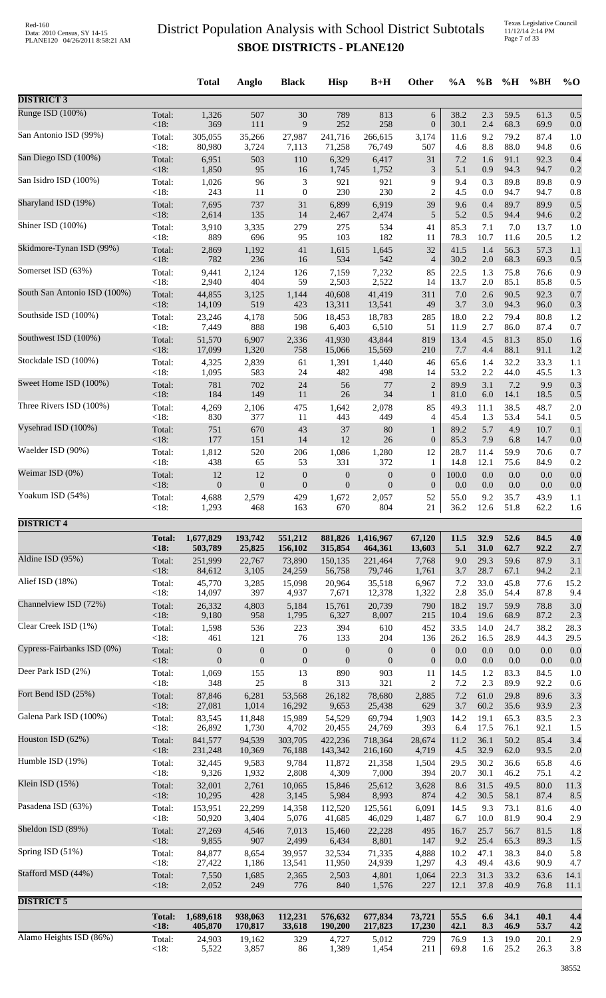Texas Legislative Council 11/12/14 2:14 PM Page 7 of 33

|                              |                 | <b>Total</b>                       | Anglo                              | <b>Black</b>                | <b>Hisp</b>                        | $B+H$                              | Other                   | %A           | $\%B$       | %H           | %BH          | $%$ O       |
|------------------------------|-----------------|------------------------------------|------------------------------------|-----------------------------|------------------------------------|------------------------------------|-------------------------|--------------|-------------|--------------|--------------|-------------|
| <b>DISTRICT 3</b>            |                 |                                    |                                    |                             |                                    |                                    |                         |              |             |              |              |             |
| Runge ISD (100%)             | Total:          | 1,326                              | 507                                | 30                          | 789                                | 813                                | $\sqrt{6}$              | 38.2         | 2.3         | 59.5         | 61.3         | 0.5         |
|                              | <18:            | 369                                | 111                                | 9                           | 252                                | 258                                | $\boldsymbol{0}$        | 30.1         | 2.4         | 68.3         | 69.9         | 0.0         |
| San Antonio ISD (99%)        | Total:          | 305,055                            | 35,266                             | 27,987                      | 241,716                            | 266,615                            | 3,174                   | 11.6         | 9.2         | 79.2         | 87.4         | 1.0         |
| San Diego ISD (100%)         | < 18:           | 80,980                             | 3,724                              | 7,113                       | 71,258                             | 76,749                             | 507                     | 4.6          | 8.8         | 88.0         | 94.8         | 0.6         |
|                              | Total:          | 6,951                              | 503                                | 110                         | 6,329                              | 6,417                              | 31                      | 7.2          | 1.6         | 91.1         | 92.3         | 0.4         |
| San Isidro ISD (100%)        | < 18:           | 1,850                              | 95                                 | 16                          | 1,745                              | 1,752                              | 3                       | 5.1          | 0.9         | 94.3         | 94.7         | 0.2         |
|                              | Total:          | 1,026                              | 96                                 | $\ensuremath{\mathfrak{Z}}$ | 921                                | 921                                | 9                       | 9.4          | 0.3         | 89.8         | 89.8         | 0.9         |
|                              | < 18:           | 243                                | 11                                 | $\boldsymbol{0}$            | 230                                | 230                                | $\overline{2}$          | 4.5          | 0.0         | 94.7         | 94.7         | 0.8         |
| Sharyland ISD (19%)          | Total:          | 7,695                              | 737                                | 31                          | 6,899                              | 6,919                              | 39                      | 9.6          | 0.4         | 89.7         | 89.9         | 0.5         |
|                              | <18:            | 2,614                              | 135                                | 14                          | 2,467                              | 2,474                              | 5                       | 5.2          | 0.5         | 94.4         | 94.6         | 0.2         |
| Shiner ISD (100%)            | Total:          | 3,910                              | 3,335                              | 279                         | 275                                | 534                                | 41                      | 85.3         | 7.1         | 7.0          | 13.7         | 1.0         |
|                              | < 18:           | 889                                | 696                                | 95                          | 103                                | 182                                | 11                      | 78.3         | 10.7        | 11.6         | 20.5         | 1.2         |
| Skidmore-Tynan ISD (99%)     | Total:          | 2,869                              | 1,192                              | 41                          | 1,615                              | 1,645                              | 32                      | 41.5         | 1.4         | 56.3         | 57.3         | 1.1         |
| Somerset ISD (63%)           | < 18:           | 782                                | 236                                | 16                          | 534                                | 542                                | $\overline{4}$          | 30.2         | 2.0         | 68.3         | 69.3         | 0.5         |
|                              | Total:          | 9,441                              | 2,124                              | 126                         | 7,159                              | 7,232                              | 85                      | 22.5         | 1.3         | 75.8         | 76.6         | 0.9         |
| South San Antonio ISD (100%) | < 18:           | 2,940                              | 404                                | 59                          | 2,503                              | 2,522                              | 14                      | 13.7         | 2.0         | 85.1         | 85.8         | 0.5         |
|                              | Total:          | 44.855                             | 3,125                              | 1,144                       | 40.608                             | 41,419                             | 311                     | 7.0          | 2.6         | 90.5         | 92.3         | 0.7         |
| Southside ISD (100%)         | < 18:           | 14,109                             | 519                                | 423                         | 13,311                             | 13,541                             | 49                      | 3.7          | 3.0         | 94.3         | 96.0         | 0.3         |
|                              | Total:          | 23,246                             | 4,178                              | 506                         | 18,453                             | 18,783                             | 285                     | 18.0         | 2.2         | 79.4         | 80.8         | 1.2         |
| Southwest ISD (100%)         | < 18:           | 7,449                              | 888                                | 198                         | 6,403                              | 6,510                              | 51                      | 11.9         | 2.7         | 86.0         | 87.4         | 0.7         |
|                              | Total:          | 51,570                             | 6,907                              | 2,336                       | 41,930                             | 43,844                             | 819                     | 13.4         | 4.5         | 81.3         | 85.0         | 1.6         |
|                              | < 18:           | 17,099                             | 1,320                              | 758                         | 15,066                             | 15,569                             | 210                     | 7.7          | 4.4         | 88.1         | 91.1         | 1.2         |
| Stockdale ISD (100%)         | Total:          | 4,325                              | 2,839                              | 61                          | 1,391                              | 1,440                              | 46                      | 65.6         | 1.4         | 32.2         | 33.3         | 1.1         |
|                              | < 18:           | 1,095                              | 583                                | 24                          | 482                                | 498                                | 14                      | 53.2         | 2.2         | 44.0         | 45.5         | 1.3         |
| Sweet Home ISD (100%)        | Total:          | 781                                | 702                                | 24                          | 56                                 | 77                                 | $\overline{2}$          | 89.9         | 3.1         | 7.2          | 9.9          | 0.3         |
|                              | < 18:           | 184                                | 149                                | 11                          | 26                                 | 34                                 | $\mathbf{1}$            | 81.0         | 6.0         | 14.1         | 18.5         | 0.5         |
| Three Rivers ISD (100%)      | Total:<br>< 18: | 4,269<br>830                       | 2,106<br>377                       | 475                         | 1,642                              | 2,078                              | 85<br>$\overline{4}$    | 49.3<br>45.4 | 11.1        | 38.5<br>53.4 | 48.7         | 2.0         |
| Vysehrad ISD (100%)          | Total:          | 751                                | 670                                | 11<br>43                    | 443<br>37                          | 449<br>80                          | $\mathbf{1}$            | 89.2         | 1.3<br>5.7  | 4.9          | 54.1<br>10.7 | 0.5<br>0.1  |
| Waelder ISD (90%)            | < 18:           | 177                                | 151                                | 14                          | 12                                 | 26                                 | $\boldsymbol{0}$        | 85.3         | 7.9         | 6.8          | 14.7         | 0.0         |
|                              | Total:          | 1,812                              | 520                                | 206                         | 1,086                              | 1,280                              | 12                      | 28.7         | 11.4        | 59.9         | 70.6         | 0.7         |
| Weimar ISD (0%)              | <18:            | 438                                | 65                                 | 53                          | 331                                | 372                                | $\mathbf{1}$            | 14.8         | 12.1        | 75.6         | 84.9         | 0.2         |
|                              | Total:          | 12                                 | 12                                 | $\boldsymbol{0}$            | $\boldsymbol{0}$                   | $\boldsymbol{0}$                   | $\boldsymbol{0}$        | 100.0        | 0.0         | 0.0          | 0.0          | 0.0         |
| Yoakum ISD (54%)             | < 18:           | $\mathbf{0}$                       | $\mathbf{0}$                       | $\boldsymbol{0}$            | $\boldsymbol{0}$                   | $\boldsymbol{0}$                   | $\boldsymbol{0}$        | 0.0          | 0.0         | 0.0          | 0.0          | 0.0         |
|                              | Total:          | 4,688                              | 2,579                              | 429                         | 1,672                              | 2,057                              | 52                      | 55.0         | 9.2         | 35.7         | 43.9         | 1.1         |
|                              | < 18:           | 1,293                              | 468                                | 163                         | 670                                | 804                                | 21                      | 36.2         | 12.6        | 51.8         | 62.2         | 1.6         |
| <b>DISTRICT 4</b>            | <b>Total:</b>   | 1,677,829                          | 193,742                            | 551,212                     |                                    | 881,826 1,416,967                  | 67,120                  | 11.5         | 32.9        | 52.6         | 84.5         | 4.0         |
|                              | <18             | 503,789                            | 25,825                             | 156,102                     | 315,854                            | 464,361                            | 13,603                  | 5.1          | 31.0        | 62.7         | 92.2         | 2.7         |
| Aldine ISD (95%)             | Total:          | 251,999                            | 22,767                             | 73,890                      | 150,135                            | 221,464                            | 7,768                   | 9.0          | 29.3        | 59.6         | 87.9         | 3.1         |
|                              | <18:            | 84,612                             | 3,105                              | 24,259                      | 56,758                             | 79,746                             | 1,761                   | 3.7          | 28.7        | 67.1         | 94.2         | 2.1         |
| Alief ISD (18%)              | Total:          | 45,770                             | 3,285                              | 15,098                      | 20,964                             | 35,518                             | 6,967                   | 7.2          | 33.0        | 45.8         | 77.6         | 15.2        |
|                              | < 18:           | 14,097                             | 397                                | 4,937                       | 7,671                              | 12,378                             | 1,322                   | 2.8          | 35.0        | 54.4         | 87.8         | 9.4         |
| Channelview ISD (72%)        | Total:          | 26,332                             | 4,803                              | 5,184                       | 15,761                             | 20,739                             | 790                     | 18.2         | 19.7        | 59.9         | 78.8         | 3.0         |
| Clear Creek ISD (1%)         | < 18:           | 9,180                              | 958                                | 1,795                       | 6,327                              | 8,007                              | 215                     | 10.4         | 19.6        | 68.9         | 87.2         | 2.3         |
|                              | Total:          | 1,598                              | 536                                | 223                         | 394                                | 610                                | 452                     | 33.5         | 14.0        | 24.7         | 38.2         | 28.3        |
| Cypress-Fairbanks ISD (0%)   | < 18:<br>Total: | 461                                | 121                                | 76<br>$\boldsymbol{0}$      | 133                                | 204                                | 136<br>$\boldsymbol{0}$ | 26.2<br>0.0  | 16.5<br>0.0 | 28.9<br>0.0  | 44.3<br>0.0  | 29.5<br>0.0 |
|                              | < 18:           | $\boldsymbol{0}$<br>$\overline{0}$ | $\boldsymbol{0}$<br>$\overline{0}$ | $\boldsymbol{0}$            | $\boldsymbol{0}$<br>$\overline{0}$ | $\boldsymbol{0}$<br>$\overline{0}$ | $\boldsymbol{0}$        | 0.0          | 0.0         | 0.0          | 0.0          | 0.0         |
| Deer Park ISD (2%)           | Total:          | 1,069                              | 155                                | 13                          | 890                                | 903                                | 11                      | 14.5         | 1.2         | 83.3         | 84.5         | 1.0         |
|                              | < 18:           | 348                                | 25                                 | 8                           | 313                                | 321                                | $\overline{2}$          | 7.2          | 2.3         | 89.9         | 92.2         | 0.6         |
| Fort Bend ISD (25%)          | Total:          | 87,846                             | 6,281                              | 53,568                      | 26,182                             | 78,680                             | 2,885                   | 7.2          | 61.0        | 29.8         | 89.6         | 3.3         |
|                              | < 18:           | 27,081                             | 1,014                              | 16,292                      | 9,653                              | 25,438                             | 629                     | 3.7          | 60.2        | 35.6         | 93.9         | 2.3         |
| Galena Park ISD (100%)       | Total:          | 83,545                             | 11,848                             | 15,989                      | 54,529                             | 69,794                             | 1,903                   | 14.2         | 19.1        | 65.3         | 83.5         | 2.3         |
|                              | < 18:           | 26,892                             | 1,730                              | 4,702                       | 20,455                             | 24,769                             | 393                     | 6.4          | 17.5        | 76.1         | 92.1         | 1.5         |
| Houston ISD (62%)            | Total:          | 841,577                            | 94,539                             | 303,705                     | 422,236                            | 718,364                            | 28,674                  | 11.2         | 36.1        | 50.2         | 85.4         | 3.4         |
|                              | < 18:           | 231,248                            | 10,369                             | 76,188                      | 143,342                            | 216,160                            | 4,719                   | 4.5          | 32.9        | 62.0         | 93.5         | 2.0         |
| Humble ISD (19%)             | Total:          | 32,445                             | 9,583                              | 9,784                       | 11,872                             | 21,358                             | 1,504                   | 29.5         | 30.2        | 36.6         | 65.8         | 4.6         |
|                              | <18:            | 9,326                              | 1,932                              | 2,808                       | 4,309                              | 7,000                              | 394                     | 20.7         | 30.1        | 46.2         | 75.1         | 4.2         |
| Klein ISD (15%)              | Total:          | 32,001                             | 2,761                              | 10,065                      | 15,846                             | 25,612                             | 3,628                   | 8.6          | 31.5        | 49.5         | 80.0         | 11.3        |
| Pasadena ISD (63%)           | <18:            | 10,295                             | 428                                | 3,145                       | 5,984                              | 8,993                              | 874                     | 4.2          | 30.5        | 58.1         | 87.4         | 8.5         |
|                              | Total:          | 153,951                            | 22,299                             | 14,358                      | 112,520                            | 125,561                            | 6,091                   | 14.5         | 9.3         | 73.1         | 81.6         | 4.0         |
| Sheldon ISD (89%)            | <18:            | 50,920                             | 3,404                              | 5,076                       | 41,685                             | 46,029                             | 1,487                   | 6.7          | 10.0        | 81.9         | 90.4         | 2.9         |
|                              | Total:          | 27,269                             | 4,546                              | 7,013                       | 15,460                             | 22,228                             | 495                     | 16.7         | 25.7        | 56.7         | 81.5         | 1.8         |
|                              | < 18:           | 9,855                              | 907                                | 2,499                       | 6,434                              | 8,801                              | 147                     | 9.2          | 25.4        | 65.3         | 89.3         | 1.5         |
| Spring ISD (51%)             | Total:          | 84,877                             | 8,654                              | 39,957                      | 32,534                             | 71,335                             | 4,888                   | 10.2         | 47.1        | 38.3         | 84.0         | 5.8         |
|                              | < 18:           | 27,422                             | 1,186                              | 13,541                      | 11,950                             | 24,939                             | 1,297                   | 4.3          | 49.4        | 43.6         | 90.9         | 4.7         |
| Stafford MSD (44%)           | Total:          | 7,550                              | 1,685                              | 2,365                       | 2,503                              | 4,801                              | 1,064                   | 22.3         | 31.3        | 33.2         | 63.6         | 14.1        |
|                              | $<18$ :         | 2,052                              | 249                                | 776                         | 840                                | 1,576                              | 227                     | 12.1         | 37.8        | 40.9         | 76.8         | 11.1        |
| <b>DISTRICT 5</b>            |                 |                                    |                                    |                             |                                    |                                    |                         |              |             |              |              |             |
|                              | <b>Total:</b>   | 1,689,618                          | 938,063                            | 112,231                     | 576,632                            | 677,834                            | 73,721                  | 55.5         | 6.6         | 34.1         | 40.1         | 4.4         |
|                              | <18             | 405,870                            | 170,817                            | 33,618                      | 190,200                            | 217,823                            | 17,230                  | 42.1         | 8.3         | 46.9         | 53.7         | 4.2         |
| Alamo Heights ISD (86%)      | Total:          | 24,903                             | 19,162                             | 329                         | 4,727                              | 5,012                              | 729                     | 76.9         | 1.3         | 19.0         | 20.1         | 2.9         |
|                              | < 18:           | 5,522                              | 3,857                              | 86                          | 1,389                              | 1,454                              | 211                     | 69.8         | 1.6         | 25.2         | 26.3         | 3.8         |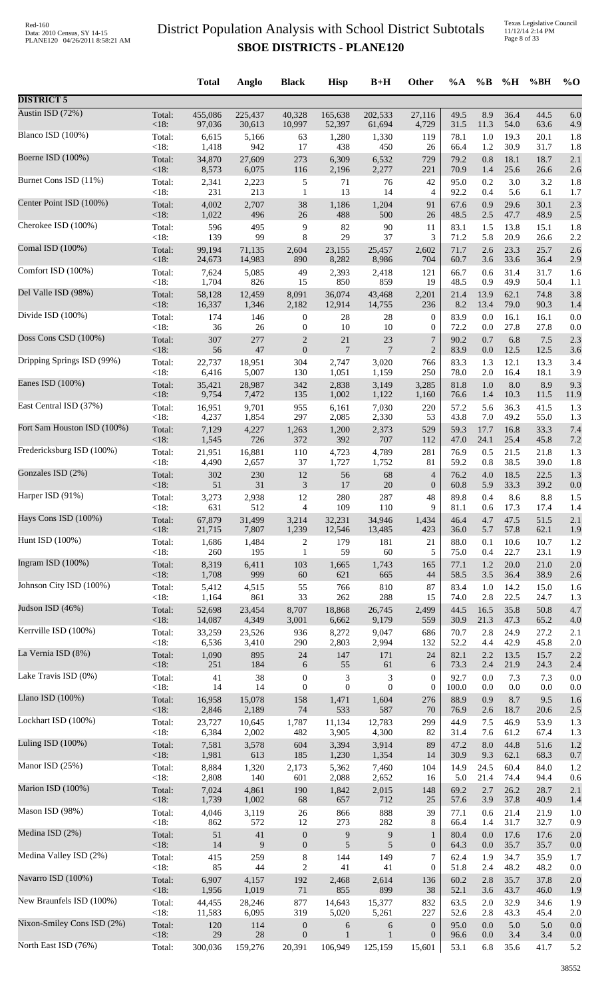Texas Legislative Council 11/12/14 2:14 PM Page 8 of 33

|                             |                   | <b>Total</b> | Anglo     | <b>Black</b>         | <b>Hisp</b>      | $B+H$          | Other                              | $\%A$        | $\%B$      | %H           | %BH         | $%$ <sup>O</sup> |
|-----------------------------|-------------------|--------------|-----------|----------------------|------------------|----------------|------------------------------------|--------------|------------|--------------|-------------|------------------|
| <b>DISTRICT 5</b>           |                   |              |           |                      |                  |                |                                    |              |            |              |             |                  |
| Austin ISD (72%)            | Total:            | 455,086      | 225,437   | 40,328               | 165,638          | 202,533        | 27,116                             | 49.5         | 8.9        | 36.4         | 44.5        | 6.0              |
| Blanco ISD (100%)           | $<18$ :           | 97,036       | 30,613    | 10,997               | 52,397           | 61,694         | 4,729                              | 31.5         | 11.3       | 54.0         | 63.6        | 4.9              |
|                             | Total:            | 6,615        | 5,166     | 63                   | 1,280            | 1,330          | 119                                | 78.1         | 1.0        | 19.3         | 20.1        | 1.8              |
| Boerne ISD (100%)           | $<18$ :           | 1,418        | 942       | 17                   | 438              | 450            | 26                                 | 66.4         | 1.2        | 30.9         | 31.7        | 1.8              |
|                             | Total:            | 34,870       | 27,609    | 273                  | 6,309            | 6,532          | 729                                | 79.2         | 0.8        | 18.1         | 18.7        | 2.1              |
|                             | $<18$ :           | 8,573        | 6,075     | 116                  | 2,196            | 2,277          | 221                                | 70.9         | 1.4        | 25.6         | 26.6        | 2.6              |
| Burnet Cons ISD (11%)       | Total:            | 2,341        | 2,223     | 5                    | 71               | 76             | 42                                 | 95.0         | 0.2        | 3.0          | 3.2         | 1.8              |
|                             | < 18:             | 231          | 213       | $\mathbf{1}$         | 13               | 14             | 4                                  | 92.2         | 0.4        | 5.6          | 6.1         | 1.7              |
| Center Point ISD (100%)     | Total:            | 4,002        | 2,707     | 38                   | 1,186            | 1,204          | 91                                 | 67.6         | 0.9        | 29.6         | 30.1        | 2.3              |
| Cherokee ISD (100%)         | $<18$ :           | 1,022        | 496       | 26                   | 488              | 500            | 26                                 | 48.5         | 2.5        | 47.7         | 48.9        | 2.5              |
|                             | Total:            | 596          | 495       | 9                    | 82               | 90             | 11                                 | 83.1         | 1.5        | 13.8         | 15.1        | 1.8              |
| Comal ISD (100%)            | $<18$ :           | 139          | 99        | 8                    | 29               | 37             | 3                                  | 71.2         | 5.8        | 20.9         | 26.6        | 2.2              |
|                             | Total:            | 99,194       | 71,135    | 2,604                | 23,155           | 25,457         | 2,602                              | 71.7         | 2.6        | 23.3         | 25.7        | 2.6              |
|                             | $<18$ :           | 24,673       | 14,983    | 890                  | 8,282            | 8,986          | 704                                | 60.7         | 3.6        | 33.6         | 36.4        | 2.9              |
| Comfort ISD (100%)          | Total:            | 7,624        | 5,085     | 49                   | 2,393            | 2,418          | 121                                | 66.7         | 0.6        | 31.4         | 31.7        | 1.6              |
|                             | <18:              | 1,704        | 826       | 15                   | 850              | 859            | 19                                 | 48.5         | 0.9        | 49.9         | 50.4        | 1.1              |
| Del Valle ISD (98%)         | Total:            | 58,128       | 12,459    | 8,091                | 36,074           | 43,468         | 2,201                              | 21.4         | 13.9       | 62.1         | 74.8        | 3.8              |
|                             | $<18$ :           | 16,337       | 1,346     | 2,182                | 12,914           | 14,755         | 236                                | 8.2          | 13.4       | 79.0         | 90.3        | 1.4              |
| Divide ISD (100%)           | Total:            | 174          | 146       | $\boldsymbol{0}$     | 28               | 28             | $\boldsymbol{0}$                   | 83.9         | 0.0        | 16.1         | 16.1        | 0.0              |
|                             | <18:              | 36           | 26        | $\boldsymbol{0}$     | 10               | 10             | $\boldsymbol{0}$                   | 72.2         | 0.0        | 27.8         | 27.8        | 0.0              |
| Doss Cons CSD (100%)        | Total:            | 307          | 277       | $\overline{c}$       | 21               | 23             | $\overline{7}$                     | 90.2         | 0.7        | 6.8          | 7.5         | 2.3              |
|                             | < 18:             | 56           | 47        | $\boldsymbol{0}$     | $\overline{7}$   | $\overline{7}$ | $\overline{2}$                     | 83.9         | 0.0        | 12.5         | 12.5        | 3.6              |
| Dripping Springs ISD (99%)  | Total:            | 22,737       | 18,951    | 304                  | 2,747            | 3,020          | 766                                | 83.3         | 1.3        | 12.1         | 13.3        | 3.4              |
| Eanes ISD (100%)            | $<18$ :           | 6,416        | 5,007     | 130                  | 1,051            | 1,159          | 250                                | 78.0         | 2.0        | 16.4         | 18.1        | 3.9              |
|                             | Total:            | 35,421       | 28,987    | 342                  | 2,838            | 3,149          | 3,285                              | 81.8         | 1.0        | 8.0          | 8.9         | 9.3              |
| East Central ISD (37%)      | <18:              | 9,754        | 7,472     | 135                  | 1,002            | 1,122          | 1,160                              | 76.6         | 1.4        | 10.3         | 11.5        | 11.9             |
|                             | Total:            | 16,951       | 9,701     | 955                  | 6,161            | 7,030          | 220                                | 57.2         | 5.6        | 36.3         | 41.5        | 1.3              |
|                             | <18:              | 4,237        | 1,854     | 297                  | 2,085            | 2,330          | 53                                 | 43.8         | 7.0        | 49.2         | 55.0        | 1.3              |
| Fort Sam Houston ISD (100%) | Total:            | 7,129        | 4,227     | 1,263                | 1,200            | 2,373          | 529                                | 59.3         | 17.7       | 16.8         | 33.3        | 7.4              |
|                             | $<18$ :           | 1,545        | 726       | 372                  | 392              | 707            | 112                                | 47.0         | 24.1       | 25.4         | 45.8        | 7.2              |
| Fredericksburg ISD (100%)   | Total:            | 21,951       | 16,881    | 110                  | 4,723            | 4,789          | 281                                | 76.9         | 0.5        | 21.5         | 21.8        | 1.3              |
|                             | $<18$ :           | 4,490        | 2,657     | 37                   | 1,727            | 1,752          | 81                                 | 59.2         | 0.8        | 38.5         | 39.0        | 1.8              |
| Gonzales ISD (2%)           | Total:            | 302          | 230<br>31 | $12\,$               | 56               | 68             | $\overline{4}$<br>$\boldsymbol{0}$ | 76.2         | 4.0        | 18.5<br>33.3 | 22.5        | 1.3              |
| Harper ISD (91%)            | $<18$ :<br>Total: | 51<br>3,273  | 2,938     | $\mathfrak{Z}$<br>12 | 17<br>280        | 20<br>287      | 48                                 | 60.8<br>89.8 | 5.9<br>0.4 | 8.6          | 39.2<br>8.8 | 0.0<br>1.5       |
| Hays Cons ISD (100%)        | <18:              | 631          | 512       | $\overline{4}$       | 109              | 110            | 9                                  | 81.1         | 0.6        | 17.3         | 17.4        | 1.4              |
|                             | Total:            | 67,879       | 31,499    | 3,214                | 32,231           | 34,946         | 1,434                              | 46.4         | 4.7        | 47.5         | 51.5        | 2.1              |
| Hunt ISD (100%)             | $<18$ :           | 21,715       | 7,807     | 1,239                | 12,546           | 13,485         | 423                                | 36.0         | 5.7        | 57.8         | 62.1        | 1.9              |
|                             | Total:            | 1,686        | 1,484     | $\boldsymbol{2}$     | 179              | 181            | 21                                 | 88.0         | 0.1        | 10.6         | 10.7        | 1.2              |
|                             | $<18$ :           | 260          | 195       | $\mathbf{1}$         | 59               | 60             | 5                                  | 75.0         | 0.4        | 22.7         | 23.1        | 1.9              |
| Ingram ISD (100%)           | Total:            | 8,319        | 6,411     | 103                  | 1,665            | 1,743          | 165                                | 77.1         | $1.2\,$    | $20.0\,$     | 21.0        | 2.0              |
|                             | <18:              | 1,708        | 999       | 60                   | 621              | 665            | 44                                 | 58.5         | 3.5        | 36.4         | 38.9        | 2.6              |
| Johnson City ISD (100%)     | Total:            | 5,412        | 4,515     | 55                   | 766              | 810            | 87                                 | 83.4         | 1.0        | 14.2         | 15.0        | 1.6              |
|                             | $<18$ :           | 1,164        | 861       | 33                   | 262              | 288            | 15                                 | 74.0         | 2.8        | 22.5         | 24.7        | 1.3              |
| Judson ISD (46%)            | Total:            | 52,698       | 23,454    | 8,707                | 18,868           | 26,745         | 2,499                              | 44.5         | 16.5       | 35.8         | 50.8        | 4.7              |
| Kerrville ISD (100%)        | <18:              | 14,087       | 4,349     | 3,001                | 6,662            | 9,179          | 559                                | 30.9         | 21.3       | 47.3         | 65.2        | 4.0              |
|                             | Total:            | 33,259       | 23,526    | 936                  | 8,272            | 9,047          | 686                                | 70.7         | 2.8        | 24.9         | 27.2        | 2.1              |
| La Vernia ISD (8%)          | $<18$ :           | 6,536        | 3,410     | 290                  | 2,803            | 2,994          | 132                                | 52.2         | 4.4        | 42.9         | 45.8        | 2.0              |
|                             | Total:            | 1,090        | 895       | $24\,$               | 147              | 171            | 24                                 | 82.1         | 2.2        | 13.5         | 15.7        | 2.2              |
| Lake Travis ISD (0%)        | <18:              | $251\,$      | 184       | 6                    | 55               | 61             | 6                                  | 73.3         | 2.4        | 21.9         | 24.3        | 2.4              |
|                             | Total:            | 41           | 38        | $\boldsymbol{0}$     | 3                | 3              | $\boldsymbol{0}$                   | 92.7         | 0.0        | 7.3          | 7.3         | 0.0              |
|                             | $<18$ :           | 14           | 14        | $\boldsymbol{0}$     | $\mathbf{0}$     | $\mathbf{0}$   | $\boldsymbol{0}$                   | 100.0        | $0.0\,$    | $0.0\,$      | $0.0\,$     | 0.0              |
| Llano ISD (100%)            | Total:            | 16,958       | 15,078    | 158                  | 1,471            | 1,604          | 276                                | 88.9         | 0.9        | 8.7          | 9.5         | 1.6              |
|                             | $<18$ :           | 2,846        | 2,189     | 74                   | 533              | 587            | 70                                 | 76.9         | $2.6\,$    | 18.7         | 20.6        | 2.5              |
| Lockhart ISD (100%)         | Total:            | 23,727       | 10,645    | 1,787                | 11,134           | 12,783         | 299                                | 44.9         | 7.5        | 46.9         | 53.9        | 1.3              |
|                             | $<18$ :           | 6,384        | 2,002     | 482                  | 3,905            | 4,300          | 82                                 | 31.4         | 7.6        | 61.2         | 67.4        | 1.3              |
| Luling ISD (100%)           | Total:            | 7,581        | 3,578     | 604                  | 3,394            | 3,914          | 89                                 | 47.2         | $8.0\,$    | 44.8         | 51.6        | 1.2              |
| Manor ISD (25%)             | $<18$ :           | 1,981        | 613       | 185                  | 1,230            | 1,354          | 14                                 | 30.9         | 9.3        | 62.1         | 68.3        | 0.7              |
|                             | Total:            | 8,884        | 1,320     | 2,173                | 5,362            | 7,460          | 104                                | 14.9         | 24.5       | 60.4         | 84.0        | 1.2              |
| Marion ISD (100%)           | $<18$ :           | 2,808        | 140       | 601                  | 2,088            | 2,652          | 16                                 | 5.0          | 21.4       | 74.4         | 94.4        | 0.6              |
|                             | Total:            | 7,024        | 4,861     | 190                  | 1,842            | 2,015          | 148                                | 69.2         | 2.7        | 26.2         | 28.7        | 2.1              |
|                             | < 18:             | 1,739        | 1,002     | 68                   | 657              | 712            | 25                                 | 57.6         | 3.9        | 37.8         | 40.9        | 1.4              |
| Mason ISD (98%)             | Total:            | 4,046        | 3,119     | $26\,$               | 866              | 888            | 39                                 | 77.1         | 0.6        | 21.4         | 21.9        | 1.0              |
|                             | $<18$ :           | 862          | 572       | 12                   | 273              | 282            | 8                                  | 66.4         | 1.4        | 31.7         | 32.7        | 0.9              |
| Medina ISD (2%)             | Total:            | 51           | $41\,$    | $\boldsymbol{0}$     | $\boldsymbol{9}$ | $\overline{9}$ | $\mathbf{1}$                       | 80.4         | 0.0        | 17.6         | 17.6        | 2.0              |
|                             | $<18$ :           | 14           | 9         | $\boldsymbol{0}$     | 5                | 5              | $\boldsymbol{0}$                   | 64.3         | $0.0\,$    | 35.7         | 35.7        | 0.0              |
| Medina Valley ISD (2%)      | Total:            | 415          | 259       | $\,8\,$              | 144              | 149            | $\tau$                             | 62.4         | 1.9        | 34.7         | 35.9        | 1.7              |
| Navarro ISD (100%)          | $<18$ :           | 85           | 44        | $\mathbf{2}$         | 41               | 41             | $\boldsymbol{0}$                   | 51.8         | 2.4        | 48.2         | 48.2        | 0.0              |
|                             | Total:            | 6,907        | 4,157     | 192                  | 2,468            | 2,614          | 136                                | 60.2         | 2.8        | 35.7         | 37.8        | 2.0              |
| New Braunfels ISD (100%)    | <18:              | 1,956        | 1,019     | 71                   | 855              | 899            | 38                                 | 52.1         | $3.6$      | 43.7         | 46.0        | 1.9              |
|                             | Total:            | 44,455       | 28,246    | 877                  | 14,643           | 15,377         | 832                                | 63.5         | 2.0        | 32.9         | 34.6        | 1.9              |
| Nixon-Smiley Cons ISD (2%)  | $<18$ :           | 11,583       | 6,095     | 319                  | 5,020            | 5,261          | 227                                | 52.6         | 2.8        | 43.3         | 45.4        | 2.0              |
|                             | Total:            | 120          | 114       | $\boldsymbol{0}$     | 6                | 6              | $\boldsymbol{0}$                   | 95.0         | 0.0        | 5.0          | 5.0         | 0.0              |
|                             | $<18$ :           | 29           | 28        | $\boldsymbol{0}$     | $\mathbf{1}$     | $\mathbf{1}$   | $\boldsymbol{0}$                   | 96.6         | $0.0\,$    | 3.4          | 3.4         | 0.0              |
| North East ISD (76%)        | Total:            | 300,036      | 159,276   | 20,391               | 106,949          | 125,159        | 15,601                             | 53.1         | 6.8        | 35.6         | 41.7        | 5.2              |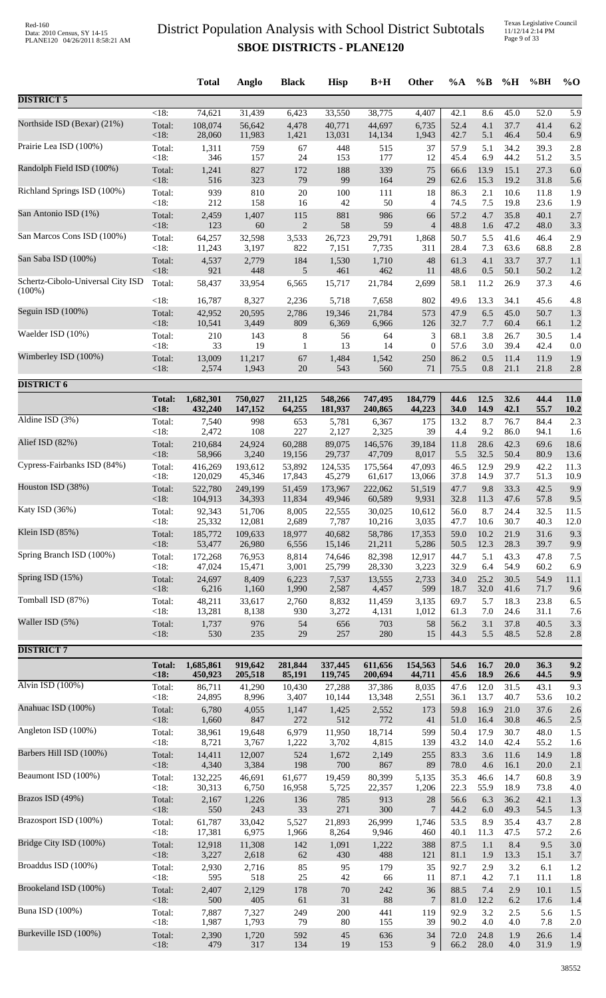Texas Legislative Council 11/12/14 2:14 PM Page 9 of 33

|                                   |               | <b>Total</b> | Anglo   | <b>Black</b> | <b>Hisp</b> | $B+H$   | <b>Other</b>     | $\%A$ | $\%B$ | %H   | %BH  | $\%$ O      |
|-----------------------------------|---------------|--------------|---------|--------------|-------------|---------|------------------|-------|-------|------|------|-------------|
| <b>DISTRICT 5</b>                 |               |              |         |              |             |         |                  |       |       |      |      |             |
| Northside ISD (Bexar) (21%)       | $<18$ :       | 74,621       | 31,439  | 6,423        | 33,550      | 38,775  | 4,407            | 42.1  | 8.6   | 45.0 | 52.0 | 5.9         |
|                                   | Total:        | 108,074      | 56,642  | 4,478        | 40,771      | 44,697  | 6,735            | 52.4  | 4.1   | 37.7 | 41.4 | 6.2         |
|                                   | < 18:         | 28,060       | 11,983  | 1,421        | 13,031      | 14,134  | 1,943            | 42.7  | 5.1   | 46.4 | 50.4 | 6.9         |
| Prairie Lea ISD (100%)            | Total:        | 1,311        | 759     | 67           | 448         | 515     | 37               | 57.9  | 5.1   | 34.2 | 39.3 | 2.8         |
|                                   | <18:          | 346          | 157     | 24           | 153         | 177     | 12               | 45.4  | 6.9   | 44.2 | 51.2 | 3.5         |
| Randolph Field ISD (100%)         | Total:        | 1,241        | 827     | 172          | 188         | 339     | 75               | 66.6  | 13.9  | 15.1 | 27.3 | 6.0         |
| Richland Springs ISD (100%)       | $<18$ :       | 516          | 323     | 79           | 99          | 164     | 29               | 62.6  | 15.3  | 19.2 | 31.8 | 5.6         |
|                                   | Total:        | 939          | 810     | $20\,$       | 100         | 111     | 18               | 86.3  | 2.1   | 10.6 | 11.8 | 1.9         |
|                                   | <18:          | 212          | 158     | 16           | 42          | 50      | 4                | 74.5  | 7.5   | 19.8 | 23.6 | 1.9         |
| San Antonio ISD (1%)              | Total:        | 2,459        | 1,407   | 115          | 881         | 986     | 66               | 57.2  | 4.7   | 35.8 | 40.1 | 2.7         |
|                                   | <18:          | 123          | 60      | $\sqrt{2}$   | 58          | 59      | $\overline{4}$   | 48.8  | 1.6   | 47.2 | 48.0 | 3.3         |
| San Marcos Cons ISD (100%)        | Total:        | 64,257       | 32,598  | 3,533        | 26,723      | 29,791  | 1,868            | 50.7  | 5.5   | 41.6 | 46.4 | 2.9         |
| San Saba ISD (100%)               | < 18:         | 11,243       | 3,197   | 822          | 7,151       | 7,735   | 311              | 28.4  | 7.3   | 63.6 | 68.8 | 2.8         |
|                                   | Total:        | 4,537        | 2,779   | 184          | 1,530       | 1,710   | 48               | 61.3  | 4.1   | 33.7 | 37.7 | 1.1         |
| Schertz-Cibolo-Universal City ISD | $<18$ :       | 921          | 448     | 5            | 461         | 462     | 11               | 48.6  | 0.5   | 50.1 | 50.2 | 1.2         |
| $(100\%)$                         | Total:        | 58,437       | 33,954  | 6,565        | 15,717      | 21,784  | 2,699            | 58.1  | 11.2  | 26.9 | 37.3 | 4.6         |
| Seguin ISD $(100\%)$              | <18:          | 16,787       | 8,327   | 2,236        | 5,718       | 7,658   | 802              | 49.6  | 13.3  | 34.1 | 45.6 | 4.8         |
|                                   | Total:        | 42,952       | 20,595  | 2,786        | 19,346      | 21,784  | 573              | 47.9  | 6.5   | 45.0 | 50.7 | 1.3         |
|                                   | <18:          | 10,541       | 3,449   | 809          | 6,369       | 6,966   | 126              | 32.7  | 7.7   | 60.4 | 66.1 | 1.2         |
| Waelder ISD (10%)                 | Total:        | 210          | 143     | 8            | 56          | 64      | 3                | 68.1  | 3.8   | 26.7 | 30.5 | 1.4         |
|                                   | <18:          | 33           | 19      | 1            | 13          | 14      | $\boldsymbol{0}$ | 57.6  | 3.0   | 39.4 | 42.4 | 0.0         |
| Wimberley ISD (100%)              | Total:        | 13,009       | 11,217  | 67           | 1,484       | 1,542   | 250              | 86.2  | 0.5   | 11.4 | 11.9 | 1.9         |
|                                   | $<18$ :       | 2,574        | 1,943   | 20           | 543         | 560     | 71               | 75.5  | 0.8   | 21.1 | 21.8 | 2.8         |
| <b>DISTRICT 6</b>                 |               |              |         |              |             |         |                  |       |       |      |      |             |
|                                   | <b>Total:</b> | 1,682,301    | 750,027 | 211,125      | 548,266     | 747,495 | 184,779          | 44.6  | 12.5  | 32.6 | 44.4 | 11.0        |
| Aldine ISD (3%)                   | <18:          | 432,240      | 147,152 | 64,255       | 181,937     | 240,865 | 44,223           | 34.0  | 14.9  | 42.1 | 55.7 | <b>10.2</b> |
|                                   | Total:        | 7,540        | 998     | 653          | 5,781       | 6,367   | 175              | 13.2  | 8.7   | 76.7 | 84.4 | 2.3         |
|                                   | $<18$ :       | 2,472        | 108     | 227          | 2,127       | 2,325   | 39               | 4.4   | 9.2   | 86.0 | 94.1 | 1.6         |
| Alief ISD (82%)                   | Total:        | 210,684      | 24,924  | 60,288       | 89,075      | 146,576 | 39,184           | 11.8  | 28.6  | 42.3 | 69.6 | 18.6        |
|                                   | <18:          | 58,966       | 3,240   | 19,156       | 29,737      | 47,709  | 8,017            | 5.5   | 32.5  | 50.4 | 80.9 | 13.6        |
| Cypress-Fairbanks ISD (84%)       | Total:        | 416,269      | 193,612 | 53,892       | 124,535     | 175,564 | 47,093           | 46.5  | 12.9  | 29.9 | 42.2 | 11.3        |
| Houston ISD (38%)                 | $<18$ :       | 120,029      | 45,346  | 17,843       | 45,279      | 61,617  | 13,066           | 37.8  | 14.9  | 37.7 | 51.3 | 10.9        |
|                                   | Total:        | 522,780      | 249,199 | 51,459       | 173,967     | 222,062 | 51,519           | 47.7  | 9.8   | 33.3 | 42.5 | 9.9         |
| Katy ISD (36%)                    | $<18$ :       | 104,913      | 34,393  | 11,834       | 49,946      | 60,589  | 9,931            | 32.8  | 11.3  | 47.6 | 57.8 | 9.5         |
|                                   | Total:        | 92,343       | 51,706  | 8,005        | 22,555      | 30,025  | 10,612           | 56.0  | 8.7   | 24.4 | 32.5 | 11.5        |
|                                   | < 18:         | 25,332       | 12,081  | 2,689        | 7,787       | 10,216  | 3,035            | 47.7  | 10.6  | 30.7 | 40.3 | 12.0        |
| Klein ISD (85%)                   | Total:        | 185,772      | 109,633 | 18,977       | 40,682      | 58,786  | 17,353           | 59.0  | 10.2  | 21.9 | 31.6 | 9.3         |
|                                   | $<18$ :       | 53,477       | 26,980  | 6,556        | 15,146      | 21,211  | 5,286            | 50.5  | 12.3  | 28.3 | 39.7 | 9.9         |
| Spring Branch ISD (100%)          | Total:        | 172,268      | 76,953  | 8,814        | 74,646      | 82,398  | 12,917           | 44.7  | 5.1   | 43.3 | 47.8 | 7.5         |
| Spring ISD (15%)                  | $<18$ :       | 47,024       | 15,471  | 3,001        | 25,799      | 28,330  | 3,223            | 32.9  | 6.4   | 54.9 | 60.2 | 6.9         |
|                                   | Total:        | 24,697       | 8,409   | 6,223        | 7,537       | 13,555  | 2,733            | 34.0  | 25.2  | 30.5 | 54.9 | 11.1        |
| Tomball ISD (87%)                 | $<18$ :       | 6,216        | 1,160   | 1,990        | 2,587       | 4,457   | 599              | 18.7  | 32.0  | 41.6 | 71.7 | 9.6         |
|                                   | Total:        | 48,211       | 33,617  | 2,760        | 8,832       | 11,459  | 3,135            | 69.7  | 5.7   | 18.3 | 23.8 | 6.5         |
|                                   | <18:          | 13,281       | 8,138   | 930          | 3,272       | 4,131   | 1,012            | 61.3  | 7.0   | 24.6 | 31.1 | 7.6         |
| Waller ISD (5%)                   | Total:        | 1,737        | 976     | 54           | 656         | 703     | 58               | 56.2  | 3.1   | 37.8 | 40.5 | 3.3         |
|                                   | < 18:         | 530          | 235     | 29           | 257         | 280     | 15               | 44.3  | 5.5   | 48.5 | 52.8 | 2.8         |
| <b>DISTRICT 7</b>                 |               |              |         |              |             |         |                  |       |       |      |      |             |
|                                   | <b>Total:</b> | 1,685,861    | 919,642 | 281,844      | 337,445     | 611,656 | 154,563          | 54.6  | 16.7  | 20.0 | 36.3 | 9.2         |
| Alvin ISD (100%)                  | < 18:         | 450,923      | 205,518 | 85,191       | 119,745     | 200,694 | 44,711           | 45.6  | 18.9  | 26.6 | 44.5 | 9.9         |
|                                   | Total:        | 86,711       | 41,290  | 10,430       | 27,288      | 37,386  | 8,035            | 47.6  | 12.0  | 31.5 | 43.1 | 9.3         |
|                                   | $<18$ :       | 24,895       | 8,996   | 3,407        | 10,144      | 13,348  | 2,551            | 36.1  | 13.7  | 40.7 | 53.6 | 10.2        |
| Anahuac ISD (100%)                | Total:        | 6,780        | 4,055   | 1,147        | 1,425       | 2,552   | 173              | 59.8  | 16.9  | 21.0 | 37.6 | 2.6         |
|                                   | <18:          | 1,660        | 847     | 272          | 512         | 772     | 41               | 51.0  | 16.4  | 30.8 | 46.5 | 2.5         |
| Angleton ISD (100%)               | Total:        | 38,961       | 19,648  | 6,979        | 11,950      | 18,714  | 599              | 50.4  | 17.9  | 30.7 | 48.0 | 1.5         |
|                                   | $<18$ :       | 8,721        | 3,767   | 1,222        | 3,702       | 4,815   | 139              | 43.2  | 14.0  | 42.4 | 55.2 | 1.6         |
| Barbers Hill ISD (100%)           | Total:        | 14,411       | 12,007  | 524          | 1,672       | 2,149   | 255              | 83.3  | 3.6   | 11.6 | 14.9 | 1.8         |
| Beaumont ISD (100%)               | <18:          | 4,340        | 3,384   | 198          | $700\,$     | 867     | 89               | 78.0  | 4.6   | 16.1 | 20.0 | 2.1         |
|                                   | Total:        | 132,225      | 46,691  | 61,677       | 19,459      | 80,399  | 5,135            | 35.3  | 46.6  | 14.7 | 60.8 | 3.9         |
|                                   | $<18$ :       | 30,313       | 6,750   | 16,958       | 5,725       | 22,357  | 1,206            | 22.3  | 55.9  | 18.9 | 73.8 | 4.0         |
| Brazos ISD (49%)                  | Total:        | 2,167        | 1,226   | 136          | 785         | 913     | 28               | 56.6  | 6.3   | 36.2 | 42.1 | 1.3         |
|                                   | <18:          | 550          | 243     | 33           | 271         | 300     | 7                | 44.2  | 6.0   | 49.3 | 54.5 | 1.3         |
| Brazosport ISD (100%)             | Total:        | 61,787       | 33,042  | 5,527        | 21,893      | 26,999  | 1,746            | 53.5  | 8.9   | 35.4 | 43.7 | 2.8         |
| Bridge City ISD (100%)            | $<18$ :       | 17,381       | 6,975   | 1,966        | 8,264       | 9,946   | 460              | 40.1  | 11.3  | 47.5 | 57.2 | 2.6         |
|                                   | Total:        | 12,918       | 11,308  | 142          | 1,091       | 1,222   | 388              | 87.5  | 1.1   | 8.4  | 9.5  | 3.0         |
| Broaddus ISD (100%)               | < 18:         | 3,227        | 2,618   | 62           | 430         | 488     | 121              | 81.1  | 1.9   | 13.3 | 15.1 | 3.7         |
|                                   | Total:        | 2,930        | 2,716   | 85           | 95          | 179     | 35               | 92.7  | 2.9   | 3.2  | 6.1  | 1.2         |
|                                   | <18:          | 595          | 518     | 25           | 42          | 66      | 11               | 87.1  | 4.2   | 7.1  | 11.1 | 1.8         |
| Brookeland ISD (100%)             | Total:        | 2,407        | 2,129   | 178          | $70\,$      | 242     | 36               | 88.5  | 7.4   | 2.9  | 10.1 | 1.5         |
|                                   | $<18$ :       | 500          | 405     | 61           | 31          | 88      | 7                | 81.0  | 12.2  | 6.2  | 17.6 | 1.4         |
| <b>Buna ISD</b> (100%)            | Total:        | 7,887        | 7,327   | 249          | 200         | 441     | 119              | 92.9  | 3.2   | 2.5  | 5.6  | 1.5         |
| Burkeville ISD (100%)             | <18:          | 1,987        | 1,793   | 79           | $80\,$      | 155     | 39               | 90.2  | 4.0   | 4.0  | 7.8  | 2.0         |
|                                   | Total:        | 2,390        | 1,720   | 592          | 45          | 636     | 34               | 72.0  | 24.8  | 1.9  | 26.6 | 1.4         |
|                                   | $<18$ :       | 479          | 317     | 134          | 19          | 153     | 9                | 66.2  | 28.0  | 4.0  | 31.9 | 1.9         |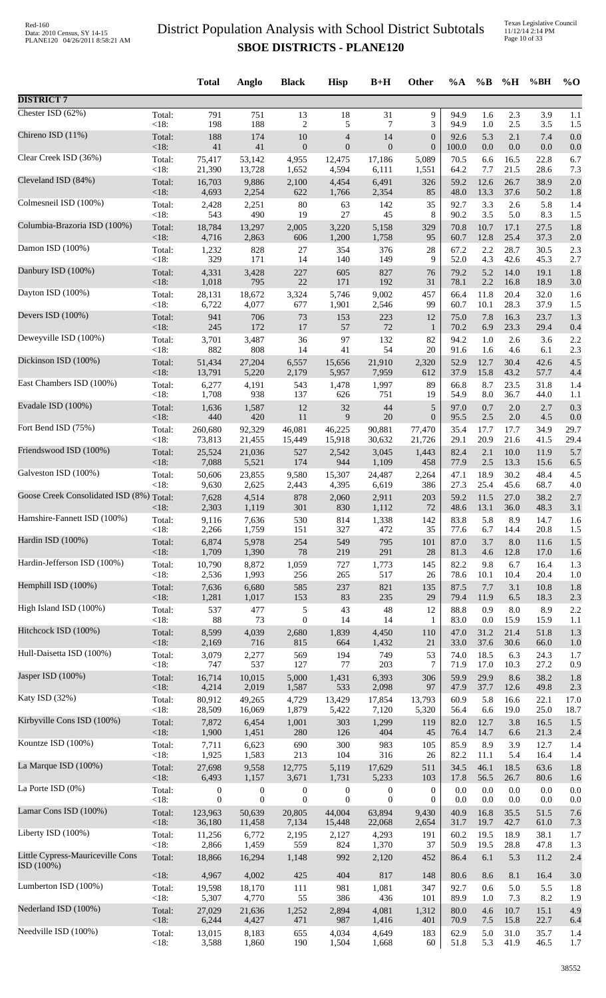Texas Legislative Council 11/12/14 2:14 PM Page 10 of 33

|                                               |                 | <b>Total</b>     | Anglo            | <b>Black</b>          | <b>Hisp</b>      | $B+H$          | Other            | $\%A$        | $\%B$        | %H             | %BH          | $\%$ O     |
|-----------------------------------------------|-----------------|------------------|------------------|-----------------------|------------------|----------------|------------------|--------------|--------------|----------------|--------------|------------|
| <b>DISTRICT 7</b>                             |                 |                  |                  |                       |                  |                |                  |              |              |                |              |            |
| Chester ISD $(62%)$                           | Total:          | 791              | 751              | 13                    | 18               | 31             | 9                | 94.9         | 1.6          | 2.3            | 3.9          | 1.1        |
| Chireno ISD (11%)                             | < 18:           | 198              | 188              | $\overline{c}$        | 5                | $\overline{7}$ | 3                | 94.9         | 1.0          | 2.5            | 3.5          | 1.5        |
|                                               | Total:          | 188              | 174              | 10                    | $\overline{4}$   | 14             | $\boldsymbol{0}$ | 92.6         | 5.3          | 2.1            | 7.4          | 0.0        |
| Clear Creek ISD (36%)                         | < 18:           | 41               | 41               | $\boldsymbol{0}$      | $\overline{0}$   | $\mathbf{0}$   | $\boldsymbol{0}$ | 100.0        | 0.0          | 0.0            | 0.0          | 0.0        |
|                                               | Total:          | 75,417           | 53,142           | 4,955                 | 12,475           | 17,186         | 5,089            | 70.5         | 6.6          | 16.5           | 22.8         | 6.7        |
|                                               | < 18:           | 21,390           | 13,728           | 1,652                 | 4,594            | 6,111          | 1,551            | 64.2         | 7.7          | 21.5           | 28.6         | 7.3        |
| Cleveland ISD (84%)                           | Total:          | 16,703           | 9,886            | 2,100                 | 4,454            | 6,491          | 326              | 59.2         | 12.6         | 26.7           | 38.9         | 2.0        |
|                                               | < 18:           | 4,693            | 2,254            | 622                   | 1,766            | 2,354          | 85               | 48.0         | 13.3         | 37.6           | 50.2         | 1.8        |
| Colmesneil ISD (100%)                         | Total:          | 2,428            | 2,251            | 80                    | 63               | 142            | 35               | 92.7         | 3.3          | 2.6            | 5.8          | 1.4        |
|                                               | <18:            | 543              | 490              | 19                    | 27               | 45             | 8                | 90.2         | 3.5          | 5.0            | 8.3          | 1.5        |
| Columbia-Brazoria ISD (100%)                  | Total:          | 18,784           | 13,297           | 2,005                 | 3,220            | 5,158          | 329              | 70.8         | 10.7         | 17.1           | 27.5         | 1.8        |
|                                               | < 18:           | 4,716            | 2,863            | 606                   | 1,200            | 1,758          | 95               | 60.7         | 12.8         | 25.4           | 37.3         | 2.0        |
| Damon ISD (100%)                              | Total:          | 1,232            | 828              | 27                    | 354              | 376            | 28               | 67.2         | 2.2          | 28.7           | 30.5         | 2.3        |
| Danbury ISD (100%)                            | $<18$ :         | 329              | 171              | 14                    | 140              | 149            | 9                | 52.0         | 4.3          | 42.6           | 45.3         | 2.7        |
|                                               | Total:          | 4,331            | 3,428            | 227                   | 605              | 827            | 76               | 79.2         | 5.2          | 14.0           | 19.1         | 1.8        |
| Dayton ISD (100%)                             | $<18$ :         | 1,018            | 795              | 22                    | 171              | 192            | 31               | 78.1         | 2.2          | 16.8           | 18.9         | 3.0        |
|                                               | Total:          | 28,131           | 18,672           | 3,324                 | 5,746            | 9,002          | 457              | 66.4         | 11.8         | 20.4           | 32.0         | 1.6        |
|                                               | $<18$ :         | 6,722            | 4,077            | 677                   | 1,901            | 2,546          | 99               | 60.7         | 10.1         | 28.3           | 37.9         | 1.5        |
| Devers ISD (100%)                             | Total:          | 941              | 706              | $73\,$                | 153              | 223            | 12               | 75.0         | 7.8          | 16.3           | 23.7         | 1.3        |
|                                               | < 18:           | 245              | 172              | 17                    | 57               | 72             | $\mathbf{1}$     | 70.2         | 6.9          | 23.3           | 29.4         | 0.4        |
| Deweyville ISD (100%)                         | Total:          | 3,701            | 3,487            | 36                    | 97               | 132            | 82               | 94.2         | 1.0          | 2.6            | 3.6          | 2.2        |
|                                               | < 18:           | 882              | 808              | 14                    | 41               | 54             | 20               | 91.6         | 1.6          | 4.6            | 6.1          | 2.3        |
| Dickinson ISD (100%)                          | Total:          | 51,434           | 27,204           | 6,557                 | 15,656           | 21,910         | 2,320            | 52.9         | 12.7         | 30.4           | 42.6         | 4.5        |
| East Chambers ISD (100%)                      | <18:            | 13,791           | 5,220            | 2,179                 | 5,957            | 7,959          | 612              | 37.9         | 15.8         | 43.2           | 57.7         | 4.4        |
|                                               | Total:          | 6,277            | 4,191            | 543                   | 1,478            | 1,997          | 89               | 66.8         | 8.7          | 23.5           | 31.8         | 1.4        |
|                                               | < 18:           | 1,708            | 938              | 137                   | 626              | 751            | 19               | 54.9         | 8.0          | 36.7           | 44.0         | 1.1        |
| Evadale ISD (100%)                            | Total:          | 1,636            | 1,587            | 12                    | 32               | 44             | $\sqrt{5}$       | 97.0         | 0.7          | $2.0\,$        | 2.7          | 0.3        |
|                                               | <18:            | 440              | 420              | 11                    | 9                | 20             | $\boldsymbol{0}$ | 95.5         | 2.5          | 2.0            | 4.5          | 0.0        |
| Fort Bend ISD (75%)                           | Total:          | 260,680          | 92,329           | 46,081                | 46,225           | 90,881         | 77,470           | 35.4         | 17.7         | 17.7           | 34.9         | 29.7       |
|                                               | < 18:           | 73,813           | 21,455           | 15,449                | 15,918           | 30,632         | 21,726           | 29.1         | 20.9         | 21.6           | 41.5         | 29.4       |
| Friendswood ISD (100%)                        | Total:          | 25,524           | 21,036           | 527                   | 2,542            | 3,045          | 1,443            | 82.4         | 2.1          | 10.0           | 11.9         | 5.7        |
| Galveston ISD (100%)                          | < 18:           | 7,088            | 5,521            | 174                   | 944              | 1,109          | 458              | 77.9         | 2.5          | 13.3           | 15.6         | 6.5        |
|                                               | Total:          | 50,606           | 23,855           | 9,580                 | 15,307           | 24,487         | 2,264            | 47.1         | 18.9         | 30.2           | 48.4         | 4.5        |
|                                               | < 18:           | 9,630            | 2,625            | 2,443                 | 4,395            | 6,619          | 386              | 27.3         | 25.4         | 45.6           | 68.7         | 4.0        |
| Goose Creek Consolidated ISD (8%) Total:      | $<18$ :         | 7,628<br>2,303   | 4,514<br>1,119   | 878<br>301            | 2,060<br>830     | 2,911<br>1,112 | 203<br>72        | 59.2<br>48.6 | 11.5<br>13.1 | 27.0<br>36.0   | 38.2<br>48.3 | 2.7<br>3.1 |
| Hamshire-Fannett ISD (100%)                   | Total:          | 9,116            | 7,636            | 530                   | 814              | 1,338          | 142              | 83.8         | 5.8          | 8.9            | 14.7         | 1.6        |
|                                               | $<18$ :         | 2,266            | 1,759            | 151                   | 327              | 472            | 35               | 77.6         | 6.7          | 14.4           | 20.8         | 1.5        |
| Hardin ISD (100%)                             | Total:<br>< 18: | 6,874<br>1,709   | 5,978<br>1,390   | 254<br>78             | 549<br>219       | 795<br>291     | 101<br>$28\,$    | 87.0<br>81.3 | 3.7<br>4.6   | 8.0<br>12.8    | 11.6<br>17.0 | 1.5        |
| Hardin-Jefferson ISD (100%)                   | Total:          | 10,790           | 8,872            | 1,059                 | 727              | 1,773          | 145              | 82.2         | 9.8          | 6.7            | 16.4         | 1.6<br>1.3 |
| Hemphill ISD (100%)                           | < 18:           | 2,536            | 1,993            | 256                   | 265              | 517            | 26               | 78.6         | 10.1         | 10.4           | 20.4         | 1.0        |
|                                               | Total:          | 7,636            | 6,680            | 585                   | 237              | 821            | 135              | 87.5         | 7.7          | 3.1            | 10.8         | 1.8        |
| High Island ISD (100%)                        | < 18:<br>Total: | 1,281            | 1,017<br>477     | 153                   | 83               | 235<br>48      | 29<br>12         | 79.4<br>88.8 | 11.9<br>0.9  | 6.5<br>$8.0\,$ | 18.3<br>8.9  | 2.3        |
|                                               | < 18:           | 537<br>88        | 73               | 5<br>$\boldsymbol{0}$ | 43<br>14         | 14             | 1                | 83.0         | $0.0\,$      | 15.9           | 15.9         | 2.2<br>1.1 |
| Hitchcock ISD (100%)                          | Total:          | 8,599            | 4,039            | 2,680                 | 1,839            | 4,450          | 110              | 47.0         | 31.2         | 21.4           | 51.8         | 1.3        |
|                                               | < 18:           | 2,169            | 716              | 815                   | 664              | 1,432          | 21               | 33.0         | 37.6         | 30.6           | 66.0         | 1.0        |
| Hull-Daisetta ISD (100%)                      | Total:          | 3,079            | 2,277            | 569                   | 194              | 749            | 53               | 74.0         | 18.5         | 6.3            | 24.3         | 1.7        |
|                                               | < 18:           | 747              | 537              | 127                   | 77               | 203            | 7                | 71.9         | 17.0         | 10.3           | 27.2         | 0.9        |
| Jasper ISD (100%)                             | Total:          | 16,714           | 10,015           | 5,000                 | 1,431            | 6,393          | 306              | 59.9         | 29.9         | 8.6            | 38.2         | 1.8        |
| Katy ISD (32%)                                | < 18:           | 4,214            | 2,019            | 1,587                 | 533              | 2,098          | 97               | 47.9         | 37.7         | 12.6           | 49.8         | 2.3        |
|                                               | Total:          | 80,912           | 49,265           | 4,729                 | 13,429           | 17,854         | 13,793           | 60.9         | 5.8          | 16.6           | 22.1         | 17.0       |
| Kirbyville Cons ISD (100%)                    | < 18:           | 28,509           | 16,069           | 1,879                 | 5,422            | 7,120          | 5,320            | 56.4         | 6.6          | 19.0           | 25.0         | 18.7       |
|                                               | Total:          | 7,872            | 6,454            | 1,001                 | 303              | 1,299          | 119              | 82.0         | 12.7         | 3.8            | 16.5         | 1.5        |
|                                               | <18:            | 1,900            | 1,451            | 280                   | 126              | 404            | 45               | 76.4         | 14.7         | 6.6            | 21.3         | 2.4        |
| Kountze ISD (100%)                            | Total:          | 7,711            | 6,623            | 690                   | 300              | 983            | 105              | 85.9         | 8.9          | 3.9            | 12.7         | 1.4        |
|                                               | <18:            | 1,925            | 1,583            | 213                   | 104              | 316            | 26               | 82.2         | 11.1         | 5.4            | 16.4         | 1.4        |
| La Marque ISD (100%)                          | Total:          | 27,698           | 9,558            | 12,775                | 5,119            | 17,629         | 511              | 34.5         | 46.1         | 18.5           | 63.6         | 1.8        |
|                                               | < 18:           | 6,493            | 1,157            | 3,671                 | 1,731            | 5,233          | 103              | 17.8         | 56.5         | 26.7           | 80.6         | 1.6        |
| La Porte ISD $(0\%)$                          | Total:          | $\boldsymbol{0}$ | $\boldsymbol{0}$ | $\boldsymbol{0}$      | $\boldsymbol{0}$ | $\mathbf{0}$   | $\boldsymbol{0}$ | 0.0          | 0.0          | $0.0\,$        | $0.0\,$      | 0.0        |
| Lamar Cons ISD (100%)                         | < 18:           | $\overline{0}$   | $\mathbf{0}$     | $\mathbf{0}$          | $\mathbf{0}$     | $\mathbf{0}$   | $\overline{0}$   | 0.0          | $0.0\,$      | 0.0            | 0.0          | 0.0        |
|                                               | Total:          | 123,963          | 50,639           | 20,805                | 44,004           | 63,894         | 9,430            | 40.9         | 16.8         | 35.5           | 51.5         | 7.6        |
| Liberty ISD (100%)                            | < 18:           | 36,180           | 11,458           | 7,134                 | 15,448           | 22,068         | 2,654            | 31.7         | 19.7         | 42.7           | 61.0         | 7.3        |
|                                               | Total:          | 11,256           | 6,772            | 2,195                 | 2,127            | 4,293          | 191              | 60.2         | 19.5         | 18.9           | 38.1         | 1.7        |
|                                               | <18:            | 2,866            | 1,459            | 559                   | 824              | 1,370          | 37               | 50.9         | 19.5         | 28.8           | 47.8         | 1.3        |
| Little Cypress-Mauriceville Cons<br>ISD(100%) | Total:          | 18,866           | 16,294           | 1,148                 | 992              | 2,120          | 452              | 86.4         | 6.1          | 5.3            | 11.2         | 2.4        |
| Lumberton ISD (100%)                          | < 18:           | 4,967            | 4,002            | 425                   | 404              | 817            | 148              | 80.6         | 8.6          | 8.1            | 16.4         | 3.0        |
|                                               | Total:          | 19,598           | 18,170           | $111\,$               | 981              | 1,081          | 347              | 92.7         | 0.6          | 5.0            | 5.5          | 1.8        |
| Nederland ISD (100%)                          | < 18:           | 5,307            | 4,770            | 55                    | 386              | 436            | 101              | 89.9         | 1.0          | 7.3            | 8.2          | 1.9        |
|                                               | Total:          | 27,029           | 21,636           | 1,252                 | 2,894            | 4,081          | 1,312            | 80.0         | 4.6          | 10.7           | 15.1         | 4.9        |
|                                               | <18:            | 6,244            | 4,427            | 471                   | 987              | 1,416          | 401              | 70.9         | $7.5\,$      | 15.8           | 22.7         | 6.4        |
| Needville ISD (100%)                          | Total:          | 13,015           | 8,183            | 655                   | 4,034            | 4,649          | 183              | 62.9         | 5.0          | 31.0           | 35.7         | 1.4        |
|                                               | <18:            | 3,588            | 1,860            | 190                   | 1,504            | 1,668          | 60               | 51.8         | 5.3          | 41.9           | 46.5         | 1.7        |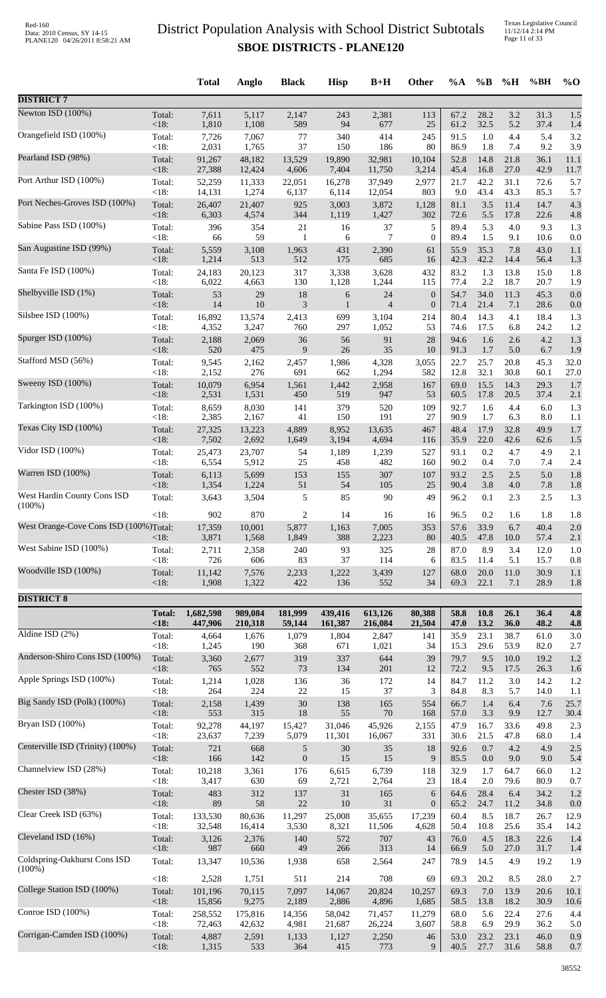Texas Legislative Council 11/12/14 2:14 PM Page 11 of 33

|                                          |               | <b>Total</b>    | <b>Anglo</b>    | <b>Black</b>     | <b>Hisp</b>      | $B+H$          | Other            | $\%A$        | $\%$ B       | %H          | %BH          | $\%$ O     |
|------------------------------------------|---------------|-----------------|-----------------|------------------|------------------|----------------|------------------|--------------|--------------|-------------|--------------|------------|
| <b>DISTRICT 7</b>                        |               |                 |                 |                  |                  |                |                  |              |              |             |              |            |
| Newton ISD (100%)                        | Total:        | 7,611           | 5,117           | 2,147            | 243              | 2,381          | 113              | 67.2         | 28.2         | $3.2\,$     | 31.3         | 1.5        |
| Orangefield ISD (100%)                   | <18:          | 1,810           | 1,108           | 589              | 94               | 677            | 25               | 61.2         | 32.5         | 5.2         | 37.4         | 1.4        |
|                                          | Total:        | 7,726           | 7,067           | 77               | 340              | 414            | 245              | 91.5         | $1.0\,$      | 4.4         | 5.4          | 3.2        |
|                                          | < 18:         | 2,031           | 1,765           | 37               | 150              | 186            | 80               | 86.9         | 1.8          | 7.4         | 9.2          | 3.9        |
| Pearland ISD (98%)                       | Total:        | 91,267          | 48,182          | 13,529           | 19,890           | 32,981         | 10,104           | 52.8         | 14.8         | 21.8        | 36.1         | 11.1       |
|                                          | <18:          | 27,388          | 12,424          | 4,606            | 7,404            | 11,750         | 3,214            | 45.4         | 16.8         | 27.0        | 42.9         | 11.7       |
| Port Arthur ISD (100%)                   | Total:        | 52,259          | 11,333          | 22,051           | 16,278           | 37.949         | 2,977            | 21.7         | 42.2         | 31.1        | 72.6         | 5.7        |
| Port Neches-Groves ISD (100%)            | $<18$ :       | 14,131          | 1,274           | 6,137            | 6,114            | 12,054         | 803              | 9.0          | 43.4         | 43.3        | 85.3         | 5.7        |
|                                          | Total:        | 26,407          | 21,407          | 925              | 3,003            | 3,872          | 1,128            | 81.1         | 3.5          | 11.4        | 14.7         | 4.3        |
| Sabine Pass ISD (100%)                   | $<18$ :       | 6,303           | 4,574           | 344              | 1,119            | 1,427          | 302              | 72.6         | 5.5          | 17.8        | 22.6         | 4.8        |
|                                          | Total:        | 396             | 354             | 21               | 16               | 37             | 5                | 89.4         | 5.3          | 4.0         | 9.3          | 1.3        |
| San Augustine ISD (99%)                  | < 18:         | 66              | 59              | $\mathbf{1}$     | 6                | 7              | $\mathbf{0}$     | 89.4         | 1.5          | 9.1         | 10.6         | 0.0        |
|                                          | Total:        | 5,559           | 3,108           | 1,963            | 431              | 2,390          | 61               | 55.9         | 35.3         | 7.8         | 43.0         | 1.1        |
| Santa Fe ISD (100%)                      | $<18$ :       | 1,214           | 513             | 512              | 175              | 685            | 16               | 42.3         | 42.2         | 14.4        | 56.4         | 1.3        |
|                                          | Total:        | 24,183          | 20,123          | 317              | 3,338            | 3,628          | 432              | 83.2         | 1.3          | 13.8        | 15.0         | 1.8        |
| Shelbyville ISD (1%)                     | < 18:         | 6,022           | 4,663           | 130              | 1,128            | 1,244          | 115              | 77.4         | 2.2          | 18.7        | 20.7         | 1.9        |
|                                          | Total:        | 53              | 29              | 18               | $\boldsymbol{6}$ | 24             | $\mathbf{0}$     | 54.7         | 34.0         | 11.3        | 45.3         | 0.0        |
| Silsbee ISD (100%)                       | $<18$ :       | 14              | 10              | 3                | 1                | $\overline{4}$ | $\boldsymbol{0}$ | 71.4         | 21.4         | 7.1         | 28.6         | 0.0        |
|                                          | Total:        | 16,892          | 13,574          | 2,413            | 699              | 3,104          | 214              | 80.4         | 14.3         | 4.1         | 18.4         | 1.3        |
| Spurger ISD (100%)                       | $<18$ :       | 4,352           | 3,247           | 760              | 297              | 1,052          | 53               | 74.6         | 17.5         | 6.8         | 24.2         | 1.2        |
|                                          | Total:        | 2,188           | 2,069           | 36               | 56               | 91             | 28               | 94.6         | 1.6          | 2.6         | 4.2          | 1.3        |
| Stafford MSD (56%)                       | $<18$ :       | 520             | 475             | 9                | $26\,$           | 35             | 10               | 91.3         | 1.7          | 5.0         | 6.7          | 1.9        |
|                                          | Total:        | 9,545           | 2,162           | 2,457            | 1,986            | 4,328          | 3,055            | 22.7         | 25.7         | 20.8        | 45.3         | 32.0       |
|                                          | <18:          | 2,152           | 276             | 691              | 662              | 1,294          | 582              | 12.8         | 32.1         | 30.8        | 60.1         | 27.0       |
| Sweeny ISD (100%)                        | Total:        | 10,079          | 6,954           | 1,561            | 1,442            | 2,958          | 167              | 69.0         | 15.5         | 14.3        | 29.3         | 1.7        |
|                                          | <18:          | 2,531           | 1,531           | 450              | 519              | 947            | 53               | 60.5         | 17.8         | 20.5        | 37.4         | 2.1        |
| Tarkington ISD (100%)                    | Total:        | 8,659           | 8,030           | 141              | 379              | 520            | 109              | 92.7         | 1.6          | 4.4         | 6.0          | 1.3        |
|                                          | $<18$ :       | 2,385           | 2,167           | 41               | 150              | 191            | 27               | 90.9         | 1.7          | 6.3         | 8.0          | 1.1        |
| Texas City ISD (100%)                    | Total:        | 27,325          | 13,223          | 4,889            | 8,952            | 13,635         | 467              | 48.4         | 17.9         | 32.8        | 49.9         | 1.7        |
|                                          | <18:          | 7,502           | 2,692           | 1,649            | 3,194            | 4,694          | 116              | 35.9         | 22.0         | 42.6        | 62.6         | 1.5        |
| Vidor ISD (100%)                         | Total:        | 25,473          | 23,707          | 54               | 1,189            | 1,239          | 527              | 93.1         | 0.2          | 4.7         | 4.9          | 2.1        |
|                                          | $<18$ :       | 6,554           | 5,912           | 25               | 458              | 482            | 160              | 90.2         | 0.4          | 7.0         | 7.4          | 2.4        |
| Warren ISD (100%)                        | Total:        | 6,113           | 5,699           | 153              | 155              | 307            | 107              | 93.2         | 2.5          | 2.5         | 5.0          | 1.8        |
|                                          | <18:          | 1,354           | 1,224           | 51               | 54               | 105            | 25               | 90.4         | 3.8          | 4.0         | 7.8          | 1.8        |
| West Hardin County Cons ISD<br>$(100\%)$ | Total:        | 3,643           | 3,504           | 5                | 85               | 90             | 49               | 96.2         | 0.1          | 2.3         | 2.5          | 1.3        |
|                                          | $<18$ :       | 902             | 870             | $\overline{c}$   | 14               | 16             | 16               | 96.5         | 0.2          | 1.6         | 1.8          | 1.8        |
| West Orange-Cove Cons ISD (100%)Total:   | $<18$ :       | 17,359<br>3,871 | 10,001<br>1,568 | 5,877<br>1,849   | 1,163<br>388     | 7,005<br>2,223 | 353<br>80        | 57.6<br>40.5 | 33.9<br>47.8 | 6.7<br>10.0 | 40.4<br>57.4 | 2.0<br>2.1 |
| West Sabine ISD (100%)                   | Total:        | 2,711           | 2,358           | 240              | 93               | 325            | 28               | 87.0         | 8.9          | 3.4         | 12.0         | 1.0        |
|                                          | $<18$ :       | 726             | 606             | 83               | 37               | 114            | 6                | 83.5         | 11.4         | 5.1         | 15.7         | 0.8        |
| Woodville ISD (100%)                     | Total:        | 11,142          | 7,576           | 2,233            | 1,222            | 3,439          | 127              | 68.0         | 20.0         | 11.0        | 30.9         | 1.1        |
|                                          | $<18$ :       | 1,908           | 1,322           | 422              | 136              | 552            | 34               | 69.3         | 22.1         | 7.1         | 28.9         | 1.8        |
| <b>DISTRICT 8</b>                        |               |                 |                 |                  |                  |                |                  |              |              |             |              |            |
|                                          | <b>Total:</b> | 1,682,598       | 989.084         | 181,999          | 439,416          | 613,126        | 80,388           | 58.8         | 10.8         | 26.1        | 36.4         | 4.8        |
| Aldine ISD $(2\%)$                       | <18           | 447,906         | 210,318         | 59,144           | 161,387          | 216,084        | 21,504           | 47.0         | 13.2         | 36.0        | 48.2         | 4.8        |
|                                          | Total:        | 4,664           | 1,676           | 1,079            | 1,804            | 2,847          | 141              | 35.9         | 23.1         | 38.7        | 61.0         | 3.0        |
|                                          | $<18$ :       | 1,245           | 190             | 368              | 671              | 1,021          | 34               | 15.3         | 29.6         | 53.9        | 82.0         | 2.7        |
| Anderson-Shiro Cons ISD (100%)           | Total:        | 3,360           | 2,677           | 319              | 337              | 644            | 39               | 79.7         | 9.5          | 10.0        | 19.2         | 1.2        |
|                                          | <18:          | 765             | 552             | 73               | 134              | 201            | 12               | 72.2         | 9.5          | 17.5        | 26.3         | 1.6        |
| Apple Springs ISD (100%)                 | Total:        | 1,214           | 1,028           | 136              | 36               | 172            | 14               | 84.7         | 11.2         | 3.0         | 14.2         | 1.2        |
| Big Sandy ISD (Polk) (100%)              | $<18$ :       | 264             | 224             | 22               | 15               | 37             | 3                | 84.8         | 8.3          | 5.7         | 14.0         | 1.1        |
|                                          | Total:        | 2,158           | 1,439           | $30\,$           | 138              | 165            | 554              | 66.7         | 1.4          | 6.4         | 7.6          | 25.7       |
|                                          | < 18:         | 553             | 315             | $18\,$           | 55               | 70             | 168              | 57.0         | 3.3          | 9.9         | 12.7         | 30.4       |
| Bryan ISD (100%)                         | Total:        | 92,278          | 44,197          | 15,427           | 31,046           | 45,926         | 2,155            | 47.9         | 16.7         | 33.6        | 49.8         | 2.3        |
|                                          | $<18$ :       | 23,637          | 7,239           | 5,079            | 11,301           | 16,067         | 331              | 30.6         | 21.5         | 47.8        | 68.0         | 1.4        |
| Centerville ISD (Trinity) (100%)         | Total:        | 721             | 668             | 5                | 30               | 35             | 18               | 92.6         | 0.7          | 4.2         | 4.9          | 2.5        |
|                                          | <18:          | 166             | 142             | $\boldsymbol{0}$ | 15               | 15             | 9                | 85.5         | 0.0          | 9.0         | 9.0          | 5.4        |
| Channelview ISD (28%)                    | Total:        | 10,218          | 3,361           | 176              | 6,615            | 6,739          | 118              | 32.9         | 1.7          | 64.7        | 66.0         | 1.2        |
|                                          | < 18:         | 3,417           | 630             | 69               | 2,721            | 2,764          | 23               | 18.4         | $2.0\,$      | 79.6        | 80.9         | 0.7        |
| Chester ISD (38%)                        | Total:        | 483             | 312             | 137              | 31               | 165            | 6                | 64.6         | 28.4         | 6.4         | 34.2         | 1.2        |
|                                          | $<18$ :       | 89              | 58              | 22               | 10               | 31             | $\boldsymbol{0}$ | 65.2         | 24.7         | 11.2        | 34.8         | 0.0        |
| Clear Creek ISD (63%)                    | Total:        | 133,530         | 80,636          | 11,297           | 25,008           | 35,655         | 17,239           | 60.4         | 8.5          | 18.7        | 26.7         | 12.9       |
|                                          | <18:          | 32,548          | 16,414          | 3,530            | 8,321            | 11,506         | 4,628            | 50.4         | 10.8         | 25.6        | 35.4         | 14.2       |
| Cleveland ISD (16%)                      | Total:        | 3,126           | 2,376           | 140              | 572              | 707            | 43               | 76.0         | 4.5          | 18.3        | 22.6         | 1.4        |
|                                          | $<18$ :       | 987             | 660             | 49               | 266              | 313            | 14               | 66.9         | 5.0          | 27.0        | 31.7         | 1.4        |
| Coldspring-Oakhurst Cons ISD             | Total:        | 13,347          | 10,536          | 1,938            | 658              | 2,564          | 247              | 78.9         | 14.5         | 4.9         | 19.2         | 1.9        |
| $(100\%)$                                | <18:          | 2,528           | 1,751           | 511              | 214              | 708            | 69               | 69.3         | 20.2         | 8.5         | 28.0         | 2.7        |
| College Station ISD (100%)               | Total:        | 101,196         | 70,115          | 7,097            | 14,067           | 20,824         | 10,257           | 69.3         | $7.0\,$      | 13.9        | 20.6         | 10.1       |
|                                          | <18:          | 15,856          | 9,275           | 2,189            | 2,886            | 4,896          | 1,685            | 58.5         | 13.8         | 18.2        | 30.9         | 10.6       |
| Conroe ISD (100%)                        | Total:        | 258,552         | 175,816         | 14,356           | 58,042           | 71,457         | 11,279           | 68.0         | 5.6          | 22.4        | 27.6         | 4.4        |
| Corrigan-Camden ISD (100%)               | <18:          | 72,463          | 42,632          | 4,981            | 21,687           | 26,224         | 3,607            | 58.8         | 6.9          | 29.9        | 36.2         | 5.0        |
|                                          | Total:        | 4,887           | 2,591           | 1,133            | 1,127            | 2,250          | 46               | 53.0         | 23.2         | 23.1        | 46.0         | 0.9        |
|                                          | <18:          | 1,315           | 533             | 364              | 415              | 773            | 9                | 40.5         | 27.7         | 31.6        | 58.8         | 0.7        |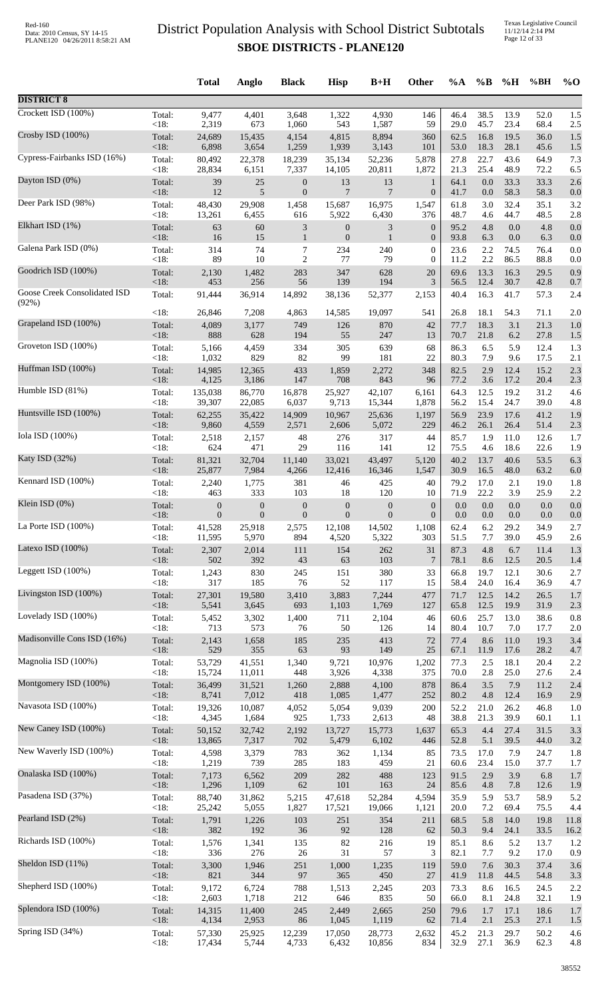Texas Legislative Council 11/12/14 2:14 PM Page 12 of 33

|                              |                   | <b>Total</b>            | Anglo                   | <b>Black</b>                                | <b>Hisp</b>                      | $B+H$                    | Other                            | $\%A$        | $\%B$        | %H           | %BH          | $\%$ O      |
|------------------------------|-------------------|-------------------------|-------------------------|---------------------------------------------|----------------------------------|--------------------------|----------------------------------|--------------|--------------|--------------|--------------|-------------|
| <b>DISTRICT 8</b>            |                   |                         |                         |                                             |                                  |                          |                                  |              |              |              |              |             |
| Crockett ISD (100%)          | Total:            | 9,477                   | 4,401                   | 3,648                                       | 1,322                            | 4,930                    | 146                              | 46.4         | 38.5         | 13.9         | 52.0         | 1.5         |
| Crosby ISD (100%)            | < 18:<br>Total:   | 2,319<br>24,689         | 673<br>15,435           | 1,060<br>4,154                              | 543<br>4,815                     | 1,587<br>8,894           | 59<br>360                        | 29.0<br>62.5 | 45.7<br>16.8 | 23.4<br>19.5 | 68.4<br>36.0 | 2.5<br>1.5  |
|                              | $<18$ :           | 6,898                   | 3,654                   | 1,259                                       | 1,939                            | 3,143                    | 101                              | 53.0         | 18.3         | 28.1         | 45.6         | 1.5         |
| Cypress-Fairbanks ISD (16%)  | Total:<br><18:    | 80,492<br>28,834        | 22,378<br>6,151         | 18,239<br>7,337                             | 35,134<br>14,105                 | 52,236<br>20,811         | 5,878<br>1,872                   | 27.8<br>21.3 | 22.7<br>25.4 | 43.6<br>48.9 | 64.9<br>72.2 | 7.3<br>6.5  |
| Dayton ISD (0%)              | Total:            | 39                      | 25                      | $\boldsymbol{0}$                            | 13<br>$\overline{7}$             | 13                       | $\mathbf{1}$                     | 64.1         | 0.0          | 33.3         | 33.3         | 2.6         |
| Deer Park ISD (98%)          | <18:<br>Total:    | 12<br>48,430            | 5<br>29,908             | $\boldsymbol{0}$<br>1,458                   | 15,687                           | $\overline{7}$<br>16,975 | $\mathbf{0}$<br>1,547            | 41.7<br>61.8 | 0.0<br>3.0   | 58.3<br>32.4 | 58.3<br>35.1 | 0.0<br>3.2  |
| Elkhart ISD (1%)             | < 18:             | 13,261                  | 6,455                   | 616                                         | 5,922                            | 6,430                    | 376                              | 48.7         | 4.6          | 44.7         | 48.5         | 2.8         |
|                              | Total:<br><18:    | 63<br>16                | 60<br>15                | $\ensuremath{\mathfrak{Z}}$<br>$\mathbf{1}$ | $\boldsymbol{0}$<br>$\mathbf{0}$ | 3<br>$\mathbf{1}$        | $\boldsymbol{0}$<br>$\mathbf{0}$ | 95.2<br>93.8 | 4.8<br>6.3   | 0.0<br>0.0   | 4.8<br>6.3   | 0.0<br>0.0  |
| Galena Park ISD (0%)         | Total:<br><18:    | 314<br>89               | 74<br>10                | 7<br>$\overline{2}$                         | 234<br>77                        | 240<br>79                | $\overline{0}$<br>$\mathbf{0}$   | 23.6<br>11.2 | 2.2<br>2.2   | 74.5<br>86.5 | 76.4<br>88.8 | 0.0<br>0.0  |
| Goodrich ISD (100%)          | Total:            | 2,130                   | 1,482                   | 283                                         | 347                              | 628                      | 20                               | 69.6         | 13.3         | 16.3         | 29.5         | 0.9         |
| Goose Creek Consolidated ISD | <18:<br>Total:    | 453<br>91,444           | 256<br>36,914           | 56<br>14,892                                | 139<br>38,136                    | 194<br>52,377            | 3<br>2,153                       | 56.5<br>40.4 | 12.4<br>16.3 | 30.7<br>41.7 | 42.8<br>57.3 | 0.7<br>2.4  |
| (92%)                        | <18:              | 26,846                  | 7,208                   | 4,863                                       | 14,585                           | 19,097                   | 541                              | 26.8         | 18.1         | 54.3         | 71.1         | 2.0         |
| Grapeland ISD (100%)         | Total:            | 4,089                   | 3,177                   | 749                                         | 126                              | 870                      | 42                               | 77.7         | 18.3         | 3.1          | 21.3         | 1.0         |
| Groveton ISD (100%)          | <18:<br>Total:    | 888<br>5,166            | 628<br>4,459            | 194<br>334                                  | 55<br>305                        | 247<br>639               | 13<br>68                         | 70.7<br>86.3 | 21.8<br>6.5  | 6.2<br>5.9   | 27.8<br>12.4 | 1.5<br>1.3  |
|                              | <18:              | 1,032                   | 829                     | 82                                          | 99                               | 181                      | 22                               | 80.3         | 7.9          | 9.6          | 17.5         | 2.1         |
| Huffman ISD (100%)           | Total:<br><18:    | 14,985<br>4,125         | 12,365<br>3,186         | 433<br>147                                  | 1,859<br>708                     | 2,272<br>843             | 348<br>96                        | 82.5<br>77.2 | 2.9<br>3.6   | 12.4<br>17.2 | 15.2<br>20.4 | 2.3<br>2.3  |
| Humble ISD (81%)             | Total:            | 135,038                 | 86,770                  | 16,878                                      | 25,927                           | 42,107                   | 6,161                            | 64.3         | 12.5         | 19.2         | 31.2         | 4.6         |
| Huntsville ISD (100%)        | <18:<br>Total:    | 39,307<br>62,255        | 22,085<br>35,422        | 6,037<br>14,909                             | 9,713<br>10,967                  | 15,344<br>25,636         | 1,878<br>1,197                   | 56.2<br>56.9 | 15.4<br>23.9 | 24.7<br>17.6 | 39.0<br>41.2 | 4.8<br>1.9  |
| Iola ISD (100%)              | <18:              | 9,860                   | 4,559                   | 2,571                                       | 2,606                            | 5,072                    | 229                              | 46.2         | 26.1         | 26.4         | 51.4         | 2.3         |
|                              | Total:<br><18:    | 2,518<br>624            | 2,157<br>471            | 48<br>29                                    | 276<br>116                       | 317<br>141               | 44<br>12                         | 85.7<br>75.5 | 1.9<br>4.6   | 11.0<br>18.6 | 12.6<br>22.6 | 1.7<br>1.9  |
| Katy ISD (32%)               | Total:<br><18:    | 81,321<br>25,877        | 32,704<br>7,984         | 11,140<br>4,266                             | 33,021<br>12,416                 | 43,497<br>16,346         | 5,120<br>1,547                   | 40.2<br>30.9 | 13.7<br>16.5 | 40.6<br>48.0 | 53.5<br>63.2 | 6.3<br>6.0  |
| Kennard ISD (100%)           | Total:            | 2,240                   | 1,775                   | 381                                         | 46                               | 425                      | 40                               | 79.2         | 17.0         | 2.1          | 19.0         | 1.8         |
| Klein ISD (0%)               | <18:<br>Total:    | 463<br>$\boldsymbol{0}$ | 333<br>$\boldsymbol{0}$ | 103<br>$\boldsymbol{0}$                     | 18<br>$\boldsymbol{0}$           | 120<br>$\boldsymbol{0}$  | 10<br>$\boldsymbol{0}$           | 71.9<br>0.0  | 22.2<br>0.0  | 3.9<br>0.0   | 25.9<br>0.0  | 2.2<br>0.0  |
|                              | $<18$ :           | $\overline{0}$          | $\overline{0}$          | $\overline{0}$                              | $\mathbf{0}$                     | $\theta$                 | $\theta$                         | 0.0          | $0.0\,$      | 0.0          | 0.0          | 0.0         |
| La Porte ISD (100%)          | Total:<br>< 18:   | 41,528<br>11,595        | 25,918<br>5,970         | 2,575<br>894                                | 12,108<br>4,520                  | 14,502<br>5,322          | 1,108<br>303                     | 62.4<br>51.5 | 6.2<br>7.7   | 29.2<br>39.0 | 34.9<br>45.9 | 2.7<br>2.6  |
| Latexo ISD (100%)            | Total:            | 2,307                   | 2,014                   | 111                                         | 154                              | 262                      | 31                               | 87.3         | 4.8          | 6.7          | 11.4         | 1.3         |
| Leggett ISD (100%)           | <18:<br>Total:    | 502<br>1,243            | 392<br>830              | 43<br>245                                   | 63<br>151                        | 103<br>380               | $\overline{7}$<br>33             | 78.1<br>66.8 | 8.6<br>19.7  | 12.5<br>12.1 | 20.5<br>30.6 | 1.4<br>2.7  |
| Livingston ISD (100%)        | < 18:             | 317                     | 185                     | 76                                          | 52                               | 117                      | 15<br>477                        | 58.4         | 24.0         | 16.4         | 36.9         | 4.7         |
|                              | Total:<br><18:    | 27,301<br>5,541         | 19,580<br>3,645         | 3,410<br>693                                | 3,883<br>1,103                   | 7,244<br>1,769           | 127                              | 71.7<br>65.8 | 12.5<br>12.5 | 14.2<br>19.9 | 26.5<br>31.9 | 1.7<br>2.3  |
| Lovelady ISD (100%)          | Total:<br>< 18:   | 5,452<br>713            | 3,302<br>573            | 1,400<br>76                                 | 711<br>50                        | 2,104<br>126             | 46<br>14                         | 60.6<br>80.4 | 25.7<br>10.7 | 13.0<br>7.0  | 38.6<br>17.7 | 0.8<br>2.0  |
| Madisonville Cons ISD (16%)  | Total:            | 2,143                   | 1,658                   | 185                                         | 235                              | 413                      | 72                               | 77.4         | 8.6          | 11.0         | 19.3         | 3.4         |
| Magnolia ISD (100%)          | <18:<br>Total:    | 529<br>53,729           | 355<br>41,551           | 63<br>1,340                                 | 93<br>9,721                      | 149<br>10,976            | 25<br>1,202                      | 67.1<br>77.3 | 11.9<br>2.5  | 17.6<br>18.1 | 28.2<br>20.4 | 4.7<br>2.2  |
|                              | < 18:             | 15,724                  | 11,011                  | 448                                         | 3,926                            | 4,338                    | 375                              | 70.0         | 2.8          | 25.0         | 27.6         | 2.4         |
| Montgomery ISD (100%)        | Total:<br><18:    | 36,499<br>8,741         | 31,521<br>7,012         | 1,260<br>418                                | 2,888<br>1,085                   | 4,100<br>1,477           | 878<br>252                       | 86.4<br>80.2 | 3.5<br>4.8   | 7.9<br>12.4  | 11.2<br>16.9 | 2.4<br>2.9  |
| Navasota ISD (100%)          | Total:            | 19,326                  | 10,087                  | 4,052                                       | 5,054                            | 9,039                    | 200                              | 52.2         | 21.0         | 26.2         | 46.8         | 1.0         |
| New Caney ISD (100%)         | < 18:<br>Total:   | 4,345<br>50,152         | 1,684<br>32,742         | 925<br>2,192                                | 1,733<br>13,727                  | 2,613<br>15,773          | 48<br>1,637                      | 38.8<br>65.3 | 21.3<br>4.4  | 39.9<br>27.4 | 60.1<br>31.5 | 1.1<br>3.3  |
| New Waverly ISD (100%)       | $<18$ :<br>Total: | 13,865<br>4,598         | 7,317<br>3,379          | 702<br>783                                  | 5,479                            | 6,102                    | 446                              | 52.8<br>73.5 | 5.1<br>17.0  | 39.5<br>7.9  | 44.0<br>24.7 | 3.2         |
|                              | < 18:             | 1,219                   | 739                     | 285                                         | 362<br>183                       | 1,134<br>459             | 85<br>21                         | 60.6         | 23.4         | 15.0         | 37.7         | 1.8<br>1.7  |
| Onalaska ISD (100%)          | Total:<br><18:    | 7,173<br>1,296          | 6,562<br>1,109          | 209<br>62                                   | 282<br>101                       | 488<br>163               | 123<br>24                        | 91.5<br>85.6 | 2.9<br>4.8   | 3.9<br>7.8   | 6.8<br>12.6  | 1.7<br>1.9  |
| Pasadena ISD (37%)           | Total:            | 88,740                  | 31,862                  | 5,215                                       | 47,618                           | 52,284                   | 4,594                            | 35.9         | 5.9          | 53.7         | 58.9         | 5.2         |
| Pearland ISD (2%)            | < 18:<br>Total:   | 25,242<br>1,791         | 5,055<br>1,226          | 1,827<br>103                                | 17,521<br>251                    | 19,066<br>354            | 1,121<br>211                     | 20.0<br>68.5 | 7.2<br>5.8   | 69.4<br>14.0 | 75.5<br>19.8 | 4.4<br>11.8 |
|                              | <18:              | 382                     | 192                     | 36                                          | 92                               | 128                      | 62                               | 50.3         | 9.4          | 24.1         | 33.5         | 16.2        |
| Richards ISD (100%)          | Total:<br>< 18:   | 1,576<br>336            | 1,341<br>276            | 135<br>26                                   | 82<br>31                         | 216<br>57                | 19<br>3                          | 85.1<br>82.1 | 8.6<br>7.7   | 5.2<br>9.2   | 13.7<br>17.0 | 1.2<br>0.9  |
| Sheldon ISD (11%)            | Total:            | 3,300                   | 1,946                   | 251                                         | 1,000                            | 1,235                    | 119                              | 59.0         | 7.6          | 30.3         | 37.4         | 3.6         |
| Shepherd ISD (100%)          | $<18$ :<br>Total: | 821<br>9,172            | 344<br>6,724            | 97<br>788                                   | 365<br>1,513                     | 450<br>2,245             | 27<br>203                        | 41.9<br>73.3 | 11.8<br>8.6  | 44.5<br>16.5 | 54.8<br>24.5 | 3.3<br>2.2  |
| Splendora ISD (100%)         | < 18:             | 2,603                   | 1,718                   | 212                                         | 646                              | 835                      | 50                               | 66.0         | 8.1          | 24.8         | 32.1         | 1.9         |
|                              | Total:<br><18:    | 14,315<br>4,134         | 11,400<br>2,953         | 245<br>86                                   | 2,449<br>1,045                   | 2,665<br>1,119           | 250<br>62                        | 79.6<br>71.4 | 1.7<br>2.1   | 17.1<br>25.3 | 18.6<br>27.1 | 1.7<br>1.5  |
| Spring ISD (34%)             | Total:<br><18:    | 57,330<br>17,434        | 25,925<br>5,744         | 12,239<br>4,733                             | 17,050<br>6,432                  | 28,773<br>10,856         | 2,632<br>834                     | 45.2<br>32.9 | 21.3<br>27.1 | 29.7<br>36.9 | 50.2<br>62.3 | 4.6<br>4.8  |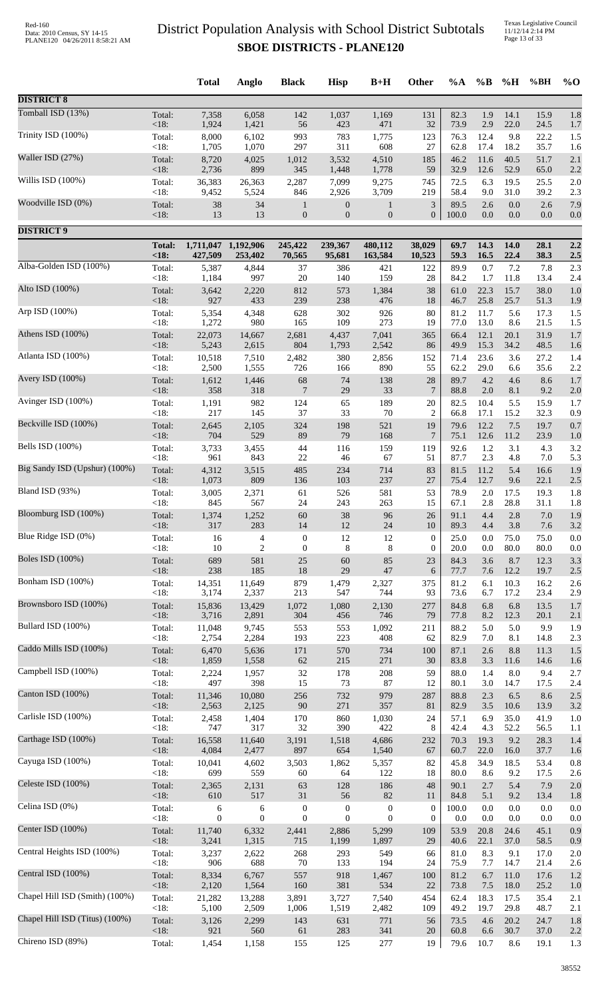Texas Legislative Council 11/12/14 2:14 PM Page 13 of 33

|                                |                        | <b>Total</b>         | Anglo                 | <b>Black</b>                         | <b>Hisp</b>                      | $B+H$                                | Other                            | $\%A$            | $\%$ B         | %H           | %BH            | $\%$ O         |
|--------------------------------|------------------------|----------------------|-----------------------|--------------------------------------|----------------------------------|--------------------------------------|----------------------------------|------------------|----------------|--------------|----------------|----------------|
| <b>DISTRICT 8</b>              |                        |                      |                       |                                      |                                  |                                      |                                  |                  |                |              |                |                |
| Tomball ISD (13%)              | Total:                 | 7,358                | 6,058                 | 142                                  | 1,037                            | 1,169                                | 131                              | 82.3             | 1.9            | 14.1         | 15.9           | 1.8            |
| Trinity ISD (100%)             | $<18$ :<br>Total:      | 1,924<br>8,000       | 1,421<br>6,102        | 56<br>993                            | 423<br>783                       | 471<br>1,775                         | 32<br>123                        | 73.9<br>76.3     | 2.9<br>12.4    | 22.0<br>9.8  | 24.5<br>22.2   | 1.7<br>1.5     |
|                                | $<18$ :                | 1,705                | 1,070                 | 297                                  | 311                              | 608                                  | 27                               | 62.8             | 17.4           | 18.2         | 35.7           | 1.6            |
| Waller ISD (27%)               | Total:<br>< 18:        | 8,720<br>2,736       | 4,025<br>899          | 1,012<br>345                         | 3,532<br>1,448                   | 4,510<br>1,778                       | 185<br>59                        | 46.2<br>32.9     | 11.6<br>12.6   | 40.5<br>52.9 | 51.7<br>65.0   | 2.1<br>2.2     |
| Willis ISD (100%)              | Total:<br>$<18$ :      | 36,383<br>9,452      | 26,363<br>5,524       | 2,287<br>846                         | 7,099<br>2,926                   | 9,275<br>3,709                       | 745<br>219                       | 72.5<br>58.4     | 6.3<br>9.0     | 19.5<br>31.0 | 25.5<br>39.2   | 2.0<br>2.3     |
| Woodville ISD (0%)             | Total:                 | 38                   | 34                    | $\mathbf{1}$                         | $\boldsymbol{0}$                 | $\mathbf{1}$                         | $\mathfrak{Z}$                   | 89.5             | 2.6            | 0.0          | 2.6            | 7.9            |
|                                | < 18:                  | 13                   | 13                    | $\boldsymbol{0}$                     | $\mathbf{0}$                     | $\boldsymbol{0}$                     | $\boldsymbol{0}$                 | 100.0            | 0.0            | 0.0          | 0.0            | 0.0            |
| <b>DISTRICT 9</b>              |                        |                      |                       |                                      |                                  |                                      |                                  |                  |                |              |                |                |
|                                | <b>Total:</b><br>< 18: | 1,711,047<br>427,509 | 1,192,906<br>253,402  | 245,422<br>70,565                    | 239,367<br>95,681                | 480,112<br>163,584                   | 38,029<br>10,523                 | 69.7<br>59.3     | 14.3<br>16.5   | 14.0<br>22.4 | 28.1<br>38.3   | 2.2<br>2.5     |
| Alba-Golden ISD (100%)         | Total:<br>$<18$ :      | 5,387<br>1,184       | 4,844<br>997          | 37<br>20                             | 386<br>140                       | 421<br>159                           | 122<br>28                        | 89.9<br>84.2     | 0.7<br>1.7     | 7.2<br>11.8  | 7.8<br>13.4    | 2.3<br>2.4     |
| Alto ISD (100%)                | Total:                 | 3,642                | 2,220                 | 812                                  | 573                              | 1,384                                | 38                               | 61.0             | 22.3           | 15.7         | 38.0           | 1.0            |
| Arp ISD (100%)                 | < 18:<br>Total:        | 927<br>5,354         | 433<br>4,348          | 239<br>628                           | 238<br>302                       | 476<br>926                           | 18<br>80                         | 46.7<br>81.2     | 25.8<br>11.7   | 25.7<br>5.6  | 51.3<br>17.3   | 1.9<br>1.5     |
|                                | <18:                   | 1,272                | 980                   | 165                                  | 109                              | 273                                  | 19                               | 77.0             | 13.0           | 8.6          | 21.5           | 1.5            |
| Athens ISD (100%)              | Total:<br>< 18:        | 22,073<br>5,243      | 14,667<br>2,615       | 2,681<br>804                         | 4,437<br>1,793                   | 7,041<br>2,542                       | 365<br>86                        | 66.4<br>49.9     | 12.1<br>15.3   | 20.1<br>34.2 | 31.9<br>48.5   | 1.7<br>1.6     |
| Atlanta ISD (100%)             | Total:                 | 10,518               | 7,510                 | 2,482                                | 380                              | 2,856                                | 152                              | 71.4             | 23.6           | 3.6          | 27.2           | 1.4            |
| Avery ISD (100%)               | <18:<br>Total:         | 2,500<br>1,612       | 1,555<br>1,446        | 726<br>68                            | 166<br>74                        | 890<br>138                           | 55<br>28                         | 62.2<br>89.7     | 29.0<br>4.2    | 6.6<br>4.6   | 35.6<br>8.6    | 2.2<br>1.7     |
|                                | < 18:                  | 358                  | 318                   | $\overline{7}$                       | 29                               | 33                                   | 7                                | 88.8             | 2.0            | 8.1          | 9.2            | 2.0            |
| Avinger ISD (100%)             | Total:<br>$<18$ :      | 1,191<br>217         | 982<br>145            | 124<br>37                            | 65<br>33                         | 189<br>$70\,$                        | 20<br>$\overline{c}$             | 82.5<br>66.8     | 10.4<br>17.1   | 5.5<br>15.2  | 15.9<br>32.3   | 1.7<br>0.9     |
| Beckville ISD (100%)           | Total:<br>< 18:        | 2,645<br>704         | 2,105<br>529          | 324<br>89                            | 198<br>79                        | 521                                  | 19<br>$\overline{7}$             | 79.6             | 12.2<br>12.6   | 7.5<br>11.2  | 19.7           | 0.7            |
| Bells ISD (100%)               | Total:                 | 3,733                | 3,455                 | 44                                   | 116                              | 168<br>159                           | 119                              | 75.1<br>92.6     | 1.2            | 3.1          | 23.9<br>4.3    | 1.0<br>3.2     |
| Big Sandy ISD (Upshur) (100%)  | <18:                   | 961                  | 843                   | 22                                   | 46                               | 67                                   | 51                               | 87.7             | 2.3            | 4.8          | 7.0            | 5.3            |
|                                | Total:<br>$<18$ :      | 4,312<br>1,073       | 3,515<br>809          | 485<br>136                           | 234<br>103                       | 714<br>237                           | 83<br>27                         | 81.5<br>75.4     | 11.2<br>12.7   | 5.4<br>9.6   | 16.6<br>22.1   | 1.9<br>2.5     |
| Bland ISD (93%)                | Total:<br>$<18$ :      | 3,005<br>845         | 2,371<br>567          | 61<br>24                             | 526<br>243                       | 581<br>263                           | 53<br>15                         | 78.9<br>67.1     | 2.0<br>2.8     | 17.5<br>28.8 | 19.3<br>31.1   | 1.8<br>1.8     |
| Bloomburg ISD (100%)           | Total:                 | 1,374                | 1,252                 | 60                                   | 38                               | 96                                   | 26                               | 91.1             | $4.4\,$        | 2.8          | 7.0            | 1.9            |
| Blue Ridge ISD (0%)            | < 18:<br>Total:        | 317<br>16            | 283<br>$\overline{4}$ | 14<br>$\boldsymbol{0}$               | 12<br>12                         | 24<br>12                             | 10<br>$\boldsymbol{0}$           | 89.3<br>25.0     | 4.4<br>0.0     | 3.8<br>75.0  | 7.6<br>75.0    | 3.2<br>0.0     |
|                                | <18:                   | 10                   | $\overline{2}$        | $\boldsymbol{0}$                     | $\,8\,$                          | $\,8\,$                              | $\boldsymbol{0}$                 | 20.0             | 0.0            | 80.0         | 80.0           | 0.0            |
| <b>Boles ISD (100%)</b>        | Total:<br><18:         | 689<br>238           | 581<br>185            | 25<br>18                             | 60<br>29                         | 85<br>47                             | 23<br>6                          | 84.3<br>77.7     | 3.6<br>7.6     | 8.7<br>12.2  | 12.3<br>19.7   | 3.3<br>2.5     |
| Bonham ISD (100%)              | Total:                 | 14,351               | 11,649                | 879                                  | 1,479                            | 2,327                                | 375                              | 81.2             | 6.1            | 10.3         | 16.2           | 2.6            |
| Brownsboro ISD (100%)          | $<18$ :<br>Total:      | 3,174<br>15,836      | 2,337<br>13,429       | 213<br>1,072                         | 547<br>1,080                     | 744<br>2,130                         | 93<br>277                        | 73.6<br>84.8     | 6.7<br>6.8     | 17.2<br>6.8  | 23.4<br>13.5   | 2.9<br>1.7     |
| Bullard ISD (100%)             | <18:                   | 3,716                | 2,891                 | 304                                  | 456                              | 746                                  | 79                               | 77.8             | 8.2            | 12.3         | 20.1           | 2.1            |
|                                | Total:<br>$<18$ :      | 11,048<br>2,754      | 9,745<br>2,284        | 553<br>193                           | 553<br>223                       | 1,092<br>408                         | 211<br>62                        | 88.2<br>82.9     | 5.0<br>7.0     | 5.0<br>8.1   | 9.9<br>14.8    | 1.9<br>2.3     |
| Caddo Mills ISD (100%)         | Total:<br>< 18:        | 6,470<br>1,859       | 5,636<br>1,558        | 171<br>$62\,$                        | 570<br>215                       | 734<br>271                           | 100<br>30                        | 87.1<br>83.8     | 2.6<br>3.3     | 8.8<br>11.6  | 11.3<br>14.6   | 1.5<br>1.6     |
| Campbell ISD (100%)            | Total:                 | 2,224                | 1,957                 | 32                                   | 178                              | 208                                  | 59                               | 88.0             | 1.4            | 8.0          | 9.4            | 2.7            |
| Canton ISD (100%)              | $<18$ :<br>Total:      | 497<br>11,346        | 398<br>10,080         | 15<br>256                            | 73<br>732                        | 87<br>979                            | 12<br>287                        | 80.1<br>88.8     | 3.0<br>2.3     | 14.7<br>6.5  | 17.5<br>8.6    | 2.4<br>2.5     |
|                                | <18:                   | 2,563                | 2,125                 | 90                                   | 271                              | 357                                  | 81                               | 82.9             | 3.5            | 10.6         | 13.9           | $3.2\,$        |
| Carlisle ISD (100%)            | Total:<br><18:         | 2,458<br>747         | 1,404<br>317          | 170<br>32                            | 860<br>390                       | 1,030<br>422                         | 24<br>8                          | 57.1<br>42.4     | 6.9<br>4.3     | 35.0<br>52.2 | 41.9<br>56.5   | 1.0<br>1.1     |
| Carthage ISD (100%)            | Total:<br><18:         | 16,558<br>4,084      | 11,640<br>2,477       | 3,191<br>897                         | 1,518<br>654                     | 4,686<br>1,540                       | 232<br>67                        | 70.3<br>60.7     | 19.3<br>22.0   | 9.2<br>16.0  | 28.3<br>37.7   | 1.4            |
| Cayuga ISD (100%)              | Total:                 | 10,041               | 4,602                 | 3,503                                | 1,862                            | 5,357                                | 82                               | 45.8             | 34.9           | 18.5         | 53.4           | 1.6<br>0.8     |
| Celeste ISD (100%)             | $<18$ :<br>Total:      | 699                  | 559<br>2,131          | 60<br>63                             | 64<br>128                        | 122<br>186                           | 18<br>48                         | 80.0<br>90.1     | 8.6<br>2.7     | 9.2<br>5.4   | 17.5<br>7.9    | 2.6            |
|                                | $<18$ :                | 2,365<br>610         | 517                   | 31                                   | 56                               | 82                                   | 11                               | 84.8             | 5.1            | 9.2          | 13.4           | $2.0\,$<br>1.8 |
| Celina ISD (0%)                | Total:<br>$<18$ :      | 6<br>$\overline{0}$  | 6<br>$\boldsymbol{0}$ | $\boldsymbol{0}$<br>$\boldsymbol{0}$ | $\boldsymbol{0}$<br>$\mathbf{0}$ | $\boldsymbol{0}$<br>$\boldsymbol{0}$ | $\boldsymbol{0}$<br>$\mathbf{0}$ | 100.0<br>0.0     | 0.0<br>$0.0\,$ | 0.0<br>0.0   | 0.0<br>$0.0\,$ | 0.0<br>0.0     |
| Center ISD (100%)              | Total:                 | 11,740               | 6,332                 | 2,441                                | 2,886                            | 5,299                                | 109                              | 53.9             | 20.8           | 24.6         | 45.1           | 0.9            |
| Central Heights ISD (100%)     | $<18$ :<br>Total:      | 3,241<br>3,237       | 1,315<br>2,622        | 715<br>268                           | 1,199<br>293                     | 1,897<br>549                         | 29<br>66                         | 40.6<br>$81.0\,$ | 22.1<br>8.3    | 37.0<br>9.1  | 58.5<br>17.0   | 0.9<br>$2.0\,$ |
|                                | <18:                   | 906                  | 688                   | 70                                   | 133                              | 194                                  | 24                               | 75.9             | 7.7            | 14.7         | 21.4           | 2.6            |
| Central ISD (100%)             | Total:<br><18:         | 8,334<br>2,120       | 6,767<br>1,564        | 557<br>160                           | 918<br>381                       | 1,467<br>534                         | 100<br>22                        | 81.2<br>73.8     | 6.7<br>7.5     | 11.0<br>18.0 | 17.6<br>25.2   | 1.2<br>1.0     |
| Chapel Hill ISD (Smith) (100%) | Total:                 | 21,282               | 13,288                | 3,891                                | 3,727                            | 7,540                                | 454                              | 62.4<br>49.2     | 18.3           | 17.5         | 35.4<br>48.7   | 2.1            |
| Chapel Hill ISD (Titus) (100%) | $<18$ :<br>Total:      | 5,100<br>3,126       | 2,509<br>2,299        | 1,006<br>143                         | 1,519<br>631                     | 2,482<br>771                         | 109<br>56                        | 73.5             | 19.7<br>4.6    | 29.8<br>20.2 | 24.7           | 2.1<br>1.8     |
| Chireno ISD (89%)              | <18:<br>Total:         | 921<br>1,454         | 560<br>1,158          | 61<br>155                            | 283<br>125                       | 341<br>277                           | 20<br>19                         | 60.8<br>79.6     | 6.6<br>10.7    | 30.7<br>8.6  | 37.0<br>19.1   | 2.2<br>1.3     |
|                                |                        |                      |                       |                                      |                                  |                                      |                                  |                  |                |              |                |                |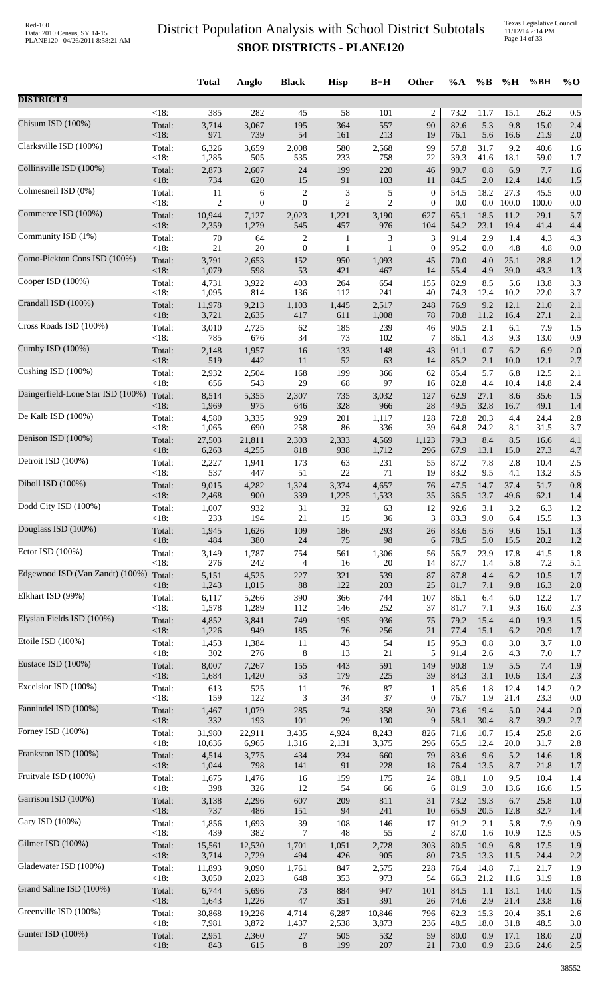Texas Legislative Council 11/12/14 2:14 PM Page 14 of 33

|                                        |                | <b>Total</b>    | Anglo            | <b>Black</b>          | <b>Hisp</b>         | $B+H$          | Other            | %A           | $\%B$        | $\%H$        | %BH          | $%$ <sup>O</sup> |
|----------------------------------------|----------------|-----------------|------------------|-----------------------|---------------------|----------------|------------------|--------------|--------------|--------------|--------------|------------------|
| <b>DISTRICT 9</b>                      |                |                 |                  |                       |                     |                |                  |              |              |              |              |                  |
| Chisum ISD (100%)                      | $<18$ :        | 385             | 282              | $\overline{45}$       | 58                  | 101            | $\overline{c}$   | 73.2         | 11.7         | 15.1         | 26.2         | 0.5              |
|                                        | Total:         | 3,714           | 3,067            | 195                   | 364                 | 557            | 90               | 82.6         | 5.3          | 9.8          | 15.0         | 2.4              |
| Clarksville ISD (100%)                 | < 18:          | 971             | 739              | 54                    | 161                 | 213            | 19               | 76.1         | 5.6          | 16.6         | 21.9         | 2.0              |
|                                        | Total:         | 6,326           | 3,659            | 2,008                 | 580                 | 2,568          | 99               | 57.8         | 31.7         | 9.2          | 40.6         | 1.6              |
|                                        | <18:           | 1,285           | 505              | 535                   | 233                 | 758            | 22               | 39.3         | 41.6         | 18.1         | 59.0         | 1.7              |
| Collinsville ISD (100%)                | Total:         | 2,873           | 2,607            | 24                    | 199                 | 220            | 46               | 90.7         | 0.8          | 6.9          | 7.7          | 1.6              |
|                                        | < 18:          | 734             | 620              | 15                    | 91                  | 103            | 11               | 84.5         | 2.0          | 12.4         | 14.0         | 1.5              |
| Colmesneil ISD (0%)                    | Total:         | 11              | 6                | $\overline{2}$        | 3                   | $\sqrt{5}$     | $\boldsymbol{0}$ | 54.5         | 18.2         | 27.3         | 45.5         | 0.0              |
|                                        | < 18:          | $\overline{c}$  | $\boldsymbol{0}$ | $\boldsymbol{0}$      | $\overline{2}$      | $\overline{2}$ | $\mathbf{0}$     | 0.0          | $0.0\,$      | 100.0        | 100.0        | 0.0              |
| Commerce ISD (100%)                    | Total:<br><18: | 10,944          | 7,127            | 2,023<br>545          | 1,221               | 3,190          | 627              | 65.1<br>54.2 | 18.5<br>23.1 | 11.2         | 29.1         | 5.7              |
| Community ISD (1%)                     | Total:         | 2,359<br>70     | 1,279<br>64      | $\overline{c}$        | 457<br>$\mathbf{1}$ | 976<br>3       | 104<br>3         | 91.4         | 2.9          | 19.4<br>1.4  | 41.4<br>4.3  | 4.4<br>4.3       |
| Como-Pickton Cons ISD (100%)           | <18:           | $21\,$          | 20               | $\mathbf{0}$          | 1                   | 1              | $\mathbf{0}$     | 95.2         | 0.0          | 4.8          | 4.8          | 0.0              |
|                                        | Total:         | 3,791           | 2,653            | 152                   | 950                 | 1,093          | 45               | 70.0         | 4.0          | 25.1         | 28.8         | 1.2              |
| Cooper ISD (100%)                      | <18:           | 1,079           | 598              | 53                    | 421                 | 467            | 14               | 55.4         | 4.9          | 39.0         | 43.3         | 1.3              |
|                                        | Total:         | 4,731           | 3,922            | 403                   | 264                 | 654            | 155              | 82.9         | 8.5          | 5.6          | 13.8         | 3.3              |
| Crandall ISD (100%)                    | < 18:          | 1,095           | 814              | 136                   | 112                 | 241            | 40               | 74.3         | 12.4         | 10.2<br>12.1 | 22.0         | 3.7              |
|                                        | Total:<br><18: | 11,978<br>3,721 | 9,213<br>2,635   | 1,103<br>417          | 1,445<br>611        | 2,517<br>1,008 | 248<br>78        | 76.9<br>70.8 | 9.2<br>11.2  | 16.4         | 21.0<br>27.1 | 2.1<br>2.1       |
| Cross Roads ISD (100%)                 | Total:         | 3,010           | 2,725            | 62                    | 185                 | 239            | 46               | 90.5         | 2.1          | 6.1          | 7.9          | 1.5              |
|                                        | <18:           | 785             | 676              | 34                    | 73                  | 102            | 7                | 86.1         | 4.3          | 9.3          | 13.0         | 0.9              |
| Cumby ISD (100%)                       | Total:         | 2,148           | 1,957            | 16                    | 133                 | 148            | 43               | 91.1         | 0.7          | 6.2          | 6.9          | 2.0              |
|                                        | < 18:          | 519             | 442              | 11                    | 52                  | 63             | 14               | 85.2         | 2.1          | 10.0         | 12.1         | 2.7              |
| Cushing ISD (100%)                     | Total:         | 2,932           | 2,504            | 168                   | 199                 | 366            | 62               | 85.4         | 5.7          | 6.8          | 12.5         | 2.1              |
| Daingerfield-Lone Star ISD (100%)      | < 18:          | 656             | 543              | 29                    | 68                  | 97             | 16               | 82.8         | 4.4          | 10.4         | 14.8         | 2.4              |
|                                        | Total:         | 8,514           | 5,355            | 2,307                 | 735                 | 3,032          | 127              | 62.9         | 27.1         | 8.6          | 35.6         | 1.5              |
| De Kalb ISD (100%)                     | < 18:          | 1,969           | 975              | 646                   | 328                 | 966            | 28               | 49.5         | 32.8         | 16.7         | 49.1         | 1.4              |
|                                        | Total:         | 4,580           | 3,335            | 929                   | 201                 | 1,117          | 128              | 72.8         | 20.3         | 4.4          | 24.4         | 2.8              |
| Denison ISD (100%)                     | <18:           | 1,065           | 690              | 258                   | 86                  | 336            | 39               | 64.8         | 24.2         | 8.1          | 31.5         | 3.7              |
|                                        | Total:         | 27,503          | 21,811           | 2,303                 | 2,333               | 4,569          | 1,123            | 79.3         | 8.4          | 8.5          | 16.6         | 4.1              |
|                                        | < 18:          | 6,263           | 4,255            | 818                   | 938                 | 1,712          | 296              | 67.9         | 13.1         | 15.0         | 27.3         | 4.7              |
| Detroit ISD (100%)                     | Total:         | 2,227           | 1,941            | 173                   | 63                  | 231            | 55               | 87.2         | 7.8          | 2.8          | 10.4         | 2.5              |
|                                        | <18:           | 537             | 447              | 51                    | $22\,$              | 71             | 19               | 83.2         | 9.5          | 4.1          | 13.2         | 3.5              |
| Diboll ISD (100%)                      | Total:         | 9,015           | 4,282            | 1,324                 | 3,374               | 4,657          | 76               | 47.5         | 14.7         | 37.4         | 51.7         | 0.8              |
|                                        | <18:           | 2,468           | 900              | 339                   | 1,225               | 1,533          | 35               | 36.5         | 13.7         | 49.6         | 62.1         | 1.4              |
| Dodd City ISD (100%)                   | Total:         | 1,007           | 932              | 31                    | 32                  | 63             | 12               | 92.6         | 3.1          | 3.2          | 6.3          | 1.2              |
| Douglass ISD (100%)                    | $<18$ :        | 233             | 194              | 21                    | 15                  | 36             | 3                | 83.3         | 9.0          | 6.4          | 15.5         | 1.3              |
|                                        | Total:         | 1,945           | 1,626            | 109                   | 186                 | 293            | 26               | 83.6         | 5.6          | 9.6          | 15.1         | 1.3              |
| Ector ISD (100%)                       | <18:           | 484             | 380              | 24                    | 75                  | 98             | 6                | 78.5         | 5.0          | 15.5         | 20.2         | 1.2              |
|                                        | Total:         | 3,149           | 1,787            | 754                   | 561                 | 1,306          | 56               | 56.7         | 23.9         | 17.8         | 41.5         | 1.8              |
| Edgewood ISD (Van Zandt) (100%) Total: | < 18:          | 276<br>5,151    | 242<br>4,525     | $\overline{4}$<br>227 | 16<br>321           | 20<br>539      | 14<br>87         | 87.7<br>87.8 | 1.4<br>4.4   | 5.8<br>6.2   | 7.2<br>10.5  | 5.1<br>1.7       |
| Elkhart ISD (99%)                      | $<18$ :        | 1,243           | 1,015            | $88\,$                | 122                 | 203            | 25               | 81.7         | 7.1          | 9.8          | 16.3         | 2.0              |
|                                        | Total:         | 6,117           | 5,266            | 390                   | 366                 | 744            | 107              | 86.1         | 6.4          | 6.0          | 12.2         | 1.7              |
|                                        | < 18:          | 1,578           | 1,289            | 112                   | 146                 | 252            | 37               | 81.7         | 7.1          | 9.3          | 16.0         | 2.3              |
| Elysian Fields ISD (100%)              | Total:         | 4,852           | 3,841            | 749                   | 195                 | 936            | 75               | 79.2         | 15.4         | 4.0          | 19.3         | 1.5              |
|                                        | < 18:          | 1,226           | 949              | 185                   | 76                  | 256            | $21\,$           | 77.4         | 15.1         | 6.2          | 20.9         | 1.7              |
| Etoile ISD (100%)                      | Total:         | 1,453           | 1,384            | 11                    | 43                  | 54             | 15               | 95.3         | 0.8          | 3.0          | 3.7          | 1.0              |
|                                        | <18:           | 302             | 276              | 8                     | 13                  | 21             | 5                | 91.4         | 2.6          | 4.3          | 7.0          | 1.7              |
| Eustace ISD (100%)                     | Total:         | 8,007           | 7,267            | 155                   | 443                 | 591            | 149              | 90.8         | 1.9          | 5.5          | 7.4          | 1.9              |
| Excelsior ISD (100%)                   | <18:           | 1,684           | 1,420            | 53                    | 179                 | 225            | 39               | 84.3         | 3.1          | 10.6         | 13.4         | 2.3              |
|                                        | Total:         | 613             | 525              | 11                    | 76                  | $87\,$         | 1                | 85.6         | 1.8          | 12.4         | 14.2         | 0.2              |
| Fannindel ISD (100%)                   | <18:           | 159             | 122              | 3                     | 34                  | 37             | $\boldsymbol{0}$ | 76.7         | 1.9          | 21.4         | 23.3         | 0.0              |
|                                        | Total:         | 1,467           | 1,079            | 285                   | 74                  | 358            | 30               | 73.6         | 19.4         | 5.0          | 24.4         | 2.0              |
| Forney ISD (100%)                      | <18:           | 332             | 193              | 101                   | $29\,$              | 130            | 9                | 58.1         | 30.4         | 8.7          | 39.2         | 2.7              |
|                                        | Total:         | 31,980          | 22,911           | 3,435                 | 4,924               | 8,243          | 826              | 71.6         | 10.7         | 15.4         | 25.8         | 2.6              |
|                                        | <18:           | 10,636          | 6,965            | 1,316                 | 2,131               | 3,375          | 296              | 65.5         | 12.4         | 20.0         | 31.7         | 2.8              |
| Frankston ISD (100%)                   | Total:         | 4,514           | 3,775            | 434                   | 234                 | 660            | 79               | 83.6         | 9.6          | 5.2          | 14.6         | 1.8              |
|                                        | <18:           | 1,044           | 798              | 141                   | 91                  | 228            | 18               | 76.4         | 13.5         | 8.7          | 21.8         | 1.7              |
| Fruitvale ISD (100%)                   | Total:         | 1,675           | 1,476            | 16                    | 159                 | 175            | 24               | 88.1         | 1.0          | 9.5          | 10.4         | 1.4              |
|                                        | < 18:          | 398             | 326              | 12                    | 54                  | 66             | 6                | 81.9         | 3.0          | 13.6         | 16.6         | 1.5              |
| Garrison ISD (100%)                    | Total:         | 3,138           | 2,296            | 607                   | 209                 | 811            | 31               | 73.2         | 19.3         | 6.7          | 25.8         | 1.0              |
|                                        | < 18:          | 737             | 486              | 151                   | 94                  | 241            | 10               | 65.9         | 20.5         | 12.8         | 32.7         | 1.4              |
| Gary ISD (100%)                        | Total:         | 1,856           | 1,693            | 39                    | 108                 | 146            | 17               | 91.2         | 2.1          | 5.8          | 7.9          | 0.9              |
| Gilmer ISD (100%)                      | < 18:          | 439             | 382              | 7                     | 48                  | 55             | $\overline{c}$   | 87.0         | 1.6          | 10.9         | 12.5         | 0.5              |
|                                        | Total:         | 15,561          | 12,530           | 1,701                 | 1,051               | 2,728          | 303              | 80.5         | 10.9         | 6.8          | 17.5         | 1.9              |
| Gladewater ISD (100%)                  | < 18:          | 3,714           | 2,729            | 494                   | 426                 | 905            | 80               | 73.5         | 13.3         | 11.5         | 24.4         | 2.2              |
|                                        | Total:         | 11,893          | 9,090            | 1,761                 | 847                 | 2,575          | 228              | 76.4         | 14.8         | 7.1          | 21.7         | 1.9              |
| Grand Saline ISD (100%)                | <18:           | 3,050           | 2,023            | 648                   | 353                 | 973            | 54               | 66.3         | 21.2         | 11.6         | 31.9         | 1.8              |
|                                        | Total:         | 6,744           | 5,696            | 73                    | 884                 | 947            | 101              | 84.5         | 1.1          | 13.1         | 14.0         | 1.5              |
|                                        | <18:           | 1,643           | 1,226            | $47\,$                | 351                 | 391            | 26               | 74.6         | 2.9          | 21.4         | 23.8         | 1.6              |
| Greenville ISD (100%)                  | Total:         | 30,868          | 19,226           | 4,714                 | 6,287               | 10,846         | 796              | 62.3         | 15.3         | 20.4         | 35.1         | 2.6              |
|                                        | <18:           | 7,981           | 3,872            | 1,437                 | 2,538               | 3,873          | 236              | 48.5         | 18.0         | 31.8         | 48.5         | 3.0              |
| Gunter ISD (100%)                      | Total:         | 2,951           | 2,360            | $27\,$                | 505                 | 532            | 59               | 80.0         | 0.9          | 17.1         | 18.0         | 2.0              |
|                                        | <18:           | 843             | 615              | $\,8\,$               | 199                 | 207            | $21\,$           | 73.0         | $0.9\,$      | 23.6         | 24.6         | 2.5              |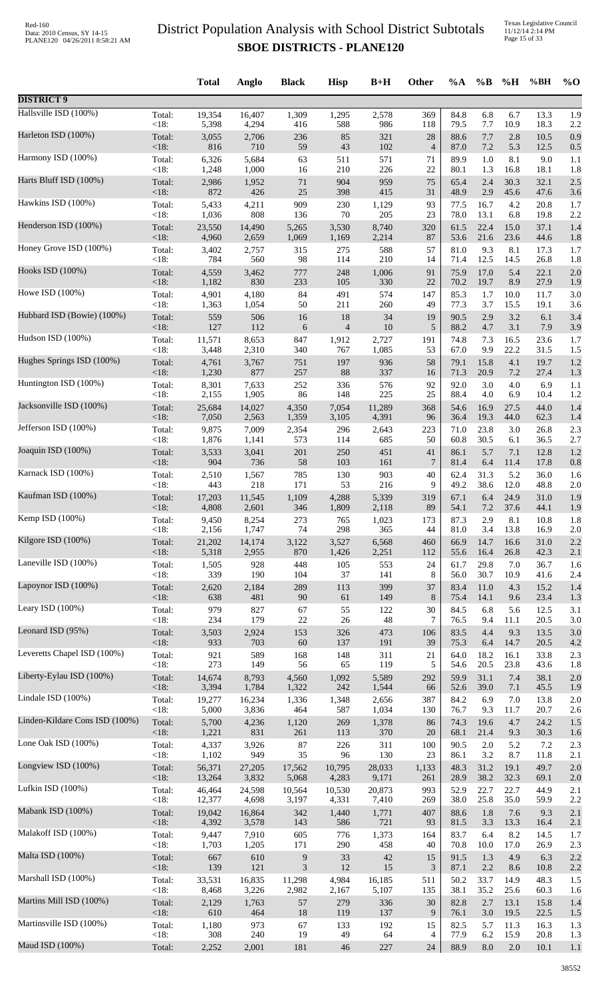Texas Legislative Council 11/12/14 2:14 PM Page 15 of 33

|                                |                | <b>Total</b>   | Anglo          | <b>Black</b>                | <b>Hisp</b>    | $B+H$          | Other          | %A           | $\%B$       | %H          | %BH          | $\%$ O     |
|--------------------------------|----------------|----------------|----------------|-----------------------------|----------------|----------------|----------------|--------------|-------------|-------------|--------------|------------|
| <b>DISTRICT 9</b>              |                |                |                |                             |                |                |                |              |             |             |              |            |
| Hallsville ISD (100%)          | Total:         | 19,354         | 16,407         | 1,309                       | 1,295          | 2,578          | 369            | 84.8         | 6.8         | 6.7         | 13.3         | 1.9        |
|                                | <18:           | 5,398          | 4,294          | 416                         | 588            | 986            | 118            | 79.5         | 7.7         | 10.9        | 18.3         | 2.2        |
| Harleton ISD (100%)            | Total:         | 3,055          | 2,706          | 236                         | 85             | 321            | 28             | 88.6         | 7.7         | 2.8         | 10.5         | 0.9        |
| Harmony ISD (100%)             | $<18$ :        | 816            | 710            | 59                          | 43             | 102            | $\overline{4}$ | 87.0         | 7.2         | 5.3         | 12.5         | 0.5        |
|                                | Total:         | 6,326          | 5,684          | 63                          | 511            | 571            | 71             | 89.9         | 1.0         | 8.1         | 9.0          | 1.1        |
| Harts Bluff ISD (100%)         | $<18$ :        | 1,248          | 1,000          | 16                          | 210            | 226            | 22             | 80.1         | 1.3         | 16.8        | 18.1         | 1.8        |
|                                | Total:         | 2,986          | 1,952          | $71\,$                      | 904            | 959            | 75             | 65.4         | 2.4         | 30.3        | 32.1         | 2.5        |
|                                | <18:           | 872            | 426            | 25                          | 398            | 415            | 31             | 48.9         | 2.9         | 45.6        | 47.6         | 3.6        |
| Hawkins ISD (100%)             | Total:         | 5,433          | 4,211          | 909                         | 230            | 1,129          | 93             | 77.5         | 16.7        | 4.2         | 20.8         | 1.7        |
|                                | <18:           | 1,036          | 808            | 136                         | $70\,$         | 205            | 23             | 78.0         | 13.1        | 6.8         | 19.8         | 2.2        |
| Henderson ISD (100%)           | Total:         | 23,550         | 14,490         | 5,265                       | 3,530          | 8,740          | 320            | 61.5         | 22.4        | 15.0        | 37.1         | 1.4        |
|                                | <18:           | 4,960          | 2,659          | 1,069                       | 1,169          | 2,214          | 87             | 53.6         | 21.6        | 23.6        | 44.6         | 1.8        |
| Honey Grove ISD (100%)         | Total:         | 3,402          | 2,757          | 315                         | 275            | 588            | 57             | 81.0         | 9.3         | 8.1         | 17.3         | 1.7        |
|                                | <18:           | 784            | 560            | 98                          | 114            | 210            | 14             | 71.4         | 12.5        | 14.5        | 26.8         | 1.8        |
| Hooks ISD (100%)               | Total:         | 4,559          | 3,462          | 777                         | 248            | 1,006          | 91             | 75.9         | 17.0        | 5.4         | 22.1         | 2.0        |
|                                | <18:           | 1,182          | 830            | 233                         | 105            | 330            | 22             | 70.2         | 19.7        | 8.9         | 27.9         | 1.9        |
| Howe ISD (100%)                | Total:         | 4,901          | 4,180          | 84                          | 491            | 574            | 147            | 85.3         | 1.7         | 10.0        | 11.7         | 3.0        |
|                                | <18:           | 1,363          | 1,054          | 50                          | 211            | 260            | 49             | 77.3         | 3.7         | 15.5        | 19.1         | 3.6        |
| Hubbard ISD (Bowie) (100%)     | Total:         | 559            | 506            | 16                          | 18             | 34             | 19             | 90.5         | 2.9         | 3.2         | 6.1          | 3.4        |
| Hudson ISD (100%)              | <18:           | 127            | 112            | 6                           | $\overline{4}$ | 10             | 5              | 88.2         | 4.7         | 3.1         | 7.9          | 3.9        |
|                                | Total:         | 11,571         | 8,653          | 847                         | 1,912          | 2,727          | 191            | 74.8         | 7.3         | 16.5        | 23.6         | 1.7        |
| Hughes Springs ISD (100%)      | <18:           | 3,448          | 2,310          | 340                         | 767            | 1,085          | 53             | 67.0         | 9.9         | 22.2        | 31.5         | 1.5        |
|                                | Total:         | 4,761          | 3,767          | 751                         | 197            | 936            | 58             | 79.1         | 15.8        | 4.1         | 19.7         | 1.2        |
| Huntington ISD (100%)          | $<18$ :        | 1,230          | 877            | 257                         | 88             | 337            | 16             | 71.3         | 20.9        | 7.2         | 27.4         | 1.3        |
|                                | Total:         | 8,301          | 7,633          | 252                         | 336            | 576            | 92             | 92.0         | 3.0         | 4.0         | 6.9          | 1.1        |
| Jacksonville ISD (100%)        | <18:           | 2,155          | 1,905          | 86                          | 148            | 225            | 25             | 88.4         | 4.0         | 6.9         | 10.4         | 1.2        |
|                                | Total:         | 25,684         | 14,027         | 4,350                       | 7,054          | 11,289         | 368            | 54.6         | 16.9        | 27.5        | 44.0         | 1.4        |
|                                | $<18$ :        | 7,050          | 2,563          | 1,359                       | 3,105          | 4,391          | 96             | 36.4         | 19.3        | 44.0        | 62.3         | 1.4        |
| Jefferson ISD (100%)           | Total:         | 9,875          | 7,009          | 2,354                       | 296            | 2,643          | 223            | 71.0         | 23.8        | 3.0         | 26.8         | 2.3        |
|                                | <18:           | 1,876          | 1,141          | 573                         | 114            | 685            | 50             | 60.8         | 30.5        | 6.1         | 36.5         | 2.7        |
| Joaquin ISD (100%)             | Total:         | 3,533          | 3,041          | 201                         | 250            | 451            | 41             | 86.1         | 5.7         | 7.1         | 12.8         | 1.2        |
|                                | $<18$ :        | 904            | 736            | 58                          | 103            | 161            | 7              | 81.4         | 6.4         | 11.4        | 17.8         | 0.8        |
| Karnack ISD (100%)             | Total:         | 2,510          | 1,567          | 785                         | 130            | 903            | 40             | 62.4         | 31.3        | 5.2         | 36.0         | 1.6        |
|                                | $<18$ :        | 443            | 218            | 171                         | 53             | 216            | 9              | 49.2         | 38.6        | 12.0        | 48.8         | 2.0        |
| Kaufman ISD (100%)             | Total:         | 17,203         | 11,545         | 1,109                       | 4,288          | 5,339          | 319            | 67.1         | 6.4         | 24.9        | 31.0         | 1.9        |
|                                | <18:           | 4,808          | 2,601          | 346                         | 1,809          | 2,118          | 89             | 54.1         | 7.2         | 37.6        | 44.1         | 1.9        |
| Kemp ISD (100%)                | Total:         | 9,450          | 8,254          | 273                         | 765            | 1,023          | 173            | 87.3         | 2.9         | 8.1         | 10.8         | 1.8        |
| Kilgore ISD (100%)             | <18:           | 2,156          | 1,747          | 74                          | 298            | 365            | 44             | 81.0         | 3.4         | 13.8        | 16.9         | 2.0        |
|                                | Total:         | 21,202         | 14,174         | 3,122                       | 3,527          | 6,568          | 460            | 66.9         | 14.7        | 16.6        | 31.0         | 2.2        |
| Laneville ISD (100%)           | <18:           | 5,318          | 2,955          | 870                         | 1,426          | 2,251          | 112            | 55.6         | 16.4        | 26.8        | 42.3         | 2.1        |
|                                | Total:         | 1,505          | 928            | 448                         | 105            | 553            | 24             | 61.7         | 29.8        | 7.0         | 36.7         | 1.6        |
| Lapoynor ISD (100%)            | <18:           | 339            | 190            | 104                         | 37             | 141            | 8              | 56.0         | 30.7        | 10.9        | 41.6         | 2.4        |
|                                | Total:         | 2,620          | 2,184          | 289                         | 113            | 399            | 37             | 83.4         | 11.0        | 4.3         | 15.2         | 1.4        |
| Leary ISD (100%)               | <18:           | 638            | 481            | $90\,$                      | 61             | 149            | 8              | 75.4         | 14.1        | 9.6         | 23.4         | 1.3        |
|                                | Total:         | 979            | 827            | 67                          | 55             | 122            | 30             | 84.5         | 6.8         | 5.6         | 12.5         | 3.1        |
|                                | <18:           | 234            | 179            | $22\,$                      | $26\,$         | 48             | 7              | 76.5         | 9.4         | 11.1        | 20.5         | 3.0        |
| Leonard ISD (95%)              | Total:         | 3,503          | 2,924          | 153                         | 326            | 473            | 106            | 83.5         | 4.4         | 9.3         | 13.5         | 3.0        |
|                                | <18:           | 933            | 703            | 60                          | 137            | 191            | 39             | 75.3         | 6.4         | 14.7        | 20.5         | 4.2        |
| Leveretts Chapel ISD (100%)    | Total:         | 921            | 589            | 168                         | 148            | 311            | 21             | 64.0         | 18.2        | 16.1        | 33.8         | 2.3        |
|                                | <18:           | 273            | 149            | 56                          | 65             | 119            | 5              | 54.6         | 20.5        | 23.8        | 43.6         | 1.8        |
| Liberty-Eylau ISD (100%)       | Total:         | 14,674         | 8,793          | 4,560                       | 1,092          | 5,589          | 292            | 59.9         | 31.1        | 7.4         | 38.1         | 2.0        |
|                                | $<18$ :        | 3,394          | 1,784          | 1,322                       | 242            | 1,544          | 66             | 52.6         | 39.0        | 7.1         | 45.5         | 1.9        |
| Lindale ISD (100%)             | Total:<br><18: | 19,277         | 16,234         | 1,336                       | 1,348          | 2,656          | 387            | 84.2<br>76.7 | 6.9         | 7.0         | 13.8         | 2.0        |
| Linden-Kildare Cons ISD (100%) | Total:         | 5,000<br>5,700 | 3,836<br>4,236 | 464<br>1,120                | 587<br>269     | 1,034<br>1,378 | 130<br>86      | 74.3         | 9.3<br>19.6 | 11.7<br>4.7 | 20.7<br>24.2 | 2.6<br>1.5 |
| Lone Oak ISD (100%)            | <18:           | 1,221          | 831            | 261                         | 113            | 370            | 20             | 68.1         | 21.4        | 9.3         | 30.3         | 1.6        |
|                                | Total:         | 4,337          | 3,926          | 87                          | 226            | 311            | 100            | 90.5         | 2.0         | 5.2         | 7.2          | 2.3        |
| Longview ISD (100%)            | <18:           | 1,102          | 949            | 35                          | 96             | 130            | 23             | 86.1         | 3.2         | 8.7         | 11.8         | 2.1        |
|                                | Total:         | 56,371         | 27,205         | 17,562                      | 10,795         | 28,033         | 1,133          | 48.3         | 31.2        | 19.1        | 49.7         | 2.0        |
| Lufkin ISD (100%)              | <18:           | 13,264         | 3,832          | 5,068                       | 4,283          | 9,171          | 261            | 28.9         | 38.2        | 32.3        | 69.1         | 2.0        |
|                                | Total:         | 46,464         | 24,598         | 10,564                      | 10,530         | 20,873         | 993            | 52.9         | 22.7        | 22.7        | 44.9         | 2.1        |
| Mabank ISD (100%)              | <18:           | 12,377         | 4,698          | 3,197                       | 4,331          | 7,410          | 269            | 38.0         | 25.8        | 35.0        | 59.9         | 2.2        |
|                                | Total:         | 19,042         | 16,864         | 342                         | 1,440          | 1,771          | 407            | 88.6         | 1.8         | 7.6         | 9.3          | 2.1        |
| Malakoff ISD (100%)            | <18:           | 4,392          | 3,578          | 143                         | 586            | 721            | 93             | 81.5         | 3.3         | 13.3        | 16.4         | 2.1        |
|                                | Total:         | 9,447          | 7,910          | 605                         | 776            | 1,373          | 164            | 83.7         | 6.4         | 8.2         | 14.5         | 1.7        |
|                                | <18:           | 1,703          | 1,205          | 171                         | 290            | 458            | 40             | 70.8         | 10.0        | 17.0        | 26.9         | 2.3        |
| Malta ISD (100%)               | Total:         | 667            | 610            | $\boldsymbol{9}$            | 33             | 42             | 15             | 91.5         | 1.3         | 4.9         | 6.3          | 2.2        |
|                                | <18:           | 139            | 121            | $\ensuremath{\mathfrak{Z}}$ | $12\,$         | 15             | $\mathfrak{Z}$ | 87.1         | 2.2         | 8.6         | 10.8         | 2.2        |
| Marshall ISD (100%)            | Total:         | 33,531         | 16,835         | 11,298                      | 4,984          | 16,185         | 511            | 50.2         | 33.7        | 14.9        | 48.3         | 1.5        |
|                                | <18:           | 8,468          | 3,226          | 2,982                       | 2,167          | 5,107          | 135            | 38.1         | 35.2        | 25.6        | 60.3         | 1.6        |
| Martins Mill ISD (100%)        | Total:         | 2,129          | 1,763          | 57                          | 279            | 336            | 30             | 82.8         | 2.7         | 13.1        | 15.8         | 1.4        |
|                                | $<18$ :        | 610            | 464            | 18                          | 119            | 137            | 9              | 76.1         | 3.0         | 19.5        | 22.5         | 1.5        |
| Martinsville ISD (100%)        | Total:         | 1,180          | 973            | 67                          | 133            | 192            | 15             | 82.5         | 5.7         | 11.3        | 16.3         | 1.3        |
| Maud ISD (100%)                | <18:           | 308            | 240            | 19                          | 49             | 64             | $\overline{4}$ | 77.9         | 6.2         | 15.9        | 20.8         | 1.3        |
|                                | Total:         | 2,252          | 2,001          | 181                         | 46             | 227            | 24             | 88.9         | 8.0         | $2.0\,$     | 10.1         | 1.1        |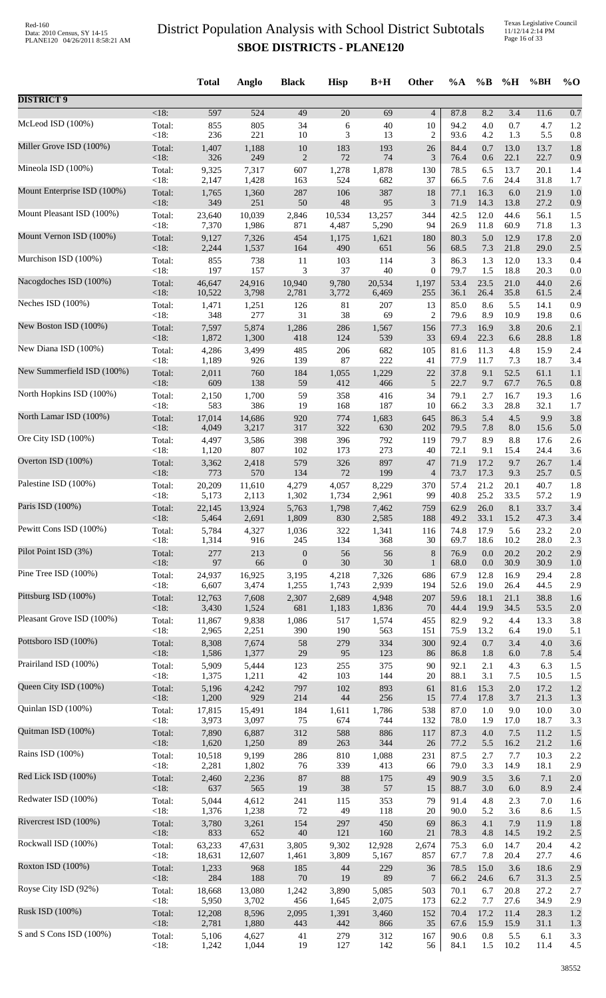Texas Legislative Council 11/12/14 2:14 PM Page 16 of 33

|                             |                | <b>Total</b> | Anglo      | <b>Black</b>     | <b>Hisp</b>     | $B+H$     | Other                | $\%A$        | $\%$ B      | %H          | %BH          | $\%$ O     |
|-----------------------------|----------------|--------------|------------|------------------|-----------------|-----------|----------------------|--------------|-------------|-------------|--------------|------------|
| <b>DISTRICT 9</b>           |                |              |            |                  |                 |           |                      |              |             |             |              |            |
|                             | $<18$ :        | 597          | 524        | 49               | $\overline{20}$ | 69        | $\overline{4}$       | 87.8         | 8.2         | 3.4         | 11.6         | 0.7        |
| McLeod ISD (100%)           | Total:         | 855          | 805        | 34               | 6               | 40        | 10                   | 94.2         | 4.0         | 0.7         | 4.7          | 1.2        |
|                             | <18:           | 236          | 221        | 10               | 3               | 13        | $\overline{2}$       | 93.6         | 4.2         | 1.3         | 5.5          | 0.8        |
| Miller Grove ISD (100%)     | Total:         | 1,407        | 1,188      | 10               | 183             | 193       | 26                   | 84.4         | 0.7         | 13.0        | 13.7         | 1.8        |
|                             | $<18$ :        | 326          | 249        | $\mathbf{2}$     | 72              | 74        | 3                    | 76.4         | 0.6         | 22.1        | 22.7         | 0.9        |
| Mineola ISD (100%)          | Total:         | 9,325        | 7,317      | 607              | 1,278           | 1,878     | 130                  | 78.5         | 6.5         | 13.7        | 20.1         | 1.4        |
| Mount Enterprise ISD (100%) | <18:           | 2,147        | 1,428      | 163              | 524             | 682       | 37                   | 66.5         | 7.6         | 24.4        | 31.8         | 1.7        |
|                             | Total:         | 1,765        | 1,360      | 287              | 106             | 387       | 18                   | 77.1         | 16.3        | 6.0         | 21.9         | 1.0        |
| Mount Pleasant ISD (100%)   | <18:           | 349          | 251        | 50               | 48              | 95        | 3                    | 71.9         | 14.3        | 13.8        | 27.2         | 0.9        |
|                             | Total:         | 23,640       | 10,039     | 2,846            | 10,534          | 13,257    | 344                  | 42.5         | 12.0        | 44.6        | 56.1         | 1.5        |
|                             | <18:           | 7,370        | 1,986      | 871              | 4,487           | 5,290     | 94                   | 26.9         | 11.8        | 60.9        | 71.8         | 1.3        |
| Mount Vernon ISD (100%)     | Total:         | 9,127        | 7,326      | 454              | 1,175           | 1,621     | 180                  | 80.3         | 5.0         | 12.9        | 17.8         | 2.0        |
|                             | <18:           | 2,244        | 1,537      | 164              | 490             | 651       | 56                   | 68.5         | 7.3         | 21.8        | 29.0         | 2.5        |
| Murchison ISD (100%)        | Total:         | 855          | 738        | 11               | 103             | 114       | 3                    | 86.3         | 1.3         | 12.0        | 13.3         | 0.4        |
|                             | $<18$ :        | 197          | 157        | 3                | 37              | 40        | $\boldsymbol{0}$     | 79.7         | 1.5         | 18.8        | 20.3         | 0.0        |
| Nacogdoches ISD (100%)      | Total:         | 46,647       | 24,916     | 10,940           | 9,780           | 20,534    | 1,197                | 53.4         | 23.5        | 21.0        | 44.0         | 2.6        |
|                             | <18:           | 10,522       | 3,798      | 2,781            | 3,772           | 6,469     | 255                  | 36.1         | 26.4        | 35.8        | 61.5         | 2.4        |
| Neches ISD (100%)           | Total:         | 1,471        | 1,251      | 126              | 81              | 207       | 13                   | 85.0         | 8.6         | 5.5         | 14.1         | 0.9        |
| New Boston ISD (100%)       | <18:           | 348          | 277        | 31               | 38              | 69        | $\overline{2}$       | 79.6         | 8.9         | 10.9        | 19.8         | 0.6        |
|                             | Total:         | 7,597        | 5,874      | 1,286            | 286             | 1,567     | 156                  | 77.3         | 16.9        | 3.8         | 20.6         | 2.1        |
| New Diana ISD (100%)        | <18:           | 1,872        | 1,300      | 418              | 124             | 539       | 33                   | 69.4         | 22.3        | 6.6         | 28.8         | 1.8        |
|                             | Total:         | 4,286        | 3,499      | 485              | 206             | 682       | 105                  | 81.6         | 11.3        | 4.8         | 15.9         | 2.4        |
|                             | <18:           | 1,189        | 926        | 139              | 87              | 222       | 41                   | 77.9         | 11.7        | 7.3         | 18.7         | 3.4        |
| New Summerfield ISD (100%)  | Total:         | 2,011        | 760        | 184              | 1,055           | 1,229     | 22                   | 37.8         | 9.1         | 52.5        | 61.1         | 1.1        |
|                             | $<18$ :        | 609          | 138        | 59               | 412             | 466       | $\sqrt{5}$           | 22.7         | 9.7         | 67.7        | 76.5         | 0.8        |
| North Hopkins ISD (100%)    | Total:         | 2,150        | 1,700      | 59               | 358             | 416       | 34                   | 79.1         | 2.7         | 16.7        | 19.3         | 1.6        |
|                             | <18:           | 583          | 386        | 19               | 168             | 187       | 10                   | 66.2         | 3.3         | 28.8        | 32.1         | 1.7        |
| North Lamar ISD (100%)      | Total:         | 17,014       | 14,686     | 920              | 774             | 1,683     | 645                  | 86.3         | 5.4         | 4.5         | 9.9          | 3.8        |
|                             | $<18$ :        | 4,049        | 3,217      | 317              | 322             | 630       | 202                  | 79.5         | 7.8         | 8.0         | 15.6         | 5.0        |
| Ore City ISD (100%)         | Total:         | 4,497        | 3,586      | 398              | 396             | 792       | 119                  | 79.7         | 8.9         | 8.8         | 17.6         | 2.6        |
| Overton ISD (100%)          | <18:           | 1,120        | 807        | 102              | 173             | 273       | 40                   | 72.1         | 9.1         | 15.4        | 24.4         | 3.6        |
|                             | Total:         | 3,362        | 2,418      | 579              | 326             | 897       | 47                   | 71.9         | 17.2        | 9.7         | 26.7         | 1.4        |
| Palestine ISD (100%)        | $<18$ :        | 773          | 570        | 134              | 72              | 199       | $\overline{4}$       | 73.7         | 17.3        | 9.3         | 25.7         | 0.5        |
|                             | Total:         | 20,209       | 11,610     | 4,279            | 4,057           | 8,229     | 370                  | 57.4         | 21.2        | 20.1        | 40.7         | 1.8        |
| Paris ISD (100%)            | $<18$ :        | 5,173        | 2,113      | 1,302            | 1,734           | 2,961     | 99                   | 40.8         | 25.2        | 33.5        | 57.2         | 1.9        |
|                             | Total:         | 22,145       | 13,924     | 5,763            | 1,798           | 7,462     | 759                  | 62.9         | 26.0        | 8.1         | 33.7         | 3.4        |
|                             | <18:           | 5,464        | 2,691      | 1,809            | 830             | 2,585     | 188                  | 49.2         | 33.1        | 15.2        | 47.3         | 3.4        |
| Pewitt Cons ISD (100%)      | Total:         | 5,784        | 4,327      | 1,036            | 322             | 1,341     | 116                  | 74.8         | 17.9        | 5.6         | 23.2         | 2.0        |
|                             | <18:           | 1,314        | 916        | 245              | 134             | 368       | 30                   | 69.7         | 18.6        | 10.2        | 28.0         | 2.3        |
| Pilot Point ISD (3%)        | Total:         | 277          | 213        | $\boldsymbol{0}$ | 56              | 56        | 8                    | 76.9         | 0.0         | 20.2        | 20.2         | 2.9        |
|                             | <18:           | 97           | 66         | $\boldsymbol{0}$ | 30              | $30\,$    | $\mathbf{1}$         | 68.0         | $0.0\,$     | 30.9        | 30.9         | 1.0        |
| Pine Tree ISD (100%)        | Total:         | 24,937       | 16,925     | 3,195            | 4,218           | 7,326     | 686                  | 67.9         | 12.8        | 16.9        | 29.4         | 2.8        |
|                             | <18:           | 6,607        | 3,474      | 1,255            | 1,743           | 2,939     | 194                  | 52.6         | 19.0        | 26.4        | 44.5         | 2.9        |
| Pittsburg ISD (100%)        | Total:         | 12,763       | 7,608      | 2,307            | 2,689           | 4,948     | 207                  | 59.6         | 18.1        | 21.1        | 38.8         | 1.6        |
| Pleasant Grove ISD (100%)   | $<18$ :        | 3,430        | 1,524      | 681              | 1,183           | 1,836     | 70                   | 44.4         | 19.9        | 34.5        | 53.5         | 2.0        |
|                             | Total:         | 11,867       | 9,838      | 1,086            | 517             | 1,574     | 455                  | 82.9         | 9.2         | 4.4         | 13.3         | 3.8        |
| Pottsboro ISD (100%)        | <18:           | 2,965        | 2,251      | 390              | 190             | 563       | 151                  | 75.9         | 13.2        | 6.4         | 19.0         | 5.1        |
|                             | Total:         | 8,308        | 7,674      | 58               | 279             | 334       | 300                  | 92.4         | 0.7         | 3.4         | 4.0          | 3.6        |
| Prairiland ISD (100%)       | <18:           | 1,586        | 1,377      | 29               | 95              | 123       | 86                   | 86.8         | 1.8         | 6.0         | 7.8          | 5.4        |
|                             | Total:         | 5,909        | 5,444      | 123              | 255             | 375       | 90                   | 92.1         | 2.1         | 4.3         | 6.3          | 1.5        |
|                             | < 18:          | 1,375        | 1,211      | 42               | 103             | 144       | 20                   | 88.1         | 3.1         | 7.5         | 10.5         | 1.5        |
| Queen City ISD (100%)       | Total:         | 5,196        | 4,242      | 797              | 102             | 893       | 61                   | 81.6         | 15.3        | $2.0\,$     | 17.2         | 1.2        |
|                             | <18:           | 1,200        | 929        | 214              | 44              | 256       | 15                   | 77.4         | 17.8        | 3.7         | 21.3         | 1.3        |
| Quinlan ISD (100%)          | Total:         | 17,815       | 15,491     | 184              | 1,611           | 1,786     | 538                  | 87.0         | 1.0         | 9.0         | 10.0         | 3.0        |
|                             | <18:           | 3,973        | 3,097      | 75               | 674             | 744       | 132                  | 78.0         | 1.9         | 17.0        | 18.7         | 3.3        |
| Quitman ISD (100%)          | Total:         | 7,890        | 6,887      | 312              | 588             | 886       | 117                  | 87.3         | $4.0\,$     | 7.5         | 11.2         | 1.5        |
| Rains ISD (100%)            | <18:           | 1,620        | 1,250      | 89               | 263             | 344       | 26                   | 77.2         | 5.5         | 16.2        | 21.2         | 1.6        |
|                             | Total:         | 10,518       | 9,199      | 286              | 810             | 1,088     | 231                  | 87.5         | 2.7         | 7.7         | 10.3         | 2.2        |
| Red Lick ISD (100%)         | <18:           | 2,281        | 1,802      | 76               | 339             | 413       | 66                   | 79.0         | 3.3         | 14.9        | 18.1         | 2.9        |
|                             | Total:         | 2,460        | 2,236      | 87               | 88              | 175       | 49                   | 90.9         | 3.5         | 3.6         | 7.1          | 2.0        |
| Redwater ISD (100%)         | <18:           | 637          | 565        | 19               | 38              | 57        | 15                   | 88.7         | 3.0         | 6.0         | 8.9          | 2.4        |
|                             | Total:         | 5,044        | 4,612      | 241              | 115             | 353       | 79                   | 91.4         | 4.8         | 2.3         | 7.0          | 1.6        |
|                             | <18:           | 1,376        | 1,238      | 72               | 49              | 118       | 20                   | 90.0         | 5.2         | 3.6         | 8.6          | 1.5        |
| Rivercrest ISD (100%)       | Total:         | 3,780        | 3,261      | 154              | 297             | 450       | 69                   | 86.3         | 4.1         | 7.9         | 11.9         | 1.8        |
|                             | <18:           | 833          | 652        | $40\,$           | 121             | 160       | 21                   | 78.3         | 4.8         | 14.5        | 19.2         | 2.5        |
| Rockwall ISD (100%)         | Total:         | 63,233       | 47,631     | 3,805            | 9,302           | 12,928    | 2,674                | 75.3         | 6.0         | 14.7        | 20.4         | 4.2        |
|                             | <18:           | 18,631       | 12,607     | 1,461            | 3,809           | 5,167     | 857                  | 67.7         | 7.8         | 20.4        | 27.7         | 4.6        |
| Roxton ISD (100%)           | Total:<br><18: | 1,233<br>284 | 968<br>188 | 185<br>70        | 44<br>19        | 229<br>89 | 36<br>$\overline{7}$ | 78.5<br>66.2 | 15.0        | 3.6         | 18.6<br>31.3 | 2.9        |
| Royse City ISD (92%)        | Total:         | 18,668       | 13,080     | 1,242            | 3,890           | 5,085     | 503                  | 70.1         | 24.6<br>6.7 | 6.7<br>20.8 | 27.2         | 2.5<br>2.7 |
| Rusk ISD (100%)             | <18:           | 5,950        | 3,702      | 456              | 1,645           | 2,075     | 173                  | 62.2         | 7.7         | 27.6        | 34.9         | 2.9        |
|                             | Total:         | 12,208       | 8,596      | 2,095            | 1,391           | 3,460     | 152                  | 70.4         | 17.2        | 11.4        | 28.3         | 1.2        |
| S and S Cons ISD (100%)     | <18:           | 2,781        | 1,880      | 443              | 442             | 866       | 35                   | 67.6         | 15.9        | 15.9        | 31.1         | 1.3        |
|                             | Total:         | 5,106        | 4,627      | 41               | 279             | 312       | 167                  | 90.6         | 0.8         | 5.5         | 6.1          | 3.3        |
|                             | <18:           | 1,242        | 1,044      | 19               | 127             | 142       | 56                   | 84.1         | 1.5         | 10.2        | 11.4         | 4.5        |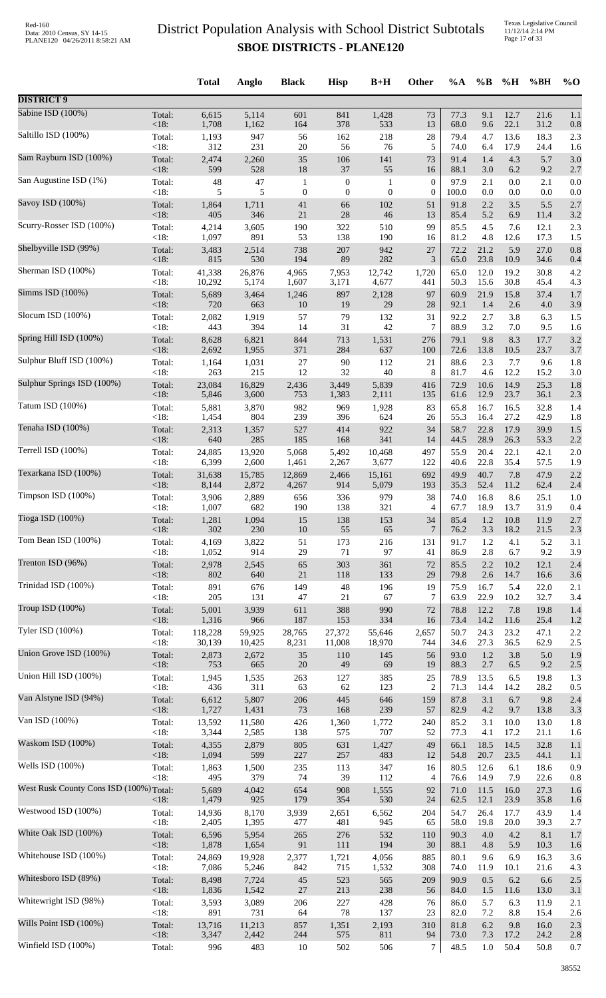Texas Legislative Council 11/12/14 2:14 PM Page 17 of 33

|                                         |                   | <b>Total</b>    | Anglo          | <b>Black</b>     | <b>Hisp</b>  | $B+H$          | Other            | $\%A$        | $\%B$        | %H                 | %BH          | $%$ <sup>O</sup> |
|-----------------------------------------|-------------------|-----------------|----------------|------------------|--------------|----------------|------------------|--------------|--------------|--------------------|--------------|------------------|
| <b>DISTRICT 9</b>                       |                   |                 |                |                  |              |                |                  |              |              |                    |              |                  |
| Sabine ISD (100%)                       | Total:            | 6,615           | 5,114          | 601              | 841          | 1,428          | 73               | 77.3         | 9.1          | 12.7               | 21.6         | 1.1              |
|                                         | < 18:             | 1,708           | 1,162          | 164              | 378          | 533            | 13               | 68.0         | 9.6          | 22.1               | 31.2         | 0.8              |
| Saltillo ISD (100%)                     | Total:            | 1,193           | 947            | 56               | 162          | 218            | $28\,$           | 79.4         | 4.7          | 13.6               | 18.3         | 2.3              |
|                                         | < 18:             | 312             | 231            | 20               | 56           | 76             | 5                | 74.0         | 6.4          | 17.9               | 24.4         | 1.6              |
| Sam Rayburn ISD (100%)                  | Total:            | 2,474           | 2,260          | 35               | 106          | 141            | 73               | 91.4         | 1.4          | 4.3                | 5.7          | 3.0              |
|                                         | < 18:             | 599             | 528            | 18               | $37\,$       | 55             | 16               | 88.1         | 3.0          | 6.2                | 9.2          | 2.7              |
| San Augustine ISD (1%)                  | Total:            | 48              | 47             | $\mathbf{1}$     | $\mathbf{0}$ | $\mathbf{1}$   | $\boldsymbol{0}$ | 97.9         | 2.1          | $0.0\,$            | 2.1          | 0.0              |
|                                         | < 18:             | 5               | 5              | $\boldsymbol{0}$ | $\mathbf{0}$ | $\mathbf{0}$   | $\boldsymbol{0}$ | 100.0        | 0.0          | 0.0                | 0.0          | 0.0              |
| Savoy ISD (100%)                        | Total:            | 1,864           | 1,711          | 41               | 66           | 102            | 51               | 91.8         | 2.2          | 3.5                | 5.5          | 2.7              |
|                                         | <18:              | 405             | 346            | $21\,$           | $28\,$       | 46             | 13               | 85.4         | 5.2          | 6.9                | 11.4         | 3.2              |
| Scurry-Rosser ISD (100%)                | Total:            | 4,214           | 3,605          | 190              | 322          | 510            | 99               | 85.5         | 4.5          | 7.6                | 12.1         | 2.3              |
|                                         | < 18:             | 1,097           | 891            | 53               | 138          | 190            | 16               | 81.2         | 4.8          | 12.6               | 17.3         | 1.5              |
| Shelbyville ISD (99%)                   | Total:            | 3,483           | 2,514          | 738              | 207          | 942            | 27               | 72.2         | 21.2         | 5.9                | 27.0         | 0.8              |
|                                         | $<18$ :           | 815             | 530            | 194              | 89           | 282            | 3                | 65.0         | 23.8         | 10.9               | 34.6         | 0.4              |
| Sherman ISD (100%)                      | Total:<br>< 18:   | 41,338          | 26,876         | 4,965            | 7,953        | 12,742         | 1,720            | 65.0<br>50.3 | 12.0<br>15.6 | 19.2<br>30.8       | 30.8         | 4.2              |
| Simms ISD (100%)                        | Total:            | 10,292<br>5,689 | 5,174<br>3,464 | 1,607<br>1,246   | 3,171<br>897 | 4,677<br>2,128 | 441<br>97        | 60.9         | 21.9         | 15.8               | 45.4<br>37.4 | 4.3<br>1.7       |
| Slocum ISD (100%)                       | < 18:             | 720             | 663            | 10               | 19           | 29             | 28               | 92.1         | 1.4          | 2.6                | 4.0          | 3.9              |
|                                         | Total:            | 2,082           | 1,919          | 57               | 79           | 132            | 31               | 92.2         | 2.7          | 3.8                | 6.3          | 1.5              |
| Spring Hill ISD (100%)                  | < 18:             | 443             | 394            | 14               | 31           | 42             | 7                | 88.9         | 3.2          | 7.0                | 9.5          | 1.6              |
|                                         | Total:            | 8,628           | 6,821          | 844              | 713          | 1,531          | 276              | 79.1         | 9.8          | 8.3                | 17.7         | 3.2              |
| Sulphur Bluff ISD (100%)                | <18:              | 2,692           | 1,955          | 371              | 284          | 637            | 100              | 72.6         | 13.8         | 10.5               | 23.7         | 3.7              |
|                                         | Total:            | 1,164           | 1,031          | $27\,$           | $90\,$       | 112            | 21               | 88.6         | 2.3          | 7.7                | 9.6          | 1.8              |
| Sulphur Springs ISD (100%)              | < 18:             | 263             | 215            | 12               | 32           | 40             | 8                | 81.7         | 4.6          | 12.2               | 15.2         | 3.0              |
|                                         | Total:            | 23,084          | 16,829         | 2,436            | 3,449        | 5,839          | 416              | 72.9         | 10.6         | 14.9               | 25.3         | 1.8              |
| Tatum ISD (100%)                        | <18:              | 5,846           | 3,600          | 753              | 1,383        | 2,111          | 135              | 61.6         | 12.9         | 23.7               | 36.1         | 2.3              |
|                                         | Total:            | 5,881           | 3,870          | 982              | 969          | 1,928          | 83               | 65.8         | 16.7         | 16.5               | 32.8         | 1.4              |
| Tenaha ISD (100%)                       | < 18:             | 1,454           | 804            | 239              | 396          | 624            | 26               | 55.3         | 16.4         | 27.2               | 42.9         | 1.8              |
|                                         | Total:            | 2,313           | 1,357          | 527              | 414          | 922            | 34               | 58.7         | 22.8         | 17.9               | 39.9         | 1.5              |
| Terrell ISD (100%)                      | < 18:             | 640             | 285            | 185              | 168          | 341            | 14               | 44.5         | 28.9         | 26.3               | 53.3         | 2.2              |
|                                         | Total:            | 24,885          | 13,920         | 5,068            | 5,492        | 10,468         | 497              | 55.9         | 20.4         | 22.1               | 42.1         | 2.0              |
| Texarkana ISD (100%)                    | < 18:             | 6,399           | 2,600          | 1,461            | 2,267        | 3,677          | 122              | 40.6         | 22.8         | 35.4               | 57.5         | 1.9              |
|                                         | Total:            | 31,638          | 15,785         | 12,869           | 2,466        | 15,161         | 692              | 49.9         | 40.7         | 7.8                | 47.9         | 2.2              |
| Timpson ISD $(100\%)$                   | <18:              | 8,144           | 2,872          | 4,267            | 914          | 5,079          | 193              | 35.3         | 52.4         | 11.2               | 62.4         | 2.4              |
|                                         | Total:            | 3,906           | 2,889          | 656              | 336          | 979            | 38               | 74.0         | 16.8         | 8.6                | 25.1         | 1.0              |
| Tioga ISD (100%)                        | < 18:<br>Total:   | 1,007<br>1,281  | 682<br>1,094   | 190<br>15        | 138<br>138   | 321<br>153     | 4<br>34          | 67.7<br>85.4 | 18.9         | 13.7<br>$1.2$ 10.8 | 31.9<br>11.9 | 0.4<br>2.7       |
| Tom Bean ISD (100%)                     | $<18$ :           | 302             | 230            | 10               | 55           | 65             | $\overline{7}$   | 76.2         | 3.3          | 18.2               | 21.5         | 2.3              |
|                                         | Total:            | 4,169           | 3,822          | 51               | 173          | 216            | 131              | 91.7         | $1.2\,$      | 4.1                | 5.2          | 3.1              |
| Trenton ISD (96%)                       | < 18:             | 1,052           | 914            | 29               | 71           | 97             | 41               | 86.9         | 2.8          | 6.7                | 9.2          | 3.9              |
|                                         | Total:            | 2,978           | 2,545          | 65               | 303          | 361            | 72               | 85.5         | 2.2          | 10.2               | 12.1         | 2.4              |
|                                         | < 18:             | 802             | 640            | 21               | 118          | 133            | 29               | 79.8         | 2.6          | 14.7               | 16.6         | 3.6              |
| Trinidad ISD (100%)                     | Total:            | 891             | 676            | 149              | $\sqrt{48}$  | 196            | 19               | 75.9         | 16.7         | 5.4                | 22.0         | 2.1              |
|                                         | < 18:             | 205             | 131            | 47               | 21           | 67             | 7                | 63.9         | 22.9         | 10.2               | 32.7         | 3.4              |
| Troup ISD (100%)                        | Total:            | 5,001           | 3,939          | 611              | 388          | 990            | 72               | 78.8         | 12.2         | 7.8                | 19.8         | 1.4              |
|                                         | < 18:             | 1,316           | 966            | 187              | 153          | 334            | 16               | 73.4         | 14.2         | 11.6               | 25.4         | 1.2              |
| Tyler ISD (100%)                        | Total:            | 118,228         | 59,925         | 28,765           | 27,372       | 55,646         | 2,657            | 50.7         | 24.3         | 23.2               | 47.1         | 2.2              |
|                                         | < 18:             | 30,139          | 10,425         | 8,231            | 11,008       | 18,970         | 744              | 34.6         | 27.3         | 36.5               | 62.9         | 2.5              |
| Union Grove ISD (100%)                  | Total:            | 2,873           | 2,672          | 35               | 110          | 145            | 56               | 93.0         | $1.2\,$      | 3.8                | 5.0          | 1.9              |
|                                         | <18:              | 753             | 665            | $20\,$           | 49           | 69             | 19               | 88.3         | 2.7          | 6.5                | 9.2          | 2.5              |
| Union Hill ISD (100%)                   | Total:            | 1,945           | 1,535          | 263              | 127          | 385            | 25               | 78.9         | 13.5         | 6.5                | 19.8         | 1.3              |
|                                         | < 18:             | 436             | 311            | 63               | 62           | 123            | $\overline{2}$   | 71.3         | 14.4         | 14.2               | 28.2         | 0.5              |
| Van Alstyne ISD (94%)                   | Total:            | 6,612           | 5,807          | 206              | 445          | 646            | 159              | 87.8         | 3.1          | 6.7                | 9.8          | 2.4              |
|                                         | <18:              | 1,727           | 1,431          | 73               | 168          | 239            | 57               | 82.9         | 4.2          | 9.7                | 13.8         | 3.3              |
| Van ISD (100%)                          | Total:            | 13,592          | 11,580         | 426              | 1,360        | 1,772          | 240              | 85.2         | 3.1          | 10.0               | 13.0         | 1.8              |
|                                         | <18:              | 3,344           | 2,585          | 138              | 575          | 707            | 52               | 77.3         | 4.1          | 17.2               | 21.1         | 1.6              |
| Waskom ISD (100%)                       | Total:            | 4,355           | 2,879          | 805              | 631          | 1,427          | 49               | 66.1         | 18.5         | 14.5               | 32.8         | 1.1              |
|                                         | < 18:             | 1,094           | 599            | 227              | $257\,$      | 483            | 12               | 54.8         | 20.7         | 23.5               | 44.1         | 1.1              |
| Wells ISD (100%)                        | Total:            | 1,863           | 1,500          | 235              | 113          | 347            | 16               | 80.5         | 12.6         | 6.1                | 18.6         | 0.9              |
|                                         | < 18:             | 495             | 379            | 74               | 39           | 112            | $\overline{4}$   | 76.6         | 14.9         | 7.9                | 22.6         | 0.8              |
| West Rusk County Cons ISD (100%) Total: |                   | 5,689<br>1,479  | 4,042<br>925   | 654<br>179       | 908<br>354   | 1,555<br>530   | 92<br>24         | 71.0<br>62.5 | 11.5<br>12.1 | 16.0<br>23.9       | 27.3<br>35.8 | 1.6              |
| Westwood ISD (100%)                     | $<18$ :<br>Total: | 14,936          | 8,170          | 3,939            | 2,651        | 6,562          | 204              | 54.7         | 26.4         | 17.7               | 43.9         | 1.6<br>1.4       |
| White Oak ISD (100%)                    | < 18:             | 2,405           | 1,395          | 477              | 481          | 945            | 65               | 58.0         | 19.8         | 20.0               | 39.3         | 2.7              |
|                                         | Total:            | 6,596           | 5,954          | 265              | 276          | 532            | 110              | 90.3         | 4.0          | 4.2                | 8.1          | 1.7              |
| Whitehouse ISD (100%)                   | < 18:             | 1,878           | 1,654          | 91               | 111          | 194            | 30               | 88.1         | 4.8          | 5.9                | 10.3         | 1.6              |
|                                         | Total:            | 24,869          | 19,928         | 2,377            | 1,721        | 4,056          | 885              | 80.1         | 9.6          | 6.9                | 16.3         | 3.6              |
| Whitesboro ISD (89%)                    | < 18:             | 7,086           | 5,246          | 842              | 715          | 1,532          | 308              | 74.0         | 11.9         | 10.1               | 21.6         | 4.3              |
|                                         | Total:            | 8,498           | 7,724          | 45               | 523          | 565            | 209              | 90.9         | 0.5          | 6.2                | 6.6          | 2.5              |
| Whitewright ISD (98%)                   | <18:              | 1,836           | 1,542          | $27\,$           | 213          | 238            | 56               | 84.0         | 1.5          | 11.6               | 13.0         | 3.1              |
|                                         | Total:            | 3,593           | 3,089          | 206              | 227          | 428            | 76               | 86.0         | 5.7          | 6.3                | 11.9         | 2.1              |
| Wills Point ISD (100%)                  | < 18:             | 891             | 731            | 64               | 78           | 137            | 23               | 82.0         | 7.2          | 8.8                | 15.4         | 2.6              |
|                                         | Total:            | 13,716          | 11,213         | 857              | 1,351        | 2,193          | 310              | 81.8         | 6.2          | 9.8                | 16.0         | 2.3              |
| Winfield ISD (100%)                     | <18:              | 3,347           | 2,442          | 244              | 575          | 811            | 94               | 73.0         | 7.3          | 17.2               | 24.2         | 2.8              |
|                                         | Total:            | 996             | 483            | 10               | 502          | 506            | $\tau$           | 48.5         | $1.0\,$      | 50.4               | 50.8         | 0.7              |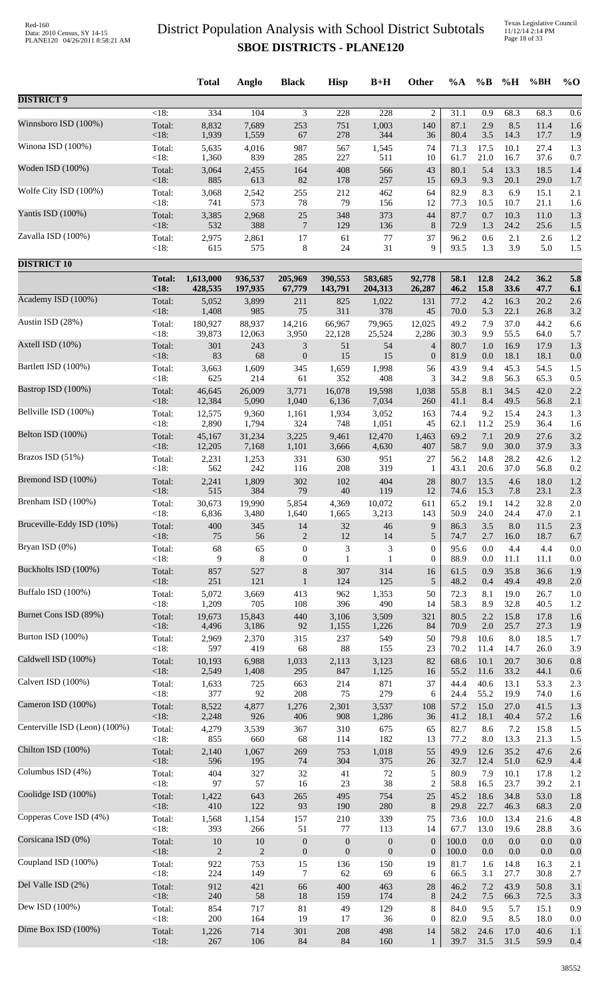Texas Legislative Council 11/12/14 2:14 PM Page 18 of 33

|                               |                 | <b>Total</b> | Anglo        | <b>Black</b>     | <b>Hisp</b>  | $B+H$            | Other                 | %A           | $\%B$        | %H           | %BH          | $%$ <sup>O</sup> |
|-------------------------------|-----------------|--------------|--------------|------------------|--------------|------------------|-----------------------|--------------|--------------|--------------|--------------|------------------|
| <b>DISTRICT 9</b>             |                 |              |              |                  |              |                  |                       |              |              |              |              |                  |
| Winnsboro ISD (100%)          | < 18:           | 334<br>8,832 | 104<br>7,689 | 3<br>253         | 228<br>751   | 228<br>1,003     | $\overline{c}$<br>140 | 31.1<br>87.1 | 0.9<br>2.9   | 68.3<br>8.5  | 68.3<br>11.4 | 0.6              |
|                               | Total:<br><18:  | 1,939        | 1,559        | 67               | 278          | 344              | 36                    | 80.4         | 3.5          | 14.3         | 17.7         | 1.6<br>1.9       |
| Winona ISD (100%)             | Total:          | 5,635        | 4,016        | 987              | 567          | 1,545            | 74                    | 71.3         | 17.5         | 10.1         | 27.4         | 1.3              |
|                               | < 18:           | 1,360        | 839          | 285              | 227          | 511              | 10                    | 61.7         | 21.0         | 16.7         | 37.6         | 0.7              |
| Woden ISD (100%)              | Total:          | 3,064        | 2,455        | 164              | 408          | 566              | 43                    | 80.1         | 5.4          | 13.3         | 18.5         | 1.4              |
|                               | <18:            | 885          | 613          | 82               | 178          | 257              | 15                    | 69.3         | 9.3          | 20.1         | 29.0         | 1.7              |
| Wolfe City ISD (100%)         | Total:          | 3,068        | 2,542        | 255              | 212          | 462              | 64                    | 82.9         | 8.3          | 6.9          | 15.1         | 2.1              |
| Yantis ISD (100%)             | < 18:           | 741          | 573          | 78               | 79           | 156              | 12                    | 77.3         | 10.5         | 10.7         | 21.1         | 1.6              |
|                               | Total:          | 3,385        | 2,968        | $25\,$           | 348          | 373              | 44                    | 87.7         | 0.7          | 10.3         | 11.0         | 1.3              |
| Zavalla ISD (100%)            | < 18:           | 532          | 388          | 7                | 129          | 136              | 8                     | 72.9         | 1.3          | 24.2         | 25.6         | 1.5              |
|                               | Total:          | 2,975        | 2,861        | 17               | 61           | 77               | 37                    | 96.2         | 0.6          | 2.1          | 2.6          | 1.2              |
|                               | < 18:           | 615          | 575          | 8                | 24           | 31               | 9                     | 93.5         | 1.3          | 3.9          | 5.0          | 1.5              |
| <b>DISTRICT 10</b>            | <b>Total:</b>   | 1,613,000    | 936,537      | 205,969          | 390,553      | 583,685          | 92,778                | 58.1         | 12.8         | 24.2         | 36.2         | 5.8              |
|                               | <18:            | 428,535      | 197,935      | 67,779           | 143,791      | 204,313          | 26,287                | 46.2         | 15.8         | 33.6         | 47.7         | 6.1              |
| Academy ISD (100%)            | Total:          | 5,052        | 3,899        | 211              | 825          | 1,022            | 131                   | 77.2         | 4.2          | 16.3         | 20.2         | 2.6              |
|                               | <18:            | 1,408        | 985          | 75               | 311          | 378              | 45                    | 70.0         | 5.3          | 22.1         | 26.8         | 3.2              |
| Austin ISD (28%)              | Total:          | 180,927      | 88,937       | 14,216           | 66,967       | 79,965           | 12,025                | 49.2         | 7.9          | 37.0         | 44.2         | 6.6              |
|                               | < 18:           | 39,873       | 12,063       | 3,950            | 22,128       | 25,524           | 2,286                 | 30.3         | 9.9          | 55.5         | 64.0         | 5.7              |
| Axtell ISD (10%)              | Total:          | 301          | 243          | $\mathfrak{Z}$   | 51           | 54               | $\overline{4}$        | 80.7         | 1.0          | 16.9         | 17.9         | 1.3              |
|                               | < 18:           | 83           | 68           | $\boldsymbol{0}$ | 15           | 15               | $\boldsymbol{0}$      | 81.9         | 0.0          | 18.1         | 18.1         | 0.0              |
| Bartlett ISD (100%)           | Total:          | 3,663        | 1,609        | 345              | 1,659        | 1,998            | 56                    | 43.9         | 9.4          | 45.3         | 54.5         | 1.5              |
|                               | < 18:           | 625          | 214          | 61               | 352          | 408              | 3                     | 34.2         | 9.8          | 56.3         | 65.3         | 0.5              |
| Bastrop ISD (100%)            | Total:          | 46,645       | 26,009       | 3,771            | 16,078       | 19,598           | 1,038                 | 55.8         | 8.1          | 34.5         | 42.0         | 2.2              |
| Bellville ISD (100%)          | <18:            | 12,384       | 5,090        | 1,040            | 6,136        | 7,034            | 260                   | 41.1         | 8.4          | 49.5         | 56.8         | 2.1              |
|                               | Total:          | 12,575       | 9,360        | 1,161            | 1,934        | 3,052            | 163                   | 74.4         | 9.2          | 15.4         | 24.3         | 1.3              |
| Belton ISD (100%)             | < 18:           | 2,890        | 1,794        | 324              | 748          | 1,051            | 45                    | 62.1         | 11.2         | 25.9         | 36.4         | 1.6              |
|                               | Total:          | 45,167       | 31,234       | 3,225            | 9,461        | 12,470           | 1,463                 | 69.2         | 7.1          | 20.9         | 27.6         | 3.2              |
| Brazos ISD (51%)              | <18:            | 12,205       | 7,168        | 1,101            | 3,666        | 4,630            | 407                   | 58.7         | 9.0          | 30.0         | 37.9         | 3.3              |
|                               | Total:          | 2,231        | 1,253        | 331              | 630          | 951              | 27                    | 56.2         | 14.8         | 28.2         | 42.6         | 1.2              |
| Bremond ISD (100%)            | < 18:           | 562          | 242          | 116              | 208          | 319              | 1                     | 43.1         | 20.6         | 37.0         | 56.8         | 0.2              |
|                               | Total:          | 2,241        | 1,809        | 302              | 102          | 404              | 28                    | 80.7         | 13.5         | 4.6          | 18.0         | 1.2              |
| Brenham ISD (100%)            | < 18:           | 515          | 384          | 79               | $40\,$       | 119              | 12                    | 74.6         | 15.3         | 7.8          | 23.1         | 2.3              |
|                               | Total:          | 30,673       | 19,990       | 5,854            | 4,369        | 10,072           | 611                   | 65.2         | 19.1         | 14.2         | 32.8         | 2.0              |
| Bruceville-Eddy ISD (10%)     | < 18:           | 6,836        | 3,480        | 1,640            | 1,665        | 3,213            | 143                   | 50.9         | 24.0         | 24.4         | 47.0         | 2.1              |
|                               | Total:          | 400          | 345          | 14               | $32\,$       | 46               | 9                     | 86.3         | 3.5          | 8.0          | 11.5         | 2.3              |
| Bryan ISD (0%)                | < 18:           | 75           | 56           | $\overline{2}$   | 12           | 14               | 5                     | 74.7         | 2.7          | 16.0         | 18.7         | 6.7              |
|                               | Total:          | 68           | 65           | $\boldsymbol{0}$ | 3            | 3                | $\mathbf{0}$          | 95.6         | 0.0          | 4.4          | 4.4          | 0.0              |
|                               | < 18:           | 9            | 8            | $\boldsymbol{0}$ | 1            | 1                | $\boldsymbol{0}$      | 88.9         | 0.0          | 11.1         | 11.1         | 0.0              |
| Buckholts ISD (100%)          | Total:          | 857          | 527          | $8\,$            | 307          | 314              | 16                    | 61.5         | 0.9          | 35.8         | 36.6         | 1.9              |
|                               | <18:            | 251          | 121          | $\mathbf{1}$     | 124          | 125              | 5                     | 48.2         | 0.4          | 49.4         | 49.8         | 2.0              |
| Buffalo ISD (100%)            | Total:          | 5,072        | 3,669        | 413              | 962          | 1,353            | 50                    | 72.3         | 8.1          | 19.0         | 26.7         | 1.0              |
|                               | < 18:           | 1,209        | 705          | 108              | 396          | 490              | 14                    | 58.3         | 8.9          | 32.8         | 40.5         | 1.2              |
| Burnet Cons ISD (89%)         | Total:          | 19,673       | 15,843       | 440              | 3,106        | 3,509            | 321                   | 80.5         | 2.2          | 15.8         | 17.8         | 1.6              |
|                               | < 18:           | 4,496        | 3,186        | 92               | 1,155        | 1,226            | 84                    | 70.9         | 2.0          | 25.7         | 27.3         | 1.9              |
| Burton ISD (100%)             | Total:          | 2,969        | 2,370        | 315              | 237          | 549              | 50                    | 79.8         | 10.6         | 8.0          | 18.5         | 1.7              |
|                               | < 18:           | 597          | 419          | 68               | 88           | 155              | 23                    | 70.2         | 11.4         | 14.7         | 26.0         | 3.9              |
| Caldwell ISD (100%)           | Total:          | 10,193       | 6,988        | 1,033            | 2,113        | 3,123            | 82                    | 68.6         | 10.1         | 20.7         | 30.6         | 0.8              |
|                               | <18:            | 2,549        | 1,408        | 295              | 847          | 1,125            | 16                    | 55.2         | 11.6         | 33.2         | 44.1         | 0.6              |
| Calvert ISD (100%)            | Total:<br>< 18: | 1,633<br>377 | 725<br>92    | 663<br>208       | 214<br>75    | 871<br>279       | 37<br>6               | 44.4<br>24.4 | 40.6         | 13.1         | 53.3         | 2.3              |
| Cameron ISD (100%)            | Total:          | 8,522        | 4,877        | 1,276            | 2,301        | 3,537            | 108                   | 57.2         | 55.2<br>15.0 | 19.9<br>27.0 | 74.0<br>41.5 | 1.6<br>1.3       |
| Centerville ISD (Leon) (100%) | < 18:           | 2,248        | 926          | 406              | 908          | 1,286            | 36                    | 41.2         | 18.1         | 40.4         | 57.2         | 1.6              |
|                               | Total:          | 4,279        | 3,539        | 367              | 310          | 675              | 65                    | 82.7         | 8.6          | 7.2          | 15.8         | 1.5              |
| Chilton ISD (100%)            | < 18:           | 855          | 660          | 68               | 114          | 182              | 13                    | 77.2         | $8.0\,$      | 13.3         | 21.3         | 1.5              |
|                               | Total:          | 2,140        | 1,067        | 269              | 753          | 1,018            | 55                    | 49.9         | 12.6         | 35.2         | 47.6         | 2.6              |
| Columbus ISD (4%)             | < 18:           | 596          | 195          | 74               | 304          | 375              | 26                    | 32.7         | 12.4         | 51.0         | 62.9         | 4.4              |
|                               | Total:          | 404          | 327          | 32               | 41           | $72\,$           | 5                     | 80.9         | 7.9          | 10.1         | 17.8         | 1.2              |
| Coolidge ISD (100%)           | < 18:           | 97           | 57           | 16               | 23           | 38               | $\overline{c}$        | 58.8         | 16.5         | 23.7         | 39.2         | 2.1              |
|                               | Total:          | 1,422        | 643          | 265              | 495          | 754              | 25                    | 45.2         | 18.6         | 34.8         | 53.0         | 1.8              |
| Copperas Cove ISD (4%)        | < 18:           | 410          | 122          | 93               | 190          | 280              | $\,8\,$               | 29.8         | 22.7         | 46.3         | 68.3         | 2.0              |
|                               | Total:          | 1,568        | 1,154        | 157              | 210          | 339              | 75                    | 73.6         | 10.0         | 13.4         | 21.6         | 4.8              |
| Corsicana ISD (0%)            | < 18:           | 393          | 266          | 51               | 77           | 113              | 14                    | 67.7         | 13.0         | 19.6         | 28.8         | 3.6              |
|                               | Total:          | 10           | 10           | $\boldsymbol{0}$ | $\mathbf{0}$ | $\boldsymbol{0}$ | $\boldsymbol{0}$      | 100.0        | 0.0          | 0.0          | 0.0          | 0.0              |
|                               | <18:            | 2            | $\mathbf{2}$ | $\boldsymbol{0}$ | $\mathbf{0}$ | $\boldsymbol{0}$ | $\boldsymbol{0}$      | 100.0        | 0.0          | 0.0          | 0.0          | 0.0              |
| Coupland ISD (100%)           | Total:          | 922          | 753          | 15               | 136          | 150              | 19                    | 81.7         | 1.6          | 14.8         | 16.3         | 2.1              |
|                               | < 18:           | 224          | 149          | 7                | 62           | 69               | 6                     | 66.5         | 3.1          | 27.7         | 30.8         | 2.7              |
| Del Valle ISD (2%)            | Total:          | 912          | 421          | 66               | 400          | 463              | $28\,$                | 46.2         | 7.2          | 43.9         | 50.8         | 3.1              |
|                               | $<18$ :         | 240          | 58           | 18               | 159          | 174              | 8                     | 24.2         | 7.5          | 66.3         | 72.5         | 3.3              |
| Dew ISD (100%)                | Total:          | 854          | 717          | 81               | 49           | 129              | 8                     | 84.0         | 9.5          | 5.7          | 15.1         | 0.9              |
|                               | < 18:           | 200          | 164          | 19               | 17           | 36               | $\boldsymbol{0}$      | 82.0         | 9.5          | 8.5          | 18.0         | 0.0              |
| Dime Box ISD (100%)           | Total:          | 1,226        | 714          | 301              | 208          | 498              | 14                    | 58.2         | 24.6         | 17.0         | 40.6         | 1.1              |
|                               | <18:            | 267          | 106          | 84               | 84           | 160              | $\mathbf{1}$          | 39.7         | 31.5         | 31.5         | 59.9         | 0.4              |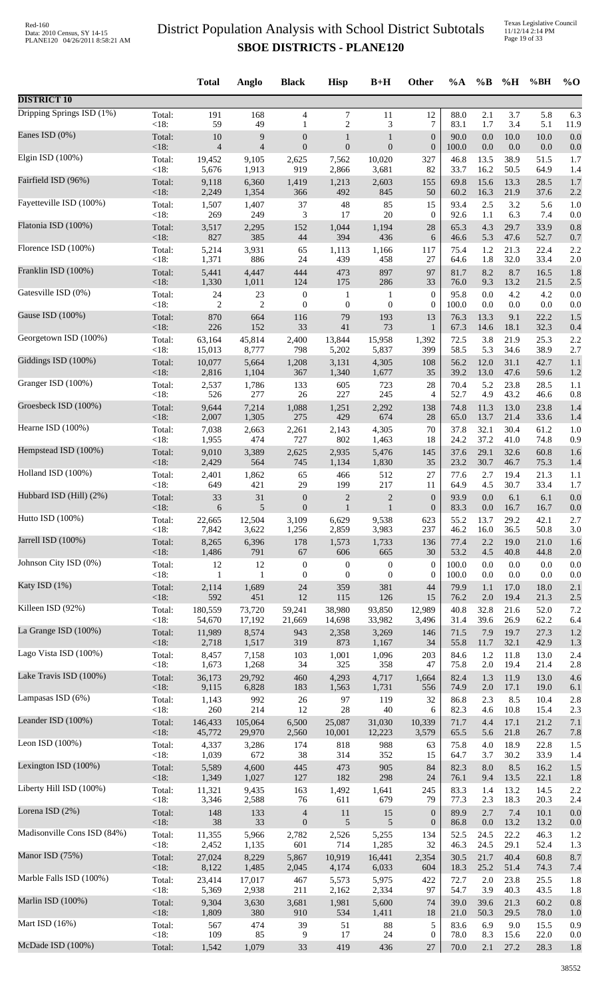Texas Legislative Council 11/12/14 2:14 PM Page 19 of 33

|                             |         | <b>Total</b>   | Anglo          | <b>Black</b>             | <b>Hisp</b>      | $B+H$            | Other            | %A    | $\%B$   | %H      | %BH     | $%$ <sup>O</sup> |
|-----------------------------|---------|----------------|----------------|--------------------------|------------------|------------------|------------------|-------|---------|---------|---------|------------------|
| <b>DISTRICT 10</b>          |         |                |                |                          |                  |                  |                  |       |         |         |         |                  |
| Dripping Springs ISD (1%)   | Total:  | 191            | 168            | $\overline{4}$           | $\tau$           | 11               | 12               | 88.0  | 2.1     | 3.7     | 5.8     | 6.3              |
| Eanes ISD (0%)              | $<18$ : | 59             | 49             | $\mathbf{1}$             | $\overline{c}$   | 3                | 7                | 83.1  | 1.7     | 3.4     | 5.1     | 11.9             |
|                             | Total:  | 10             | 9              | $\boldsymbol{0}$         | 1                | 1                | $\boldsymbol{0}$ | 90.0  | 0.0     | 10.0    | 10.0    | 0.0              |
| Elgin ISD (100%)            | < 18:   | $\overline{4}$ | $\overline{4}$ | $\boldsymbol{0}$         | $\boldsymbol{0}$ | $\mathbf{0}$     | $\boldsymbol{0}$ | 100.0 | $0.0\,$ | 0.0     | 0.0     | 0.0              |
|                             | Total:  | 19,452         | 9,105          | 2,625                    | 7,562            | 10,020           | 327              | 46.8  | 13.5    | 38.9    | 51.5    | 1.7              |
| Fairfield ISD (96%)         | < 18:   | 5,676          | 1,913          | 919                      | 2,866            | 3,681            | 82               | 33.7  | 16.2    | 50.5    | 64.9    | 1.4              |
|                             | Total:  | 9,118          | 6,360          | 1,419                    | 1,213            | 2,603            | 155              | 69.8  | 15.6    | 13.3    | 28.5    | 1.7              |
|                             | < 18:   | 2,249          | 1,354          | 366                      | 492              | 845              | 50               | 60.2  | 16.3    | 21.9    | 37.6    | 2.2              |
| Fayetteville ISD (100%)     | Total:  | 1,507          | 1,407          | 37                       | $\sqrt{48}$      | 85               | 15               | 93.4  | 2.5     | 3.2     | 5.6     | 1.0              |
|                             | < 18:   | 269            | 249            | 3                        | 17               | 20               | $\boldsymbol{0}$ | 92.6  | 1.1     | 6.3     | 7.4     | 0.0              |
| Flatonia ISD (100%)         | Total:  | 3,517          | 2,295          | 152                      | 1,044            | 1,194            | 28               | 65.3  | 4.3     | 29.7    | 33.9    | 0.8              |
|                             | $<18$ : | 827            | 385            | 44                       | 394              | 436              | 6                | 46.6  | 5.3     | 47.6    | 52.7    | 0.7              |
| Florence ISD (100%)         | Total:  | 5,214          | 3,931          | 65                       | 1,113            | 1,166            | 117              | 75.4  | 1.2     | 21.3    | 22.4    | 2.2              |
| Franklin ISD (100%)         | < 18:   | 1,371          | 886            | 24                       | 439              | 458              | 27               | 64.6  | 1.8     | 32.0    | 33.4    | 2.0              |
|                             | Total:  | 5,441          | 4,447          | 444                      | 473              | 897              | 97               | 81.7  | 8.2     | 8.7     | 16.5    | 1.8              |
| Gatesville ISD (0%)         | < 18:   | 1,330          | 1,011          | 124                      | 175              | 286              | 33               | 76.0  | 9.3     | 13.2    | 21.5    | 2.5              |
|                             | Total:  | 24             | 23             | $\boldsymbol{0}$         | $\mathbf{1}$     | $\mathbf{1}$     | $\boldsymbol{0}$ | 95.8  | 0.0     | 4.2     | 4.2     | 0.0              |
| Gause ISD (100%)            | < 18:   | 2              | $\overline{2}$ | $\boldsymbol{0}$         | $\boldsymbol{0}$ | $\mathbf{0}$     | $\boldsymbol{0}$ | 100.0 | 0.0     | 0.0     | 0.0     | 0.0              |
|                             | Total:  | 870            | 664            | 116                      | 79               | 193              | 13               | 76.3  | 13.3    | 9.1     | 22.2    | 1.5              |
| Georgetown ISD (100%)       | <18:    | 226            | 152            | 33                       | 41               | 73               | $\mathbf{1}$     | 67.3  | 14.6    | 18.1    | 32.3    | 0.4              |
|                             | Total:  | 63,164         | 45,814         | 2,400                    | 13,844           | 15,958           | 1,392            | 72.5  | 3.8     | 21.9    | 25.3    | 2.2              |
|                             | < 18:   | 15,013         | 8,777          | 798                      | 5,202            | 5,837            | 399              | 58.5  | 5.3     | 34.6    | 38.9    | 2.7              |
| Giddings ISD (100%)         | Total:  | 10,077         | 5,664          | 1,208                    | 3,131            | 4,305            | 108              | 56.2  | 12.0    | 31.1    | 42.7    | 1.1              |
|                             | <18:    | 2,816          | 1,104          | 367                      | 1,340            | 1,677            | 35               | 39.2  | 13.0    | 47.6    | 59.6    | 1.2              |
| Granger ISD (100%)          | Total:  | 2,537          | 1,786          | 133                      | 605              | 723              | 28               | 70.4  | 5.2     | 23.8    | 28.5    | 1.1              |
|                             | < 18:   | 526            | 277            | 26                       | 227              | 245              | 4                | 52.7  | 4.9     | 43.2    | 46.6    | 0.8              |
| Groesbeck ISD (100%)        | Total:  | 9,644          | 7,214          | 1,088                    | 1,251            | 2,292            | 138              | 74.8  | 11.3    | 13.0    | 23.8    | 1.4              |
| Hearne ISD (100%)           | < 18:   | 2,007          | 1,305          | 275                      | 429              | 674              | 28               | 65.0  | 13.7    | 21.4    | 33.6    | 1.4              |
|                             | Total:  | 7,038          | 2,663          | 2,261                    | 2,143            | 4,305            | 70               | 37.8  | 32.1    | 30.4    | 61.2    | 1.0              |
| Hempstead ISD (100%)        | < 18:   | 1,955          | 474            | 727                      | 802              | 1,463            | 18               | 24.2  | 37.2    | 41.0    | 74.8    | 0.9              |
|                             | Total:  | 9,010          | 3,389          | 2,625                    | 2,935            | 5,476            | 145              | 37.6  | 29.1    | 32.6    | 60.8    | 1.6              |
| Holland ISD (100%)          | < 18:   | 2,429          | 564            | 745                      | 1,134            | 1,830            | 35               | 23.2  | 30.7    | 46.7    | 75.3    | 1.4              |
|                             | Total:  | 2,401          | 1,862          | 65                       | 466              | 512              | 27               | 77.6  | 2.7     | 19.4    | 21.3    | 1.1              |
|                             | < 18:   | 649            | 421            | 29                       | 199              | 217              | 11               | 64.9  | 4.5     | 30.7    | 33.4    | 1.7              |
| Hubbard ISD (Hill) (2%)     | Total:  | 33             | 31             | $\boldsymbol{0}$         | $\boldsymbol{2}$ | $\sqrt{2}$       | $\boldsymbol{0}$ | 93.9  | $0.0\,$ | 6.1     | 6.1     | 0.0              |
|                             | $<18$ : | 6              | 5              | $\boldsymbol{0}$         | $\mathbf{1}$     | $\mathbf{1}$     | $\boldsymbol{0}$ | 83.3  | 0.0     | 16.7    | 16.7    | 0.0              |
| Hutto ISD (100%)            | Total:  | 22,665         | 12,504         | 3,109                    | 6,629            | 9,538            | 623              | 55.2  | 13.7    | 29.2    | 42.1    | 2.7              |
|                             | $<18$ : | 7,842          | 3,622          | 1,256                    | 2,859            | 3,983            | 237              | 46.2  | 16.0    | 36.5    | 50.8    | 3.0              |
| Jarrell ISD (100%)          | Total:  | 8,265          | 6,396          | 178                      | 1,573            | 1,733            | 136              | 77.4  | 2.2     | 19.0    | 21.0    | 1.6              |
|                             | $<18$ : | 1,486          | 791            | 67                       | 606              | 665              | 30               | 53.2  | 4.5     | 40.8    | 44.8    | 2.0              |
| Johnson City ISD (0%)       | Total:  | 12             | 12             | $\boldsymbol{0}$         | $\boldsymbol{0}$ | $\boldsymbol{0}$ | $\boldsymbol{0}$ | 100.0 | 0.0     | 0.0     | 0.0     | 0.0              |
| Katy ISD (1%)               | < 18:   | 1              | -1             | $\boldsymbol{0}$         | $\boldsymbol{0}$ | $\boldsymbol{0}$ | $\boldsymbol{0}$ | 100.0 | 0.0     | $0.0\,$ | $0.0\,$ | 0.0              |
|                             | Total:  | 2,114          | 1,689          | $24\,$                   | 359              | 381              | 44               | 79.9  | 1.1     | 17.0    | 18.0    | 2.1              |
| Killeen ISD (92%)           | < 18:   | 592            | 451            | $12\,$                   | 115              | 126              | 15               | 76.2  | $2.0\,$ | 19.4    | 21.3    | 2.5              |
|                             | Total:  | 180,559        | 73,720         | 59,241                   | 38,980           | 93,850           | 12,989           | 40.8  | 32.8    | 21.6    | 52.0    | 7.2              |
| La Grange ISD (100%)        | < 18:   | 54,670         | 17,192         | 21,669                   | 14,698           | 33,982           | 3,496            | 31.4  | 39.6    | 26.9    | 62.2    | 6.4              |
|                             | Total:  | 11,989         | 8,574          | 943                      | 2,358            | 3,269            | 146              | 71.5  | 7.9     | 19.7    | 27.3    | 1.2              |
|                             | <18:    | 2,718          | 1,517          | 319                      | 873              | 1,167            | 34               | 55.8  | 11.7    | 32.1    | 42.9    | 1.3              |
| Lago Vista ISD (100%)       | Total:  | 8,457          | 7,158          | 103                      | 1,001            | 1,096            | 203              | 84.6  | 1.2     | 11.8    | 13.0    | 2.4              |
|                             | < 18:   | 1,673          | 1,268          | 34                       | 325              | 358              | 47               | 75.8  | 2.0     | 19.4    | 21.4    | 2.8              |
| Lake Travis ISD (100%)      | Total:  | 36,173         | 29,792         | 460                      | 4,293            | 4,717            | 1,664            | 82.4  | 1.3     | 11.9    | 13.0    | 4.6              |
|                             | <18:    | 9,115          | 6,828          | 183                      | 1,563            | 1,731            | 556              | 74.9  | 2.0     | 17.1    | 19.0    | 6.1              |
| Lampasas ISD (6%)           | Total:  | 1,143          | 992            | 26                       | 97               | 119              | 32               | 86.8  | 2.3     | 8.5     | 10.4    | 2.8              |
|                             | <18:    | 260            | 214            | 12                       | $28\,$           | $40\,$           | 6                | 82.3  | 4.6     | 10.8    | 15.4    | 2.3              |
| Leander ISD (100%)          | Total:  | 146,433        | 105,064        | 6,500                    | 25,087           | 31,030           | 10,339           | 71.7  | 4.4     | 17.1    | 21.2    | 7.1              |
| Leon ISD $(100\%)$          | <18:    | 45,772         | 29,970         | 2,560                    | 10,001           | 12,223           | 3,579            | 65.5  | 5.6     | 21.8    | 26.7    | 7.8              |
|                             | Total:  | 4,337          | 3,286          | 174                      | 818              | 988              | 63               | 75.8  | 4.0     | 18.9    | 22.8    | 1.5              |
| Lexington ISD (100%)        | < 18:   | 1,039          | 672            | 38                       | 314              | 352              | 15               | 64.7  | 3.7     | 30.2    | 33.9    | 1.4              |
|                             | Total:  | 5,589          | 4,600          | 445                      | 473              | 905              | 84               | 82.3  | $8.0\,$ | 8.5     | 16.2    | 1.5              |
| Liberty Hill ISD (100%)     | $<18$ : | 1,349          | 1,027          | 127                      | 182              | 298              | 24               | 76.1  | 9.4     | 13.5    | 22.1    | 1.8              |
|                             | Total:  | 11,321         | 9,435          | 163                      | 1,492            | 1,641            | 245              | 83.3  | 1.4     | 13.2    | 14.5    | 2.2              |
|                             | <18:    | 3,346          | 2,588          | 76                       | 611              | 679              | 79               | 77.3  | 2.3     | 18.3    | 20.3    | 2.4              |
| Lorena ISD (2%)             | Total:  | 148            | 133            | $\overline{\mathcal{L}}$ | 11               | 15               | $\boldsymbol{0}$ | 89.9  | 2.7     | 7.4     | 10.1    | 0.0              |
|                             | <18:    | 38             | 33             | $\boldsymbol{0}$         | 5                | 5                | $\boldsymbol{0}$ | 86.8  | 0.0     | 13.2    | 13.2    | 0.0              |
| Madisonville Cons ISD (84%) | Total:  | 11,355         | 5,966          | 2,782                    | 2,526            | 5,255            | 134              | 52.5  | 24.5    | 22.2    | 46.3    | 1.2              |
|                             | < 18:   | 2,452          | 1,135          | 601                      | 714              | 1,285            | 32               | 46.3  | 24.5    | 29.1    | 52.4    | 1.3              |
| Manor ISD (75%)             | Total:  | 27,024         | 8,229          | 5,867                    | 10,919           | 16,441           | 2,354            | 30.5  | 21.7    | 40.4    | 60.8    | 8.7              |
| Marble Falls ISD (100%)     | < 18:   | 8,122          | 1,485          | 2,045                    | 4,174            | 6,033            | 604              | 18.3  | 25.2    | 51.4    | 74.3    | 7.4              |
|                             | Total:  | 23,414         | 17,017         | 467                      | 5,573            | 5,975            | 422              | 72.7  | $2.0\,$ | 23.8    | 25.5    | 1.8              |
| Marlin ISD (100%)           | <18:    | 5,369          | 2,938          | 211                      | 2,162            | 2,334            | 97               | 54.7  | 3.9     | 40.3    | 43.5    | 1.8              |
|                             | Total:  | 9,304          | 3,630          | 3,681                    | 1,981            | 5,600            | 74               | 39.0  | 39.6    | 21.3    | 60.2    | 0.8              |
| Mart ISD (16%)              | <18:    | 1,809          | 380            | 910                      | 534              | 1,411            | $18\,$           | 21.0  | 50.3    | 29.5    | 78.0    | 1.0              |
|                             | Total:  | 567            | 474            | 39                       | 51               | 88               | $\sqrt{5}$       | 83.6  | 6.9     | 9.0     | 15.5    | 0.9              |
|                             | <18:    | 109            | 85             | 9                        | 17               | 24               | $\boldsymbol{0}$ | 78.0  | 8.3     | 15.6    | 22.0    | 0.0              |
| McDade ISD (100%)           | Total:  | 1,542          | 1,079          | 33                       | 419              | 436              | 27               | 70.0  | 2.1     | 27.2    | 28.3    | 1.8              |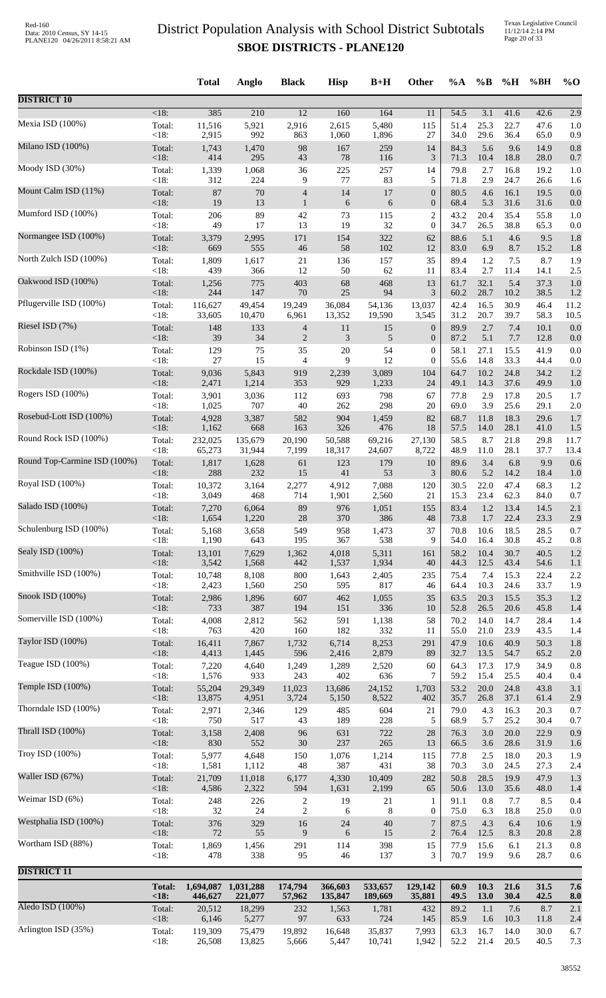|                              |                | <b>Total</b> | Anglo               | <b>Black</b>             | <b>Hisp</b>  | $B+H$        | Other            | $\%A$        | $\%$ B      | %H           | %BH          | $\%$ O     |
|------------------------------|----------------|--------------|---------------------|--------------------------|--------------|--------------|------------------|--------------|-------------|--------------|--------------|------------|
| <b>DISTRICT 10</b>           |                |              |                     |                          |              |              |                  |              |             |              |              |            |
| Mexia ISD (100%)             | $<18$ :        | 385          | 210                 | $\overline{12}$          | 160          | 164          | 11               | 54.5         | 3.1         | 41.6         | 42.6         | 2.9        |
|                              | Total:         | 11,516       | 5,921               | 2,916                    | 2,615        | 5,480        | 115              | 51.4         | 25.3        | 22.7         | 47.6         | 1.0        |
| Milano ISD (100%)            | <18:           | 2,915        | 992                 | 863                      | 1,060        | 1,896        | 27               | 34.0         | 29.6        | 36.4         | 65.0         | 0.9        |
|                              | Total:         | 1,743        | 1,470               | 98                       | 167          | 259          | 14               | 84.3         | 5.6         | 9.6          | 14.9         | 0.8        |
|                              | <18:           | 414          | 295                 | 43                       | 78           | 116          | 3                | 71.3         | 10.4        | 18.8         | 28.0         | 0.7        |
| Moody ISD (30%)              | Total:         | 1,339        | 1,068               | 36                       | 225          | 257          | 14               | 79.8         | 2.7         | 16.8         | 19.2         | 1.0        |
|                              | <18:           | 312          | 224                 | 9                        | 77           | 83           | 5                | 71.8         | 2.9         | 24.7         | 26.6         | 1.6        |
| Mount Calm ISD (11%)         | Total:         | 87           | 70                  | $\overline{\mathcal{A}}$ | 14           | 17           | $\boldsymbol{0}$ | 80.5         | 4.6         | 16.1         | 19.5         | 0.0        |
|                              | <18:           | 19           | 13                  | $\mathbf{1}$             | 6            | 6            | $\boldsymbol{0}$ | 68.4         | 5.3         | 31.6         | 31.6         | 0.0        |
| Mumford ISD (100%)           | Total:         | 206          | 89                  | 42                       | 73           | 115          | 2                | 43.2         | 20.4        | 35.4         | 55.8         | 1.0        |
| Normangee ISD (100%)         | <18:           | 49           | 17                  | 13                       | 19           | 32           | $\boldsymbol{0}$ | 34.7         | 26.5        | 38.8         | 65.3         | 0.0        |
|                              | Total:         | 3,379        | 2,995               | 171                      | 154          | 322          | 62               | 88.6         | 5.1         | 4.6          | 9.5          | 1.8        |
| North Zulch ISD (100%)       | <18:           | 669          | 555                 | 46                       | 58           | 102          | 12               | 83.0         | 6.9         | 8.7          | 15.2         | 1.8        |
|                              | Total:         | 1,809        | 1,617               | 21                       | 136          | 157          | 35               | 89.4         | 1.2         | 7.5          | 8.7          | 1.9        |
| Oakwood ISD (100%)           | <18:<br>Total: | 439          | 366                 | 12<br>403                | 50<br>68     | 62<br>468    | 11<br>13         | 83.4<br>61.7 | 2.7<br>32.1 | 11.4<br>5.4  | 14.1<br>37.3 | 2.5        |
|                              | $<18$ :        | 1,256<br>244 | 775<br>147          | 70                       | 25           | 94           | 3                | 60.2         | 28.7        | 10.2         | 38.5         | 1.0<br>1.2 |
| Pflugerville ISD (100%)      | Total:         | 116,627      | 49,454              | 19,249                   | 36,084       | 54,136       | 13,037           | 42.4         | 16.5        | 30.9         | 46.4         | 11.2       |
|                              | <18:           | 33,605       | 10,470              | 6,961                    | 13,352       | 19,590       | 3,545            | 31.2         | 20.7        | 39.7         | 58.3         | 10.5       |
| Riesel ISD (7%)              | Total:         | 148          | 133                 | $\overline{\mathcal{A}}$ | 11           | 15           | $\boldsymbol{0}$ | 89.9         | 2.7         | 7.4          | 10.1         | 0.0        |
|                              | <18:           | 39           | 34                  | $\overline{2}$           | 3            | 5            | $\boldsymbol{0}$ | 87.2         | 5.1         | 7.7          | 12.8         | 0.0        |
| Robinson ISD (1%)            | Total:         | 129          | 75                  | 35                       | $20\,$       | 54           | $\boldsymbol{0}$ | 58.1         | 27.1        | 15.5         | 41.9         | 0.0        |
| Rockdale ISD (100%)          | < 18:          | 27           | 15                  | 4                        | 9            | 12           | $\overline{0}$   | 55.6         | 14.8        | 33.3         | 44.4         | 0.0        |
|                              | Total:         | 9,036        | 5,843               | 919                      | 2,239        | 3,089        | 104              | 64.7         | 10.2        | 24.8         | 34.2         | 1.2        |
| Rogers ISD (100%)            | <18:           | 2,471        | 1,214               | 353                      | 929          | 1,233        | 24               | 49.1         | 14.3        | 37.6         | 49.9         | 1.0        |
|                              | Total:         | 3,901        | 3,036               | 112                      | 693          | 798          | 67               | 77.8         | 2.9         | 17.8         | 20.5         | 1.7        |
| Rosebud-Lott ISD (100%)      | <18:           | 1,025        | 707                 | 40                       | 262          | 298          | 20               | 69.0         | 3.9         | 25.6         | 29.1         | 2.0        |
|                              | Total:         | 4,928        | 3,387               | 582                      | 904          | 1,459        | 82               | 68.7         | 11.8        | 18.3         | 29.6         | 1.7        |
|                              | <18:           | 1,162        | 668                 | 163                      | 326          | 476          | 18               | 57.5         | 14.0        | 28.1         | 41.0         | 1.5        |
| Round Rock ISD (100%)        | Total:         | 232,025      | 135,679             | 20,190                   | 50,588       | 69,216       | 27,130           | 58.5         | 8.7         | 21.8         | 29.8         | 11.7       |
|                              | <18:           | 65,273       | 31,944              | 7,199                    | 18,317       | 24,607       | 8,722            | 48.9         | 11.0        | 28.1         | 37.7         | 13.4       |
| Round Top-Carmine ISD (100%) | Total:         | 1,817        | 1,628               | 61                       | 123          | 179          | 10               | 89.6         | 3.4         | 6.8          | 9.9          | 0.6        |
|                              | <18:           | 288          | 232                 | 15                       | 41           | 53           | 3                | 80.6         | 5.2         | 14.2         | 18.4         | 1.0        |
| Royal ISD (100%)             | Total:         | 10,372       | 3,164               | 2,277                    | 4,912        | 7,088        | 120              | 30.5         | 22.0        | 47.4         | 68.3         | 1.2        |
|                              | <18:           | 3,049        | 468                 | 714                      | 1,901        | 2,560        | 21               | 15.3         | 23.4        | 62.3         | 84.0         | 0.7        |
| Salado ISD (100%)            | Total:         | 7,270        | 6,064               | 89                       | 976          | 1,051        | 155              | 83.4         | 1.2         | 13.4         | 14.5         | 2.1        |
| Schulenburg ISD (100%)       | $\leq$ 18:     | 1,654        | 1,220               | 28                       | 370          | 386          | 48               | 73.8         | 1.7         | 22.4         | 23.3         | 2.9        |
|                              | Total:         | 5,168        | 3,658               | 549                      | 958          | 1,473        | 37               | 70.8         | 10.6        | 18.5         | 28.5         | 0.7        |
| Sealy ISD (100%)             | <18:           | 1,190        | 643                 | 195                      | 367          | 538          | 9                | 54.0         | 16.4        | 30.8         | 45.2         | 0.8        |
|                              | Total:         | 13,101       | 7,629               | 1,362                    | 4,018        | 5,311        | 161              | 58.2         | 10.4        | 30.7         | 40.5         | 1.2        |
| Smithville ISD (100%)        | <18:           | 3,542        | 1,568               | 442                      | 1,537        | 1,934        | 40               | 44.3         | 12.5        | 43.4         | 54.6         | 1.1        |
|                              | Total:         | 10,748       | 8,108               | 800                      | 1,643        | 2,405        | 235              | 75.4         | 7.4         | 15.3         | 22.4         | 2.2        |
|                              | <18:           | 2,423        | 1,560               | 250                      | 595          | 817          | 46               | 64.4         | 10.3        | 24.6         | 33.7         | 1.9        |
| Snook ISD (100%)             | Total:         | 2,986        | 1,896               | 607                      | 462          | 1,055        | 35               | 63.5         | 20.3        | 15.5         | 35.3         | 1.2        |
|                              | $<18$ :        | 733          | 387                 | 194                      | 151          | 336          | 10               | 52.8         | 26.5        | 20.6         | 45.8         | 1.4        |
| Somerville ISD (100%)        | Total:         | 4,008        | 2,812               | 562                      | 591          | 1,138        | 58               | 70.2         | 14.0        | 14.7         | 28.4         | 1.4        |
|                              | <18:           | 763          | 420                 | 160                      | 182          | 332          | 11               | 55.0         | 21.0        | 23.9         | 43.5         | 1.4        |
| Taylor ISD (100%)            | Total:         | 16,411       | 7,867               | 1,732                    | 6,714        | 8,253        | 291              | 47.9         | 10.6        | 40.9         | 50.3         | 1.8        |
| Teague ISD (100%)            | <18:           | 4,413        | 1,445               | 596                      | 2,416        | 2,879        | 89               | 32.7         | 13.5        | 54.7         | 65.2         | 2.0        |
|                              | Total:         | 7,220        | 4,640               | 1,249                    | 1,289        | 2,520        | 60               | 64.3         | 17.3        | 17.9         | 34.9         | 0.8        |
| Temple ISD (100%)            | < 18:          | 1,576        | 933                 | 243                      | 402          | 636          | 7                | 59.2         | 15.4        | 25.5         | 40.4         | 0.4        |
|                              | Total:         | 55,204       | 29,349              | 11,023                   | 13,686       | 24,152       | 1,703            | 53.2         | 20.0        | 24.8         | 43.8         | 3.1        |
| Thorndale ISD (100%)         | <18:<br>Total: | 13,875       | 4,951<br>2,346      | 3,724                    | 5,150<br>485 | 8,522<br>604 | 402<br>21        | 35.7<br>79.0 | 26.8<br>4.3 | 37.1<br>16.3 | 61.4<br>20.3 | 2.9        |
|                              | <18:           | 2,971<br>750 | 517                 | 129<br>43                | 189          | 228          | 5                | 68.9         | 5.7         | 25.2         | 30.4         | 0.7<br>0.7 |
| Thrall ISD (100%)            | Total:         | 3,158        | 2,408               | 96                       | 631          | 722          | 28               | 76.3         | 3.0         | 20.0         | 22.9         | 0.9        |
|                              | < 18:          | 830          | 552                 | 30                       | 237          | 265          | 13               | 66.5         | 3.6         | 28.6         | 31.9         | 1.6        |
| Troy ISD (100%)              | Total:         | 5,977        | 4,648               | 150                      | 1,076        | 1,214        | 115              | 77.8         | 2.5         | 18.0         | 20.3         | 1.9        |
|                              | <18:           | 1,581        | 1,112               | 48                       | 387          | 431          | 38               | 70.3         | 3.0         | 24.5         | 27.3         | 2.4        |
| Waller ISD (67%)             | Total:         | 21,709       | 11,018              | 6,177                    | 4,330        | 10,409       | 282              | 50.8         | 28.5        | 19.9         | 47.9         | 1.3        |
|                              | <18:           | 4,586        | 2,322               | 594                      | 1,631        | 2,199        | 65               | 50.6         | 13.0        | 35.6         | 48.0         | 1.4        |
| Weimar ISD (6%)              | Total:         | 248          | 226                 | $\overline{2}$           | 19           | 21           | $\mathbf{1}$     | 91.1         | 0.8         | 7.7          | 8.5          | 0.4        |
| Westphalia ISD (100%)        | <18:           | 32           | 24                  | $\overline{c}$           | 6            | $\,8\,$      | $\mathbf{0}$     | 75.0         | 6.3         | 18.8         | 25.0         | 0.0        |
|                              | Total:         | 376          | 329                 | 16                       | 24           | 40           | $\tau$           | 87.5         | 4.3         | 6.4          | 10.6         | 1.9        |
| Wortham ISD (88%)            | <18:           | $72\,$       | 55                  | 9                        | 6            | 15           | $\overline{2}$   | 76.4         | 12.5        | 8.3          | 20.8         | 2.8        |
|                              | Total:         | 1,869        | 1,456               | 291                      | 114          | 398          | 15               | 77.9         | 15.6        | 6.1          | 21.3         | 0.8        |
|                              | <18:           | 478          | 338                 | 95                       | 46           | 137          | 3                | 70.7         | 19.9        | 9.6          | 28.7         | 0.6        |
| <b>DISTRICT 11</b>           | <b>Total:</b>  |              | 1,694,087 1,031,288 | 174,794                  | 366,603      | 533,657      | 129,142          | 60.9         | 10.3        | 21.6         | 31.5         | 7.6        |
| Aledo ISD (100%)             | <18:           | 446,627      | 221,077             | 57,962                   | 135,847      | 189,669      | 35,881           | 49.5         | 13.0        | 30.4         | 42.5         | 8.0        |
|                              | Total:         | 20,512       | 18,299              | 232                      | 1,563        | 1,781        | 432              | 89.2         | 1.1         | 7.6          | 8.7          | 2.1        |
|                              | <18:           | 6,146        | 5,277               | 97                       | 633          | 724          | 145              | 85.9         | 1.6         | 10.3         | 11.8         | 2.4        |
| Arlington ISD (35%)          | Total:         | 119,309      | 75,479              | 19,892                   | 16,648       | 35,837       | 7,993            | 63.3         | 16.7        | 14.0         | 30.0         | 6.7        |
|                              | <18:           | 26,508       | 13,825              | 5,666                    | 5,447        | 10,741       | 1,942            | 52.2         | 21.4        | 20.5         | 40.5         | 7.3        |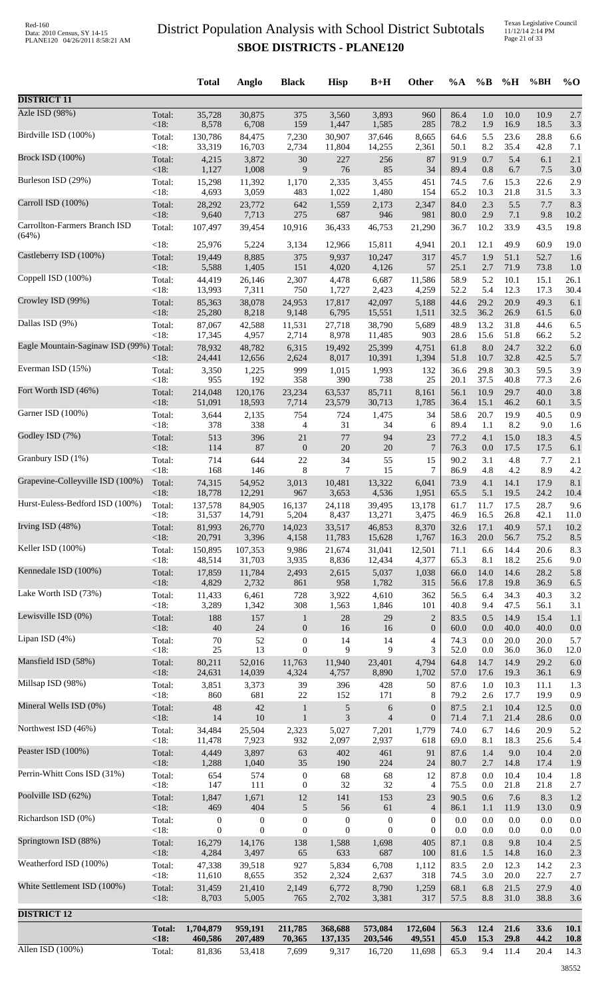Texas Legislative Council 11/12/14 2:14 PM Page 21 of 33

|                                         |                        | <b>Total</b>                     | Anglo                        | <b>Black</b>                     | <b>Hisp</b>                      | $B+H$                        | <b>Other</b>                     | $\%A$        | $\%B$          | %H           | %BH          | $\%$ O       |
|-----------------------------------------|------------------------|----------------------------------|------------------------------|----------------------------------|----------------------------------|------------------------------|----------------------------------|--------------|----------------|--------------|--------------|--------------|
| <b>DISTRICT 11</b>                      |                        |                                  |                              |                                  |                                  |                              |                                  |              |                |              |              |              |
| Azle ISD (98%)                          | Total:                 | 35,728<br>8,578                  | 30,875                       | 375                              | 3,560                            | 3,893                        | 960                              | 86.4         | 1.0<br>1.9     | 10.0         | 10.9         | 2.7          |
| Birdville ISD (100%)                    | <18:<br>Total:         | 130,786                          | 6,708<br>84,475              | 159<br>7,230                     | 1,447<br>30,907                  | 1,585<br>37,646              | 285<br>8,665                     | 78.2<br>64.6 | 5.5            | 16.9<br>23.6 | 18.5<br>28.8 | 3.3<br>6.6   |
| <b>Brock ISD</b> (100%)                 | $<18$ :<br>Total:      | 33,319<br>4,215                  | 16,703<br>3,872              | 2,734<br>30                      | 11,804<br>227                    | 14,255<br>256                | 2,361<br>87                      | 50.1<br>91.9 | 8.2<br>0.7     | 35.4<br>5.4  | 42.8<br>6.1  | 7.1<br>2.1   |
|                                         | < 18:                  | 1,127                            | 1,008                        | 9                                | 76                               | 85                           | 34                               | 89.4         | 0.8            | 6.7          | 7.5          | 3.0          |
| Burleson ISD (29%)                      | Total:<br>< 18:        | 15,298<br>4,693                  | 11,392<br>3,059              | 1,170<br>483                     | 2,335<br>1,022                   | 3,455<br>1,480               | 451<br>154                       | 74.5<br>65.2 | 7.6<br>10.3    | 15.3<br>21.8 | 22.6<br>31.5 | 2.9<br>3.3   |
| Carroll ISD (100%)                      | Total:<br>< 18:        | 28,292<br>9,640                  | 23,772<br>7,713              | 642<br>275                       | 1,559<br>687                     | 2,173<br>946                 | 2,347<br>981                     | 84.0<br>80.0 | 2.3<br>2.9     | 5.5<br>7.1   | 7.7<br>9.8   | 8.3<br>10.2  |
| Carrollton-Farmers Branch ISD           | Total:                 | 107,497                          | 39,454                       | 10,916                           | 36,433                           | 46,753                       | 21,290                           | 36.7         | 10.2           | 33.9         | 43.5         | 19.8         |
| (64%)                                   | < 18:                  | 25,976                           | 5,224                        | 3,134                            | 12,966                           | 15,811                       | 4,941                            | 20.1         | 12.1           | 49.9         | 60.9         | 19.0         |
| Castleberry ISD (100%)                  | Total:<br>< 18:        | 19,449<br>5,588                  | 8,885<br>1,405               | 375<br>151                       | 9,937<br>4,020                   | 10,247<br>4,126              | 317<br>57                        | 45.7<br>25.1 | 1.9<br>2.7     | 51.1<br>71.9 | 52.7<br>73.8 | 1.6<br>1.0   |
| Coppell ISD (100%)                      | Total:                 | 44,419                           | 26,146                       | 2,307                            | 4,478                            | 6,687                        | 11,586                           | 58.9         | 5.2            | 10.1         | 15.1         | 26.1         |
| Crowley ISD (99%)                       | $<18$ :<br>Total:      | 13,993<br>85,363                 | 7,311<br>38,078              | 750<br>24,953                    | 1,727<br>17,817                  | 2,423<br>42,097              | 4,259<br>5,188                   | 52.2<br>44.6 | 5.4<br>29.2    | 12.3<br>20.9 | 17.3<br>49.3 | 30.4<br>6.1  |
| Dallas ISD (9%)                         | < 18:<br>Total:        | 25,280<br>87,067                 | 8,218<br>42,588              | 9,148<br>11,531                  | 6,795<br>27,718                  | 15,551<br>38,790             | 1,511<br>5,689                   | 32.5<br>48.9 | 36.2<br>13.2   | 26.9<br>31.8 | 61.5<br>44.6 | 6.0<br>6.5   |
|                                         | < 18:                  | 17,345                           | 4,957                        | 2,714                            | 8,978                            | 11,485                       | 903                              | 28.6         | 15.6           | 51.8         | 66.2         | 5.2          |
| Eagle Mountain-Saginaw ISD (99%) Total: | <18:                   | 78,932<br>24,441                 | 48,782<br>12,656             | 6,315<br>2,624                   | 19,492<br>8,017                  | 25,399<br>10,391             | 4,751<br>1,394                   | 61.8<br>51.8 | 8.0<br>10.7    | 24.7<br>32.8 | 32.2<br>42.5 | 6.0<br>5.7   |
| Everman ISD (15%)                       | Total:<br>< 18:        | 3,350<br>955                     | 1,225<br>192                 | 999<br>358                       | 1,015<br>390                     | 1,993<br>738                 | 132<br>25                        | 36.6<br>20.1 | 29.8<br>37.5   | 30.3<br>40.8 | 59.5<br>77.3 | 3.9<br>2.6   |
| Fort Worth ISD (46%)                    | Total:                 | 214,048                          | 120,176                      | 23,234                           | 63,537                           | 85,711                       | 8,161                            | 56.1         | 10.9           | 29.7         | 40.0         | 3.8          |
| Garner ISD (100%)                       | < 18:<br>Total:        | 51,091<br>3,644                  | 18,593<br>2,135              | 7,714<br>754                     | 23,579<br>724                    | 30,713<br>1,475              | 1,785<br>34                      | 36.4<br>58.6 | 15.1<br>20.7   | 46.2<br>19.9 | 60.1<br>40.5 | 3.5<br>0.9   |
|                                         | <18:                   | 378                              | 338                          | $\overline{4}$                   | 31                               | 34                           | 6                                | 89.4         | 1.1            | 8.2          | 9.0          | 1.6          |
| Godley ISD (7%)                         | Total:<br><18:         | 513<br>114                       | 396<br>87                    | 21<br>$\boldsymbol{0}$           | 77<br>$20\,$                     | 94<br>20                     | $23\,$<br>$\overline{7}$         | 77.2<br>76.3 | 4.1<br>0.0     | 15.0<br>17.5 | 18.3<br>17.5 | 4.5<br>6.1   |
| Granbury ISD (1%)                       | Total:<br>< 18:        | 714<br>168                       | 644<br>146                   | 22<br>8                          | 34<br>7                          | 55<br>15                     | 15<br>7                          | 90.2<br>86.9 | 3.1<br>4.8     | 4.8<br>4.2   | 7.7<br>8.9   | 2.1<br>4.2   |
| Grapevine-Colleyville ISD (100%)        | Total:                 | 74,315                           | 54,952                       | 3,013                            | 10,481                           | 13,322                       | 6,041                            | 73.9         | 4.1            | 14.1         | 17.9         | 8.1          |
| Hurst-Euless-Bedford ISD (100%)         | <18:<br>Total:         | 18,778<br>137,578                | 12,291<br>84,905             | 967<br>16,137                    | 3,653<br>24,118                  | 4,536<br>39,495              | 1,951<br>13,178                  | 65.5<br>61.7 | 5.1<br>11.7    | 19.5<br>17.5 | 24.2<br>28.7 | 10.4<br>9.6  |
| Irving ISD (48%)                        | <18:                   | 31,537                           | 14,791                       | 5,204                            | 8,437                            | 13,271                       | 3,475                            | 46.9         | 16.5           | 26.8         | 42.1         | 11.0         |
|                                         | Total:<br>< 18:        | 81,993<br>20,791                 | 26,770<br>3,396              | 14,023<br>4,158                  | 33,517<br>11,783                 | 46,853<br>15,628             | 8,370<br>1,767                   | 32.6<br>16.3 | 17.1<br>20.0   | 40.9<br>56.7 | 57.1<br>75.2 | 10.2<br>8.5  |
| Keller ISD (100%)                       | Total:<br>< 18:        | 150,895<br>48,514                | 107,353<br>31,703            | 9,986<br>3,935                   | 21,674<br>8,836                  | 31,041<br>12,434             | 12,501<br>4,377                  | 71.1<br>65.3 | 6.6<br>8.1     | 14.4<br>18.2 | 20.6<br>25.6 | 8.3<br>9.0   |
| Kennedale ISD (100%)                    | Total:                 | 17,859                           | 11,784                       | 2,493                            | 2,615                            | 5,037                        | 1,038                            | 66.0         | 14.0           | 14.6         | 28.2         | 5.8          |
| Lake Worth ISD (73%)                    | < 18:<br>Total:        | 4,829<br>11,433                  | 2,732<br>6,461               | 861<br>728                       | 958<br>3,922                     | 1,782<br>4,610               | 315<br>362                       | 56.6<br>56.5 | 17.8<br>6.4    | 19.8<br>34.3 | 36.9<br>40.3 | 6.5<br>3.2   |
| Lewisville ISD (0%)                     | $<18$ :                | 3,289                            | 1,342                        | 308                              | 1,563<br>$28\,$                  | 1,846<br>29                  | 101                              | 40.8<br>83.5 | 9.4<br>0.5     | 47.5<br>14.9 | 56.1<br>15.4 | 3.1          |
|                                         | Total:<br>< 18:        | 188<br>40                        | 157<br>$24\,$                | $\mathbf{1}$<br>$\mathbf{0}$     | 16                               | 16                           | $\mathbf{2}$<br>$\boldsymbol{0}$ | 60.0         | 0.0            | 40.0         | 40.0         | 1.1<br>0.0   |
| Lipan ISD (4%)                          | Total:<br><18:         | 70<br>$25\,$                     | 52<br>13                     | $\boldsymbol{0}$<br>$\mathbf{0}$ | 14<br>9                          | 14<br>9                      | 4<br>3                           | 74.3<br>52.0 | 0.0<br>$0.0\,$ | 20.0<br>36.0 | 20.0<br>36.0 | 5.7<br>12.0  |
| Mansfield ISD (58%)                     | Total:<br>< 18:        | 80,211<br>24,631                 | 52,016<br>14,039             | 11,763<br>4,324                  | 11,940<br>4,757                  | 23,401<br>8,890              | 4,794<br>1,702                   | 64.8<br>57.0 | 14.7<br>17.6   | 14.9<br>19.3 | 29.2<br>36.1 | 6.0          |
| Millsap ISD (98%)                       | Total:                 | 3,851                            | 3,373                        | 39                               | 396                              | 428                          | 50                               | 87.6         | 1.0            | 10.3         | 11.1         | 6.9<br>1.3   |
| Mineral Wells ISD (0%)                  | < 18:<br>Total:        | 860<br>48                        | 681<br>42                    | $22\,$<br>$\mathbf{1}$           | 152<br>5                         | 171<br>6                     | 8<br>$\boldsymbol{0}$            | 79.2<br>87.5 | 2.6<br>2.1     | 17.7<br>10.4 | 19.9<br>12.5 | 0.9<br>0.0   |
|                                         | $<18$ :                | 14                               | 10                           | $\mathbf{1}$                     | 3                                | $\overline{4}$               | $\boldsymbol{0}$                 | 71.4         | 7.1            | 21.4         | 28.6         | 0.0          |
| Northwest ISD (46%)                     | Total:<br>< 18:        | 34,484<br>11,478                 | 25,504<br>7,923              | 2,323<br>932                     | 5,027<br>2,097                   | 7,201<br>2,937               | 1,779<br>618                     | 74.0<br>69.0 | 6.7<br>8.1     | 14.6<br>18.3 | 20.9<br>25.6 | 5.2<br>5.4   |
| Peaster ISD (100%)                      | Total:<br>< 18:        | 4,449<br>1,288                   | 3,897<br>1,040               | 63<br>35                         | 402<br>190                       | 461<br>224                   | 91<br>24                         | 87.6<br>80.7 | 1.4<br>2.7     | 9.0<br>14.8  | 10.4<br>17.4 | 2.0<br>1.9   |
| Perrin-Whitt Cons ISD (31%)             | Total:                 | 654                              | 574                          | $\boldsymbol{0}$                 | 68                               | 68                           | 12                               | 87.8         | 0.0            | 10.4         | 10.4         | 1.8          |
| Poolville ISD (62%)                     | < 18:<br>Total:        | 147<br>1,847                     | 111<br>1,671                 | $\boldsymbol{0}$<br>$12\,$       | 32<br>141                        | 32<br>153                    | 4<br>23                          | 75.5<br>90.5 | 0.0<br>0.6     | 21.8<br>7.6  | 21.8<br>8.3  | 2.7<br>1.2   |
| Richardson ISD (0%)                     | < 18:                  | 469                              | 404                          | $\sqrt{5}$                       | 56                               | 61                           | $\overline{4}$                   | 86.1         | 1.1            | 11.9         | 13.0         | 0.9          |
|                                         | Total:<br><18:         | $\boldsymbol{0}$<br>$\mathbf{0}$ | $\boldsymbol{0}$<br>$\theta$ | $\boldsymbol{0}$<br>$\mathbf{0}$ | $\boldsymbol{0}$<br>$\mathbf{0}$ | $\boldsymbol{0}$<br>$\theta$ | $\boldsymbol{0}$<br>$\mathbf{0}$ | 0.0<br>0.0   | 0.0<br>0.0     | 0.0<br>0.0   | 0.0<br>0.0   | 0.0<br>0.0   |
| Springtown ISD (88%)                    | Total:<br>< 18:        | 16,279<br>4,284                  | 14,176<br>3,497              | 138<br>65                        | 1,588<br>633                     | 1,698<br>687                 | 405<br>100                       | 87.1<br>81.6 | 0.8<br>1.5     | 9.8<br>14.8  | 10.4<br>16.0 | 2.5<br>2.3   |
| Weatherford ISD (100%)                  | Total:                 | 47,338                           | 39,518                       | 927                              | 5,834                            | 6,708                        | 1,112                            | 83.5         | 2.0            | 12.3         | 14.2         | 2.3          |
| White Settlement ISD (100%)             | < 18:<br>Total:        | 11,610<br>31,459                 | 8,655<br>21,410              | 352<br>2,149                     | 2,324<br>6,772                   | 2,637<br>8,790               | 318<br>1,259                     | 74.5<br>68.1 | 3.0<br>6.8     | 20.0<br>21.5 | 22.7<br>27.9 | 2.7<br>4.0   |
|                                         | < 18:                  | 8,703                            | 5,005                        | 765                              | 2,702                            | 3,381                        | 317                              | 57.5         | $8.8\,$        | 31.0         | 38.8         | 3.6          |
| <b>DISTRICT 12</b>                      |                        |                                  |                              |                                  |                                  |                              |                                  |              |                |              |              |              |
|                                         | <b>Total:</b><br>< 18: | 1,704,879<br>460,586             | 959,191<br>207,489           | 211,785<br>70,365                | 368,688<br>137,135               | 573,084<br>203,546           | 172,604<br>49,551                | 56.3<br>45.0 | 12.4<br>15.3   | 21.6<br>29.8 | 33.6<br>44.2 | 10.1<br>10.8 |
| Allen ISD $(100\%)$                     | Total:                 | 81,836                           | 53,418                       | 7,699                            | 9,317                            | 16,720                       | 11,698                           | 65.3         | 9.4            | 11.4         | 20.4         | 14.3         |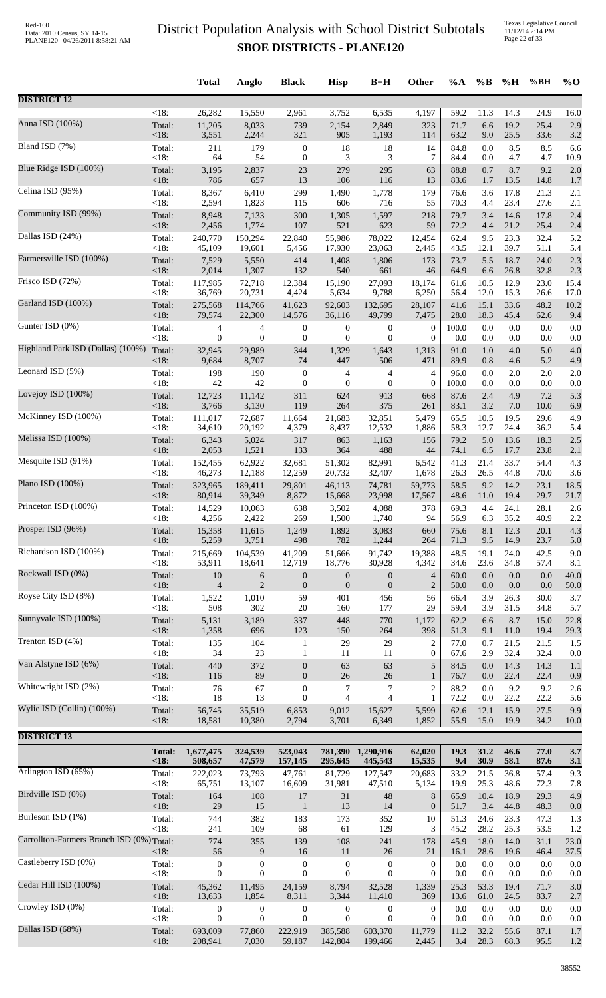Texas Legislative Council 11/12/14 2:14 PM Page 22 of 33

|                                           |               | <b>Total</b>     | Anglo            | <b>Black</b>     | <b>Hisp</b>      | $B+H$            | <b>Other</b>     | $\%A$        | $\%$ B       | %H           | %BH          | $\%$ O       |
|-------------------------------------------|---------------|------------------|------------------|------------------|------------------|------------------|------------------|--------------|--------------|--------------|--------------|--------------|
| <b>DISTRICT 12</b>                        |               |                  |                  |                  |                  |                  |                  |              |              |              |              |              |
| Anna ISD (100%)                           | $<18$ :       | 26,282           | 15,550           | 2,961            | 3,752            | 6,535            | 4,197            | 59.2         | 11.3         | 14.3         | 24.9         | 16.0         |
|                                           | Total:        | 11,205           | 8,033            | 739              | 2,154            | 2,849            | 323              | 71.7         | 6.6          | 19.2         | 25.4         | 2.9          |
| Bland ISD (7%)                            | < 18:         | 3,551            | 2,244            | 321              | 905              | 1,193            | 114              | 63.2         | 9.0          | 25.5         | 33.6         | 3.2          |
|                                           | Total:        | 211              | 179              | $\boldsymbol{0}$ | 18               | 18               | 14               | 84.8         | 0.0          | 8.5          | 8.5          | 6.6          |
| Blue Ridge ISD (100%)                     | < 18:         | 64               | 54               | $\boldsymbol{0}$ | 3                | 3                | 7                | 84.4         | 0.0          | 4.7          | 4.7          | 10.9         |
|                                           | Total:        | 3,195            | 2,837            | 23               | 279              | 295              | 63               | 88.8         | 0.7          | 8.7          | 9.2          | 2.0          |
|                                           | < 18:         | 786              | 657              | 13               | 106              | 116              | 13               | 83.6         | 1.7          | 13.5         | 14.8         | 1.7          |
| Celina ISD (95%)                          | Total:        | 8,367            | 6,410            | 299              | 1,490            | 1,778            | 179              | 76.6         | 3.6          | 17.8         | 21.3         | 2.1          |
|                                           | < 18:         | 2,594            | 1,823            | 115              | 606              | 716              | 55               | 70.3         | 4.4          | 23.4         | 27.6         | 2.1          |
| Community ISD (99%)                       | Total:        | 8,948            | 7,133            | 300              | 1,305            | 1,597            | 218              | 79.7         | 3.4          | 14.6         | 17.8         | 2.4          |
|                                           | < 18:         | 2,456            | 1,774            | 107              | 521              | 623              | 59               | 72.2         | 4.4          | 21.2         | 25.4         | 2.4          |
| Dallas ISD (24%)                          | Total:        | 240,770          | 150,294          | 22,840           | 55,986           | 78,022           | 12,454           | 62.4         | 9.5          | 23.3         | 32.4         | 5.2          |
|                                           | < 18:         | 45,109           | 19,601           | 5,456            | 17,930           | 23,063           | 2,445            | 43.5         | 12.1         | 39.7         | 51.1         | 5.4          |
| Farmersville ISD (100%)                   | Total:        | 7,529            | 5,550            | 414              | 1,408            | 1,806            | 173              | 73.7         | 5.5          | 18.7         | 24.0         | 2.3          |
|                                           | < 18:         | 2,014            | 1,307            | 132              | 540              | 661              | 46               | 64.9         | 6.6          | 26.8         | 32.8         | 2.3          |
| Frisco ISD (72%)                          | Total:        | 117,985          | 72,718           | 12,384           | 15,190           | 27,093           | 18,174           | 61.6         | 10.5         | 12.9         | 23.0         | 15.4         |
| Garland ISD (100%)                        | < 18:         | 36,769           | 20,731           | 4,424            | 5,634            | 9,788            | 6,250            | 56.4         | 12.0         | 15.3         | 26.6         | 17.0         |
|                                           | Total:        | 275,568          | 114,766          | 41,623           | 92,603           | 132,695          | 28,107           | 41.6         | 15.1         | 33.6         | 48.2         | 10.2         |
| Gunter ISD (0%)                           | < 18:         | 79,574           | 22,300           | 14,576           | 36,116           | 49,799           | 7,475            | 28.0         | 18.3         | 45.4         | 62.6         | 9.4          |
|                                           | Total:        | 4                | 4                | $\boldsymbol{0}$ | $\boldsymbol{0}$ | $\boldsymbol{0}$ | 0                | 100.0        | 0.0          | 0.0          | 0.0          | 0.0          |
| Highland Park ISD (Dallas) (100%)         | < 18:         | $\overline{0}$   | $\overline{0}$   | $\boldsymbol{0}$ | $\boldsymbol{0}$ | $\boldsymbol{0}$ | $\boldsymbol{0}$ | 0.0          | 0.0          | 0.0          | 0.0          | 0.0          |
|                                           | Total:        | 32,945           | 29,989           | 344              | 1,329            | 1,643            | 1,313            | 91.0         | 1.0          | 4.0          | 5.0          | 4.0          |
|                                           | $<18$ :       | 9,684            | 8,707            | 74               | 447              | 506              | 471              | 89.9         | 0.8          | 4.6          | 5.2          | 4.9          |
| Leonard ISD (5%)                          | Total:        | 198              | 190              | $\boldsymbol{0}$ | 4                | $\overline{4}$   | 4                | 96.0         | 0.0          | 2.0          | 2.0          | 2.0          |
|                                           | < 18:         | 42               | 42               | $\boldsymbol{0}$ | $\boldsymbol{0}$ | $\boldsymbol{0}$ | $\theta$         | 100.0        | 0.0          | 0.0          | 0.0          | 0.0          |
| Lovejoy ISD (100%)                        | Total:        | 12,723           | 11,142           | 311              | 624              | 913              | 668              | 87.6         | 2.4          | 4.9          | 7.2          | 5.3          |
|                                           | < 18:         | 3,766            | 3,130            | 119              | 264              | 375              | 261              | 83.1         | 3.2          | 7.0          | 10.0         | 6.9          |
| McKinney ISD (100%)                       | Total:        | 111,017          | 72,687           | 11,664           | 21,683           | 32,851           | 5,479            | 65.5         | 10.5         | 19.5         | 29.6         | 4.9          |
|                                           | < 18:         | 34,610           | 20,192           | 4,379            | 8,437            | 12,532           | 1,886            | 58.3         | 12.7         | 24.4         | 36.2         | 5.4          |
| Melissa ISD (100%)                        | Total:        | 6,343            | 5,024            | 317              | 863              | 1,163            | 156              | 79.2         | 5.0          | 13.6         | 18.3         | 2.5          |
|                                           | < 18:         | 2,053            | 1,521            | 133              | 364              | 488              | 44               | 74.1         | 6.5          | 17.7         | 23.8         | 2.1          |
| Mesquite ISD (91%)                        | Total:        | 152,455          | 62,922           | 32,681           | 51,302           | 82,991           | 6,542            | 41.3         | 21.4         | 33.7         | 54.4         | 4.3          |
| Plano ISD (100%)                          | < 18:         | 46,273           | 12,188           | 12,259           | 20,732           | 32,407           | 1,678            | 26.3         | 26.5         | 44.8         | 70.0         | 3.6          |
|                                           | Total:        | 323,965          | 189,411          | 29,801           | 46,113           | 74,781           | 59,773           | 58.5         | 9.2          | 14.2         | 23.1         | 18.5         |
| Princeton ISD (100%)                      | < 18:         | 80,914           | 39,349           | 8,872            | 15,668           | 23,998           | 17,567           | 48.6         | 11.0         | 19.4         | 29.7         | 21.7         |
|                                           | Total:        | 14,529           | 10,063           | 638              | 3,502            | 4,088            | 378              | 69.3         | 4.4          | 24.1         | 28.1         | 2.6          |
| Prosper ISD (96%)                         | <18:          | 4,256            | 2,422            | 269              | 1,500            | 1,740            | 94               | 56.9         | 6.3          | 35.2         | 40.9         | 2.2          |
|                                           | Total:        | 15,358           | 11,615           | 1,249            | 1,892            | 3,083            | 660              | 75.6         | 8.1          | 12.3         | 20.1         | 4.3          |
|                                           | < 18:         | 5,259            | 3,751            | 498              | 782              | 1,244            | 264              | 71.3         | 9.5          | 14.9         | 23.7         | 5.0          |
| Richardson ISD (100%)                     | Total:        | 215,669          | 104,539          | 41,209           | 51,666           | 91,742           | 19,388           | 48.5         | 19.1         | 24.0         | 42.5         | 9.0          |
|                                           | < 18:         | 53,911           | 18,641           | 12,719           | 18,776           | 30,928           | 4,342            | 34.6         | 23.6         | 34.8         | 57.4         | 8.1          |
| Rockwall ISD (0%)                         | Total:        | 10               | 6                | $\boldsymbol{0}$ | $\mathbf{0}$     | $\boldsymbol{0}$ | $\overline{4}$   | 60.0         | 0.0          | 0.0          | 0.0          | 40.0         |
|                                           | < 18:         | 4                | $\overline{2}$   | $\boldsymbol{0}$ | $\mathbf{0}$     | $\boldsymbol{0}$ | $\mathbf{2}$     | 50.0         | 0.0          | 0.0          | 0.0          | 50.0         |
| Royse City ISD (8%)                       | Total:        | 1,522            | 1,010            | 59               | 401              | 456              | 56               | 66.4         | 3.9          | 26.3         | 30.0         | 3.7          |
|                                           | < 18:         | 508              | 302              | 20               | 160              | 177              | 29               | 59.4         | 3.9          | 31.5         | 34.8         | 5.7          |
| Sunnyvale ISD (100%)                      | Total:        | 5,131            | 3,189            | 337              | 448              | 770              | 1,172            | 62.2         | 6.6          | 8.7          | 15.0         | 22.8         |
|                                           | < 18:         | 1,358            | 696              | 123              | 150              | 264              | 398              | 51.3         | 9.1          | 11.0         | 19.4         | 29.3         |
| Trenton ISD (4%)                          | Total:        | 135              | 104              | $\mathbf{1}$     | 29               | 29               | 2                | 77.0         | 0.7          | 21.5         | 21.5         | 1.5          |
| Van Alstyne ISD (6%)                      | < 18:         | 34               | 23               | 1                | 11               | 11               | $\overline{0}$   | 67.6         | 2.9          | 32.4         | 32.4         | 0.0          |
|                                           | Total:        | 440              | 372              | $\boldsymbol{0}$ | 63               | 63               | 5                | 84.5         | 0.0          | 14.3         | 14.3         | 1.1          |
| Whitewright ISD (2%)                      | < 18:         | 116              | 89               | $\mathbf{0}$     | 26               | 26               | $\mathbf{1}$     | 76.7         | 0.0          | 22.4         | 22.4         | 0.9          |
|                                           | Total:        | 76               | 67               | $\boldsymbol{0}$ | 7                | 7                | $\overline{c}$   | 88.2         | 0.0          | 9.2          | 9.2          | 2.6          |
| Wylie ISD (Collin) (100%)                 | < 18:         | 18               | 13               | $\boldsymbol{0}$ | 4                | $\overline{4}$   | 1                | 72.2         | 0.0          | 22.2         | 22.2         | 5.6          |
|                                           | Total:        | 56,745           | 35,519           | 6,853            | 9,012            | 15,627           | 5,599            | 62.6         | 12.1         | 15.9         | 27.5         | 9.9          |
|                                           | < 18:         | 18,581           | 10,380           | 2,794            | 3,701            | 6,349            | 1,852            | 55.9         | 15.0         | 19.9         | 34.2         | 10.0         |
| <b>DISTRICT 13</b>                        | <b>Total:</b> | 1,677,475        | 324,539          | 523,043          | 781,390          | 1,290,916        | 62,020           | 19.3         | 31.2         | 46.6         | 77.0         | 3.7          |
| Arlington ISD (65%)                       | <18:          | 508,657          | 47,579           | 157,145          | 295,645          | 445,543          | 15,535           | 9.4          | 30.9         | 58.1         | 87.6         | 3.1          |
|                                           | Total:        | 222,023          | 73,793           | 47,761           | 81,729           | 127,547          | 20,683           | 33.2         | 21.5         | 36.8         | 57.4         | 9.3          |
|                                           | < 18:         | 65,751           | 13,107           | 16,609           | 31,981           | 47,510           | 5,134            | 19.9         | 25.3         | 48.6         | 72.3         | 7.8          |
| Birdville ISD (0%)                        | Total:        | 164              | 108              | 17               | 31               | 48               | $\,8\,$          | 65.9         | 10.4         | 18.9         | 29.3         | 4.9          |
|                                           | < 18:         | 29               | 15               | $\mathbf{1}$     | 13               | 14               | $\boldsymbol{0}$ | 51.7         | 3.4          | 44.8         | 48.3         | 0.0          |
| Burleson ISD (1%)                         | Total:        | 744              | 382              | 183              | 173              | 352              | 10               | 51.3         | 24.6         | 23.3         | 47.3         | 1.3          |
|                                           | < 18:         | 241              | 109              | 68               | 61               | 129              | 3                | 45.2         | 28.2         | 25.3         | 53.5         | 1.2          |
| Carrollton-Farmers Branch ISD (0%) Total: | $<18$ :       | 774<br>56        | 355<br>9         | 139<br>16        | 108<br>11        | 241<br>26        | 178<br>21        | 45.9<br>16.1 | 18.0<br>28.6 | 14.0<br>19.6 | 31.1<br>46.4 | 23.0<br>37.5 |
| Castleberry ISD (0%)                      | Total:        | $\boldsymbol{0}$ | $\boldsymbol{0}$ | $\boldsymbol{0}$ | $\boldsymbol{0}$ | $\boldsymbol{0}$ | $\boldsymbol{0}$ | 0.0          | 0.0          | 0.0          | 0.0          | 0.0          |
| Cedar Hill ISD (100%)                     | < 18:         | $\overline{0}$   | $\overline{0}$   | $\mathbf{0}$     | $\theta$         | $\theta$         | $\mathbf{0}$     | 0.0          | 0.0          | 0.0          | 0.0          | 0.0          |
|                                           | Total:        | 45,362           | 11,495           | 24,159           | 8,794            | 32,528           | 1,339            | 25.3         | 53.3         | 19.4         | 71.7         | 3.0          |
| Crowley ISD (0%)                          | < 18:         | 13,633           | 1,854            | 8,311            | 3,344            | 11,410           | 369              | 13.6         | 61.0         | 24.5         | 83.7         | 2.7          |
|                                           | Total:        | $\boldsymbol{0}$ | $\boldsymbol{0}$ | $\boldsymbol{0}$ | $\boldsymbol{0}$ | $\boldsymbol{0}$ | $\boldsymbol{0}$ | 0.0          | 0.0          | 0.0          | 0.0          | 0.0          |
| Dallas ISD (68%)                          | < 18:         | 0                | $\mathbf{0}$     | $\boldsymbol{0}$ | $\boldsymbol{0}$ | $\boldsymbol{0}$ | $\boldsymbol{0}$ | 0.0          | 0.0          | 0.0          | 0.0          | 0.0          |
|                                           | Total:        | 693,009          | 77,860           | 222,919          | 385,588          | 603,370          | 11,779           | 11.2         | 32.2         | 55.6         | 87.1         | 1.7          |
|                                           | < 18:         | 208,941          | 7,030            | 59,187           | 142,804          | 199,466          | 2,445            | 3.4          | 28.3         | 68.3         | 95.5         | 1.2          |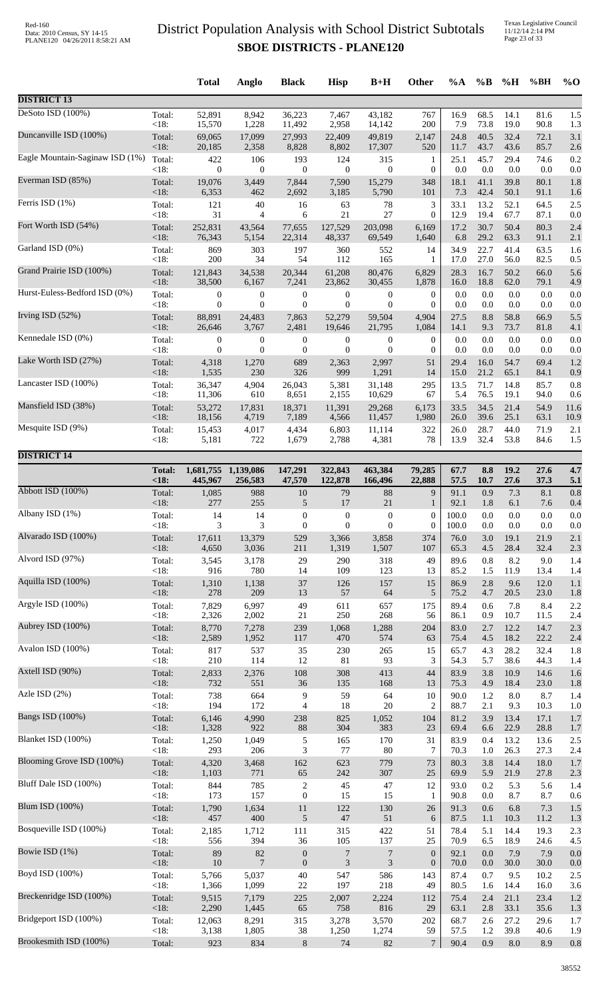Texas Legislative Council 11/12/14 2:14 PM Page 23 of 33

|                                 |                 | <b>Total</b>     | Anglo            | <b>Black</b>     | <b>Hisp</b>      | $B+H$            | Other             | $\%A$        | $\%$ B       | %H           | %BH          | $\%$ O     |
|---------------------------------|-----------------|------------------|------------------|------------------|------------------|------------------|-------------------|--------------|--------------|--------------|--------------|------------|
| <b>DISTRICT 13</b>              |                 |                  |                  |                  |                  |                  |                   |              |              |              |              |            |
| DeSoto ISD (100%)               | Total:          | 52,891           | 8,942            | 36,223           | 7,467            | 43,182           | 767               | 16.9         | 68.5         | 14.1         | 81.6         | 1.5        |
|                                 | < 18:           | 15,570           | 1,228            | 11,492           | 2,958            | 14,142           | 200               | 7.9          | 73.8         | 19.0         | 90.8         | 1.3        |
| Duncanville ISD (100%)          | Total:          | 69,065           | 17,099           | 27,993           | 22,409           | 49,819           | 2,147             | 24.8         | 40.5         | 32.4         | 72.1         | 3.1        |
| Eagle Mountain-Saginaw ISD (1%) | < 18:           | 20,185           | 2,358            | 8,828            | 8,802            | 17,307           | 520               | 11.7         | 43.7         | 43.6         | 85.7         | 2.6        |
|                                 | Total:          | 422              | 106              | 193              | 124              | 315              | $\mathbf{1}$      | 25.1         | 45.7         | 29.4         | 74.6         | 0.2        |
|                                 | <18:            | $\mathbf{0}$     | $\overline{0}$   | $\boldsymbol{0}$ | $\mathbf{0}$     | $\boldsymbol{0}$ | $\boldsymbol{0}$  | 0.0          | 0.0          | 0.0          | 0.0          | 0.0        |
| Everman ISD (85%)               | Total:          | 19,076           | 3,449            | 7,844            | 7,590            | 15,279           | 348               | 18.1         | 41.1         | 39.8         | 80.1         | 1.8        |
|                                 | < 18:           | 6,353            | 462              | 2,692            | 3,185            | 5,790            | 101               | 7.3          | 42.4         | 50.1         | 91.1         | 1.6        |
| Ferris ISD (1%)                 | Total:<br>< 18: | 121<br>31        | 40               | 16               | 63<br>21         | 78<br>27         | 3<br>$\mathbf{0}$ | 33.1         | 13.2         | 52.1<br>67.7 | 64.5         | 2.5        |
| Fort Worth ISD (54%)            | Total:          | 252,831          | 4<br>43,564      | 6<br>77,655      | 127,529          | 203,098          | 6,169             | 12.9<br>17.2 | 19.4<br>30.7 | 50.4         | 87.1<br>80.3 | 0.0<br>2.4 |
| Garland ISD (0%)                | < 18:           | 76,343<br>869    | 5,154<br>303     | 22,314           | 48,337<br>360    | 69,549           | 1,640<br>14       | 6.8<br>34.9  | 29.2<br>22.7 | 63.3<br>41.4 | 91.1<br>63.5 | 2.1        |
|                                 | Total:<br>< 18: | 200              | 34               | 197<br>54        | 112              | 552<br>165       | 1                 | 17.0         | 27.0         | 56.0         | 82.5         | 1.6<br>0.5 |
| Grand Prairie ISD (100%)        | Total:          | 121,843          | 34,538           | 20,344           | 61,208           | 80,476           | 6,829             | 28.3         | 16.7         | 50.2         | 66.0         | 5.6        |
|                                 | <18:            | 38,500           | 6,167            | 7,241            | 23,862           | 30,455           | 1,878             | 16.0         | 18.8         | 62.0         | 79.1         | 4.9        |
| Hurst-Euless-Bedford ISD (0%)   | Total:          | 0                | $\boldsymbol{0}$ | $\boldsymbol{0}$ | $\boldsymbol{0}$ | $\boldsymbol{0}$ | $\boldsymbol{0}$  | 0.0          | 0.0          | 0.0          | 0.0          | 0.0        |
|                                 | < 18:           | $\overline{0}$   | $\mathbf{0}$     | $\mathbf{0}$     | $\theta$         | $\theta$         | $\overline{0}$    | 0.0          | 0.0          | 0.0          | 0.0          | 0.0        |
| Irving ISD (52%)                | Total:          | 88,891           | 24,483           | 7,863            | 52,279           | 59,504           | 4,904             | 27.5         | 8.8          | 58.8         | 66.9         | 5.5        |
| Kennedale ISD (0%)              | < 18:           | 26,646           | 3,767            | 2,481            | 19,646           | 21,795           | 1,084             | 14.1         | 9.3          | 73.7         | 81.8         | 4.1        |
|                                 | Total:          | $\boldsymbol{0}$ | $\boldsymbol{0}$ | $\boldsymbol{0}$ | $\boldsymbol{0}$ | $\boldsymbol{0}$ | $\boldsymbol{0}$  | 0.0          | 0.0          | 0.0          | 0.0          | 0.0        |
| Lake Worth ISD (27%)            | < 18:           | $\boldsymbol{0}$ | $\mathbf{0}$     | $\mathbf{0}$     | $\boldsymbol{0}$ | $\theta$         | $\overline{0}$    | 0.0<br>29.4  | 0.0          | 0.0          | 0.0          | 0.0        |
|                                 | Total:<br>< 18: | 4,318<br>1,535   | 1,270<br>230     | 689<br>326       | 2,363<br>999     | 2,997<br>1,291   | 51<br>14          | 15.0         | 16.0<br>21.2 | 54.7<br>65.1 | 69.4<br>84.1 | 1.2<br>0.9 |
| Lancaster ISD (100%)            | Total:          | 36,347           | 4,904            | 26,043           | 5,381            | 31,148           | 295               | 13.5         | 71.7         | 14.8         | 85.7         | 0.8        |
|                                 | < 18:           | 11,306           | 610              | 8,651            | 2,155            | 10,629           | 67                | 5.4          | 76.5         | 19.1         | 94.0         | 0.6        |
| Mansfield ISD (38%)             | Total:          | 53,272           | 17,831           | 18,371           | 11,391           | 29,268           | 6,173             | 33.5         | 34.5         | 21.4         | 54.9         | 11.6       |
|                                 | < 18:           | 18,156           | 4,719            | 7,189            | 4,566            | 11,457           | 1,980             | 26.0         | 39.6         | 25.1         | 63.1         | 10.9       |
| Mesquite ISD (9%)               | Total:          | 15,453           | 4,017            | 4,434            | 6,803            | 11,114           | 322               | 26.0         | 28.7         | 44.0         | 71.9         | 2.1        |
|                                 | <18:            | 5,181            | 722              | 1,679            | 2,788            | 4,381            | 78                | 13.9         | 32.4         | 53.8         | 84.6         | 1.5        |
| <b>DISTRICT 14</b>              | <b>Total:</b>   | 1,681,755        | 1,139,086        | 147,291          | 322,843          | 463,384          | 79,285            | 67.7         | 8.8          | 19.2         | 27.6         | 4.7        |
|                                 | <18             | 445,967          | 256,583          | 47,570           | 122,878          | 166,496          | 22,888            | 57.5         | 10.7         | 27.6         | 37.3         | 5.1        |
| Abbott ISD (100%)               | Total:          | 1,085            | 988              | 10               | 79               | 88               | 9                 | 91.1         | 0.9          | 7.3          | 8.1          | 0.8        |
|                                 | <18:            | 277              | 255              | $\sqrt{5}$       | 17               | 21               | $\mathbf{1}$      | 92.1         | 1.8          | 6.1          | 7.6          | 0.4        |
| Albany ISD (1%)                 | Total:          | 14               | 14               | $\boldsymbol{0}$ | $\boldsymbol{0}$ | $\boldsymbol{0}$ | $\boldsymbol{0}$  | 100.0        | 0.0          | 0.0          | $0.0\,$      | 0.0        |
|                                 | < 18:           | 3                | 3                | $\mathbf{0}$     | $\mathbf{0}$     | $\overline{0}$   | $\mathbf{0}$      | 100.0        | 0.0          | 0.0          | 0.0          | 0.0        |
| Alvarado ISD (100%)             | Total:          | 17,611           | 13,379           | 529              | 3,366            | 3,858            | 374               | 76.0         | 3.0          | 19.1         | 21.9         | 2.1        |
| Alvord ISD (97%)                | <18:            | 4,650            | 3,036            | 211              | 1,319            | 1,507            | 107               | 65.3         | 4.5          | 28.4         | 32.4         | 2.3        |
|                                 | Total:          | 3,545            | 3,178            | 29               | 290              | 318              | 49                | 89.6         | 0.8          | 8.2          | 9.0          | 1.4        |
| Aquilla ISD (100%)              | <18:            | 916              | 780              | 14               | 109              | 123              | 13                | 85.2         | 1.5          | 11.9         | 13.4         | 1.4        |
|                                 | Total:          | 1,310            | 1,138            | 37               | 126              | 157              | 15                | 86.9         | 2.8          | 9.6          | 12.0         | 1.1        |
|                                 | < 18:           | 278              | 209              | 13               | 57               | 64               | 5                 | 75.2         | 4.7          | 20.5         | 23.0         | 1.8        |
| Argyle ISD (100%)               | Total:          | 7,829            | 6,997            | 49               | 611              | 657              | 175               | 89.4         | 0.6          | 7.8          | 8.4          | 2.2        |
|                                 | <18:            | 2,326            | 2,002            | 21               | 250              | 268              | 56                | 86.1         | 0.9          | 10.7         | 11.5         | 2.4        |
| Aubrey ISD (100%)               | Total:          | 8,770            | 7,278            | 239              | 1,068            | 1,288            | 204               | 83.0         | 2.7          | 12.2         | 14.7         | 2.3        |
| Avalon ISD (100%)               | < 18:           | 2,589            | 1,952            | 117              | 470              | 574              | 63                | 75.4         | 4.5          | 18.2         | 22.2         | 2.4        |
|                                 | Total:          | 817              | 537              | 35               | 230              | 265              | 15                | 65.7         | 4.3          | 28.2         | 32.4         | 1.8        |
| Axtell ISD (90%)                | $<18$ :         | 210              | 114              | 12               | 81               | 93               | 3                 | 54.3         | 5.7          | 38.6         | 44.3         | 1.4        |
|                                 | Total:          | 2,833            | 2,376            | $108\,$          | 308              | 413              | 44                | 83.9         | 3.8          | 10.9         | 14.6         | 1.6        |
|                                 | < 18:           | 732              | 551              | 36               | 135              | 168              | 13                | 75.3         | 4.9          | 18.4         | 23.0         | 1.8        |
| Azle ISD (2%)                   | Total:          | 738              | 664              | 9                | 59               | 64               | 10                | 90.0         | 1.2          | 8.0          | 8.7          | 1.4        |
|                                 | < 18:           | 194              | 172              | $\overline{4}$   | 18               | $20\,$           | $\overline{c}$    | 88.7         | 2.1          | 9.3          | 10.3         | 1.0        |
| <b>Bangs ISD (100%)</b>         | Total:          | 6,146            | 4,990            | 238              | 825              | 1,052            | 104               | 81.2         | 3.9          | 13.4         | 17.1         | 1.7        |
| Blanket ISD (100%)              | < 18:           | 1,328            | 922              | $88\,$           | 304              | 383              | 23                | 69.4         | 6.6          | 22.9         | 28.8         | 1.7        |
|                                 | Total:          | 1,250            | 1,049            | $\sqrt{5}$       | 165              | 170              | 31                | 83.9         | 0.4          | 13.2         | 13.6         | 2.5        |
| Blooming Grove ISD (100%)       | <18:            | 293              | 206              | 3                | 77               | 80               | $\tau$            | 70.3         | 1.0          | 26.3         | 27.3         | 2.4        |
|                                 | Total:          | 4,320            | 3,468            | 162              | 623              | 779              | 73                | 80.3         | 3.8          | 14.4         | 18.0         | 1.7        |
| Bluff Dale ISD (100%)           | <18:            | 1,103            | 771              | 65               | 242              | 307              | 25                | 69.9         | 5.9          | 21.9         | 27.8         | 2.3        |
|                                 | Total:          | 844              | 785              | $\overline{c}$   | 45               | 47               | 12                | 93.0         | 0.2          | 5.3          | 5.6          | 1.4        |
| Blum ISD (100%)                 | < 18:           | 173              | 157              | $\boldsymbol{0}$ | 15               | 15               | 1                 | 90.8         | $0.0\,$      | 8.7          | 8.7          | 0.6        |
|                                 | Total:          | 1,790            | 1,634            | $11\,$           | 122              | 130              | 26                | 91.3         | 0.6          | 6.8          | 7.3          | 1.5        |
|                                 | < 18:           | 457              | 400              | $\sqrt{5}$       | $47\,$           | 51               | 6                 | 87.5         | 1.1          | 10.3         | 11.2         | 1.3        |
| Bosqueville ISD (100%)          | Total:          | 2,185            | 1,712            | 111              | 315              | 422              | 51                | 78.4         | 5.1          | 14.4         | 19.3         | 2.3        |
|                                 | <18:            | 556              | 394              | 36               | 105              | 137              | 25                | 70.9         | 6.5          | 18.9         | 24.6         | 4.5        |
| Bowie ISD (1%)                  | Total:          | 89               | 82               | $\boldsymbol{0}$ | 7                | $\overline{7}$   | $\boldsymbol{0}$  | 92.1         | $0.0\,$      | 7.9          | 7.9          | 0.0        |
|                                 | < 18:           | $10\,$           | $\overline{7}$   | $\mathbf{0}$     | $\mathfrak{Z}$   | $\mathfrak{Z}$   | $\boldsymbol{0}$  | 70.0         | 0.0          | 30.0         | 30.0         | 0.0        |
| Boyd ISD (100%)                 | Total:          | 5,766            | 5,037            | 40               | 547              | 586              | 143               | 87.4         | 0.7          | 9.5          | 10.2         | 2.5        |
| Breckenridge ISD (100%)         | <18:            | 1,366            | 1,099            | $22\,$           | 197              | 218              | 49                | 80.5         | 1.6          | 14.4         | 16.0         | 3.6        |
|                                 | Total:          | 9,515            | 7,179            | 225              | 2,007            | 2,224            | 112               | 75.4         | 2.4          | 21.1         | 23.4         | 1.2        |
|                                 | < 18:           | 2,290            | 1,445            | 65               | 758              | 816              | 29                | 63.1         | 2.8          | 33.1         | 35.6         | 1.3        |
| Bridgeport ISD (100%)           | Total:          | 12,063           | 8,291            | 315              | 3,278            | 3,570            | 202               | 68.7         | 2.6          | 27.2         | 29.6         | 1.7        |
|                                 | <18:            | 3,138            | 1,805            | 38               | 1,250            | 1,274            | 59                | 57.5         | $1.2\,$      | 39.8         | 40.6         | 1.9        |
| Brookesmith ISD (100%)          | Total:          | 923              | 834              | $\,8\,$          | 74               | 82               | $\tau$            | 90.4         | 0.9          | $8.0\,$      | 8.9          | 0.8        |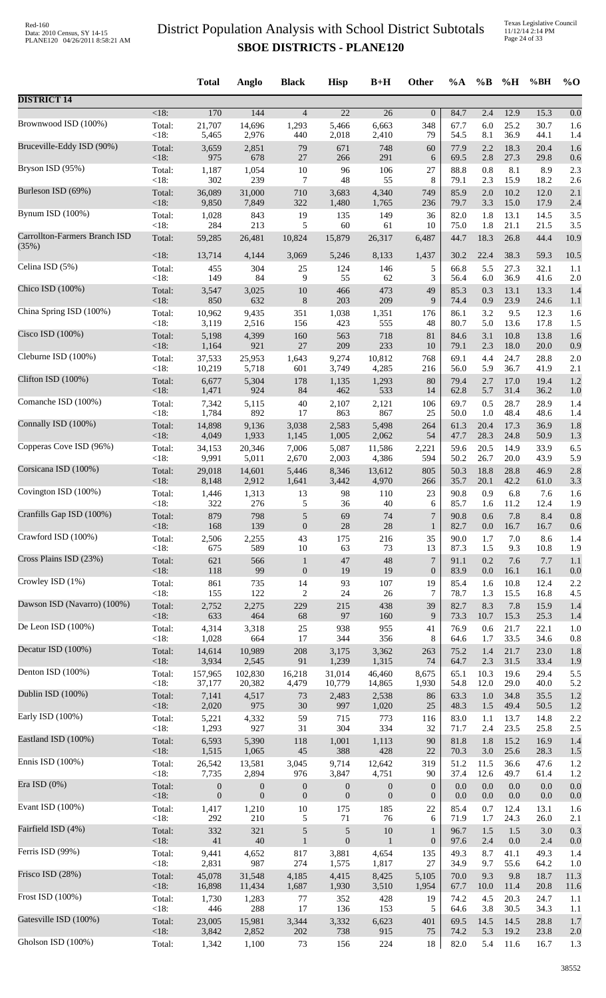Texas Legislative Council 11/12/14 2:14 PM Page 24 of 33

|                                        |                 | <b>Total</b>     | Anglo            | <b>Black</b>     | <b>Hisp</b>       | $B+H$            | Other            | $\%A$        | $\%$ B         | %H           | %BH          | $\%$ O      |
|----------------------------------------|-----------------|------------------|------------------|------------------|-------------------|------------------|------------------|--------------|----------------|--------------|--------------|-------------|
| <b>DISTRICT 14</b>                     |                 |                  |                  |                  |                   |                  |                  |              |                |              |              |             |
| Brownwood ISD (100%)                   | $<18$ :         | 170              | 144              | $\overline{4}$   | 22                | 26               | $\mathbf{0}$     | 84.7         | 2.4            | 12.9         | 15.3         | 0.0         |
|                                        | Total:          | 21,707           | 14,696           | 1,293            | 5,466             | 6,663            | 348              | 67.7         | 6.0            | 25.2         | 30.7         | 1.6         |
|                                        | < 18:           | 5,465            | 2,976            | 440              | 2,018             | 2,410            | 79               | 54.5         | 8.1            | 36.9         | 44.1         | 1.4         |
| Bruceville-Eddy ISD (90%)              | Total:          | 3,659            | 2,851            | 79               | 671               | 748              | 60               | 77.9         | 2.2            | 18.3         | 20.4         | 1.6         |
|                                        | <18:            | 975              | 678              | 27               | 266               | 291              | 6                | 69.5         | 2.8            | 27.3         | 29.8         | 0.6         |
| Bryson ISD (95%)                       | Total:          | 1,187            | 1,054            | $10\,$           | 96                | 106              | 27               | 88.8         | 0.8            | 8.1          | 8.9          | 2.3         |
| Burleson ISD (69%)                     | < 18:           | 302              | 239              | 7                | 48                | 55               | 8                | 79.1         | 2.3            | 15.9         | 18.2         | 2.6         |
|                                        | Total:          | 36,089           | 31,000           | 710              | 3,683             | 4,340            | 749              | 85.9         | 2.0            | 10.2         | 12.0         | 2.1         |
|                                        | <18:            | 9,850            | 7,849            | 322              | 1,480             | 1,765            | 236              | 79.7         | 3.3            | 15.0         | 17.9         | 2.4         |
| Bynum ISD (100%)                       | Total:          | 1,028            | 843              | 19               | 135               | 149              | 36               | 82.0         | 1.8            | 13.1         | 14.5         | 3.5         |
|                                        | < 18:           | 284              | 213              | 5                | 60                | 61               | 10               | 75.0         | 1.8            | 21.1         | 21.5         | 3.5         |
| Carrollton-Farmers Branch ISD<br>(35%) | Total:          | 59,285           | 26,481           | 10,824           | 15,879            | 26,317           | 6,487            | 44.7         | 18.3           | 26.8         | 44.4         | 10.9        |
| Celina ISD (5%)                        | $<18$ :         | 13,714           | 4,144            | 3,069            | 5,246             | 8,133            | 1,437            | 30.2         | 22.4           | 38.3         | 59.3         | 10.5        |
|                                        | Total:          | 455              | 304              | 25               | 124               | 146              | 5                | 66.8         | 5.5            | 27.3         | 32.1         | 1.1         |
|                                        | <18:            | 149              | 84               | 9                | 55                | 62               | 3                | 56.4         | 6.0            | 36.9         | 41.6         | 2.0         |
| Chico ISD (100%)                       | Total:          | 3,547            | 3,025            | 10               | 466               | 473              | 49               | 85.3         | 0.3            | 13.1         | 13.3         | 1.4         |
|                                        | <18:            | 850              | 632              | $\,8$            | 203               | 209              | 9                | 74.4         | 0.9            | 23.9         | 24.6         | 1.1         |
| China Spring ISD (100%)                | Total:          | 10,962           | 9,435            | 351              | 1,038             | 1,351            | 176              | 86.1         | 3.2            | 9.5          | 12.3         | 1.6         |
| Cisco ISD (100%)                       | <18:            | 3,119            | 2,516            | 156              | 423               | 555              | 48               | 80.7         | 5.0            | 13.6         | 17.8         | 1.5         |
|                                        | Total:          | 5,198            | 4,399            | 160              | 563               | 718              | 81               | 84.6         | 3.1            | 10.8         | 13.8         | 1.6         |
| Cleburne ISD (100%)                    | <18:            | 1,164            | 921              | 27               | 209               | 233              | 10               | 79.1         | 2.3            | 18.0         | 20.0         | 0.9         |
|                                        | Total:          | 37,533           | 25,953           | 1,643            | 9,274             | 10,812           | 768              | 69.1         | 4.4            | 24.7         | 28.8         | 2.0         |
|                                        | < 18:           | 10,219           | 5,718            | 601              | 3,749             | 4,285            | 216              | 56.0         | 5.9            | 36.7         | 41.9         | 2.1         |
| Clifton ISD (100%)                     | Total:          | 6,677            | 5,304            | 178              | 1,135             | 1,293            | 80               | 79.4         | 2.7            | 17.0         | 19.4         | 1.2         |
|                                        | <18:            | 1,471            | 924              | 84               | 462               | 533              | 14               | 62.8         | 5.7            | 31.4         | 36.2         | 1.0         |
| Comanche ISD (100%)                    | Total:          | 7,342            | 5,115            | 40               | 2,107             | 2,121            | 106              | 69.7         | 0.5            | 28.7         | 28.9         | 1.4         |
| Connally ISD (100%)                    | < 18:           | 1,784            | 892              | 17               | 863               | 867              | 25               | 50.0         | 1.0            | 48.4         | 48.6         | 1.4         |
|                                        | Total:          | 14,898           | 9,136            | 3,038            | 2,583             | 5,498            | 264              | 61.3         | 20.4           | 17.3         | 36.9         | 1.8         |
|                                        | <18:            | 4,049            | 1,933            | 1,145            | 1,005             | 2,062            | 54               | 47.7         | 28.3           | 24.8         | 50.9         | 1.3         |
| Copperas Cove ISD (96%)                | Total:          | 34,153           | 20,346           | 7,006            | 5,087             | 11,586           | 2,221            | 59.6         | 20.5           | 14.9         | 33.9         | 6.5         |
|                                        | <18:            | 9,991            | 5,011            | 2,670            | 2,003             | 4,386            | 594              | 50.2         | 26.7           | 20.0         | 43.9         | 5.9         |
| Corsicana ISD (100%)                   | Total:          | 29,018           | 14,601           | 5,446            | 8,346             | 13,612           | 805              | 50.3         | 18.8           | 28.8         | 46.9         | 2.8         |
|                                        | $<18$ :         | 8,148            | 2,912            | 1,641            | 3,442             | 4,970            | 266              | 35.7         | 20.1           | 42.2         | 61.0         | 3.3         |
| Covington ISD (100%)                   | Total:          | 1,446            | 1,313            | 13               | 98                | 110              | 23               | 90.8         | 0.9            | 6.8          | 7.6          | 1.6         |
| Cranfills Gap ISD (100%)               | $<18$ :         | 322              | 276              | 5                | 36                | 40               | 6                | 85.7         | 1.6            | 11.2         | 12.4         | 1.9         |
|                                        | Total:          | 879              | 798              | 5                | 69                | 74               | $\sqrt{ }$       | 90.8         | 0.6            | $7.8\,$      | 8.4          | $0.8\,$     |
|                                        | $<18$ :         | 168              | 139              | $\boldsymbol{0}$ | 28                | 28               | 1                | 82.7         | 0.0            | 16.7         | 16.7         | 0.6         |
| Crawford ISD (100%)                    | Total:          | 2,506            | 2,255            | 43               | 175               | 216              | 35               | 90.0         | 1.7            | 7.0          | 8.6          | 1.4         |
|                                        | < 18:           | 675              | 589              | 10               | 63                | 73               | 13               | 87.3         | 1.5            | 9.3          | 10.8         | 1.9         |
| Cross Plains ISD (23%)                 | Total:          | 621              | 566              | $\mathbf{1}$     | 47                | 48               | $\boldsymbol{7}$ | 91.1         | $0.2\,$        | 7.6          | 7.7          | 1.1         |
|                                        | < 18:           | 118              | 99               | $\boldsymbol{0}$ | 19                | 19               | $\mathbf{0}$     | 83.9         | $0.0\,$        | 16.1         | 16.1         | 0.0         |
| Crowley ISD (1%)                       | Total:          | 861              | 735              | 14               | 93                | 107              | 19               | 85.4         | 1.6            | 10.8         | 12.4         | 2.2         |
| Dawson ISD (Navarro) (100%)            | < 18:           | 155              | 122              | 2                | 24                | 26               | 7                | 78.7         | 1.3            | 15.5         | 16.8         | 4.5         |
|                                        | Total:          | 2,752            | 2,275            | 229              | 215               | 438              | 39               | 82.7         | 8.3            | 7.8          | 15.9         | 1.4         |
| De Leon ISD (100%)                     | <18:            | 633              | 464              | 68               | $\ensuremath{97}$ | 160              | 9                | 73.3         | 10.7           | 15.3         | 25.3         | 1.4         |
|                                        | Total:          | 4,314            | 3,318            | $25\,$           | 938               | 955              | 41               | 76.9         | 0.6            | 21.7         | 22.1         | 1.0         |
|                                        | < 18:           | 1,028            | 664              | 17               | 344               | 356              | 8                | 64.6         | 1.7            | 33.5         | 34.6         | 0.8         |
| Decatur ISD (100%)                     | Total:          | 14,614           | 10,989           | 208              | 3,175             | 3,362            | 263              | 75.2         | 1.4            | 21.7         | 23.0         | 1.8         |
|                                        | <18:            | 3,934            | 2,545            | 91               | 1,239             | 1,315            | 74               | 64.7         | 2.3            | 31.5         | 33.4         | 1.9         |
| Denton ISD (100%)                      | Total:          | 157,965          | 102,830          | 16,218           | 31,014            | 46,460           | 8,675            | 65.1         | 10.3           | 19.6         | 29.4         | 5.5         |
| Dublin ISD (100%)                      | <18:            | 37,177           | 20,382           | 4,479            | 10,779            | 14,865           | 1,930            | 54.8         | 12.0           | 29.0         | 40.0         | 5.2         |
|                                        | Total:          | 7,141            | 4,517            | 73               | 2,483             | 2,538            | 86               | 63.3         | 1.0            | 34.8         | 35.5         | 1.2         |
| Early ISD (100%)                       | <18:            | 2,020            | 975<br>4,332     | 30               | 997               | 1,020            | 25               | 48.3         | 1.5            | 49.4         | 50.5         | 1.2         |
|                                        | Total:<br>< 18: | 5,221<br>1,293   | 927              | 59<br>31         | 715<br>304        | 773<br>334       | 116<br>32        | 83.0<br>71.7 | $1.1\,$<br>2.4 | 13.7<br>23.5 | 14.8<br>25.8 | 2.2<br>2.5  |
| Eastland ISD (100%)                    | Total:          | 6,593            | 5,390            | 118              | 1,001             | 1,113            | 90               | 81.8         | 1.8            | 15.2         | 16.9         | 1.4         |
|                                        | <18:            | 1,515            | 1,065            | 45               | 388               | 428              | 22               | 70.3         | 3.0            | 25.6         | 28.3         | 1.5         |
| Ennis ISD (100%)                       | Total:          | 26,542           | 13,581           | 3,045            | 9,714             | 12,642           | 319              | 51.2         | 11.5           | 36.6         | 47.6         | 1.2         |
| Era ISD $(0\%)$                        | <18:            | 7,735            | 2,894            | 976              | 3,847             | 4,751            | 90               | 37.4         | 12.6           | 49.7         | 61.4         | 1.2         |
|                                        | Total:          | $\boldsymbol{0}$ | $\boldsymbol{0}$ | $\boldsymbol{0}$ | $\boldsymbol{0}$  | $\boldsymbol{0}$ | $\mathbf{0}$     | 0.0          | 0.0            | $0.0\,$      | 0.0          | 0.0         |
| Evant ISD (100%)                       | <18:            | $\boldsymbol{0}$ | $\boldsymbol{0}$ | $\boldsymbol{0}$ | $\overline{0}$    | $\boldsymbol{0}$ | $\mathbf{0}$     | 0.0          | 0.0            | 0.0          | 0.0          | 0.0         |
|                                        | Total:          | 1,417            | 1,210            | $10\,$           | 175               | 185              | 22               | 85.4         | 0.7            | 12.4         | 13.1         | 1.6         |
|                                        | < 18:           | 292              | 210              | 5                | $71\,$            | 76               | 6                | 71.9         | 1.7            | 24.3         | 26.0         | 2.1         |
| Fairfield ISD (4%)                     | Total:          | 332              | 321              | 5                | $\sqrt{5}$        | 10               | 1                | 96.7         | 1.5            | $1.5$        | 3.0          | 0.3         |
|                                        | < 18:           | 41               | 40               | $\mathbf{1}$     | $\mathbf{0}$      | $\mathbf{1}$     | $\boldsymbol{0}$ | 97.6         | 2.4            | 0.0          | 2.4          | 0.0         |
| Ferris ISD (99%)                       | Total:          | 9,441            | 4,652<br>987     | 817<br>274       | 3,881             | 4,654            | 135<br>27        | 49.3         | 8.7            | 41.1<br>55.6 | 49.3         | 1.4         |
| Frisco ISD (28%)                       | <18:<br>Total:  | 2,831<br>45,078  | 31,548           | 4,185            | 1,575<br>4,415    | 1,817<br>8,425   | 5,105            | 34.9<br>70.0 | 9.7<br>9.3     | 9.8          | 64.2<br>18.7 | 1.0<br>11.3 |
| Frost ISD (100%)                       | <18:            | 16,898           | 11,434           | 1,687            | 1,930             | 3,510            | 1,954            | 67.7         | 10.0           | 11.4         | 20.8         | 11.6        |
|                                        | Total:          | 1,730            | 1,283            | 77               | 352               | 428              | 19               | 74.2         | 4.5            | 20.3         | 24.7         | 1.1         |
|                                        | <18:            | 446              | 288              | 17               | 136               | 153              | 5                | 64.6         | 3.8            | 30.5         | 34.3         | 1.1         |
| Gatesville ISD (100%)                  | Total:          | 23,005           | 15,981           | 3,344            | 3,332             | 6,623            | 401              | 69.5         | 14.5           | 14.5         | 28.8         | 1.7         |
|                                        | <18:            | 3,842            | 2,852            | $202\,$          | 738               | 915              | 75               | 74.2         | 5.3            | 19.2         | 23.8         | 2.0         |
| Gholson ISD (100%)                     | Total:          | 1,342            | 1,100            | 73               | 156               | 224              | 18               | 82.0         | 5.4            | 11.6         | 16.7         | 1.3         |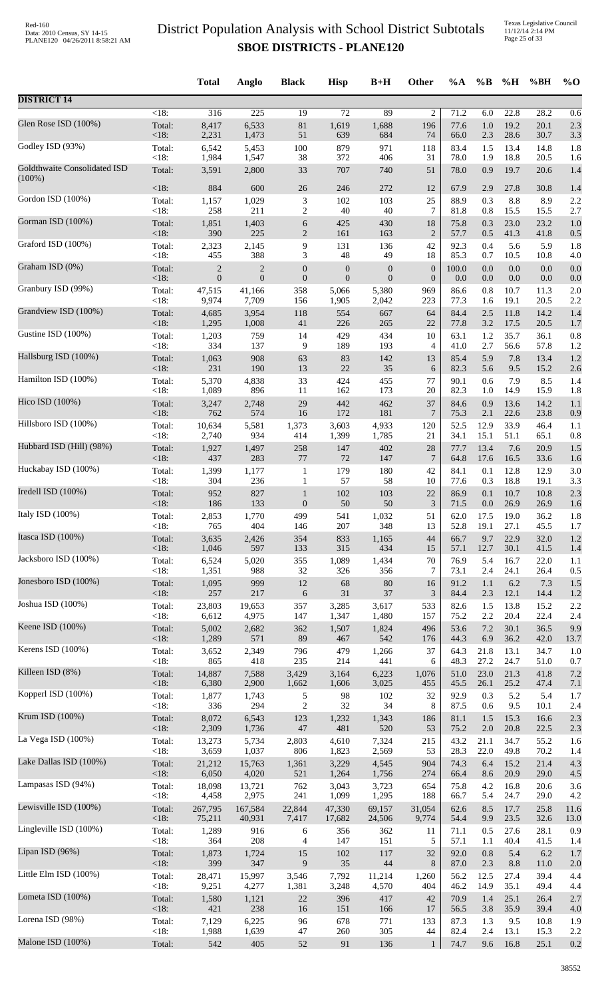Texas Legislative Council 11/12/14 2:14 PM Page 25 of 33

|                                           |                   | <b>Total</b>                   | Anglo                          | <b>Black</b>                | <b>Hisp</b>                      | $B+H$                            | Other                       | %A           | $\%B$       | %H                 | %BH          | $%$ <sup>O</sup> |
|-------------------------------------------|-------------------|--------------------------------|--------------------------------|-----------------------------|----------------------------------|----------------------------------|-----------------------------|--------------|-------------|--------------------|--------------|------------------|
| <b>DISTRICT 14</b>                        |                   |                                |                                |                             |                                  |                                  |                             |              |             |                    |              |                  |
| Glen Rose ISD (100%)                      | $<18$ :           | 316                            | 225                            | 19                          | $\overline{72}$                  | 89                               | $\overline{c}$              | 71.2         | 6.0         | 22.8               | 28.2         | 0.6              |
|                                           | Total:            | 8,417                          | 6,533                          | $81\,$                      | 1,619                            | 1,688                            | 196                         | 77.6         | 1.0         | 19.2               | 20.1         | 2.3              |
|                                           | $<18$ :           | 2,231                          | 1,473                          | 51                          | 639                              | 684                              | 74                          | 66.0         | 2.3         | 28.6               | 30.7         | 3.3              |
| Godley ISD (93%)                          | Total:            | 6,542                          | 5,453                          | $100\,$                     | 879                              | 971                              | 118                         | 83.4         | 1.5         | 13.4               | 14.8         | 1.8              |
|                                           | $<18$ :           | 1,984                          | 1,547                          | 38                          | 372                              | 406                              | 31                          | 78.0         | 1.9         | 18.8               | 20.5         | 1.6              |
| Goldthwaite Consolidated ISD<br>$(100\%)$ | Total:            | 3,591                          | 2,800                          | 33                          | 707                              | 740                              | 51                          | 78.0         | 0.9         | 19.7               | 20.6         | 1.4              |
| Gordon ISD (100%)                         | $<18$ :           | 884                            | 600                            | 26                          | 246                              | 272                              | 12                          | 67.9         | 2.9         | 27.8               | 30.8         | 1.4              |
|                                           | Total:            | 1,157                          | 1,029                          | $\ensuremath{\mathfrak{Z}}$ | $102\,$                          | 103                              | 25                          | 88.9         | 0.3         | 8.8                | 8.9          | 2.2              |
|                                           | $<18$ :           | 258                            | 211                            | $\overline{c}$              | 40                               | 40                               | $\boldsymbol{7}$            | 81.8         | 0.8         | 15.5               | 15.5         | 2.7              |
| Gorman ISD (100%)                         | Total:            | 1,851                          | 1,403                          | $\sqrt{6}$                  | 425                              | 430                              | 18                          | 75.8         | 0.3         | 23.0               | 23.2         | 1.0              |
|                                           | < 18:             | 390                            | 225                            | $\sqrt{2}$                  | 161                              | 163                              | $\overline{c}$              | 57.7         | 0.5         | 41.3               | 41.8         | 0.5              |
| Graford ISD (100%)                        | Total:            | 2,323                          | 2,145                          | 9                           | 131                              | 136                              | 42                          | 92.3         | 0.4         | 5.6                | 5.9          | 1.8              |
|                                           | <18:              | 455                            | 388                            | 3                           | 48                               | 49                               | 18                          | 85.3         | 0.7         | 10.5               | 10.8         | 4.0              |
| Graham ISD (0%)                           | Total:<br><18:    | $\overline{2}$<br>$\mathbf{0}$ | $\overline{2}$<br>$\mathbf{0}$ | $\boldsymbol{0}$            | $\boldsymbol{0}$<br>$\mathbf{0}$ | $\boldsymbol{0}$<br>$\mathbf{0}$ | $\boldsymbol{0}$            | 100.0        | 0.0<br>0.0  | $0.0\,$<br>$0.0\,$ | 0.0<br>0.0   | 0.0              |
| Granbury ISD (99%)                        | Total:            | 47,515                         | 41,166                         | $\boldsymbol{0}$<br>358     | 5,066                            | 5,380                            | $\boldsymbol{0}$<br>969     | 0.0<br>86.6  | 0.8         | 10.7               | 11.3         | 0.0<br>2.0       |
| Grandview ISD (100%)                      | <18:              | 9,974                          | 7,709                          | 156                         | 1,905                            | 2,042                            | 223                         | 77.3         | 1.6         | 19.1               | 20.5         | 2.2              |
|                                           | Total:            | 4,685                          | 3,954                          | 118                         | 554                              | 667                              | 64                          | 84.4         | 2.5         | 11.8               | 14.2         | 1.4              |
| Gustine ISD (100%)                        | $<18$ :<br>Total: | 1,295                          | 1,008<br>759                   | $41\,$                      | 226<br>429                       | 265<br>434                       | 22<br>10                    | 77.8<br>63.1 | 3.2<br>1.2  | 17.5<br>35.7       | 20.5         | 1.7              |
|                                           | < 18:             | 1,203<br>334                   | 137                            | 14<br>9                     | 189                              | 193                              | 4                           | 41.0         | 2.7         | 56.6               | 36.1<br>57.8 | 0.8<br>1.2       |
| Hallsburg ISD (100%)                      | Total:            | 1,063                          | 908                            | 63                          | 83                               | 142                              | 13                          | 85.4         | 5.9         | 7.8                | 13.4         | 1.2              |
|                                           | $<18$ :           | 231                            | 190                            | 13                          | 22                               | 35                               | 6                           | 82.3         | 5.6         | 9.5                | 15.2         | 2.6              |
| Hamilton ISD (100%)                       | Total:            | 5,370                          | 4,838                          | 33                          | 424                              | 455                              | 77                          | 90.1         | 0.6         | 7.9                | 8.5          | 1.4              |
|                                           | <18:              | 1,089                          | 896                            | 11                          | 162                              | 173                              | 20                          | 82.3         | 1.0         | 14.9               | 15.9         | 1.8              |
| Hico ISD (100%)                           | Total:            | 3,247                          | 2,748                          | 29                          | 442                              | 462                              | 37                          | 84.6         | 0.9         | 13.6               | 14.2         | 1.1              |
| Hillsboro ISD (100%)                      | $<18$ :           | 762                            | 574                            | 16                          | 172                              | 181                              | $\overline{7}$              | 75.3         | 2.1         | 22.6               | 23.8         | 0.9              |
|                                           | Total:            | 10,634                         | 5,581                          | 1,373                       | 3,603                            | 4,933                            | 120                         | 52.5         | 12.9        | 33.9               | 46.4         | 1.1              |
| Hubbard ISD (Hill) (98%)                  | <18:              | 2,740                          | 934                            | 414                         | 1,399                            | 1,785                            | 21                          | 34.1         | 15.1        | 51.1               | 65.1         | 0.8              |
|                                           | Total:            | 1,927                          | 1,497                          | 258                         | 147                              | 402                              | 28                          | 77.7         | 13.4        | 7.6                | 20.9         | 1.5              |
|                                           | <18:              | 437                            | 283                            | 77                          | $72\,$                           | 147                              | 7                           | 64.8         | 17.6        | 16.5               | 33.6         | 1.6              |
| Huckabay ISD (100%)                       | Total:            | 1,399                          | 1,177                          | $\mathbf{1}$                | 179                              | 180                              | 42                          | 84.1         | 0.1         | 12.8               | 12.9         | 3.0              |
|                                           | <18:              | 304                            | 236                            | 1                           | 57                               | 58                               | 10                          | 77.6         | 0.3         | 18.8               | 19.1         | 3.3              |
| Iredell ISD (100%)                        | Total:            | 952                            | 827                            | $\mathbf{1}$                | 102                              | 103                              | 22                          | 86.9         | 0.1         | 10.7               | 10.8         | 2.3              |
|                                           | < 18:             | 186                            | 133                            | $\boldsymbol{0}$            | 50                               | 50                               | $\ensuremath{\mathfrak{Z}}$ | 71.5         | $0.0\,$     | 26.9               | 26.9         | 1.6              |
| Italy ISD (100%)                          | Total:            | 2,853                          | 1,770                          | 499                         | 541                              | 1,032                            | 51                          | 62.0         | 17.5        | 19.0               | 36.2         | 1.8              |
|                                           | <18:              | 765                            | 404                            | 146                         | 207                              | 348                              | 13                          | 52.8         | 19.1        | 27.1               | 45.5         | 1.7              |
| Itasca ISD (100%)                         | Total:<br>$<18$ : | 3,635<br>1,046                 | 2,426<br>597                   | 354<br>133                  | 833<br>315                       | 1,165<br>434                     | 44<br>15                    | 66.7<br>57.1 | 9.7<br>12.7 | 22.9<br>30.1       | 32.0<br>41.5 | 1.2              |
| Jacksboro ISD (100%)                      | Total:            | 6,524                          | 5,020                          | 355                         | 1,089                            | 1,434                            | 70                          | 76.9         | 5.4         | 16.7               | 22.0         | 1.4<br>1.1       |
| Jonesboro ISD (100%)                      | <18:              | 1,351                          | 988                            | 32                          | 326                              | 356                              | 7                           | 73.1         | 2.4         | 24.1               | 26.4         | 0.5              |
|                                           | Total:            | 1,095                          | 999                            | 12                          | 68                               | 80                               | 16                          | 91.2         | 1.1         | 6.2                | 7.3          | 1.5              |
| Joshua ISD (100%)                         | $<18$ :           | 257                            | 217                            | $\boldsymbol{6}$            | 31                               | 37                               | $\mathfrak{Z}$              | 84.4         | 2.3         | 12.1               | 14.4         | 1.2              |
|                                           | Total:            | 23,803                         | 19,653                         | 357                         | 3,285                            | 3,617                            | 533                         | 82.6         | 1.5         | 13.8               | 15.2         | 2.2              |
|                                           | $<18$ :           | 6,612                          | 4,975                          | 147                         | 1,347                            | 1,480                            | 157                         | 75.2         | 2.2         | 20.4               | 22.4         | 2.4              |
| Keene ISD (100%)                          | Total:            | 5,002                          | 2,682                          | 362                         | 1,507                            | 1,824                            | 496                         | 53.6         | 7.2         | 30.1               | 36.5         | 9.9              |
|                                           | < 18:             | 1,289                          | 571                            | 89                          | 467                              | 542                              | 176                         | 44.3         | 6.9         | 36.2               | 42.0         | 13.7             |
| Kerens ISD (100%)                         | Total:            | 3,652                          | 2,349                          | 796                         | 479                              | 1,266                            | 37                          | 64.3         | 21.8        | 13.1               | 34.7         | 1.0              |
|                                           | < 18:             | 865                            | 418                            | 235                         | 214                              | 441                              | 6                           | 48.3         | 27.2        | 24.7               | 51.0         | 0.7              |
| Killeen ISD (8%)                          | Total:            | 14,887                         | 7,588                          | 3,429                       | 3,164                            | 6,223                            | 1,076                       | 51.0         | 23.0        | 21.3               | 41.8         | 7.2              |
|                                           | $<18$ :           | 6,380                          | 2,900                          | 1,662                       | 1,606                            | 3,025                            | 455                         | 45.5         | 26.1        | 25.2               | 47.4         | 7.1              |
| Kopperl ISD (100%)                        | Total:            | 1,877                          | 1,743                          | 5                           | 98                               | 102                              | 32                          | 92.9         | 0.3         | 5.2                | 5.4          | 1.7              |
| Krum ISD (100%)                           | <18:              | 336                            | 294                            | $\overline{c}$              | 32                               | 34                               | 8                           | 87.5         | 0.6         | 9.5                | 10.1         | 2.4              |
|                                           | Total:            | 8,072                          | 6,543                          | 123                         | 1,232                            | 1,343                            | 186                         | 81.1         | 1.5         | 15.3               | 16.6         | 2.3              |
| La Vega ISD (100%)                        | $<18$ :           | 2,309                          | 1,736                          | 47                          | 481                              | 520                              | 53                          | 75.2         | 2.0         | 20.8               | 22.5         | 2.3              |
|                                           | Total:            | 13,273                         | 5,734                          | 2,803                       | 4,610                            | 7,324                            | 215                         | 43.2         | 21.1        | 34.7               | 55.2         | 1.6              |
|                                           | <18:              | 3,659                          | 1,037                          | 806                         | 1,823                            | 2,569                            | 53                          | 28.3         | 22.0        | 49.8               | 70.2         | 1.4              |
| Lake Dallas ISD (100%)                    | Total:            | 21,212                         | 15,763                         | 1,361                       | 3,229                            | 4,545                            | 904                         | 74.3         | 6.4         | 15.2               | 21.4         | 4.3              |
|                                           | $<18$ :           | 6,050                          | 4,020                          | 521                         | 1,264                            | 1,756                            | 274                         | 66.4         | 8.6         | 20.9               | 29.0         | 4.5              |
| Lampasas ISD (94%)                        | Total:            | 18,098                         | 13,721                         | 762                         | 3,043                            | 3,723                            | 654                         | 75.8         | 4.2         | 16.8               | 20.6         | 3.6              |
|                                           | <18:              | 4,458                          | 2,975                          | 241                         | 1,099                            | 1,295                            | 188                         | 66.7         | 5.4         | 24.7               | 29.0         | 4.2              |
| Lewisville ISD (100%)                     | Total:            | 267,795                        | 167,584                        | 22,844                      | 47,330                           | 69,157                           | 31,054                      | 62.6         | 8.5         | 17.7               | 25.8         | 11.6             |
|                                           | $<18$ :           | 75,211                         | 40,931                         | 7,417                       | 17,682                           | 24,506                           | 9,774                       | 54.4         | 9.9         | 23.5               | 32.6         | 13.0             |
| Lingleville ISD (100%)                    | Total:            | 1,289                          | 916                            | 6                           | 356                              | 362                              | 11                          | 71.1         | 0.5         | 27.6               | 28.1         | 0.9              |
|                                           | $<18$ :           | 364                            | 208                            | 4                           | 147                              | 151                              | 5                           | 57.1         | 1.1         | 40.4               | 41.5         | 1.4              |
| Lipan ISD (96%)                           | Total:            | 1,873                          | 1,724                          | 15                          | 102                              | 117                              | 32                          | 92.0         | 0.8         | 5.4                | 6.2          | 1.7              |
| Little Elm ISD (100%)                     | $<18$ :           | 399                            | 347                            | 9                           | 35                               | 44                               | 8                           | 87.0         | 2.3         | $8.8\,$            | 11.0         | 2.0              |
|                                           | Total:            | 28,471                         | 15,997                         | 3,546                       | 7,792                            | 11,214                           | 1,260                       | 56.2         | 12.5        | 27.4               | 39.4         | 4.4              |
| Lometa ISD (100%)                         | <18:              | 9,251                          | 4,277                          | 1,381                       | 3,248                            | 4,570                            | 404                         | 46.2         | 14.9        | 35.1               | 49.4         | 4.4              |
|                                           | Total:            | 1,580                          | 1,121                          | 22                          | 396                              | 417                              | 42                          | 70.9         | 1.4         | 25.1               | 26.4         | 2.7              |
|                                           | $<18$ :           | 421                            | 238                            | 16                          | 151                              | 166                              | 17                          | 56.5         | 3.8         | 35.9               | 39.4         | 4.0              |
| Lorena ISD (98%)                          | Total:            | 7,129                          | 6,225                          | 96                          | 678                              | 771                              | 133                         | 87.3         | 1.3         | 9.5                | 10.8         | 1.9              |
|                                           | $<18$ :           | 1,988                          | 1,639                          | 47                          | $260\,$                          | 305                              | 44                          | 82.4         | 2.4         | 13.1               | 15.3         | 2.2              |
| Malone ISD (100%)                         | Total:            | 542                            | 405                            | 52                          | 91                               | 136                              | $\mathbf{1}$                | 74.7         | 9.6         | 16.8               | 25.1         | 0.2              |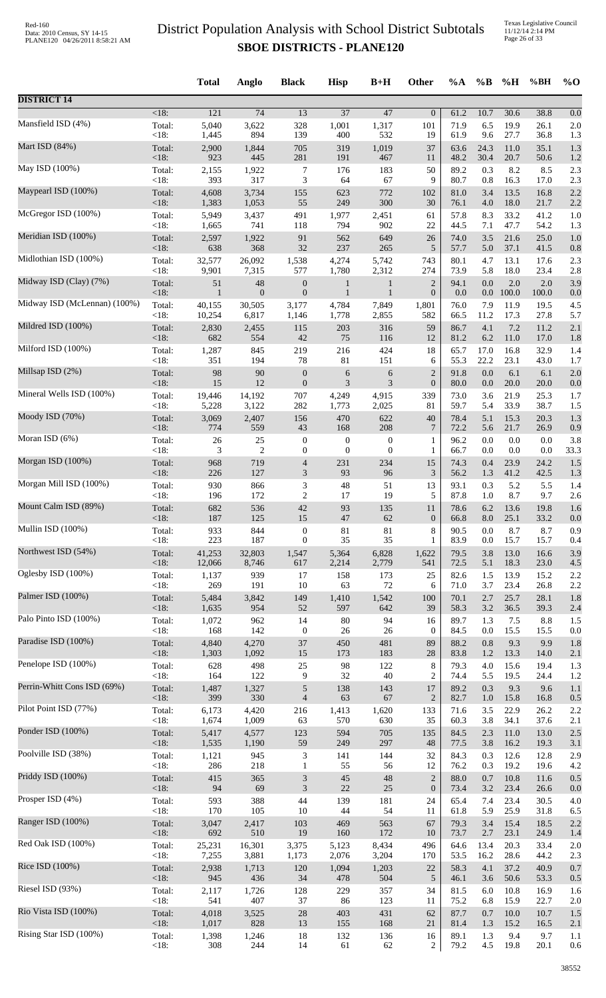Texas Legislative Council 11/12/14 2:14 PM Page 26 of 33

|                              |            | <b>Total</b> | Anglo           | <b>Black</b>                | <b>Hisp</b>      | $B+H$            | <b>Other</b>     | $\%A$ | $\%B$   | %H       | %BH   | $\%$ O |
|------------------------------|------------|--------------|-----------------|-----------------------------|------------------|------------------|------------------|-------|---------|----------|-------|--------|
| <b>DISTRICT 14</b>           |            |              |                 |                             |                  |                  |                  |       |         |          |       |        |
| Mansfield ISD (4%)           | $<18$ :    | 121          | $\overline{74}$ | 13                          | $\overline{37}$  | 47               | $\boldsymbol{0}$ | 61.2  | 10.7    | 30.6     | 38.8  | 0.0    |
|                              | Total:     | 5,040        | 3,622           | 328                         | 1,001            | 1,317            | 101              | 71.9  | 6.5     | 19.9     | 26.1  | 2.0    |
|                              | <18:       | 1,445        | 894             | 139                         | 400              | 532              | 19               | 61.9  | 9.6     | 27.7     | 36.8  | 1.3    |
| Mart ISD (84%)               | Total:     | 2,900        | 1,844           | 705                         | 319              | 1,019            | 37               | 63.6  | 24.3    | 11.0     | 35.1  | 1.3    |
|                              | <18:       | 923          | 445             | 281                         | 191              | 467              | 11               | 48.2  | 30.4    | 20.7     | 50.6  | 1.2    |
| May ISD (100%)               | Total:     | 2,155        | 1,922           | 7                           | 176              | 183              | 50               | 89.2  | 0.3     | 8.2      | 8.5   | 2.3    |
|                              | <18:       | 393          | 317             | 3                           | 64               | 67               | 9                | 80.7  | 0.8     | 16.3     | 17.0  | 2.3    |
| Maypearl ISD (100%)          | Total:     | 4,608        | 3,734           | 155                         | 623              | 772              | 102              | 81.0  | 3.4     | 13.5     | 16.8  | 2.2    |
| McGregor ISD (100%)          | <18:       | 1,383        | 1,053           | 55                          | 249              | 300              | 30               | 76.1  | 4.0     | 18.0     | 21.7  | 2.2    |
|                              | Total:     | 5,949        | 3,437           | 491                         | 1,977            | 2,451            | 61               | 57.8  | 8.3     | 33.2     | 41.2  | 1.0    |
| Meridian ISD (100%)          | <18:       | 1,665        | 741             | 118                         | 794              | 902              | 22               | 44.5  | 7.1     | 47.7     | 54.2  | 1.3    |
|                              | Total:     | 2,597        | 1,922           | 91                          | 562              | 649              | 26               | 74.0  | 3.5     | 21.6     | 25.0  | 1.0    |
| Midlothian ISD (100%)        | <18:       | 638          | 368             | 32                          | 237              | 265              | 5                | 57.7  | 5.0     | 37.1     | 41.5  | 0.8    |
|                              | Total:     | 32,577       | 26,092          | 1,538                       | 4,274            | 5,742            | 743              | 80.1  | 4.7     | 13.1     | 17.6  | 2.3    |
|                              | <18:       | 9,901        | 7,315           | 577                         | 1,780            | 2,312            | 274              | 73.9  | 5.8     | 18.0     | 23.4  | 2.8    |
| Midway ISD (Clay) (7%)       | Total:     | 51           | 48              | $\boldsymbol{0}$            | $\mathbf{1}$     | 1                | $\overline{2}$   | 94.1  | 0.0     | 2.0      | 2.0   | 3.9    |
|                              | $<18$ :    | 1            | $\mathbf{0}$    | $\boldsymbol{0}$            | 1                | $\mathbf{1}$     | $\boldsymbol{0}$ | 0.0   | $0.0\,$ | 100.0    | 100.0 | 0.0    |
| Midway ISD (McLennan) (100%) | Total:     | 40,155       | 30,505          | 3,177                       | 4,784            | 7,849            | 1,801            | 76.0  | 7.9     | 11.9     | 19.5  | 4.5    |
|                              | <18:       | 10,254       | 6,817           | 1,146                       | 1,778            | 2,855            | 582              | 66.5  | 11.2    | 17.3     | 27.8  | 5.7    |
| Mildred ISD (100%)           | Total:     | 2,830        | 2,455           | 115                         | 203              | 316              | 59               | 86.7  | 4.1     | 7.2      | 11.2  | 2.1    |
| Milford ISD (100%)           | $<18$ :    | 682          | 554             | 42                          | 75               | 116              | 12               | 81.2  | 6.2     | 11.0     | 17.0  | 1.8    |
|                              | Total:     | 1,287        | 845             | 219                         | 216              | 424              | 18               | 65.7  | 17.0    | 16.8     | 32.9  | 1.4    |
| Millsap ISD (2%)             | <18:       | 351          | 194             | 78                          | 81               | 151              | 6                | 55.3  | 22.2    | 23.1     | 43.0  | 1.7    |
|                              | Total:     | 98           | 90              | $\boldsymbol{0}$            | $\epsilon$       | $\sqrt{6}$       | $\sqrt{2}$       | 91.8  | 0.0     | 6.1      | 6.1   | 2.0    |
| Mineral Wells ISD (100%)     | <18:       | 15           | 12              | $\boldsymbol{0}$            | 3                | 3                | $\boldsymbol{0}$ | 80.0  | 0.0     | 20.0     | 20.0  | 0.0    |
|                              | Total:     | 19,446       | 14,192          | 707                         | 4,249            | 4,915            | 339              | 73.0  | 3.6     | 21.9     | 25.3  | 1.7    |
|                              | <18:       | 5,228        | 3,122           | 282                         | 1,773            | 2,025            | 81               | 59.7  | 5.4     | 33.9     | 38.7  | 1.5    |
| Moody ISD (70%)              | Total:     | 3,069        | 2,407           | 156                         | 470              | 622              | $40\,$           | 78.4  | 5.1     | 15.3     | 20.3  | 1.3    |
|                              | <18:       | 774          | 559             | 43                          | 168              | 208              | $\overline{7}$   | 72.2  | 5.6     | 21.7     | 26.9  | 0.9    |
| Moran ISD (6%)               | Total:     | 26           | 25              | $\boldsymbol{0}$            | $\boldsymbol{0}$ | $\boldsymbol{0}$ | 1                | 96.2  | 0.0     | 0.0      | 0.0   | 3.8    |
|                              | <18:       | 3            | $\overline{c}$  | $\boldsymbol{0}$            | $\boldsymbol{0}$ | $\boldsymbol{0}$ | $\mathbf{1}$     | 66.7  | 0.0     | 0.0      | 0.0   | 33.3   |
| Morgan ISD (100%)            | Total:     | 968          | 719             | 4                           | 231              | 234              | 15               | 74.3  | 0.4     | 23.9     | 24.2  | 1.5    |
|                              | <18:       | 226          | 127             | $\mathfrak{Z}$              | 93               | 96               | $\mathfrak{Z}$   | 56.2  | 1.3     | 41.2     | 42.5  | 1.3    |
| Morgan Mill ISD (100%)       | Total:     | 930          | 866             | 3                           | 48               | 51               | 13               | 93.1  | 0.3     | 5.2      | 5.5   | 1.4    |
| Mount Calm ISD (89%)         | $<18$ :    | 196          | 172             | $\overline{c}$              | 17               | 19               | 5                | 87.8  | 1.0     | 8.7      | 9.7   | 2.6    |
|                              | Total:     | 682          | 536             | 42                          | 93               | 135              | 11               | 78.6  | 6.2     | 13.6     | 19.8  | 1.6    |
| Mullin ISD (100%)            | $\leq$ 18: | 187          | 125             | 15                          | 47               | 62               | $\boldsymbol{0}$ | 66.8  | 8.0     | 25.1     | 33.2  | 0.0    |
|                              | Total:     | 933          | 844             | $\boldsymbol{0}$            | 81               | 81               | 8                | 90.5  | 0.0     | 8.7      | 8.7   | 0.9    |
| Northwest ISD (54%)          | <18:       | 223          | 187             | $\mathbf{0}$                | 35               | 35               | 1                | 83.9  | 0.0     | 15.7     | 15.7  | 0.4    |
|                              | Total:     | 41,253       | 32,803          | 1,547                       | 5,364            | 6,828            | 1,622            | 79.5  | 3.8     | 13.0     | 16.6  | 3.9    |
|                              | <18:       | 12,066       | 8,746           | 617                         | 2,214            | 2,779            | 541              | 72.5  | 5.1     | 18.3     | 23.0  | 4.5    |
| Oglesby ISD (100%)           | Total:     | 1,137        | 939             | 17                          | 158              | 173              | 25               | 82.6  | 1.5     | 13.9     | 15.2  | 2.2    |
|                              | <18:       | 269          | 191             | 10                          | 63               | $72\,$           | 6                | 71.0  | 3.7     | 23.4     | 26.8  | 2.2    |
| Palmer ISD (100%)            | Total:     | 5,484        | 3,842           | 149                         | 1,410            | 1,542            | 100              | 70.1  | 2.7     | 25.7     | 28.1  | 1.8    |
|                              | $<18$ :    | 1,635        | 954             | 52                          | 597              | 642              | 39               | 58.3  | 3.2     | 36.5     | 39.3  | 2.4    |
| Palo Pinto ISD (100%)        | Total:     | 1,072        | 962             | 14                          | $80\,$           | 94               | 16               | 89.7  | 1.3     | 7.5      | 8.8   | 1.5    |
|                              | <18:       | 168          | 142             | $\boldsymbol{0}$            | $26\,$           | $26\,$           | $\boldsymbol{0}$ | 84.5  | 0.0     | 15.5     | 15.5  | 0.0    |
| Paradise ISD (100%)          | Total:     | 4,840        | 4,270           | $37\,$                      | 450              | 481              | 89               | 88.2  | 0.8     | 9.3      | 9.9   | 1.8    |
| Penelope ISD (100%)          | <18:       | 1,303        | 1,092           | 15                          | 173              | 183              | $28\,$           | 83.8  | 1.2     | 13.3     | 14.0  | 2.1    |
|                              | Total:     | 628          | 498             | $25\,$                      | 98               | 122              | 8                | 79.3  | 4.0     | 15.6     | 19.4  | 1.3    |
| Perrin-Whitt Cons ISD (69%)  | <18:       | 164          | 122             | 9                           | 32               | 40               | $\overline{c}$   | 74.4  | 5.5     | 19.5     | 24.4  | 1.2    |
|                              | Total:     | 1,487        | 1,327           | $\sqrt{5}$                  | 138              | 143              | 17               | 89.2  | 0.3     | 9.3      | 9.6   | 1.1    |
| Pilot Point ISD (77%)        | <18:       | 399          | 330             | $\overline{4}$              | 63               | 67               | $\overline{2}$   | 82.7  | $1.0\,$ | 15.8     | 16.8  | 0.5    |
|                              | Total:     | 6,173        | 4,420           | 216                         | 1,413            | 1,620            | 133              | 71.6  | 3.5     | 22.9     | 26.2  | 2.2    |
|                              | <18:       | 1,674        | 1,009           | 63                          | 570              | 630              | 35               | 60.3  | 3.8     | 34.1     | 37.6  | 2.1    |
| Ponder ISD (100%)            | Total:     | 5,417        | 4,577           | 123                         | 594              | 705              | 135              | 84.5  | 2.3     | 11.0     | 13.0  | 2.5    |
|                              | <18:       | 1,535        | 1,190           | 59                          | 249              | 297              | 48               | 77.5  | 3.8     | 16.2     | 19.3  | 3.1    |
| Poolville ISD (38%)          | Total:     | 1,121        | 945             | $\mathfrak{Z}$              | 141              | 144              | 32               | 84.3  | 0.3     | 12.6     | 12.8  | 2.9    |
|                              | <18:       | 286          | 218             | $\mathbf{1}$                | 55               | 56               | 12               | 76.2  | 0.3     | 19.2     | 19.6  | 4.2    |
| Priddy ISD (100%)            | Total:     | 415          | 365             | $\mathfrak{Z}$              | 45               | 48               | $\sqrt{2}$       | 88.0  | 0.7     | 10.8     | 11.6  | 0.5    |
|                              | <18:       | 94           | 69              | $\ensuremath{\mathfrak{Z}}$ | 22               | 25               | $\boldsymbol{0}$ | 73.4  | 3.2     | 23.4     | 26.6  | 0.0    |
| Prosper ISD (4%)             | Total:     | 593          | 388             | 44                          | 139              | 181              | 24               | 65.4  | 7.4     | 23.4     | 30.5  | 4.0    |
| Ranger ISD (100%)            | <18:       | 170          | 105             | 10                          | 44               | 54               | 11               | 61.8  | 5.9     | 25.9     | 31.8  | 6.5    |
|                              | Total:     | 3,047        | 2,417           | 103                         | 469              | 563              | 67               | 79.3  | 3.4     | 15.4     | 18.5  | 2.2    |
| Red Oak ISD (100%)           | <18:       | 692          | 510             | 19                          | 160              | 172              | 10               | 73.7  | 2.7     | 23.1     | 24.9  | 1.4    |
|                              | Total:     | 25,231       | 16,301          | 3,375                       | 5,123            | 8,434            | 496              | 64.6  | 13.4    | 20.3     | 33.4  | 2.0    |
|                              | <18:       | 7,255        | 3,881           | 1,173                       | 2,076            | 3,204            | 170              | 53.5  | 16.2    | 28.6     | 44.2  | 2.3    |
| Rice ISD (100%)              | Total:     | 2,938        | 1,713           | 120                         | 1,094            | 1,203            | 22               | 58.3  | 4.1     | 37.2     | 40.9  | 0.7    |
|                              | <18:       | 945          | 436             | 34                          | 478              | 504              | $\sqrt{5}$       | 46.1  | 3.6     | 50.6     | 53.3  | 0.5    |
| Riesel ISD (93%)             | Total:     | 2,117        | 1,726           | 128                         | 229              | 357              | 34               | 81.5  | 6.0     | 10.8     | 16.9  | 1.6    |
|                              | < 18:      | 541          | 407             | 37                          | 86               | 123              | 11               | 75.2  | 6.8     | 15.9     | 22.7  | 2.0    |
| Rio Vista ISD (100%)         | Total:     | 4,018        | 3,525           | 28                          | 403              | 431              | 62               | 87.7  | 0.7     | $10.0\,$ | 10.7  | 1.5    |
|                              | <18:       | 1,017        | 828             | 13                          | 155              | 168              | 21               | 81.4  | 1.3     | 15.2     | 16.5  | 2.1    |
| Rising Star ISD (100%)       | Total:     | 1,398        | 1,246           | 18                          | 132              | 136              | 16               | 89.1  | 1.3     | 9.4      | 9.7   | 1.1    |
|                              | <18:       | 308          | 244             | 14                          | 61               | 62               | $\overline{c}$   | 79.2  | 4.5     | 19.8     | 20.1  | 0.6    |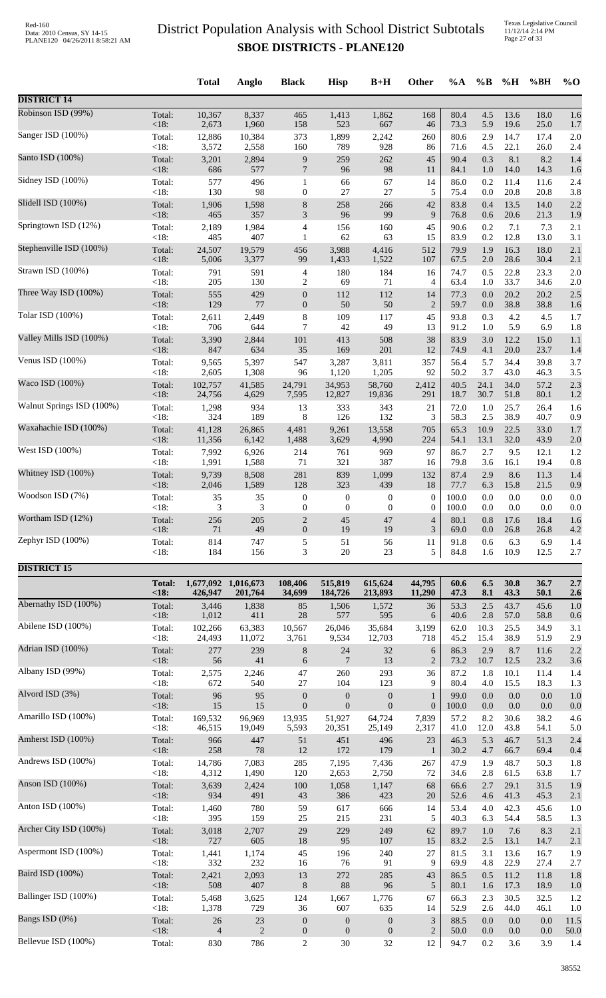Texas Legislative Council 11/12/14 2:14 PM Page 27 of 33

|                           |                   | <b>Total</b>             | Anglo                | <b>Black</b>                | <b>Hisp</b>        | $B+H$                            | <b>Other</b>                     | $\%A$        | $\%B$      | %H           | %BH          | $\%$ O      |
|---------------------------|-------------------|--------------------------|----------------------|-----------------------------|--------------------|----------------------------------|----------------------------------|--------------|------------|--------------|--------------|-------------|
| <b>DISTRICT 14</b>        |                   |                          |                      |                             |                    |                                  |                                  |              |            |              |              |             |
| Robinson ISD (99%)        | Total:            | 10,367                   | 8,337                | 465                         | 1,413              | 1,862                            | 168                              | 80.4         | 4.5        | 13.6         | 18.0         | 1.6         |
|                           | <18:              | 2,673                    | 1,960                | 158                         | 523                | 667                              | 46                               | 73.3         | 5.9        | 19.6         | 25.0         | 1.7         |
| Sanger ISD (100%)         | Total:            | 12,886                   | 10,384               | 373                         | 1,899              | 2,242                            | 260                              | 80.6         | 2.9        | 14.7         | 17.4         | 2.0         |
|                           | < 18:             | 3,572                    | 2,558                | 160                         | 789                | 928                              | 86                               | 71.6         | 4.5        | 22.1         | 26.0         | 2.4         |
| Santo ISD (100%)          | Total:            | 3,201                    | 2,894                | $\boldsymbol{9}$            | 259                | 262                              | 45                               | 90.4         | 0.3        | 8.1          | 8.2          | 1.4         |
|                           | <18:              | 686                      | 577                  | $\overline{7}$              | 96                 | 98                               | 11                               | 84.1         | 1.0        | 14.0         | 14.3         | 1.6         |
| Sidney ISD (100%)         | Total:<br>< 18:   | 577<br>130               | 496<br>98            | $\mathbf{1}$                | 66<br>27           | 67<br>27                         | 14                               | 86.0         | 0.2        | 11.4<br>20.8 | 11.6         | 2.4<br>3.8  |
| Slidell ISD (100%)        | Total:            | 1,906                    | 1,598                | $\boldsymbol{0}$<br>$\,8\,$ | 258                | 266<br>99                        | 5<br>42<br>9                     | 75.4<br>83.8 | 0.0<br>0.4 | 13.5         | 20.8<br>14.0 | 2.2         |
| Springtown ISD (12%)      | <18:<br>Total:    | 465<br>2,189             | 357<br>1,984         | 3<br>$\overline{4}$         | 96<br>156          | 160                              | 45                               | 76.8<br>90.6 | 0.6<br>0.2 | 20.6<br>7.1  | 21.3<br>7.3  | 1.9<br>2.1  |
| Stephenville ISD (100%)   | <18:              | 485                      | 407                  | $\mathbf{1}$                | 62                 | 63                               | 15                               | 83.9         | 0.2        | 12.8         | 13.0         | 3.1         |
|                           | Total:            | 24,507                   | 19,579               | 456                         | 3,988              | 4,416                            | 512                              | 79.9         | 1.9        | 16.3         | 18.0         | 2.1         |
| Strawn ISD (100%)         | <18:              | 5,006                    | 3,377                | 99                          | 1,433              | 1,522                            | 107                              | 67.5         | $2.0\,$    | 28.6         | 30.4         | 2.1         |
|                           | Total:            | 791                      | 591                  | $\overline{4}$              | 180                | 184                              | 16                               | 74.7         | 0.5        | 22.8         | 23.3         | 2.0         |
| Three Way ISD (100%)      | $<18$ :           | 205                      | 130                  | 2                           | 69                 | 71                               | 4                                | 63.4         | 1.0        | 33.7         | 34.6         | 2.0         |
|                           | Total:            | 555                      | 429                  | $\mathbf{0}$                | 112                | 112                              | 14                               | 77.3         | 0.0        | 20.2         | 20.2         | 2.5         |
| Tolar ISD (100%)          | <18:              | 129                      | 77                   | $\mathbf{0}$                | 50                 | 50                               | $\overline{2}$                   | 59.7         | 0.0        | 38.8         | 38.8         | 1.6         |
|                           | Total:            | 2,611                    | 2,449                | $\,8\,$                     | 109                | 117                              | 45                               | 93.8         | 0.3        | 4.2          | 4.5          | 1.7         |
| Valley Mills ISD (100%)   | <18:              | 706                      | 644                  | 7                           | 42                 | 49                               | 13                               | 91.2         | 1.0        | 5.9          | 6.9          | 1.8         |
|                           | Total:            | 3,390                    | 2,844                | $101\,$                     | 413                | 508                              | 38                               | 83.9         | 3.0        | 12.2         | 15.0         | 1.1         |
| Venus ISD (100%)          | <18:              | 847                      | 634                  | 35                          | 169                | 201                              | 12                               | 74.9         | 4.1        | 20.0         | 23.7         | 1.4         |
|                           | Total:            | 9,565                    | 5,397                | 547                         | 3,287              | 3,811                            | 357                              | 56.4         | 5.7        | 34.4         | 39.8         | 3.7         |
| Waco ISD (100%)           | <18:              | 2,605                    | 1,308                | 96                          | 1,120              | 1,205                            | 92                               | 50.2         | 3.7        | 43.0         | 46.3         | 3.5         |
|                           | Total:            | 102,757                  | 41,585               | 24,791                      | 34,953             | 58,760                           | 2,412                            | 40.5         | 24.1       | 34.0         | 57.2         | 2.3         |
| Walnut Springs ISD (100%) | <18:              | 24,756                   | 4,629                | 7,595                       | 12,827             | 19,836                           | 291                              | 18.7         | 30.7       | 51.8         | 80.1         | 1.2         |
|                           | Total:            | 1,298                    | 934                  | 13                          | 333                | 343                              | 21                               | 72.0         | 1.0        | 25.7         | 26.4         | 1.6         |
|                           | <18:              | 324                      | 189                  | 8                           | 126                | 132                              | 3                                | 58.3         | 2.5        | 38.9         | 40.7         | 0.9         |
| Waxahachie ISD (100%)     | Total:            | 41,128                   | 26,865               | 4,481                       | 9,261              | 13,558                           | 705                              | 65.3         | 10.9       | 22.5         | 33.0         | 1.7         |
|                           | <18:              | 11,356                   | 6,142                | 1,488                       | 3,629              | 4,990                            | 224                              | 54.1         | 13.1       | 32.0         | 43.9         | 2.0         |
| West ISD (100%)           | Total:            | 7,992                    | 6,926                | 214                         | 761                | 969                              | 97                               | 86.7         | 2.7        | 9.5          | 12.1         | 1.2         |
|                           | <18:              | 1,991                    | 1,588                | 71                          | 321                | 387                              | 16                               | 79.8         | 3.6        | 16.1         | 19.4         | 0.8         |
| Whitney ISD (100%)        | Total:            | 9,739                    | 8,508                | 281                         | 839                | 1,099                            | 132                              | 87.4         | 2.9        | 8.6          | 11.3         | 1.4         |
|                           | <18:              | 2,046                    | 1,589                | 128                         | 323                | 439                              | 18                               | 77.7         | 6.3        | 15.8         | 21.5         | 0.9         |
| Woodson ISD (7%)          | Total:            | 35                       | 35                   | $\boldsymbol{0}$            | $\boldsymbol{0}$   | $\boldsymbol{0}$                 | $\boldsymbol{0}$                 | 100.0        | 0.0        | 0.0          | 0.0          | 0.0         |
|                           | $<18$ :           | 3                        | 3                    | $\mathbf{0}$                | $\mathbf{0}$       | $\mathbf{0}$                     | $\boldsymbol{0}$                 | 100.0        | 0.0        | 0.0          | 0.0          | 0.0         |
| Wortham ISD (12%)         | Total:            | 256                      | 205                  | $\overline{2}$              | 45                 | 47                               | 4                                | 80.1         | 0.8        | 17.6         | 18.4         | 1.6         |
|                           | $<18$ :           | 71                       | 49                   | $\boldsymbol{0}$            | 19                 | 19                               | 3                                | 69.0         | 0.0        | 26.8         | 26.8         | 4.2         |
| Zephyr ISD (100%)         | Total:            | 814                      | 747                  | 5                           | 51                 | 56                               | 11                               | 91.8         | 0.6        | 6.3          | 6.9          | 1.4         |
|                           | <18:              | 184                      | 156                  | $\boldsymbol{\mathfrak{Z}}$ | $20\,$             | 23                               | 5                                | 84.8         | 1.6        | 10.9         | 12.5         | 2.7         |
| <b>DISTRICT 15</b>        |                   |                          |                      |                             |                    |                                  |                                  |              |            |              |              |             |
|                           | <b>Total:</b>     | 1,677,092 1,016,673      |                      | 108,406                     | 515,819            | 615,624                          | 44,795                           | 60.6         | 6.5        | 30.8         | 36.7         | 2.7         |
| Abernathy ISD (100%)      | <18               | 426,947                  | 201,764              | 34,699                      | 184,726            | 213,893                          | 11,290                           | 47.3         | 8.1        | 43.3         | 50.1         | 2.6         |
|                           | Total:            | 3,446                    | 1,838                | 85                          | 1,506              | 1,572                            | 36                               | 53.3         | 2.5        | 43.7         | 45.6         | 1.0         |
| Abilene ISD (100%)        | $<18$ :           | 1,012                    | 411                  | 28                          | 577                | 595                              | 6                                | 40.6         | 2.8        | 57.0         | 58.8         | 0.6         |
|                           | Total:            | 102,266                  | 63,383               | 10,567                      | 26,046             | 35,684                           | 3,199                            | 62.0         | 10.3       | 25.5         | 34.9         | 3.1         |
| Adrian ISD (100%)         | <18:              | 24,493                   | 11,072               | 3,761                       | 9,534              | 12,703                           | 718                              | 45.2         | 15.4       | 38.9         | 51.9         | 2.9         |
|                           | Total:            | 277                      | 239                  | $8\phantom{1}$              | 24                 | 32                               | 6                                | 86.3         | 2.9        | 8.7          | 11.6         | 2.2         |
| Albany ISD (99%)          | <18:              | 56                       | 41                   | 6                           | $\tau$             | 13                               | $\overline{2}$                   | 73.2         | 10.7       | 12.5         | 23.2         | 3.6         |
|                           | Total:            | 2,575                    | 2,246                | 47                          | 260                | 293                              | 36                               | 87.2         | 1.8        | 10.1         | 11.4         | 1.4         |
| Alvord ISD (3%)           | <18:              | 672                      | 540                  | 27                          | 104                | 123                              | 9                                | 80.4         | 4.0        | 15.5         | 18.3         | 1.3         |
|                           | Total:            | 96                       | 95                   | $\boldsymbol{0}$            | $\mathbf{0}$       | $\boldsymbol{0}$                 | $\mathbf{1}$                     | 99.0         | 0.0        | 0.0          | 0.0          | 1.0         |
| Amarillo ISD (100%)       | <18:              | 15                       | 15                   | $\boldsymbol{0}$            | $\mathbf{0}$       | $\mathbf{0}$                     | $\boldsymbol{0}$                 | 100.0        | 0.0        | 0.0          | 0.0          | 0.0         |
|                           | Total:            | 169,532                  | 96,969               | 13,935                      | 51,927             | 64,724                           | 7,839                            | 57.2         | 8.2        | 30.6         | 38.2         | 4.6         |
|                           | $<18$ :           | 46,515                   | 19,049               | 5,593                       | 20,351             | 25,149                           | 2,317                            | 41.0         | 12.0       | 43.8         | 54.1         | 5.0         |
| Amherst ISD (100%)        | Total:            | 966                      | 447                  | 51                          | 451                | 496                              | 23                               | 46.3         | 5.3        | 46.7         | 51.3         | 2.4         |
|                           | <18:              | 258                      | 78                   | $12\,$                      | 172                | 179                              | 1                                | 30.2         | 4.7        | 66.7         | 69.4         | 0.4         |
| Andrews ISD (100%)        | Total:            | 14,786                   | 7,083                | 285                         | 7,195              | 7,436                            | 267                              | 47.9         | 1.9        | 48.7         | 50.3         | 1.8         |
|                           | $<18$ :           | 4,312                    | 1,490                | 120                         | 2,653              | 2,750                            | 72                               | 34.6         | 2.8        | 61.5         | 63.8         | 1.7         |
| Anson ISD (100%)          | Total:            | 3,639                    | 2,424                | 100                         | 1,058              | 1,147                            | 68                               | 66.6         | 2.7        | 29.1         | 31.5         | 1.9         |
|                           | <18:              | 934                      | 491                  | 43                          | 386                | 423                              | 20                               | 52.6         | 4.6        | 41.3         | 45.3         | 2.1         |
| Anton ISD (100%)          | Total:            | 1,460                    | 780                  | 59                          | 617                | 666                              | 14                               | 53.4         | 4.0        | 42.3         | 45.6         | 1.0         |
|                           | <18:              | 395                      | 159                  | 25                          | 215                | 231                              | 5                                | 40.3         | 6.3        | 54.4         | 58.5         | 1.3         |
| Archer City ISD (100%)    | Total:            | 3,018                    | 2,707                | 29                          | 229                | 249                              | 62                               | 89.7         | $1.0\,$    | 7.6          | 8.3          | 2.1         |
|                           | <18:              | 727                      | 605                  | 18                          | 95                 | 107                              | 15                               | 83.2         | 2.5        | 13.1         | 14.7         | 2.1         |
| Aspermont ISD (100%)      | Total:            | 1,441                    | 1,174                | 45                          | 196                | 240                              | 27                               | 81.5         | 3.1        | 13.6         | 16.7         | 1.9         |
|                           | < 18:             | 332                      | 232                  | 16                          | 76                 | 91                               | 9                                | 69.9         | 4.8        | 22.9         | 27.4         | 2.7         |
| Baird ISD (100%)          | Total:            | 2,421                    | 2,093                | 13                          | 272                | 285                              | 43                               | 86.5         | 0.5        | 11.2         | 11.8         | 1.8         |
|                           | <18:              | 508                      | 407                  | $\,8\,$                     | $88\,$             | 96                               | $\sqrt{5}$                       | 80.1         | 1.6        | 17.3         | 18.9         | 1.0         |
| Ballinger ISD (100%)      | Total:            | 5,468                    | 3,625                | 124                         | 1,667              | 1,776                            | 67                               | 66.3         | 2.3        | 30.5         | 32.5         | 1.2         |
|                           | <18:              | 1,378                    | 729                  | 36                          | 607                | 635                              | 14                               | 52.9         | 2.6        | 44.0         | 46.1         | 1.0         |
| Bangs ISD (0%)            | Total:            | $26\,$<br>$\overline{4}$ | 23<br>$\overline{2}$ | $\boldsymbol{0}$            | $\mathbf{0}$       | $\boldsymbol{0}$<br>$\mathbf{0}$ | $\mathfrak{Z}$<br>$\overline{2}$ | 88.5         | 0.0        | 0.0          | 0.0          | 11.5        |
| Bellevue ISD (100%)       | $<18$ :<br>Total: | 830                      | 786                  | $\mathbf{0}$<br>$\sqrt{2}$  | $\mathbf{0}$<br>30 | 32                               | 12                               | 50.0<br>94.7 | 0.0<br>0.2 | 0.0<br>3.6   | 0.0<br>3.9   | 50.0<br>1.4 |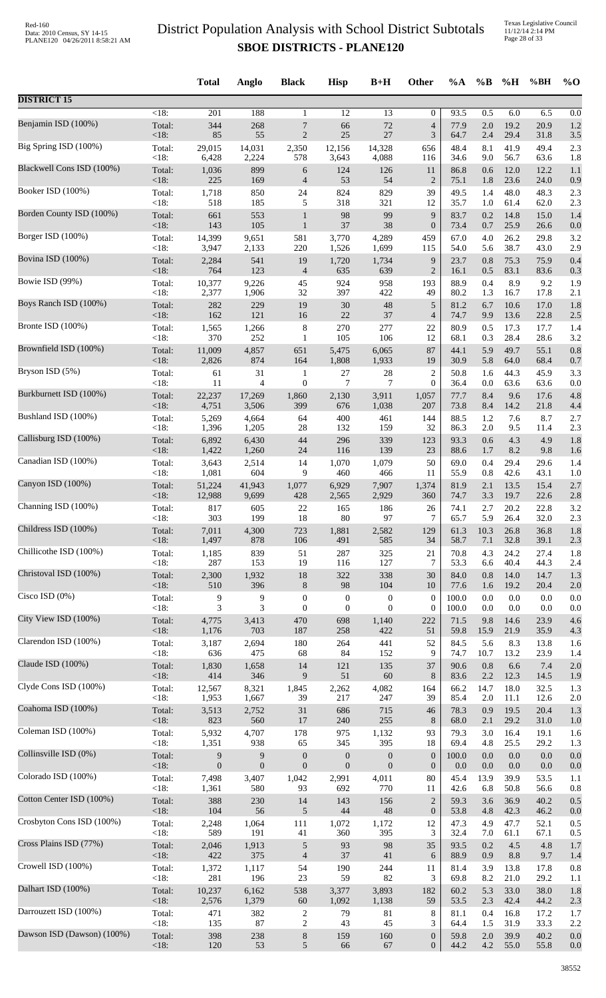|                            |                | <b>Total</b>     | Anglo            | <b>Black</b>     | <b>Hisp</b>      | $B+H$            | <b>Other</b>                       | $\%A$        | $\%B$      | %H           | %BH          | $\%$ O     |
|----------------------------|----------------|------------------|------------------|------------------|------------------|------------------|------------------------------------|--------------|------------|--------------|--------------|------------|
| <b>DISTRICT 15</b>         |                |                  |                  |                  |                  |                  |                                    |              |            |              |              |            |
| Benjamin ISD (100%)        | $<18$ :        | 201              | 188              | $\mathbf{1}$     | 12               | 13               | 0                                  | 93.5         | 0.5        | 6.0          | 6.5          | 0.0        |
|                            | Total:         | 344              | 268              | $\boldsymbol{7}$ | 66               | 72               | $\overline{4}$                     | 77.9         | $2.0\,$    | 19.2         | 20.9         | 1.2        |
|                            | <18:           | 85               | 55               | $\sqrt{2}$       | 25               | 27               | $\mathfrak{Z}$                     | 64.7         | 2.4        | 29.4         | 31.8         | 3.5        |
| Big Spring ISD (100%)      | Total:         | 29,015           | 14,031           | 2,350            | 12,156           | 14,328           | 656                                | 48.4         | 8.1        | 41.9         | 49.4         | 2.3        |
|                            | < 18:          | 6,428            | 2,224            | 578              | 3,643            | 4,088            | 116                                | 34.6         | 9.0        | 56.7         | 63.6         | 1.8        |
| Blackwell Cons ISD (100%)  | Total:         | 1,036            | 899              | 6                | 124              | 126              | 11                                 | 86.8         | 0.6        | 12.0         | 12.2         | 1.1        |
|                            | <18:           | 225              | 169              | $\overline{4}$   | 53               | 54               | $\overline{c}$                     | 75.1         | 1.8        | 23.6         | 24.0         | 0.9        |
| Booker ISD (100%)          | Total:         | 1,718            | 850              | 24               | 824              | 829              | 39                                 | 49.5         | 1.4        | 48.0         | 48.3         | 2.3        |
| Borden County ISD (100%)   | < 18:          | 518              | 185              | 5                | 318              | 321              | 12                                 | 35.7         | 1.0        | 61.4         | 62.0         | 2.3        |
|                            | Total:         | 661              | 553              | $\mathbf{1}$     | 98               | 99               | 9                                  | 83.7         | 0.2        | 14.8         | 15.0         | 1.4        |
| Borger ISD (100%)          | <18:           | 143              | 105              | $\mathbf{1}$     | 37               | 38               | $\boldsymbol{0}$                   | 73.4         | 0.7        | 25.9         | 26.6         | 0.0        |
|                            | Total:         | 14,399           | 9,651            | 581              | 3,770            | 4,289            | 459                                | 67.0         | 4.0        | 26.2         | 29.8         | 3.2        |
| Bovina ISD (100%)          | <18:           | 3,947            | 2,133            | 220              | 1,526            | 1,699            | 115                                | 54.0         | 5.6        | 38.7         | 43.0         | 2.9        |
|                            | Total:         | 2,284            | 541              | 19               | 1,720            | 1,734            | 9                                  | 23.7         | 0.8        | 75.3         | 75.9         | 0.4        |
|                            | <18:           | 764              | 123              | $\overline{4}$   | 635              | 639              | $\overline{2}$                     | 16.1         | 0.5        | 83.1         | 83.6         | 0.3        |
| Bowie ISD (99%)            | Total:         | 10,377           | 9,226            | 45               | 924              | 958              | 193                                | 88.9         | 0.4        | 8.9          | 9.2          | 1.9        |
|                            | $<18$ :        | 2,377            | 1,906            | 32               | 397              | 422              | 49                                 | 80.2         | 1.3        | 16.7         | 17.8         | 2.1        |
| Boys Ranch ISD (100%)      | Total:         | 282              | 229              | 19               | $30\,$           | 48               | $\sqrt{5}$                         | 81.2         | 6.7        | 10.6         | 17.0         | 1.8        |
|                            | <18:           | 162              | 121              | 16               | $22\,$           | 37               | $\overline{4}$                     | 74.7         | 9.9        | 13.6         | 22.8         | 2.5        |
| Bronte ISD (100%)          | Total:         | 1,565            | 1,266            | $\,8\,$          | 270              | 277              | 22                                 | 80.9         | 0.5        | 17.3         | 17.7         | 1.4        |
|                            | <18:           | 370              | 252              | 1                | 105              | 106              | 12                                 | 68.1         | 0.3        | 28.4         | 28.6         | 3.2        |
| Brownfield ISD (100%)      | Total:         | 11,009           | 4,857            | 651              | 5,475            | 6,065            | 87                                 | 44.1         | 5.9        | 49.7         | 55.1         | 0.8        |
| Bryson ISD (5%)            | <18:           | 2,826            | 874              | 164              | 1,808            | 1,933            | 19                                 | 30.9         | 5.8        | 64.0         | 68.4         | 0.7        |
|                            | Total:         | 61               | 31               | $\mathbf{1}$     | $27\,$           | 28               | $\overline{c}$                     | 50.8         | 1.6        | 44.3         | 45.9         | 3.3        |
| Burkburnett ISD (100%)     | <18:           | 11               | $\overline{4}$   | $\mathbf{0}$     | $\overline{7}$   | 7                | $\boldsymbol{0}$                   | 36.4         | 0.0        | 63.6         | 63.6         | 0.0        |
|                            | Total:         | 22,237           | 17,269           | 1,860            | 2,130            | 3,911            | 1,057                              | 77.7         | 8.4        | 9.6          | 17.6         | 4.8        |
| Bushland ISD (100%)        | <18:           | 4,751            | 3,506            | 399              | 676              | 1,038            | 207                                | 73.8         | 8.4        | 14.2         | 21.8         | 4.4        |
|                            | Total:         | 5,269            | 4,664            | 64               | 400              | 461              | 144                                | 88.5         | 1.2        | 7.6          | 8.7          | 2.7        |
|                            | <18:           | 1,396            | 1,205            | 28               | 132              | 159              | 32                                 | 86.3         | 2.0        | 9.5          | 11.4         | 2.3        |
| Callisburg ISD (100%)      | Total:         | 6,892            | 6,430            | 44               | 296              | 339              | 123                                | 93.3         | 0.6        | 4.3          | 4.9          | 1.8        |
|                            | <18:           | 1,422            | 1,260            | 24               | 116              | 139              | 23                                 | 88.6         | 1.7        | 8.2          | 9.8          | 1.6        |
| Canadian ISD (100%)        | Total:         | 3,643            | 2,514            | 14               | 1,070            | 1,079            | 50                                 | 69.0         | 0.4        | 29.4         | 29.6         | 1.4        |
|                            | <18:           | 1,081            | 604              | 9                | 460              | 466              | 11                                 | 55.9         | 0.8        | 42.6         | 43.1         | 1.0        |
| Canyon ISD (100%)          | Total:<br><18: | 51,224<br>12,988 | 41,943           | 1,077            | 6,929            | 7,907            | 1,374                              | 81.9         | 2.1<br>3.3 | 13.5<br>19.7 | 15.4         | 2.7        |
| Channing ISD (100%)        | Total:         | 817              | 9,699<br>605     | 428<br>22        | 2,565<br>165     | 2,929<br>186     | 360<br>26                          | 74.7<br>74.1 | 2.7        | 20.2         | 22.6<br>22.8 | 2.8<br>3.2 |
| Childress ISD (100%)       | <18:           | 303              | 199              | 18               | 80               | 97               | Ί                                  | 65.7         | 5.9        | 26.4         | 32.0         | 2.3        |
|                            | Total:         | 7,011            | 4,300            | 723              | 1,881            | 2,582            | 129                                | 61.3         | 10.3       | 26.8         | 36.8         | 1.8        |
| Chillicothe ISD (100%)     | <18:           | 1,497            | 878              | 106              | 491              | 585              | 34                                 | 58.7         | 7.1        | 32.8         | 39.1         | 2.3        |
|                            | Total:         | 1,185            | 839              | 51               | 287              | 325              | 21                                 | 70.8         | 4.3        | 24.2         | 27.4         | 1.8        |
|                            | <18:           | 287              | 153              | 19               | 116              | 127              | $\tau$                             | 53.3         | 6.6        | 40.4         | 44.3         | 2.4        |
| Christoval ISD (100%)      | Total:         | 2,300            | 1,932            | 18               | 322              | 338              | 30                                 | 84.0         | 0.8        | 14.0         | 14.7         | 1.3        |
|                            | <18:           | 510              | 396              | $8\,$            | 98               | 104              | 10                                 | 77.6         | 1.6        | 19.2         | 20.4         | 2.0        |
| Cisco ISD (0%)             | Total:         | 9                | 9                | $\boldsymbol{0}$ | $\boldsymbol{0}$ | $\boldsymbol{0}$ | $\boldsymbol{0}$                   | 100.0        | 0.0        | 0.0          | 0.0          | 0.0        |
|                            | $<18$ :        | 3                | 3                | $\mathbf{0}$     | $\theta$         | $\theta$         | $\overline{0}$                     | 100.0        | 0.0        | 0.0          | 0.0          | 0.0        |
| City View ISD (100%)       | Total:         | 4,775            | 3,413            | 470              | 698              | 1,140            | 222                                | 71.5         | 9.8        | 14.6         | 23.9         | 4.6        |
|                            | <18:           | 1,176            | 703              | 187              | 258              | 422              | 51                                 | 59.8         | 15.9       | 21.9         | 35.9         | 4.3        |
| Clarendon ISD (100%)       | Total:         | 3,187            | 2,694            | 180              | 264              | 441              | 52                                 | 84.5         | 5.6        | 8.3          | 13.8         | 1.6        |
|                            | <18:           | 636              | 475              | 68               | 84               | 152              | 9                                  | 74.7         | 10.7       | 13.2         | 23.9         | 1.4        |
| Claude ISD (100%)          | Total:         | 1,830            | 1,658            | 14               | 121              | 135              | 37                                 | 90.6         | 0.8        | 6.6          | 7.4          | 2.0        |
| Clyde Cons ISD (100%)      | <18:           | 414              | 346              | 9                | 51               | 60               | 8                                  | 83.6         | 2.2        | 12.3         | 14.5         | 1.9        |
|                            | Total:         | 12,567           | 8,321            | 1,845            | 2,262            | 4,082            | 164                                | 66.2         | 14.7       | 18.0         | 32.5         | 1.3        |
| Coahoma ISD (100%)         | <18:           | 1,953            | 1,667            | 39               | 217              | 247              | 39                                 | 85.4         | $2.0\,$    | 11.1         | 12.6         | 2.0        |
|                            | Total:         | 3,513            | 2,752            | 31               | 686              | 715              | 46                                 | 78.3         | 0.9        | 19.5         | 20.4         | 1.3        |
| Coleman ISD (100%)         | <18:           | 823              | 560              | 17               | 240              | 255              | $\,8\,$                            | 68.0         | 2.1        | 29.2         | 31.0         | 1.0        |
|                            | Total:         | 5,932            | 4,707            | 178              | 975              | 1,132            | 93                                 | 79.3         | 3.0        | 16.4         | 19.1         | 1.6        |
|                            | < 18:          | 1,351            | 938              | 65               | 345              | 395              | 18                                 | 69.4         | 4.8        | 25.5         | 29.2         | 1.3        |
| Collinsville ISD (0%)      | Total:         | 9                | 9                | $\boldsymbol{0}$ | $\mathbf{0}$     | $\boldsymbol{0}$ | $\boldsymbol{0}$                   | 100.0        | 0.0        | 0.0          | 0.0          | 0.0        |
|                            | <18:           | $\boldsymbol{0}$ | $\boldsymbol{0}$ | $\mathbf{0}$     | $\mathbf{0}$     | $\mathbf{0}$     | $\boldsymbol{0}$                   | 0.0          | 0.0        | 0.0          | 0.0          | 0.0        |
| Colorado ISD (100%)        | Total:         | 7,498            | 3,407            | 1,042            | 2,991            | 4,011            | 80                                 | 45.4         | 13.9       | 39.9         | 53.5         | 1.1        |
|                            | <18:           | 1,361            | 580              | 93               | 692              | 770              | 11                                 | 42.6         | 6.8        | 50.8         | 56.6         | 0.8        |
| Cotton Center ISD (100%)   | Total:<br><18: | 388              | 230<br>56        | 14               | 143<br>44        | 156<br>48        | $\overline{2}$<br>$\boldsymbol{0}$ | 59.3         | 3.6        | 36.9         | 40.2         | 0.5        |
| Crosbyton Cons ISD (100%)  | Total:         | 104<br>2,248     | 1,064            | 5<br>111         | 1,072            | 1,172            | 12                                 | 53.8<br>47.3 | 4.8<br>4.9 | 42.3<br>47.7 | 46.2<br>52.1 | 0.0<br>0.5 |
| Cross Plains ISD (77%)     | $<18$ :        | 589              | 191              | 41               | 360              | 395              | 3                                  | 32.4         | 7.0        | 61.1         | 67.1         | 0.5        |
|                            | Total:         | 2,046            | 1,913            | 5                | 93               | 98               | 35                                 | 93.5         | 0.2        | 4.5          | 4.8          | 1.7        |
| Crowell ISD (100%)         | <18:           | 422              | 375              | $\overline{4}$   | 37               | $41\,$           | 6                                  | 88.9         | 0.9        | 8.8          | 9.7          | 1.4        |
|                            | Total:         | 1,372            | 1,117            | 54               | 190              | 244              | 11                                 | 81.4         | 3.9        | 13.8         | 17.8         | 0.8        |
|                            | <18:           | 281              | 196              | 23               | 59               | 82               | 3                                  | 69.8         | 8.2        | 21.0         | 29.2         | 1.1        |
| Dalhart ISD (100%)         | Total:         | 10,237           | 6,162            | 538              | 3,377            | 3,893            | 182                                | 60.2         | 5.3        | 33.0         | 38.0         | 1.8        |
|                            | <18:           | 2,576            | 1,379            | 60               | 1,092            | 1,138            | 59                                 | 53.5         | 2.3        | 42.4         | 44.2         | 2.3        |
| Darrouzett ISD (100%)      | Total:         | 471              | 382              | $\sqrt{2}$       | 79               | 81               | 8                                  | 81.1         | 0.4        | 16.8         | 17.2         | 1.7        |
|                            | <18:           | 135              | 87               | $\mathbf{2}$     | 43               | 45               | 3                                  | 64.4         | 1.5        | 31.9         | 33.3         | 2.2        |
| Dawson ISD (Dawson) (100%) | Total:         | 398              | 238              | $8\,$            | 159              | 160              | $\boldsymbol{0}$                   | 59.8         | 2.0        | 39.9         | 40.2         | 0.0        |
|                            | $<18$ :        | 120              | 53               | $\sqrt{5}$       | 66               | 67               | $\boldsymbol{0}$                   | 44.2         | 4.2        | 55.0         | 55.8         | 0.0        |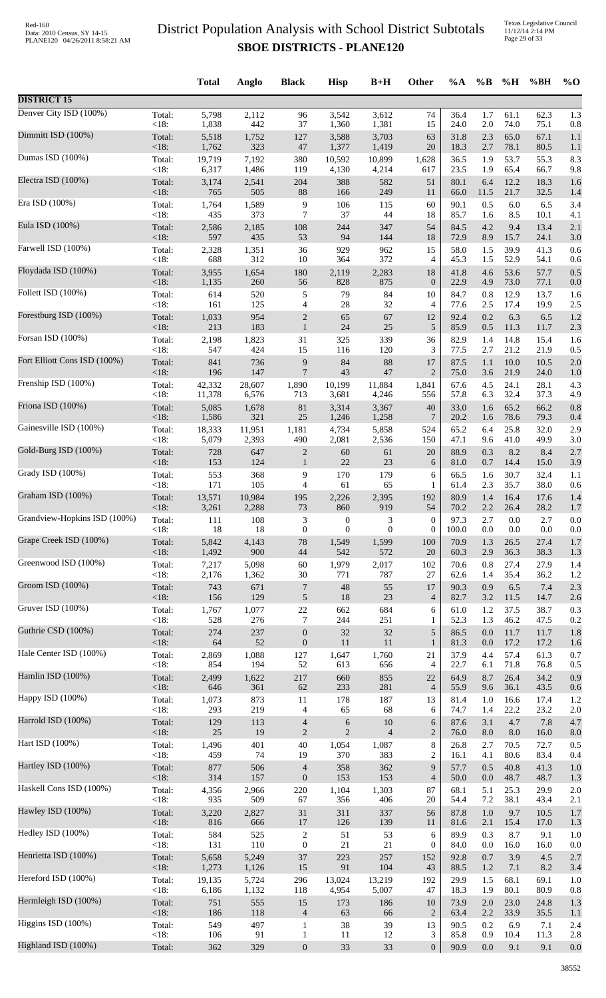Texas Legislative Council 11/12/14 2:14 PM Page 29 of 33

|                              |                | <b>Total</b> | Anglo        | <b>Black</b>                       | <b>Hisp</b>                  | $B+H$          | Other               | %A           | $\%B$      | %H           | %BH          | $\%$ O     |
|------------------------------|----------------|--------------|--------------|------------------------------------|------------------------------|----------------|---------------------|--------------|------------|--------------|--------------|------------|
| <b>DISTRICT 15</b>           |                |              |              |                                    |                              |                |                     |              |            |              |              |            |
| Denver City ISD (100%)       | Total:         | 5,798        | 2,112        | 96                                 | 3,542                        | 3,612          | 74                  | 36.4         | 1.7        | 61.1         | 62.3         | 1.3        |
|                              | <18:           | 1,838        | 442          | 37                                 | 1,360                        | 1,381          | 15                  | 24.0         | 2.0        | 74.0         | 75.1         | 0.8        |
| Dimmitt ISD (100%)           | Total:         | 5,518        | 1,752        | 127                                | 3,588                        | 3,703          | 63                  | 31.8         | 2.3        | 65.0         | 67.1         | 1.1        |
| Dumas ISD (100%)             | $<18$ :        | 1,762        | 323          | 47                                 | 1,377                        | 1,419          | 20                  | 18.3         | 2.7        | 78.1         | 80.5         | 1.1        |
|                              | Total:         | 19,719       | 7,192        | 380                                | 10,592                       | 10,899         | 1,628               | 36.5         | 1.9        | 53.7         | 55.3         | 8.3        |
| Electra ISD (100%)           | <18:           | 6,317        | 1,486        | 119                                | 4,130                        | 4,214          | 617                 | 23.5         | 1.9        | 65.4         | 66.7         | 9.8        |
|                              | Total:         | 3,174        | 2,541        | 204                                | 388                          | 582            | 51                  | 80.1         | 6.4        | 12.2         | 18.3         | 1.6        |
|                              | <18:           | 765          | 505          | 88                                 | 166                          | 249            | 11                  | 66.0         | 11.5       | 21.7         | 32.5         | 1.4        |
| Era ISD (100%)               | Total:         | 1,764        | 1,589        | 9                                  | 106                          | 115            | 60                  | 90.1         | 0.5        | $6.0\,$      | 6.5          | 3.4        |
|                              | <18:           | 435          | 373          | $\overline{7}$                     | 37                           | 44             | 18                  | 85.7         | 1.6        | 8.5          | 10.1         | 4.1        |
| Eula ISD (100%)              | Total:         | 2,586        | 2,185        | 108                                | 244                          | 347            | 54                  | 84.5         | 4.2        | 9.4          | 13.4         | 2.1        |
|                              | <18:           | 597          | 435          | 53                                 | 94                           | 144            | 18                  | 72.9         | 8.9        | 15.7         | 24.1         | 3.0        |
| Farwell ISD (100%)           | Total:         | 2,328        | 1,351        | 36                                 | 929                          | 962            | 15                  | 58.0         | 1.5        | 39.9         | 41.3         | 0.6        |
|                              | <18:           | 688          | 312          | 10                                 | 364                          | 372            | $\overline{4}$      | 45.3         | 1.5        | 52.9         | 54.1         | 0.6        |
| Floydada ISD (100%)          | Total:<br><18: | 3,955        | 1,654<br>260 | 180<br>56                          | 2,119<br>828                 | 2,283<br>875   | 18<br>$\mathbf{0}$  | 41.8         | 4.6<br>4.9 | 53.6<br>73.0 | 57.7         | 0.5        |
| Follett ISD (100%)           | Total:         | 1,135<br>614 | 520          | $\sqrt{5}$                         | 79                           | 84             | 10                  | 22.9<br>84.7 | 0.8        | 12.9         | 77.1<br>13.7 | 0.0<br>1.6 |
| Forestburg ISD (100%)        | <18:           | 161          | 125          | 4                                  | $28\,$                       | 32             | 4                   | 77.6         | 2.5        | 17.4         | 19.9         | 2.5        |
|                              | Total:         | 1,033        | 954          | $\boldsymbol{2}$                   | 65                           | 67             | 12                  | 92.4         | 0.2        | 6.3          | 6.5          | 1.2        |
| Forsan ISD (100%)            | <18:           | 213          | 183          | $\mathbf{1}$                       | $24\,$                       | 25             | $\sqrt{5}$          | 85.9         | 0.5        | 11.3         | 11.7         | 2.3        |
|                              | Total:         | 2,198        | 1,823        | 31                                 | 325                          | 339            | 36                  | 82.9         | 1.4        | 14.8         | 15.4         | 1.6        |
| Fort Elliott Cons ISD (100%) | <18:           | 547          | 424          | 15                                 | 116                          | 120            | 3                   | 77.5         | 2.7        | 21.2         | 21.9         | 0.5        |
|                              | Total:         | 841          | 736          | 9                                  | 84                           | 88             | 17                  | 87.5         | 1.1        | 10.0         | 10.5         | 2.0        |
|                              | $<18$ :        | 196          | 147          | $\overline{7}$                     | 43                           | 47             | $\overline{2}$      | 75.0         | 3.6        | 21.9         | 24.0         | 1.0        |
| Frenship ISD (100%)          | Total:         | 42,332       | 28,607       | 1,890                              | 10,199                       | 11,884         | 1,841               | 67.6         | 4.5        | 24.1         | 28.1         | 4.3        |
|                              | <18:           | 11,378       | 6,576        | 713                                | 3,681                        | 4,246          | 556                 | 57.8         | 6.3        | 32.4         | 37.3         | 4.9        |
| Friona ISD (100%)            | Total:         | 5,085        | 1,678        | $81\,$                             | 3,314                        | 3,367          | 40                  | 33.0         | 1.6        | 65.2         | 66.2         | 0.8        |
|                              | $<18$ :        | 1,586        | 321          | 25                                 | 1,246                        | 1,258          | $\overline{7}$      | 20.2         | 1.6        | 78.6         | 79.3         | 0.4        |
| Gainesville ISD (100%)       | Total:         | 18,333       | 11,951       | 1,181                              | 4,734                        | 5,858          | 524                 | 65.2         | 6.4        | 25.8         | 32.0         | 2.9        |
|                              | <18:           | 5,079        | 2,393        | 490                                | 2,081                        | 2,536          | 150                 | 47.1         | 9.6        | 41.0         | 49.9         | 3.0        |
| Gold-Burg ISD (100%)         | Total:         | 728          | 647          | $\boldsymbol{2}$                   | 60                           | 61             | 20                  | 88.9         | 0.3        | 8.2          | 8.4          | 2.7        |
|                              | <18:           | 153          | 124          | $\mathbf{1}$                       | 22                           | 23             | 6                   | 81.0         | 0.7        | 14.4         | 15.0         | 3.9        |
| Grady ISD (100%)             | Total:         | 553          | 368          | 9                                  | 170                          | 179            | 6                   | 66.5         | 1.6        | 30.7         | 32.4         | 1.1        |
| Graham ISD (100%)            | <18:           | 171          | 105          | 4                                  | 61                           | 65             | 1                   | 61.4         | 2.3        | 35.7         | 38.0         | 0.6        |
|                              | Total:         | 13,571       | 10,984       | 195                                | 2,226                        | 2,395          | 192                 | 80.9         | 1.4        | 16.4         | 17.6         | 1.4        |
| Grandview-Hopkins ISD (100%) | <18:           | 3,261        | 2,288        | 73                                 | 860                          | 919            | 54                  | 70.2         | 2.2        | 26.4         | 28.2         | 1.7        |
|                              | Total:         | 111          | 108          | 3                                  | $\boldsymbol{0}$             | 3              | $\boldsymbol{0}$    | 97.3         | 2.7        | 0.0          | 2.7          | 0.0        |
| Grape Creek ISD (100%)       | <18:           | 18           | 18           | $\boldsymbol{0}$                   | $\boldsymbol{0}$             | $\mathbf{0}$   | $\mathbf{0}$        | 100.0        | 0.0        | 0.0          | 0.0          | 0.0        |
|                              | Total:         | 5,842        | 4,143        | 78                                 | 1,549                        | 1,599          | 100                 | 70.9         | 1.3        | 26.5         | 27.4         | 1.7        |
|                              | <18:           | 1,492        | 900          | 44                                 | 542                          | 572            | 20                  | 60.3         | 2.9        | 36.3         | 38.3         | 1.3        |
| Greenwood ISD (100%)         | Total:         | 7,217        | 5,098        | 60                                 | 1,979                        | 2,017          | 102                 | 70.6         | 0.8        | 27.4         | 27.9         | 1.4        |
|                              | <18:           | 2,176        | 1,362        | 30                                 | 771                          | 787            | 27                  | 62.6         | 1.4        | 35.4         | 36.2         | 1.2        |
| Groom ISD (100%)             | Total:         | 743          | 671          | $\boldsymbol{7}$                   | $\sqrt{48}$                  | 55             | 17                  | 90.3         | 0.9        | 6.5          | 7.4          | 2.3        |
|                              | <18:           | 156          | 129          | $\sqrt{5}$                         | $18\,$                       | 23             | $\overline{4}$      | 82.7         | 3.2        | 11.5         | 14.7         | 2.6        |
| Gruver ISD (100%)            | Total:         | 1,767        | 1,077        | $22\,$                             | 662                          | 684            | 6                   | 61.0         | 1.2        | 37.5         | 38.7         | 0.3        |
|                              | <18:           | 528          | 276          | 7                                  | 244                          | 251            | 1                   | 52.3         | 1.3        | 46.2         | 47.5         | 0.2        |
| Guthrie CSD (100%)           | Total:         | 274          | 237          | $\boldsymbol{0}$                   | 32                           | 32             | 5                   | 86.5         | 0.0        | 11.7         | 11.7         | 1.8        |
|                              | <18:           | 64           | 52           | $\boldsymbol{0}$                   | 11                           | 11             | $\mathbf{1}$        | 81.3         | 0.0        | 17.2         | 17.2         | 1.6        |
| Hale Center ISD (100%)       | Total:         | 2,869        | 1,088        | 127                                | 1,647                        | 1,760          | 21                  | 37.9         | 4.4        | 57.4         | 61.3         | 0.7        |
| Hamlin ISD (100%)            | <18:           | 854          | 194          | 52                                 | 613                          | 656            | $\overline{4}$      | 22.7         | 6.1        | 71.8         | 76.8         | 0.5        |
|                              | Total:         | 2,499        | 1,622        | 217                                | 660                          | 855            | 22                  | 64.9         | 8.7        | 26.4         | 34.2         | 0.9        |
| Happy ISD (100%)             | $<18$ :        | 646          | 361          | 62                                 | 233                          | 281            | $\overline{4}$      | 55.9         | 9.6        | 36.1         | 43.5         | 0.6        |
|                              | Total:         | 1,073        | 873          | 11                                 | 178                          | 187            | 13                  | 81.4         | 1.0        | 16.6         | 17.4         | 1.2        |
| Harrold ISD (100%)           | <18:<br>Total: | 293          | 219          | 4                                  | 65                           | 68<br>$10\,$   | 6                   | 74.7         | 1.4<br>3.1 | 22.2<br>4.7  | 23.2<br>7.8  | 2.0        |
|                              | <18:           | 129<br>25    | 113<br>19    | $\overline{4}$<br>$\boldsymbol{2}$ | $\sqrt{6}$<br>$\overline{2}$ | $\overline{4}$ | 6<br>$\overline{2}$ | 87.6<br>76.0 | 8.0        | 8.0          | 16.0         | 4.7<br>8.0 |
| Hart ISD (100%)              | Total:         | 1,496        | 401          | $40\,$                             | 1,054                        | 1,087          | 8                   | 26.8         | 2.7        | 70.5         | 72.7         | 0.5        |
|                              | <18:           | 459          | 74           | 19                                 | 370                          | 383            | $\overline{2}$      | 16.1         | 4.1        | 80.6         | 83.4         | 0.4        |
| Hartley ISD (100%)           | Total:         | 877          | 506          | $\overline{4}$                     | 358                          | 362            | 9                   | 57.7         | 0.5        | 40.8         | 41.3         | 1.0        |
|                              | <18:           | 314          | 157          | $\boldsymbol{0}$                   | 153                          | 153            | $\overline{4}$      | 50.0         | 0.0        | 48.7         | 48.7         | 1.3        |
| Haskell Cons ISD (100%)      | Total:         | 4,356        | 2,966        | 220                                | 1,104                        | 1,303          | 87                  | 68.1         | 5.1        | 25.3         | 29.9         | 2.0        |
|                              | <18:           | 935          | 509          | 67                                 | 356                          | 406            | 20                  | 54.4         | 7.2        | 38.1         | 43.4         | 2.1        |
| Hawley ISD (100%)            | Total:         | 3,220        | 2,827        | 31                                 | 311                          | 337            | 56                  | 87.8         | 1.0        | 9.7          | 10.5         | 1.7        |
|                              | <18:           | 816          | 666          | $17\,$                             | 126                          | 139            | 11                  | 81.6         | 2.1        | 15.4         | 17.0         | 1.3        |
| Hedley ISD (100%)            | Total:         | 584          | 525          | $\sqrt{2}$                         | 51                           | 53             | 6                   | 89.9         | 0.3        | 8.7          | 9.1          | 1.0        |
| Henrietta ISD (100%)         | <18:           | 131          | 110          | $\boldsymbol{0}$                   | 21                           | 21             | $\boldsymbol{0}$    | 84.0         | 0.0        | 16.0         | 16.0         | 0.0        |
|                              | Total:         | 5,658        | 5,249        | 37                                 | 223                          | 257            | 152                 | 92.8         | 0.7        | 3.9          | 4.5          | 2.7        |
| Hereford ISD (100%)          | <18:           | 1,273        | 1,126        | 15                                 | 91                           | 104            | 43                  | 88.5         | 1.2        | 7.1          | 8.2          | 3.4        |
|                              | Total:         | 19,135       | 5,724        | 296                                | 13,024                       | 13,219         | 192                 | 29.9         | 1.5        | 68.1         | 69.1         | 1.0        |
| Hermleigh ISD (100%)         | <18:           | 6,186        | 1,132        | 118                                | 4,954                        | 5,007          | 47                  | 18.3         | 1.9        | 80.1         | 80.9         | 0.8        |
|                              | Total:         | 751          | 555          | 15                                 | 173                          | 186            | 10                  | 73.9         | 2.0        | 23.0         | 24.8         | 1.3        |
|                              | $<18$ :        | 186          | 118          | $\overline{4}$                     | 63                           | 66             | $\overline{2}$      | 63.4         | 2.2        | 33.9         | 35.5         | 1.1        |
| Higgins ISD (100%)           | Total:         | 549          | 497          | $\mathbf{1}$                       | 38                           | 39             | 13                  | 90.5         | 0.2        | 6.9          | 7.1          | 2.4        |
|                              | <18:           | 106          | 91           | $\mathbf{1}$                       | 11                           | 12             | 3                   | 85.8         | 0.9        | 10.4         | 11.3         | 2.8        |
| Highland ISD (100%)          | Total:         | 362          | 329          | $\mathbf{0}$                       | 33                           | 33             | $\mathbf{0}$        | 90.9         | 0.0        | 9.1          | 9.1          | 0.0        |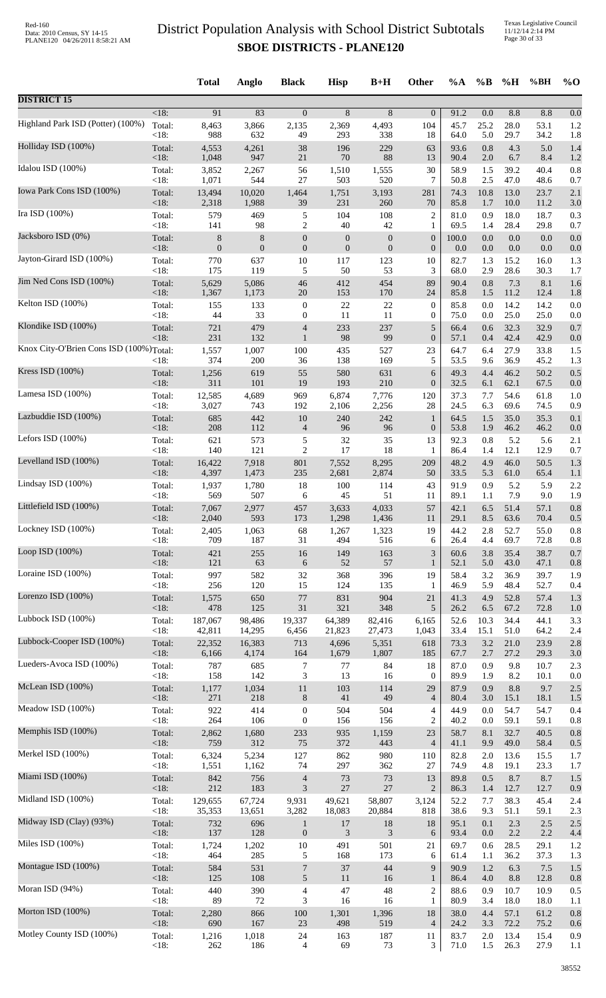Texas Legislative Council 11/12/14 2:14 PM Page 30 of 33

|                                         |                   | <b>Total</b>     | Anglo          | <b>Black</b>                     | <b>Hisp</b>      | $B+H$            | <b>Other</b>           | $\%A$        | $\%$ B     | %H           | %BH          | $\%$ O     |
|-----------------------------------------|-------------------|------------------|----------------|----------------------------------|------------------|------------------|------------------------|--------------|------------|--------------|--------------|------------|
| <b>DISTRICT 15</b>                      |                   |                  |                |                                  |                  |                  |                        |              |            |              |              |            |
| Highland Park ISD (Potter) (100%)       | $<18$ :           | 91               | 83             | $\mathbf{0}$                     | 8                | 8                | $\overline{0}$         | 91.2         | 0.0        | 8.8          | 8.8          | 0.0        |
|                                         | Total:            | 8,463            | 3,866          | 2,135                            | 2,369            | 4,493            | 104                    | 45.7         | 25.2       | 28.0         | 53.1         | 1.2        |
|                                         | < 18:             | 988              | 632            | 49                               | 293              | 338              | 18                     | 64.0         | 5.0        | 29.7         | 34.2         | 1.8        |
| Holliday ISD (100%)                     | Total:            | 4,553            | 4,261          | 38                               | 196              | 229              | 63                     | 93.6         | 0.8        | 4.3          | 5.0          | 1.4        |
|                                         | < 18:             | 1,048            | 947            | $21\,$                           | $70\,$           | 88               | 13                     | 90.4         | 2.0        | 6.7          | 8.4          | 1.2        |
| Idalou ISD (100%)                       | Total:            | 3,852            | 2,267          | 56                               | 1,510            | 1,555            | 30                     | 58.9         | 1.5        | 39.2         | 40.4         | 0.8        |
|                                         | < 18:             | 1,071            | 544            | 27                               | 503              | 520              | 7                      | 50.8         | 2.5        | 47.0         | 48.6         | 0.7        |
| Iowa Park Cons ISD (100%)               | Total:            | 13,494           | 10,020         | 1,464                            | 1,751            | 3,193            | 281                    | 74.3         | 10.8       | 13.0         | 23.7         | 2.1        |
| Ira ISD (100%)                          | <18:              | 2,318            | 1,988          | 39                               | 231              | 260              | 70                     | 85.8         | 1.7        | 10.0         | 11.2         | 3.0        |
|                                         | Total:            | 579              | 469            | 5                                | 104              | 108              | 2                      | 81.0         | 0.9        | 18.0         | 18.7         | 0.3        |
| Jacksboro ISD (0%)                      | < 18:             | 141              | 98             | $\boldsymbol{2}$                 | 40               | 42               | 1                      | 69.5         | 1.4        | 28.4         | 29.8         | 0.7        |
|                                         | Total:            | 8                | 8              | $\boldsymbol{0}$                 | $\boldsymbol{0}$ | $\boldsymbol{0}$ | $\boldsymbol{0}$       | 100.0        | 0.0        | $0.0\,$      | 0.0          | 0.0        |
| Jayton-Girard ISD (100%)                | <18:              | $\boldsymbol{0}$ | $\mathbf{0}$   | $\boldsymbol{0}$                 | $\mathbf{0}$     | $\mathbf{0}$     | $\boldsymbol{0}$       | 0.0          | 0.0        | $0.0\,$      | 0.0          | 0.0        |
|                                         | Total:            | 770              | 637            | 10                               | 117              | 123              | 10                     | 82.7         | 1.3        | 15.2         | 16.0         | 1.3        |
| Jim Ned Cons ISD (100%)                 | < 18:             | 175              | 119            | 5                                | 50<br>412        | 53<br>454        | 3                      | 68.0         | 2.9        | 28.6         | 30.3         | 1.7        |
|                                         | Total:<br>$<18$ : | 5,629<br>1,367   | 5,086<br>1,173 | 46<br>20                         | 153              | 170              | 89<br>24               | 90.4<br>85.8 | 0.8<br>1.5 | 7.3<br>11.2  | 8.1<br>12.4  | 1.6<br>1.8 |
| Kelton ISD (100%)                       | Total:            | 155              | 133            | $\boldsymbol{0}$                 | 22               | 22               | $\boldsymbol{0}$       | 85.8         | 0.0        | 14.2         | 14.2         | 0.0        |
|                                         | < 18:             | 44               | 33             | $\boldsymbol{0}$                 | 11               | 11               | $\boldsymbol{0}$       | 75.0         | 0.0        | 25.0         | 25.0         | 0.0        |
| Klondike ISD (100%)                     | Total:            | 721              | 479            | $\overline{4}$                   | 233              | 237              | $\sqrt{5}$             | 66.4         | 0.6        | 32.3         | 32.9         | 0.7        |
|                                         | < 18:             | 231              | 132            | $\mathbf{1}$                     | 98               | 99               | $\boldsymbol{0}$       | 57.1         | 0.4        | 42.4         | 42.9         | 0.0        |
| Knox City-O'Brien Cons ISD (100%)Total: |                   | 1,557<br>374     | 1,007          | 100                              | 435<br>138       | 527<br>169       | 23<br>5                | 64.7<br>53.5 | 6.4<br>9.6 | 27.9<br>36.9 | 33.8<br>45.2 | 1.5        |
| Kress ISD (100%)                        | $<18$ :<br>Total: | 1,256            | 200<br>619     | 36<br>55                         | 580              | 631              | 6                      | 49.3         | 4.4        | 46.2         | 50.2         | 1.3<br>0.5 |
| Lamesa ISD (100%)                       | < 18:             | 311              | 101            | 19                               | 193              | 210              | $\boldsymbol{0}$       | 32.5         | 6.1        | 62.1         | 67.5         | 0.0        |
|                                         | Total:            | 12,585           | 4,689          | 969                              | 6,874            | 7,776            | 120                    | 37.3         | 7.7        | 54.6         | 61.8         | 1.0        |
| Lazbuddie ISD (100%)                    | < 18:             | 3,027            | 743            | 192                              | 2,106            | 2,256            | 28                     | 24.5         | 6.3        | 69.6         | 74.5         | 0.9        |
|                                         | Total:            | 685              | 442            | 10                               | 240              | 242              | $\mathbf{1}$           | 64.5         | 1.5        | 35.0         | 35.3         | 0.1        |
| Lefors ISD $(100\%)$                    | < 18:             | 208              | 112            | $\overline{4}$                   | 96               | 96               | $\boldsymbol{0}$       | 53.8         | 1.9        | 46.2         | 46.2         | 0.0        |
|                                         | Total:            | 621              | 573            | 5                                | 32               | 35               | 13                     | 92.3         | 0.8        | 5.2          | 5.6          | 2.1        |
|                                         | < 18:             | 140              | 121            | $\mathfrak{2}$                   | 17               | 18               | 1                      | 86.4         | 1.4        | 12.1         | 12.9         | 0.7        |
| Levelland ISD (100%)                    | Total:            | 16,422           | 7,918          | 801                              | 7,552            | 8,295            | 209                    | 48.2         | 4.9        | 46.0         | 50.5         | 1.3        |
|                                         | < 18:             | 4,397            | 1,473          | 235                              | 2,681            | 2,874            | 50                     | 33.5         | 5.3        | 61.0         | 65.4         | 1.1        |
| Lindsay ISD (100%)                      | Total:            | 1,937            | 1,780          | 18                               | 100              | 114              | 43                     | 91.9         | 0.9        | 5.2          | 5.9          | 2.2        |
|                                         | < 18:             | 569              | 507            | 6                                | 45               | 51               | 11                     | 89.1         | 1.1        | 7.9          | 9.0          | 1.9        |
| Littlefield ISD (100%)                  | Total:            | 7,067            | 2,977          | 457                              | 3,633            | 4,033            | 57                     | 42.1         | 6.5        | 51.4         | 57.1         | 0.8        |
| Lockney ISD (100%)                      | $<$ l $8:$        | 2,040            | 593            | 173                              | 1,298            | 1,436            | 11                     | 29.1         | 8.5        | 63.6         | 70.4         | 0.5        |
|                                         | Total:            | 2,405            | 1,063          | 68                               | 1,267            | 1,323            | 19                     | 44.2         | 2.8        | 52.7         | 55.0         | 0.8        |
| Loop ISD $(100\%)$                      | < 18:             | 709              | 187            | 31                               | 494              | 516              | 6                      | 26.4         | 4.4        | 69.7         | 72.8         | 0.8        |
|                                         | Total:            | 421              | 255            | 16                               | 149              | 163              | $\mathfrak{Z}$         | 60.6         | 3.8        | 35.4         | 38.7         | 0.7        |
| Loraine ISD (100%)                      | <18:              | 121              | 63             | 6                                | 52               | 57               | $\mathbf{1}$           | 52.1         | 5.0        | 43.0         | 47.1         | 0.8        |
|                                         | Total:            | 997              | 582            | 32                               | 368              | 396              | 19                     | 58.4         | 3.2        | 36.9         | 39.7         | 1.9        |
|                                         | < 18:             | 256              | 120            | 15                               | 124              | 135              | 1                      | 46.9         | 5.9        | 48.4         | 52.7         | 0.4        |
| Lorenzo ISD (100%)                      | Total:            | 1,575            | 650            | 77                               | 831              | 904              | 21                     | 41.3         | 4.9        | 52.8         | 57.4         | 1.3        |
|                                         | <18:              | 478              | 125            | 31                               | 321              | 348              | 5                      | 26.2         | 6.5        | 67.2         | 72.8         | 1.0        |
| Lubbock ISD (100%)                      | Total:            | 187,067          | 98,486         | 19,337                           | 64,389           | 82,416           | 6,165                  | 52.6         | 10.3       | 34.4         | 44.1         | 3.3        |
|                                         | < 18:             | 42,811           | 14,295         | 6,456                            | 21,823           | 27,473           | 1,043                  | 33.4         | 15.1       | 51.0         | 64.2         | 2.4        |
| Lubbock-Cooper ISD (100%)               | Total:            | 22,352           | 16,383         | 713                              | 4,696            | 5,351            | 618                    | 73.3         | 3.2        | 21.0         | 23.9         | 2.8        |
|                                         | <18:              | 6,166            | 4,174          | 164                              | 1,679            | 1,807            | 185                    | 67.7         | 2.7        | 27.2         | 29.3         | 3.0        |
| Lueders-Avoca ISD (100%)                | Total:<br>< 18:   | 787<br>158       | 685<br>142     | 7<br>$\ensuremath{\mathfrak{Z}}$ | 77<br>13         | 84<br>16         | 18                     | 87.0<br>89.9 | 0.9<br>1.9 | 9.8<br>8.2   | 10.7<br>10.1 | 2.3        |
| McLean ISD (100%)                       | Total:            | 1,177            | 1,034          | 11                               | 103              | 114              | $\boldsymbol{0}$<br>29 | 87.9         | 0.9        | 8.8          | 9.7          | 0.0<br>2.5 |
| Meadow ISD (100%)                       | < 18:             | 271              | 218            | $8\,$                            | 41               | 49               | $\overline{4}$         | 80.4         | 3.0        | 15.1         | 18.1         | 1.5        |
|                                         | Total:            | 922              | 414            | $\boldsymbol{0}$                 | 504              | 504              | $\overline{4}$         | 44.9         | 0.0        | 54.7         | 54.7         | 0.4        |
| Memphis ISD (100%)                      | < 18:             | 264              | 106            | $\boldsymbol{0}$                 | 156              | 156              | $\overline{c}$         | 40.2         | 0.0        | 59.1         | 59.1         | 0.8        |
|                                         | Total:            | 2,862            | 1,680          | 233                              | 935              | 1,159            | 23                     | 58.7         | 8.1        | 32.7         | 40.5         | 0.8        |
| Merkel ISD (100%)                       | <18:              | 759              | 312            | 75                               | 372              | 443              | $\overline{4}$         | 41.1         | 9.9        | 49.0         | 58.4         | 0.5        |
|                                         | Total:            | 6,324            | 5,234          | 127                              | 862              | 980              | 110                    | 82.8         | 2.0        | 13.6         | 15.5         | 1.7        |
|                                         | < 18:             | 1,551            | 1,162          | 74                               | 297              | 362              | 27                     | 74.9         | 4.8        | 19.1         | 23.3         | 1.7        |
| Miami ISD (100%)                        | Total:            | 842              | 756            | $\overline{4}$                   | 73               | 73               | 13                     | 89.8         | 0.5        | 8.7          | 8.7          | 1.5        |
|                                         | <18:              | 212              | 183            | $\ensuremath{\mathfrak{Z}}$      | $27\,$           | 27               | $\overline{2}$         | 86.3         | 1.4        | 12.7         | 12.7         | 0.9        |
| Midland ISD (100%)                      | Total:            | 129,655          | 67,724         | 9,931                            | 49,621           | 58,807           | 3,124                  | 52.2         | 7.7        | 38.3         | 45.4         | 2.4        |
|                                         | < 18:             | 35,353           | 13,651         | 3,282                            | 18,083           | 20,884           | 818                    | 38.6         | 9.3        | 51.1         | 59.1         | 2.3        |
| Midway ISD (Clay) (93%)                 | Total:            | 732              | 696            | $\mathbf{1}$                     | 17               | 18               | 18                     | 95.1         | 0.1        | 2.3          | 2.5          | 2.5        |
|                                         | $<18$ :           | 137              | 128            | $\boldsymbol{0}$                 | 3                | 3                | 6                      | 93.4         | 0.0        | 2.2          | 2.2          | 4.4        |
| Miles ISD (100%)                        | Total:            | 1,724            | 1,202          | $10\,$                           | 491              | 501              | 21                     | 69.7         | 0.6        | 28.5         | 29.1         | 1.2        |
| Montague ISD (100%)                     | < 18:             | 464              | 285            | 5                                | 168              | 173              | 6                      | 61.4         | 1.1        | 36.2         | 37.3         | 1.3        |
|                                         | Total:            | 584              | 531            | 7                                | 37               | 44               | 9                      | 90.9         | 1.2        | 6.3          | 7.5          | 1.5        |
| Moran ISD (94%)                         | <18:              | 125              | 108            | 5                                | 11               | 16               | $\mathbf{1}$           | 86.4         | 4.0        | 8.8          | 12.8         | 0.8        |
|                                         | Total:            | 440              | 390            | $\overline{\mathcal{L}}$         | 47               | 48               | $\overline{c}$         | 88.6         | 0.9        | 10.7         | 10.9         | 0.5        |
| Morton ISD (100%)                       | < 18:             | 89               | 72             | 3                                | 16               | 16               | $\mathbf{1}$           | 80.9         | 3.4        | 18.0         | 18.0         | 1.1        |
|                                         | Total:            | 2,280            | 866            | 100                              | 1,301            | 1,396            | 18                     | 38.0         | 4.4        | 57.1         | 61.2         | 0.8        |
|                                         | <18:              | 690              | 167            | 23                               | 498              | 519              | $\overline{4}$         | 24.2         | 3.3        | 72.2         | 75.2         | 0.6        |
| Motley County ISD (100%)                | Total:            | 1,216            | 1,018          | 24                               | 163              | 187              | 11                     | 83.7         | 2.0        | 13.4         | 15.4         | 0.9        |
|                                         | <18:              | 262              | 186            | $\overline{\mathcal{A}}$         | 69               | 73               | 3                      | 71.0         | 1.5        | 26.3         | 27.9         | 1.1        |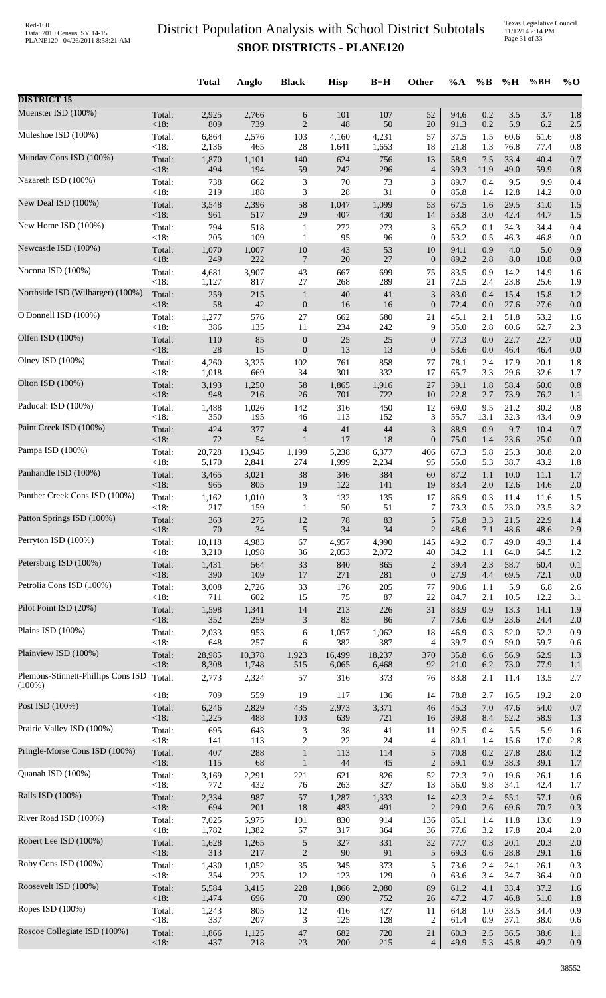|                                    |                 | <b>Total</b>   | Anglo        | <b>Black</b>             | <b>Hisp</b>  | $B+H$        | <b>Other</b>                | %A           | $\%B$      | %H           | %BH          | $\%$ O     |
|------------------------------------|-----------------|----------------|--------------|--------------------------|--------------|--------------|-----------------------------|--------------|------------|--------------|--------------|------------|
| <b>DISTRICT 15</b>                 |                 |                |              |                          |              |              |                             |              |            |              |              |            |
| Muenster ISD (100%)                | Total:          | 2,925          | 2,766        | 6                        | 101          | 107          | 52                          | 94.6         | 0.2        | 3.5          | 3.7          | 1.8        |
|                                    | <18:            | 809            | 739          | $\overline{2}$           | $\sqrt{48}$  | 50           | 20                          | 91.3         | 0.2        | 5.9          | 6.2          | 2.5        |
| Muleshoe ISD (100%)                | Total:          | 6,864          | 2,576        | 103                      | 4,160        | 4,231        | 57                          | 37.5         | 1.5        | 60.6         | 61.6         | 0.8        |
| Munday Cons ISD (100%)             | < 18:           | 2,136          | 465          | 28                       | 1,641        | 1,653        | 18                          | 21.8         | 1.3        | 76.8         | 77.4         | 0.8        |
|                                    | Total:          | 1,870          | 1,101        | 140                      | 624          | 756          | 13                          | 58.9         | 7.5        | 33.4         | 40.4         | 0.7        |
| Nazareth ISD (100%)                | < 18:           | 494            | 194          | 59                       | 242          | 296          | $\overline{4}$              | 39.3         | 11.9       | 49.0         | 59.9         | 0.8        |
|                                    | Total:          | 738            | 662          | $\mathfrak{Z}$           | $70\,$       | 73           | 3                           | 89.7         | 0.4        | 9.5          | 9.9          | 0.4        |
| New Deal ISD (100%)                | < 18:           | 219            | 188          | 3                        | $28\,$       | 31           | $\boldsymbol{0}$            | 85.8         | 1.4        | 12.8         | 14.2         | 0.0        |
|                                    | Total:          | 3,548          | 2,396        | 58                       | 1,047        | 1,099        | 53                          | 67.5         | 1.6        | 29.5         | 31.0         | 1.5        |
|                                    | < 18:           | 961            | 517          | 29                       | 407          | 430          | 14                          | 53.8         | 3.0        | 42.4         | 44.7         | 1.5        |
| New Home ISD (100%)                | Total:          | 794            | 518          | $\mathbf{1}$             | 272          | 273          | 3                           | 65.2         | 0.1        | 34.3         | 34.4         | 0.4        |
|                                    | < 18:           | 205            | 109          | $\mathbf{1}$             | 95           | 96           | $\boldsymbol{0}$            | 53.2         | 0.5        | 46.3         | 46.8         | 0.0        |
| Newcastle ISD (100%)               | Total:          | 1,070          | 1,007        | 10                       | 43           | 53           | 10                          | 94.1         | 0.9        | $4.0\,$      | 5.0          | 0.9        |
|                                    | < 18:           | 249            | 222          | $\overline{7}$           | $20\,$       | 27           | $\boldsymbol{0}$            | 89.2         | 2.8        | $8.0\,$      | 10.8         | 0.0        |
| Nocona ISD (100%)                  | Total:          | 4,681          | 3,907        | 43                       | 667          | 699          | 75                          | 83.5         | 0.9        | 14.2         | 14.9         | 1.6        |
|                                    | <18:            | 1,127          | 817          | $27\,$                   | 268          | 289          | 21                          | 72.5         | 2.4        | 23.8         | 25.6         | 1.9        |
| Northside ISD (Wilbarger) (100%)   | Total:          | 259            | 215          | $\mathbf{1}$             | 40           | 41           | $\mathfrak{Z}$              | 83.0         | 0.4        | 15.4         | 15.8         | 1.2        |
| O'Donnell ISD (100%)               | < 18:           | 58             | 42           | $\boldsymbol{0}$         | 16           | 16           | $\boldsymbol{0}$            | 72.4         | 0.0        | 27.6         | 27.6         | 0.0        |
|                                    | Total:          | 1,277          | 576          | 27                       | 662          | 680          | 21                          | 45.1         | 2.1        | 51.8         | 53.2         | 1.6        |
| Olfen ISD (100%)                   | < 18:           | 386            | 135          | 11                       | 234          | 242          | 9                           | 35.0         | 2.8        | 60.6         | 62.7         | 2.3        |
|                                    | Total:          | 110            | 85           | $\boldsymbol{0}$         | 25           | 25           | $\mathbf{0}$                | 77.3         | 0.0        | 22.7         | 22.7         | 0.0        |
| Olney ISD (100%)                   | < 18:           | $28\,$         | 15           | $\boldsymbol{0}$         | 13           | 13           | $\boldsymbol{0}$            | 53.6         | 0.0        | 46.4         | 46.4         | 0.0        |
|                                    | Total:          | 4,260          | 3,325        | 102                      | 761          | 858          | 77                          | 78.1         | 2.4        | 17.9         | 20.1         | 1.8        |
| Olton ISD (100%)                   | < 18:<br>Total: | 1,018<br>3,193 | 669<br>1,250 | 34                       | 301          | 332<br>1,916 | 17<br>27                    | 65.7<br>39.1 | 3.3<br>1.8 | 29.6<br>58.4 | 32.6<br>60.0 | 1.7<br>0.8 |
|                                    | < 18:           | 948            | 216          | 58<br>26                 | 1,865<br>701 | 722          | 10                          | 22.8         | 2.7        | 73.9         | 76.2         | 1.1        |
| Paducah ISD (100%)                 | Total:          | 1,488          | 1,026        | 142                      | 316          | 450          | 12                          | 69.0         | 9.5        | 21.2         | 30.2         | 0.8        |
|                                    | < 18:           | 350            | 195          | 46                       | 113          | 152          | 3                           | 55.7         | 13.1       | 32.3         | 43.4         | 0.9        |
| Paint Creek ISD (100%)             | Total:          | 424            | 377          | $\overline{4}$           | 41           | 44           | $\ensuremath{\mathfrak{Z}}$ | 88.9         | 0.9        | 9.7          | 10.4         | 0.7        |
|                                    | < 18:           | 72             | 54           | $\mathbf{1}$             | 17           | 18           | $\boldsymbol{0}$            | 75.0         | 1.4        | 23.6         | 25.0         | 0.0        |
| Pampa ISD (100%)                   | Total:          | 20,728         | 13,945       | 1,199                    | 5,238        | 6,377        | 406                         | 67.3         | 5.8        | 25.3         | 30.8         | 2.0        |
|                                    | < 18:           | 5,170          | 2,841        | 274                      | 1,999        | 2,234        | 95                          | 55.0         | 5.3        | 38.7         | 43.2         | 1.8        |
| Panhandle ISD (100%)               | Total:          | 3,465          | 3,021        | 38                       | 346          | 384          | 60                          | 87.2         | 1.1        | $10.0\,$     | 11.1         | 1.7        |
|                                    | $<18$ :         | 965            | 805          | 19                       | 122          | 141          | 19                          | 83.4         | 2.0        | 12.6         | 14.6         | 2.0        |
| Panther Creek Cons ISD (100%)      | Total:          | 1,162          | 1,010        | 3                        | 132          | 135          | 17                          | 86.9         | 0.3        | 11.4         | 11.6         | 1.5        |
| Patton Springs ISD (100%)          | <18:            | 217            | 159          | $\mathbf{1}$             | 50           | 51           | 7                           | 73.3         | 0.5        | 23.0         | 23.5         | 3.2        |
|                                    | Total:          | 363            | 275          | 12                       | 78           | 83           | $\sqrt{5}$                  | 75.8         | 3.3        | 21.5         | 22.9         | 1.4        |
| Perryton ISD (100%)                | <18:            | $70\,$         | 34           | $\sqrt{5}$               | 34           | 34           | $\sqrt{2}$                  | 48.6         | 7.1        | 48.6         | 48.6         | 2.9        |
|                                    | Total:          | 10,118         | 4,983        | 67                       | 4,957        | 4,990        | 145                         | 49.2         | 0.7        | 49.0         | 49.3         | 1.4        |
|                                    | <18:            | 3,210          | 1,098        | 36                       | 2,053        | 2,072        | 40                          | 34.2         | 1.1        | 64.0         | 64.5         | 1.2        |
| Petersburg ISD (100%)              | Total:          | 1,431          | 564          | 33                       | 840          | 865          | $\overline{2}$              | 39.4         | 2.3        | 58.7         | 60.4         | 0.1        |
|                                    | < 18:           | 390            | 109          | 17                       | 271          | 281          | $\boldsymbol{0}$            | 27.9         | 4.4        | 69.5         | 72.1         | 0.0        |
| Petrolia Cons ISD (100%)           | Total:          | 3,008          | 2,726        | 33                       | 176          | 205          | 77                          | 90.6         | 1.1        | 5.9          | 6.8          | 2.6        |
|                                    | < 18:           | 711            | 602          | 15                       | 75           | 87           | 22                          | 84.7         | 2.1        | 10.5         | 12.2         | 3.1        |
| Pilot Point ISD (20%)              | Total:          | 1,598          | 1,341        | 14                       | 213          | 226          | 31                          | 83.9         | 0.9        | 13.3         | 14.1         | 1.9        |
|                                    | < 18:           | 352            | 259          | $\mathfrak{Z}$           | 83           | 86           | $7\phantom{.0}$             | 73.6         | 0.9        | 23.6         | 24.4         | 2.0        |
| Plains ISD (100%)                  | Total:          | 2,033          | 953          | 6                        | 1,057        | 1,062        | 18                          | 46.9         | 0.3        | 52.0         | 52.2         | 0.9        |
|                                    | < 18:           | 648            | 257          | 6                        | 382          | 387          | $\overline{4}$              | 39.7         | 0.9        | 59.0         | 59.7         | 0.6        |
| Plainview ISD (100%)               | Total:          | 28,985         | 10,378       | 1,923                    | 16,499       | 18,237       | 370                         | 35.8         | 6.6        | 56.9         | 62.9         | 1.3        |
| Plemons-Stinnett-Phillips Cons ISD | < 18:           | 8,308          | 1,748        | 515                      | 6,065        | 6,468        | 92                          | 21.0         | 6.2        | 73.0         | 77.9         | 1.1        |
|                                    | Total:          | 2,773          | 2,324        | 57                       | 316          | 373          | 76                          | 83.8         | 2.1        | 11.4         | 13.5         | 2.7        |
| $(100\%)$                          | < 18:           | 709            | 559          | 19                       | 117          | 136          | 14                          | 78.8         | 2.7        | 16.5         | 19.2         | 2.0        |
| Post ISD (100%)                    | Total:          | 6,246          | 2,829        | 435                      | 2,973        | 3,371        | 46                          | 45.3         | $7.0\,$    | 47.6         | 54.0         | 0.7        |
|                                    | < 18:           | 1,225          | 488          | 103                      | 639          | 721          | 16                          | 39.8         | 8.4        | 52.2         | 58.9         | 1.3        |
| Prairie Valley ISD (100%)          | Total:          | 695            | 643          | $\mathfrak{Z}$           | 38           | 41           | 11                          | 92.5         | 0.4        | 5.5          | 5.9          | 1.6        |
|                                    | <18:            | 141            | 113          | $\overline{c}$           | $22\,$       | 24           | 4                           | 80.1         | 1.4        | 15.6         | 17.0         | 2.8        |
| Pringle-Morse Cons ISD (100%)      | Total:          | 407            | 288          | $\mathbf{1}$             | 113          | 114          | $\sqrt{5}$                  | 70.8         | 0.2        | 27.8         | 28.0         | 1.2        |
| Quanah ISD (100%)                  | < 18:           | 115            | 68           | $\mathbf{1}$             | $44\,$       | 45           | $\overline{2}$              | 59.1         | 0.9        | 38.3         | 39.1         | 1.7        |
|                                    | Total:          | 3,169          | 2,291        | 221                      | 621          | 826          | 52                          | 72.3         | 7.0        | 19.6         | 26.1         | 1.6        |
| Ralls ISD (100%)                   | < 18:           | 772            | 432          | 76                       | 263          | 327          | 13                          | 56.0         | 9.8        | 34.1         | 42.4         | 1.7        |
|                                    | Total:          | 2,334          | 987          | 57                       | 1,287        | 1,333        | 14                          | 42.3         | 2.4        | 55.1         | 57.1         | 0.6        |
| River Road ISD (100%)              | <18:            | 694            | 201          | 18                       | 483          | 491          | $\overline{2}$              | 29.0         | 2.6        | 69.6         | 70.7         | 0.3        |
|                                    | Total:          | 7,025          | 5,975        | 101                      | 830          | 914          | 136                         | 85.1         | 1.4        | 11.8         | 13.0         | 1.9        |
| Robert Lee ISD (100%)              | < 18:<br>Total: | 1,782          | 1,382        | 57                       | 317<br>327   | 364<br>331   | 36<br>32                    | 77.6<br>77.7 | 3.2<br>0.3 | 17.8<br>20.1 | 20.4<br>20.3 | 2.0        |
|                                    | < 18:           | 1,628<br>313   | 1,265<br>217 | $\sqrt{5}$<br>$\sqrt{2}$ | 90           | 91           | 5                           | 69.3         | 0.6        | 28.8         | 29.1         | 2.0<br>1.6 |
| Roby Cons ISD (100%)               | Total:          | 1,430          | 1,052        | 35                       | 345          | 373          | 5                           | 73.6         | 2.4        | 24.1         | 26.1         | 0.3        |
|                                    | < 18:           | 354            | 225          | 12                       | 123          | 129          | $\overline{0}$              | 63.6         | 3.4        | 34.7         | 36.4         | 0.0        |
| Roosevelt ISD (100%)               | Total:          | 5,584          | 3,415        | 228                      | 1,866        | 2,080        | 89                          | 61.2         | 4.1        | 33.4         | 37.2         | 1.6        |
|                                    | < 18:           | 1,474          | 696          | 70                       | 690          | 752          | 26                          | 47.2         | 4.7        | 46.8         | 51.0         | 1.8        |
| Ropes ISD (100%)                   | Total:          | 1,243          | 805          | 12                       | 416          | 427          | 11                          | 64.8         | 1.0        | 33.5         | 34.4         | 0.9        |
|                                    | <18:            | 337            | 207          | 3                        | 125          | 128          | $\overline{c}$              | 61.4         | 0.9        | 37.1         | 38.0         | 0.6        |
| Roscoe Collegiate ISD (100%)       | Total:          | 1,866          | 1,125        | $47\,$                   | 682          | 720          | 21                          | 60.3         | 2.5        | 36.5         | 38.6         | 1.1        |
|                                    | <18:            | 437            | 218          | 23                       | 200          | 215          | $\overline{4}$              | 49.9         | 5.3        | 45.8         | 49.2         | 0.9        |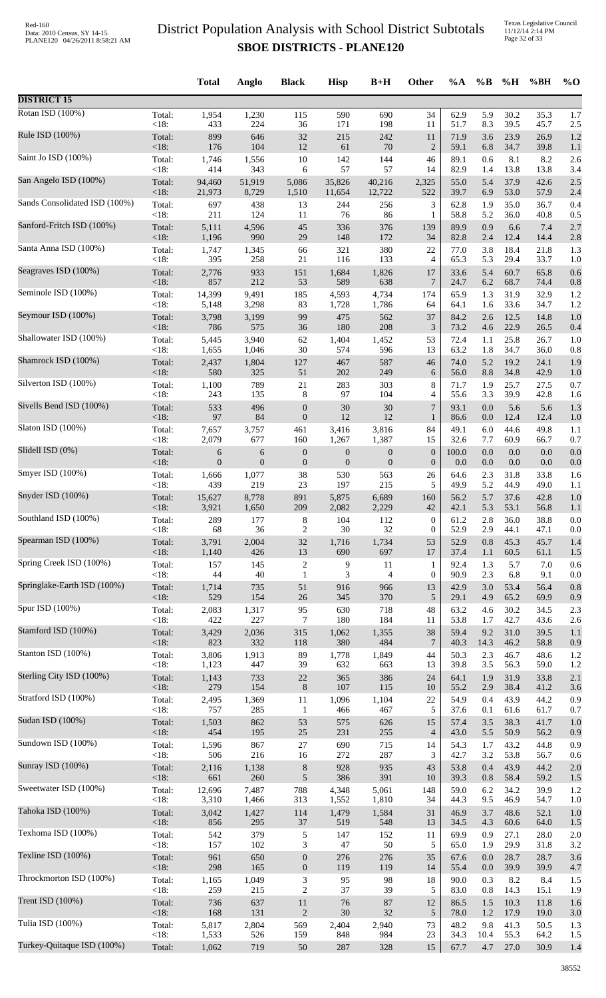Texas Legislative Council 11/12/14 2:14 PM Page 32 of 33

|                               |         | <b>Total</b>     | Anglo    | <b>Black</b>                | <b>Hisp</b>      | $B+H$            | Other            | %A    | $\%B$   | %H   | %BH  | $\%$ O |
|-------------------------------|---------|------------------|----------|-----------------------------|------------------|------------------|------------------|-------|---------|------|------|--------|
| <b>DISTRICT 15</b>            |         |                  |          |                             |                  |                  |                  |       |         |      |      |        |
| Rotan ISD (100%)              | Total:  | 1,954            | 1,230    | 115                         | 590              | 690              | 34               | 62.9  | 5.9     | 30.2 | 35.3 | 1.7    |
|                               | $<18$ : | 433              | 224      | 36                          | 171              | 198              | 11               | 51.7  | 8.3     | 39.5 | 45.7 | 2.5    |
| Rule ISD (100%)               | Total:  | 899              | 646      | 32                          | 215              | 242              | 11               | 71.9  | 3.6     | 23.9 | 26.9 | 1.2    |
| Saint Jo ISD (100%)           | $<18$ : | 176              | 104      | 12                          | 61               | 70               | $\overline{2}$   | 59.1  | 6.8     | 34.7 | 39.8 | 1.1    |
|                               | Total:  | 1,746            | 1,556    | 10                          | 142              | 144              | 46               | 89.1  | 0.6     | 8.1  | 8.2  | 2.6    |
| San Angelo ISD (100%)         | $<18$ : | 414              | 343      | 6                           | 57               | 57               | 14               | 82.9  | 1.4     | 13.8 | 13.8 | 3.4    |
|                               | Total:  | 94,460           | 51,919   | 5,086                       | 35,826           | 40,216           | 2,325            | 55.0  | 5.4     | 37.9 | 42.6 | 2.5    |
| Sands Consolidated ISD (100%) | <18:    | 21,973           | 8,729    | 1,510                       | 11,654           | 12,722           | 522              | 39.7  | 6.9     | 53.0 | 57.9 | 2.4    |
|                               | Total:  | 697              | 438      | 13                          | 244              | 256              | 3                | 62.8  | 1.9     | 35.0 | 36.7 | 0.4    |
| Sanford-Fritch ISD (100%)     | <18:    | 211              | 124      | 11                          | 76               | 86               | $\mathbf{1}$     | 58.8  | 5.2     | 36.0 | 40.8 | 0.5    |
|                               | Total:  | 5,111            | 4,596    | 45                          | 336              | 376              | 139              | 89.9  | 0.9     | 6.6  | 7.4  | 2.7    |
| Santa Anna ISD (100%)         | <18:    | 1,196            | 990      | 29                          | 148              | 172              | 34               | 82.8  | 2.4     | 12.4 | 14.4 | 2.8    |
|                               | Total:  | 1,747            | 1,345    | 66                          | 321              | 380              | 22               | 77.0  | 3.8     | 18.4 | 21.8 | 1.3    |
| Seagraves ISD (100%)          | <18:    | 395              | 258      | 21                          | 116              | 133              | $\overline{4}$   | 65.3  | 5.3     | 29.4 | 33.7 | 1.0    |
|                               | Total:  | 2,776            | 933      | 151                         | 1,684            | 1,826            | 17               | 33.6  | 5.4     | 60.7 | 65.8 | 0.6    |
| Seminole ISD (100%)           | <18:    | 857              | 212      | 53                          | 589              | 638              | 7                | 24.7  | 6.2     | 68.7 | 74.4 | 0.8    |
|                               | Total:  | 14,399           | 9,491    | 185                         | 4,593            | 4,734            | 174              | 65.9  | 1.3     | 31.9 | 32.9 | 1.2    |
| Seymour ISD (100%)            | <18:    | 5,148            | 3,298    | 83                          | 1,728            | 1,786            | 64               | 64.1  | 1.6     | 33.6 | 34.7 | 1.2    |
|                               | Total:  | 3,798            | 3,199    | 99                          | 475              | 562              | 37               | 84.2  | 2.6     | 12.5 | 14.8 | 1.0    |
|                               | <18:    | 786              | 575      | 36                          | 180              | 208              | $\mathfrak{Z}$   | 73.2  | 4.6     | 22.9 | 26.5 | 0.4    |
| Shallowater ISD (100%)        | Total:  | 5,445            | 3,940    | 62                          | 1,404            | 1,452            | 53               | 72.4  | 1.1     | 25.8 | 26.7 | 1.0    |
|                               | <18:    | 1,655            | 1,046    | 30                          | 574              | 596              | 13               | 63.2  | 1.8     | 34.7 | 36.0 | 0.8    |
| Shamrock ISD (100%)           | Total:  | 2,437            | 1,804    | 127                         | 467              | 587              | 46               | 74.0  | 5.2     | 19.2 | 24.1 | 1.9    |
|                               | $<18$ : | 580              | 325      | 51                          | 202              | 249              | 6                | 56.0  | 8.8     | 34.8 | 42.9 | 1.0    |
| Silverton ISD (100%)          | Total:  | 1,100            | 789      | 21                          | 283              | 303              | 8                | 71.7  | 1.9     | 25.7 | 27.5 | 0.7    |
|                               | <18:    | 243              | 135      | 8                           | 97               | 104              | $\overline{4}$   | 55.6  | 3.3     | 39.9 | 42.8 | 1.6    |
| Sivells Bend ISD (100%)       | Total:  | 533              | 496      | $\boldsymbol{0}$            | 30               | 30               | 7                | 93.1  | $0.0\,$ | 5.6  | 5.6  | 1.3    |
|                               | $<18$ : | 97               | 84       | $\boldsymbol{0}$            | 12               | 12               | 1                | 86.6  | 0.0     | 12.4 | 12.4 | 1.0    |
| Slaton ISD (100%)             | Total:  | 7,657            | 3,757    | 461                         | 3,416            | 3,816            | 84               | 49.1  | 6.0     | 44.6 | 49.8 | 1.1    |
| Slidell ISD (0%)              | <18:    | 2,079            | 677      | 160                         | 1,267            | 1,387            | 15               | 32.6  | 7.7     | 60.9 | 66.7 | 0.7    |
|                               | Total:  | $\boldsymbol{6}$ | 6        | $\boldsymbol{0}$            | $\boldsymbol{0}$ | $\boldsymbol{0}$ | $\mathbf{0}$     | 100.0 | 0.0     | 0.0  | 0.0  | 0.0    |
| Smyer ISD (100%)              | $<18$ : | $\overline{0}$   | $\theta$ | $\boldsymbol{0}$            | $\overline{0}$   | $\mathbf{0}$     | $\mathbf{0}$     | 0.0   | 0.0     | 0.0  | 0.0  | 0.0    |
|                               | Total:  | 1,666            | 1,077    | 38                          | 530              | 563              | 26               | 64.6  | 2.3     | 31.8 | 33.8 | 1.6    |
| Snyder ISD (100%)             | $<18$ : | 439              | 219      | 23                          | 197              | 215              | 5                | 49.9  | 5.2     | 44.9 | 49.0 | 1.1    |
|                               | Total:  | 15,627           | 8,778    | 891                         | 5,875            | 6,689            | 160              | 56.2  | 5.7     | 37.6 | 42.8 | 1.0    |
| Southland ISD (100%)          | $<18$ : | 3,921            | 1,650    | 209                         | 2,082            | 2,229            | 42               | 42.1  | 5.3     | 53.1 | 56.8 | 1.1    |
|                               | Total:  | 289              | 177      | 8                           | 104              | 112              | $\boldsymbol{0}$ | 61.2  | 2.8     | 36.0 | 38.8 | 0.0    |
| Spearman ISD (100%)           | <18:    | 68               | 36       | $\overline{c}$              | 30               | 32               | $\boldsymbol{0}$ | 52.9  | 2.9     | 44.1 | 47.1 | 0.0    |
|                               | Total:  | 3,791            | 2,004    | 32                          | 1,716            | 1,734            | 53               | 52.9  | 0.8     | 45.3 | 45.7 | 1.4    |
| Spring Creek ISD (100%)       | <18:    | 1,140            | 426      | 13                          | 690              | 697              | 17               | 37.4  | 1.1     | 60.5 | 61.1 | 1.5    |
|                               | Total:  | 157              | 145      | $\sqrt{2}$                  | 9                | 11               | $\mathbf{1}$     | 92.4  | 1.3     | 5.7  | 7.0  | 0.6    |
| Springlake-Earth ISD (100%)   | <18:    | 44               | 40       | $\mathbf{1}$                | 3                | $\overline{4}$   | $\boldsymbol{0}$ | 90.9  | 2.3     | 6.8  | 9.1  | 0.0    |
|                               | Total:  | 1,714            | 735      | 51                          | 916              | 966              | 13               | 42.9  | 3.0     | 53.4 | 56.4 | 0.8    |
| Spur ISD (100%)               | <18:    | 529              | 154      | 26                          | 345              | 370              | 5                | 29.1  | 4.9     | 65.2 | 69.9 | 0.9    |
|                               | Total:  | 2,083            | 1,317    | 95                          | 630              | 718              | 48               | 63.2  | 4.6     | 30.2 | 34.5 | 2.3    |
| Stamford ISD (100%)           | <18:    | 422              | 227      | $\tau$                      | 180              | 184              | 11               | 53.8  | 1.7     | 42.7 | 43.6 | 2.6    |
|                               | Total:  | 3,429            | 2,036    | 315                         | 1,062            | 1,355            | 38               | 59.4  | 9.2     | 31.0 | 39.5 | 1.1    |
|                               | $<18$ : | 823              | 332      | 118                         | 380              | 484              | $\overline{7}$   | 40.3  | 14.3    | 46.2 | 58.8 | 0.9    |
| Stanton ISD (100%)            | Total:  | 3,806            | 1,913    | 89                          | 1,778            | 1,849            | 44               | 50.3  | 2.3     | 46.7 | 48.6 | 1.2    |
|                               | <18:    | 1,123            | 447      | 39                          | 632              | 663              | 13               | 39.8  | 3.5     | 56.3 | 59.0 | 1.2    |
| Sterling City ISD (100%)      | Total:  | 1,143            | 733      | $22\,$                      | 365              | 386              | 24               | 64.1  | 1.9     | 31.9 | 33.8 | 2.1    |
|                               | $<18$ : | 279              | 154      | $\,8\,$                     | 107              | 115              | 10               | 55.2  | 2.9     | 38.4 | 41.2 | 3.6    |
| Stratford ISD (100%)          | Total:  | 2,495            | 1,369    | 11                          | 1,096            | 1,104            | 22               | 54.9  | 0.4     | 43.9 | 44.2 | 0.9    |
|                               | <18:    | 757              | 285      | $\mathbf{1}$                | 466              | 467              | 5                | 37.6  | 0.1     | 61.6 | 61.7 | 0.7    |
| Sudan ISD (100%)              | Total:  | 1,503            | 862      | 53                          | 575              | 626              | 15               | 57.4  | 3.5     | 38.3 | 41.7 | 1.0    |
|                               | <18:    | 454              | 195      | 25                          | 231              | 255              | $\overline{4}$   | 43.0  | 5.5     | 50.9 | 56.2 | 0.9    |
| Sundown ISD (100%)            | Total:  | 1,596            | 867      | $27\,$                      | 690              | 715              | 14               | 54.3  | 1.7     | 43.2 | 44.8 | 0.9    |
|                               | <18:    | 506              | 216      | 16                          | 272              | 287              | 3                | 42.7  | 3.2     | 53.8 | 56.7 | 0.6    |
| Sunray ISD (100%)             | Total:  | 2,116            | 1,138    | $\,8\,$                     | 928              | 935              | 43               | 53.8  | 0.4     | 43.9 | 44.2 | 2.0    |
|                               | <18:    | 661              | 260      | $\sqrt{5}$                  | 386              | 391              | 10               | 39.3  | 0.8     | 58.4 | 59.2 | 1.5    |
| Sweetwater ISD (100%)         | Total:  | 12,696           | 7,487    | 788                         | 4,348            | 5,061            | 148              | 59.0  | 6.2     | 34.2 | 39.9 | 1.2    |
| Tahoka ISD (100%)             | <18:    | 3,310            | 1,466    | 313                         | 1,552            | 1,810            | 34               | 44.3  | 9.5     | 46.9 | 54.7 | 1.0    |
|                               | Total:  | 3,042            | 1,427    | 114                         | 1,479            | 1,584            | 31               | 46.9  | 3.7     | 48.6 | 52.1 | 1.0    |
| Texhoma ISD (100%)            | <18:    | 856              | 295      | $37\,$                      | 519              | 548              | 13               | 34.5  | 4.3     | 60.6 | 64.0 | 1.5    |
|                               | Total:  | 542              | 379      | 5                           | 147              | 152              | 11               | 69.9  | 0.9     | 27.1 | 28.0 | 2.0    |
| Texline ISD (100%)            | <18:    | 157              | 102      | 3                           | 47               | 50               | 5                | 65.0  | 1.9     | 29.9 | 31.8 | 3.2    |
|                               | Total:  | 961              | 650      | $\boldsymbol{0}$            | 276              | 276              | 35               | 67.6  | 0.0     | 28.7 | 28.7 | 3.6    |
| Throckmorton ISD (100%)       | <18:    | 298              | 165      | $\mathbf{0}$                | 119              | 119              | 14               | 55.4  | 0.0     | 39.9 | 39.9 | 4.7    |
|                               | Total:  | 1,165            | 1,049    | $\ensuremath{\mathfrak{Z}}$ | 95               | 98               | 18               | 90.0  | 0.3     | 8.2  | 8.4  | 1.5    |
| Trent ISD (100%)              | <18:    | 259              | 215      | $\overline{2}$              | 37               | 39               | 5                | 83.0  | 0.8     | 14.3 | 15.1 | 1.9    |
|                               | Total:  | 736              | 637      | 11                          | 76               | 87               | 12               | 86.5  | 1.5     | 10.3 | 11.8 | 1.6    |
|                               | $<18$ : | 168              | 131      | $\boldsymbol{2}$            | $30\,$           | 32               | 5                | 78.0  | 1.2     | 17.9 | 19.0 | 3.0    |
| Tulia ISD (100%)              | Total:  | 5,817            | 2,804    | 569                         | 2,404            | 2,940            | 73               | 48.2  | 9.8     | 41.3 | 50.5 | 1.3    |
|                               | <18:    | 1,533            | 526      | 159                         | 848              | 984              | 23               | 34.3  | 10.4    | 55.3 | 64.2 | 1.5    |
| Turkey-Quitaque ISD (100%)    | Total:  | 1,062            | 719      | 50                          | 287              | 328              | 15               | 67.7  | 4.7     | 27.0 | 30.9 | 1.4    |